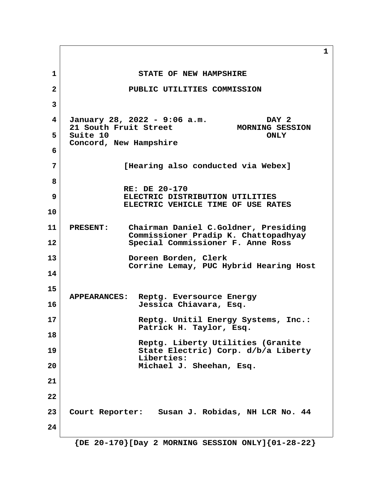**1** STATE OF NEW HAMPSHIRE  **2 PUBLIC UTILITIES COMMISSION 3 4 January 28, 2022 - 9:06 a.m. DAY 2 21 South Fruit Street 5** Suite 10 ONLY  **Concord, New Hampshire 6 7 [Hearing also conducted via Webex] 8 RE: DE 20-170 9 ELECTRIC DISTRIBUTION UTILITIES ELECTRIC VEHICLE TIME OF USE RATES 10 11 PRESENT: Chairman Daniel C.Goldner, Presiding Commissioner Pradip K. Chattopadhyay 12 Special Commissioner F. Anne Ross 13 Doreen Borden, Clerk Corrine Lemay, PUC Hybrid Hearing Host 14 15 APPEARANCES: Reptg. Eversource Energy 16 Jessica Chiavara, Esq. 17 Reptg. Unitil Energy Systems, Inc.: Patrick H. Taylor, Esq. 18 Reptg. Liberty Utilities (Granite 19 State Electric) Corp. d/b/a Liberty Liberties: 20 Michael J. Sheehan, Esq. 21 22 23 Court Reporter: Susan J. Robidas, NH LCR No. 44 24**

**1**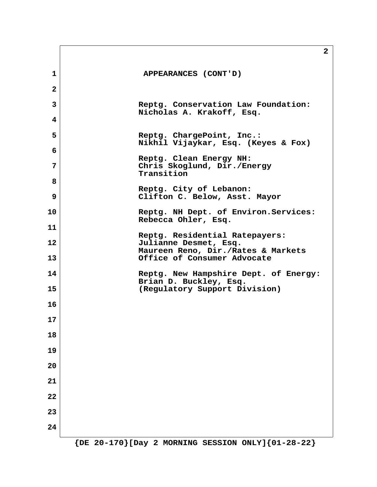|                | $\mathbf{2}$                                                                                  |
|----------------|-----------------------------------------------------------------------------------------------|
| $\mathbf{1}$   | APPEARANCES (CONT'D)                                                                          |
| $\overline{a}$ |                                                                                               |
| 3              | Reptg. Conservation Law Foundation:                                                           |
| 4              | Nicholas A. Krakoff, Esq.                                                                     |
| 5              | Reptg. ChargePoint, Inc.:<br>Nikhil Vijaykar, Esq. (Keyes & Fox)                              |
| 6              | Reptg. Clean Energy NH:                                                                       |
| 7              | Chris Skoglund, Dir./Energy<br>Transition                                                     |
| 8              | Reptg. City of Lebanon:                                                                       |
| 9              | Clifton C. Below, Asst. Mayor                                                                 |
| 10             | Reptg. NH Dept. of Environ. Services:<br>Rebecca Ohler, Esq.                                  |
| 11             |                                                                                               |
| 12             | Reptg. Residential Ratepayers:<br>Julianne Desmet, Esq.<br>Maureen Reno, Dir./Rates & Markets |
| 13             | Office of Consumer Advocate                                                                   |
| 14             | Reptg. New Hampshire Dept. of Energy:<br>Brian D. Buckley, Esq.                               |
| 15             | (Regulatory Support Division)                                                                 |
| 16             |                                                                                               |
| 17             |                                                                                               |
| 18             |                                                                                               |
| 19             |                                                                                               |
| 20             |                                                                                               |
| 21             |                                                                                               |
| 22             |                                                                                               |
| 23             |                                                                                               |
| 24             |                                                                                               |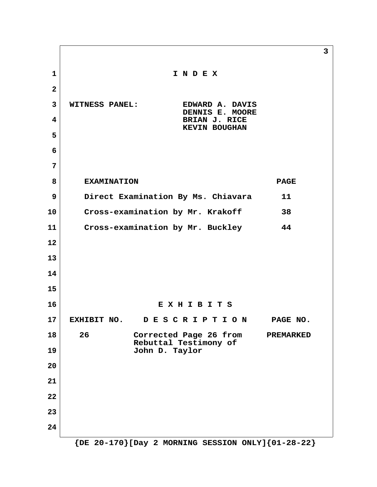**3 1 I N D E X 2 3 WITNESS PANEL: EDWARD A. DAVIS DENNIS E. MOORE 4 BRIAN J. RICE KEVIN BOUGHAN 5 6 7 8** EXAMINATION EXAMINATION  **9 Direct Examination By Ms. Chiavara 11 10 Cross-examination by Mr. Krakoff 38 11 Cross-examination by Mr. Buckley 44 12 13 14 15 16 E X H I B I T S 17 EXHIBIT NO. D E S C R I P T I O N PAGE NO. 18 26 Corrected Page 26 from PREMARKED Rebuttal Testimony of 19 John D. Taylor 20 21 22 23 24**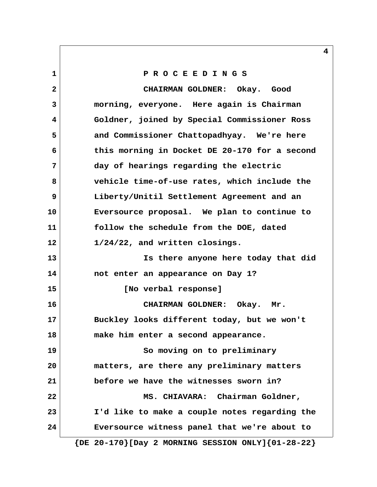# **1 P R O C E E D I N G S 2 CHAIRMAN GOLDNER: Okay. Good 3 morning, everyone. Here again is Chairman 4 Goldner, joined by Special Commissioner Ross 5 and Commissioner Chattopadhyay. We're here 6 this morning in Docket DE 20-170 for a second 7 day of hearings regarding the electric 8 vehicle time-of-use rates, which include the 9 Liberty/Unitil Settlement Agreement and an 10 Eversource proposal. We plan to continue to 11 follow the schedule from the DOE, dated 12 1/24/22, and written closings. 13 Is there anyone here today that did 14 not enter an appearance on Day 1? 15 [No verbal response] 16 CHAIRMAN GOLDNER: Okay. Mr. 17 Buckley looks different today, but we won't 18 make him enter a second appearance. 19 So moving on to preliminary 20 matters, are there any preliminary matters 21 before we have the witnesses sworn in?** 22 MS. CHIAVARA: Chairman Goldner, **23 I'd like to make a couple notes regarding the 24 Eversource witness panel that we're about to**

 **{DE 20-170}[Day 2 MORNING SESSION ONLY]{01-28-22}**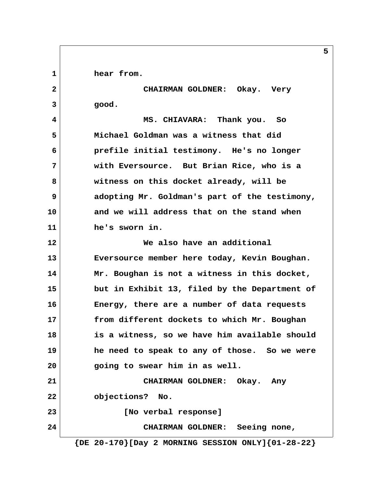1 **hear from.** 

 **2 CHAIRMAN GOLDNER: Okay. Very 3 good.**

 **4 MS. CHIAVARA: Thank you. So 5 Michael Goldman was a witness that did 6 prefile initial testimony. He's no longer 7 with Eversource. But Brian Rice, who is a 8 witness on this docket already, will be 9 adopting Mr. Goldman's part of the testimony, 10 and we will address that on the stand when 11 he's sworn in.**

**12 We also have an additional 13 Eversource member here today, Kevin Boughan. 14 Mr. Boughan is not a witness in this docket, 15 but in Exhibit 13, filed by the Department of 16 Energy, there are a number of data requests 17 from different dockets to which Mr. Boughan 18 is a witness, so we have him available should 19 he need to speak to any of those. So we were 20 going to swear him in as well. 21 CHAIRMAN GOLDNER: Okay. Any 22 objections? No.**

**23 [No verbal response]**

**24 CHAIRMAN GOLDNER: Seeing none,**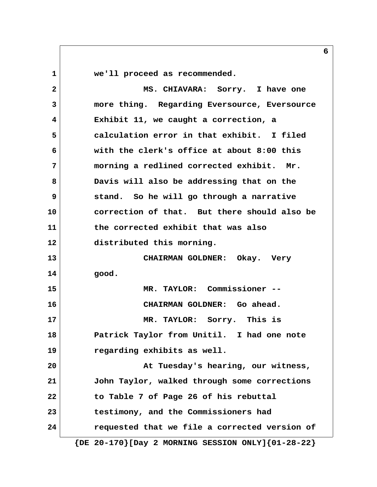**1 we'll proceed as recommended. 2 MS. CHIAVARA: Sorry. I have one 3 more thing. Regarding Eversource, Eversource 4 Exhibit 11, we caught a correction, a 5 calculation error in that exhibit. I filed 6 with the clerk's office at about 8:00 this 7 morning a redlined corrected exhibit. Mr. 8 Davis will also be addressing that on the 9 stand. So he will go through a narrative 10 correction of that. But there should also be 11 the corrected exhibit that was also 12 distributed this morning. 13 CHAIRMAN GOLDNER: Okay. Very 14 good. 15 MR. TAYLOR: Commissioner -- 16 CHAIRMAN GOLDNER: Go ahead. 17 MR. TAYLOR: Sorry. This is 18 Patrick Taylor from Unitil. I had one note 19 regarding exhibits as well. 20 At Tuesday's hearing, our witness, 21 John Taylor, walked through some corrections 22 to Table 7 of Page 26 of his rebuttal 23 testimony, and the Commissioners had 24 requested that we file a corrected version of**

 **{DE 20-170}[Day 2 MORNING SESSION ONLY]{01-28-22}**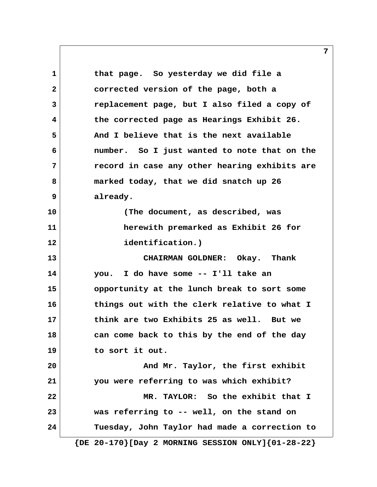**1 that page. So yesterday we did file a 2 corrected version of the page, both a 3 replacement page, but I also filed a copy of 4 the corrected page as Hearings Exhibit 26. 5 And I believe that is the next available 6 number. So I just wanted to note that on the 7 record in case any other hearing exhibits are 8 marked today, that we did snatch up 26 9 already. 10 (The document, as described, was 11 herewith premarked as Exhibit 26 for 12 identification.) 13 CHAIRMAN GOLDNER: Okay. Thank 14 you. I do have some -- I'll take an 15 opportunity at the lunch break to sort some 16 things out with the clerk relative to what I 17 think are two Exhibits 25 as well. But we 18 can come back to this by the end of the day 19 to sort it out. 20 And Mr. Taylor, the first exhibit 21 you were referring to was which exhibit? 22 MR. TAYLOR: So the exhibit that I 23 was referring to -- well, on the stand on 24 Tuesday, John Taylor had made a correction to {DE 20-170}[Day 2 MORNING SESSION ONLY]{01-28-22}**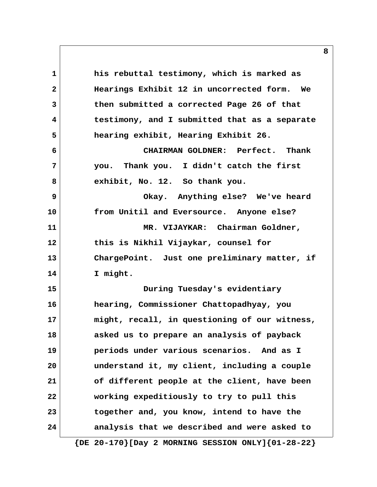**1 his rebuttal testimony, which is marked as 2 Hearings Exhibit 12 in uncorrected form. We 3 then submitted a corrected Page 26 of that 4 testimony, and I submitted that as a separate 5 hearing exhibit, Hearing Exhibit 26. 6 CHAIRMAN GOLDNER: Perfect. Thank 7 you. Thank you. I didn't catch the first 8 exhibit, No. 12. So thank you. 9 Okay. Anything else? We've heard 10 from Unitil and Eversource. Anyone else? 11 MR. VIJAYKAR: Chairman Goldner, 12 this is Nikhil Vijaykar, counsel for 13 ChargePoint. Just one preliminary matter, if 14 I might. 15 During Tuesday's evidentiary 16 hearing, Commissioner Chattopadhyay, you 17 might, recall, in questioning of our witness, 18 asked us to prepare an analysis of payback 19 periods under various scenarios. And as I 20 understand it, my client, including a couple 21 of different people at the client, have been 22 working expeditiously to try to pull this 23 together and, you know, intend to have the 24 analysis that we described and were asked to**

 **{DE 20-170}[Day 2 MORNING SESSION ONLY]{01-28-22}**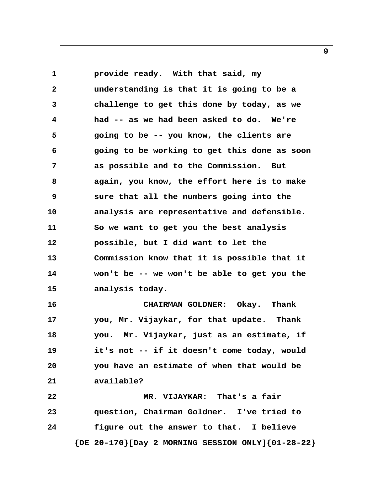1 **provide ready.** With that said, my  **2 understanding is that it is going to be a 3 challenge to get this done by today, as we 4 had -- as we had been asked to do. We're 5 going to be -- you know, the clients are 6 going to be working to get this done as soon 7 as possible and to the Commission. But 8 again, you know, the effort here is to make 9 sure that all the numbers going into the 10 analysis are representative and defensible. 11 So we want to get you the best analysis 12 possible, but I did want to let the 13 Commission know that it is possible that it 14 won't be -- we won't be able to get you the 15 analysis today. 16 CHAIRMAN GOLDNER: Okay. Thank 17 you, Mr. Vijaykar, for that update. Thank 18 you. Mr. Vijaykar, just as an estimate, if 19 it's not -- if it doesn't come today, would 20 you have an estimate of when that would be 21 available? 22 MR. VIJAYKAR: That's a fair 23 question, Chairman Goldner. I've tried to 24 figure out the answer to that. I believe**

 **{DE 20-170}[Day 2 MORNING SESSION ONLY]{01-28-22}**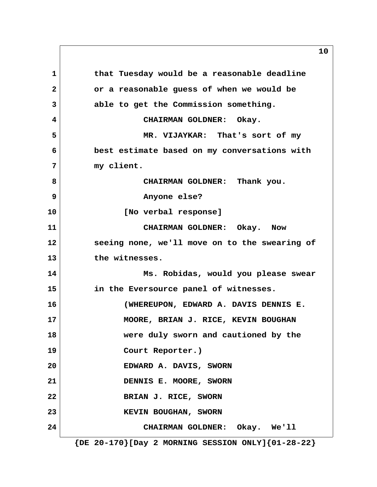1 **that Tuesday would be a reasonable deadline 2 or a reasonable guess of when we would be 3 able to get the Commission something. 4 CHAIRMAN GOLDNER: Okay. 5 MR. VIJAYKAR: That's sort of my 6 best estimate based on my conversations with 7 my client. 8 CHAIRMAN GOLDNER: Thank you. 9 Anyone else? 10 [No verbal response] 11 CHAIRMAN GOLDNER: Okay. Now 12 seeing none, we'll move on to the swearing of 13 the witnesses. 14 Ms. Robidas, would you please swear 15 in the Eversource panel of witnesses. 16 (WHEREUPON, EDWARD A. DAVIS DENNIS E. 17 MOORE, BRIAN J. RICE, KEVIN BOUGHAN 18 were duly sworn and cautioned by the 19 Court Reporter.) 20 EDWARD A. DAVIS, SWORN 21 DENNIS E. MOORE, SWORN 22** BRIAN J. RICE, SWORN **23** KEVIN BOUGHAN, SWORN **24 CHAIRMAN GOLDNER: Okay. We'll**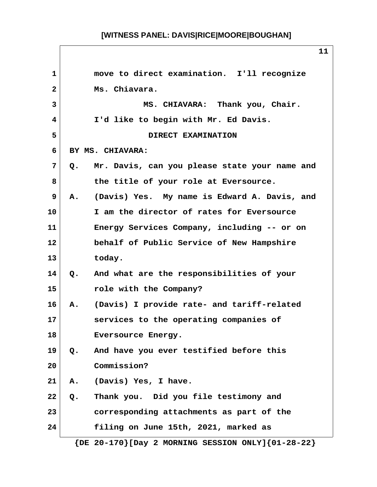| $\mathbf{1}$ |               | move to direct examination. I'll recognize              |
|--------------|---------------|---------------------------------------------------------|
| $\mathbf{2}$ |               | Ms. Chiavara.                                           |
| 3            |               | MS. CHIAVARA: Thank you, Chair.                         |
| 4            |               | I'd like to begin with Mr. Ed Davis.                    |
| 5            |               | DIRECT EXAMINATION                                      |
| 6            |               | BY MS. CHIAVARA:                                        |
| 7            | Q.            | Mr. Davis, can you please state your name and           |
| 8            |               | the title of your role at Eversource.                   |
| 9            | A.            | (Davis) Yes. My name is Edward A. Davis, and            |
| 10           |               | I am the director of rates for Eversource               |
| 11           |               | Energy Services Company, including -- or on             |
| 12           |               | behalf of Public Service of New Hampshire               |
| 13           |               | today.                                                  |
| 14           | $Q_{\bullet}$ | And what are the responsibilities of your               |
| 15           |               | role with the Company?                                  |
| 16           | Α.            | (Davis) I provide rate- and tariff-related              |
| 17           |               | services to the operating companies of                  |
| 18           |               | Eversource Energy.                                      |
| 19           | Q.            | And have you ever testified before this                 |
| 20           |               | Commission?                                             |
| 21           |               | A. (Davis) Yes, I have.                                 |
| 22           | Q.            | Thank you. Did you file testimony and                   |
| 23           |               | corresponding attachments as part of the                |
| 24           |               | filing on June 15th, 2021, marked as                    |
|              |               | ${DE 20-170}$ [Day 2 MORNING SESSION ONLY] ${01-28-22}$ |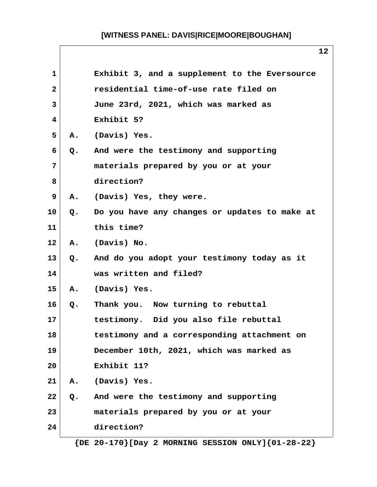|                |    | 12                                            |
|----------------|----|-----------------------------------------------|
| 1              |    | Exhibit 3, and a supplement to the Eversource |
| $\overline{2}$ |    | residential time-of-use rate filed on         |
| 3              |    | June 23rd, 2021, which was marked as          |
| 4              |    | Exhibit 5?                                    |
| 5              | Α. | (Davis) Yes.                                  |
| 6              | Q. | And were the testimony and supporting         |
| 7              |    | materials prepared by you or at your          |
| 8              |    | direction?                                    |
| 9              | Α. | (Davis) Yes, they were.                       |
| 10             | Q. | Do you have any changes or updates to make at |
| 11             |    | this time?                                    |
| 12             | Α. | (Davis) No.                                   |
| 13             | Q. | And do you adopt your testimony today as it   |
| 14             |    | was written and filed?                        |
| 15             | Α. | (Davis) Yes.                                  |
| 16             | Q. | Thank you. Now turning to rebuttal            |
| 17             |    | testimony. Did you also file rebuttal         |
| 18             |    | testimony and a corresponding attachment on   |
| 19             |    | December 10th, 2021, which was marked as      |
| 20             |    | Exhibit 11?                                   |
| 21             |    | A. (Davis) Yes.                               |
| 22             | Q. | And were the testimony and supporting         |
| 23             |    | materials prepared by you or at your          |
| 24             |    | direction?                                    |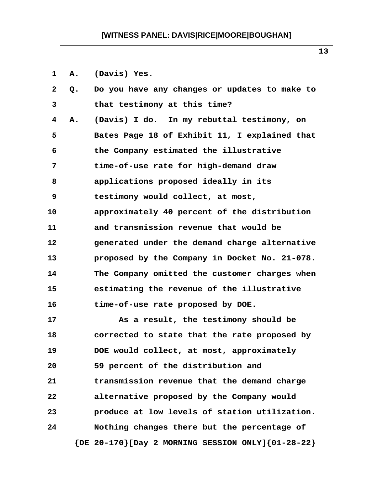1 A. (Davis) Yes.

| $\mathbf{2}$ | Q. | Do you have any changes or updates to make to               |
|--------------|----|-------------------------------------------------------------|
| 3            |    | that testimony at this time?                                |
| 4            | Α. | (Davis) I do. In my rebuttal testimony, on                  |
| 5            |    | Bates Page 18 of Exhibit 11, I explained that               |
| 6            |    | the Company estimated the illustrative                      |
| 7            |    | time-of-use rate for high-demand draw                       |
| 8            |    | applications proposed ideally in its                        |
| 9            |    | testimony would collect, at most,                           |
| 10           |    | approximately 40 percent of the distribution                |
| 11           |    | and transmission revenue that would be                      |
| 12           |    | generated under the demand charge alternative               |
| 13           |    | proposed by the Company in Docket No. 21-078.               |
| 14           |    | The Company omitted the customer charges when               |
| 15           |    | estimating the revenue of the illustrative                  |
| 16           |    | time-of-use rate proposed by DOE.                           |
| 17           |    | As a result, the testimony should be                        |
| 18           |    | corrected to state that the rate proposed by                |
| 19           |    | DOE would collect, at most, approximately                   |
| 20           |    | 59 percent of the distribution and                          |
| 21           |    | transmission revenue that the demand charge                 |
| 22           |    | alternative proposed by the Company would                   |
| 23           |    | produce at low levels of station utilization.               |
| 24           |    | Nothing changes there but the percentage of                 |
|              |    | $\{DE 20-170\}$ [Day 2 MORNING SESSION ONLY] $\{01-28-22\}$ |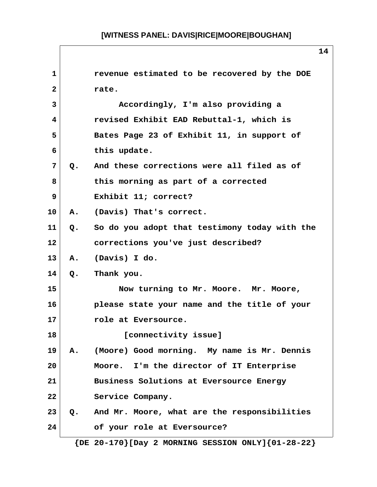|                   |               | 14                                                      |
|-------------------|---------------|---------------------------------------------------------|
| $\mathbf{1}$      |               | revenue estimated to be recovered by the DOE            |
| 2                 |               | rate.                                                   |
| 3                 |               | Accordingly, I'm also providing a                       |
| 4                 |               | revised Exhibit EAD Rebuttal-1, which is                |
| 5                 |               | Bates Page 23 of Exhibit 11, in support of              |
| 6                 |               | this update.                                            |
| 7                 | Q.            | And these corrections were all filed as of              |
| 8                 |               | this morning as part of a corrected                     |
| 9                 |               | Exhibit 11; correct?                                    |
| 10                | Α.            | (Davis) That's correct.                                 |
| 11                | $Q_{\bullet}$ | So do you adopt that testimony today with the           |
| $12 \overline{ }$ |               | corrections you've just described?                      |
| 13 <sup>2</sup>   | А.            | (Davis) I do.                                           |
| 14                | Q.            | Thank you.                                              |
| 15                |               | Now turning to Mr. Moore. Mr. Moore,                    |
| 16                |               | please state your name and the title of your            |
| 17                |               | role at Eversource.                                     |
| 18                |               | [connectivity issue]                                    |
| 19                | <b>A.</b>     | (Moore) Good morning. My name is Mr. Dennis             |
| 20                |               | Moore. I'm the director of IT Enterprise                |
| 21                |               | Business Solutions at Eversource Energy                 |
| 22                |               | Service Company.                                        |
| 23                |               | Q. And Mr. Moore, what are the responsibilities         |
| 24                |               | of your role at Eversource?                             |
|                   |               | ${DE 20-170}$ [Day 2 MORNING SESSION ONLY] ${01-28-22}$ |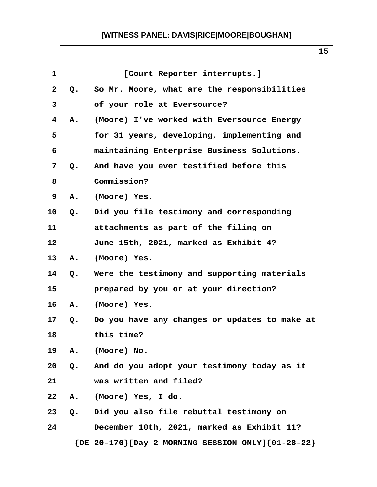| $\mathbf{1}$ |               | [Court Reporter interrupts.]                                |
|--------------|---------------|-------------------------------------------------------------|
| $\mathbf{2}$ | $Q_{\bullet}$ | So Mr. Moore, what are the responsibilities                 |
| 3            |               | of your role at Eversource?                                 |
| 4            | Α.            | (Moore) I've worked with Eversource Energy                  |
| 5            |               | for 31 years, developing, implementing and                  |
| 6            |               | maintaining Enterprise Business Solutions.                  |
| 7            | Q.            | And have you ever testified before this                     |
| 8            |               | Commission?                                                 |
| 9            | Α.            | (Moore) Yes.                                                |
| 10           | Q.            | Did you file testimony and corresponding                    |
| 11           |               | attachments as part of the filing on                        |
| 12           |               | June 15th, 2021, marked as Exhibit 4?                       |
| 13           | Α.            | (Moore) Yes.                                                |
| 14           | Q.            | Were the testimony and supporting materials                 |
| 15           |               | prepared by you or at your direction?                       |
| 16           | Α.            | (Moore) Yes.                                                |
| 17           | Q.            | Do you have any changes or updates to make at               |
| 18           |               | this time?                                                  |
| 19           | Α.            | (Moore) No.                                                 |
| 20           | Q.            | And do you adopt your testimony today as it                 |
| 21           |               | was written and filed?                                      |
| 22           | Α.            | (Moore) Yes, I do.                                          |
| 23           | Q.            | Did you also file rebuttal testimony on                     |
| 24           |               | December 10th, 2021, marked as Exhibit 11?                  |
|              |               | $\{DE 20-170\}$ [Day 2 MORNING SESSION ONLY] $\{01-28-22\}$ |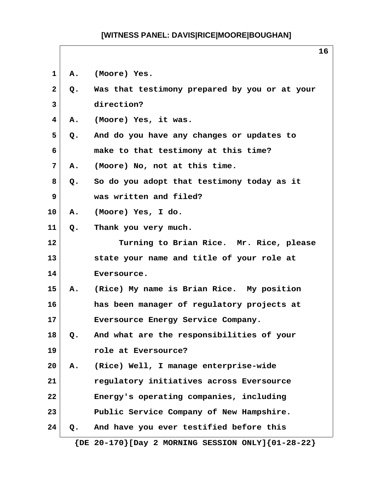| $\mathbf{1}$   | Α.                     | (Moore) Yes.                                                |
|----------------|------------------------|-------------------------------------------------------------|
| $\mathbf{2}$   | Q.                     | Was that testimony prepared by you or at your               |
| $\mathbf{3}$   |                        | direction?                                                  |
| $\overline{4}$ | Α.                     | (Moore) Yes, it was.                                        |
| 5              | $Q_{\bullet}$          | And do you have any changes or updates to                   |
| 6              |                        | make to that testimony at this time?                        |
| 7              | Α.                     | (Moore) No, not at this time.                               |
| 8              | Q.                     | So do you adopt that testimony today as it                  |
| 9              |                        | was written and filed?                                      |
| 10             | Α.                     | (Moore) Yes, I do.                                          |
| 11             | Q.                     | Thank you very much.                                        |
| $12 \,$        |                        | Turning to Brian Rice. Mr. Rice, please                     |
| 13             |                        | state your name and title of your role at                   |
| 14             |                        | Eversource.                                                 |
| 15             | $\mathbf{A}_{\bullet}$ | (Rice) My name is Brian Rice. My position                   |
| 16             |                        | has been manager of regulatory projects at                  |
| 17             |                        | Eversource Energy Service Company.                          |
| 18             | Q.                     | And what are the responsibilities of your                   |
| 19             |                        | role at Eversource?                                         |
| 20             | Α.                     | (Rice) Well, I manage enterprise-wide                       |
| 21             |                        | regulatory initiatives across Eversource                    |
| 22             |                        | Energy's operating companies, including                     |
| 23             |                        | Public Service Company of New Hampshire.                    |
| 24             | Q <sub>o</sub>         | And have you ever testified before this                     |
|                |                        | $\{DE 20-170\}$ [Day 2 MORNING SESSION ONLY] $\{01-28-22\}$ |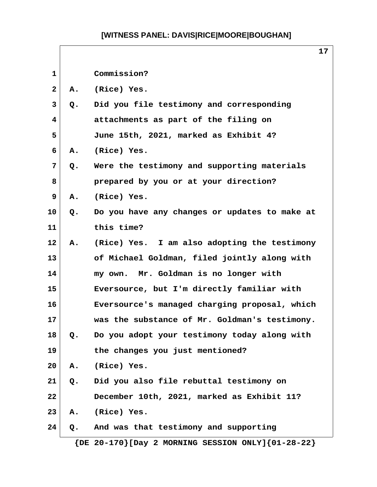|                   |    | 17                                            |
|-------------------|----|-----------------------------------------------|
| $\mathbf 1$       |    | Commission?                                   |
| $\mathbf{2}$      | А. | (Rice) Yes.                                   |
| 3                 | Q. | Did you file testimony and corresponding      |
| 4                 |    | attachments as part of the filing on          |
| 5                 |    | June 15th, 2021, marked as Exhibit 4?         |
| 6                 | Α. | (Rice) Yes.                                   |
| 7                 | Q. | Were the testimony and supporting materials   |
| 8                 |    | prepared by you or at your direction?         |
| 9                 | А. | (Rice) Yes.                                   |
| 10                | Q. | Do you have any changes or updates to make at |
| 11                |    | this time?                                    |
| $12 \overline{ }$ | Α. | (Rice) Yes. I am also adopting the testimony  |
| 13                |    | of Michael Goldman, filed jointly along with  |
| 14                |    | my own. Mr. Goldman is no longer with         |
| 15                |    | Eversource, but I'm directly familiar with    |
| 16                |    | Eversource's managed charging proposal, which |
| 17                |    | was the substance of Mr. Goldman's testimony. |
| 18                | Q. | Do you adopt your testimony today along with  |
| 19                |    | the changes you just mentioned?               |
| 20                | Α. | (Rice) Yes.                                   |
| 21                | Q. | Did you also file rebuttal testimony on       |
| 22                |    | December 10th, 2021, marked as Exhibit 11?    |
| 23                | Α. | (Rice) Yes.                                   |
| 24                | Q. | And was that testimony and supporting         |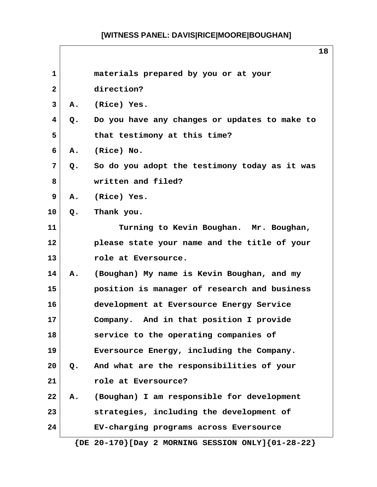| 1            |               | materials prepared by you or at your                        |
|--------------|---------------|-------------------------------------------------------------|
| $\mathbf{2}$ |               | direction?                                                  |
| 3            | Α.            | (Rice) Yes.                                                 |
| 4            | Q.            | Do you have any changes or updates to make to               |
| 5            |               | that testimony at this time?                                |
| 6            | Α.            | (Rice) No.                                                  |
| 7            | Q.            | So do you adopt the testimony today as it was               |
| 8            |               | written and filed?                                          |
| 9            | Α.            | (Rice) Yes.                                                 |
| 10           | Q.            | Thank you.                                                  |
| 11           |               | Turning to Kevin Boughan. Mr. Boughan,                      |
| 12           |               | please state your name and the title of your                |
| 13           |               | role at Eversource.                                         |
| 14           | Α.            | (Boughan) My name is Kevin Boughan, and my                  |
| 15           |               | position is manager of research and business                |
| 16           |               | development at Eversource Energy Service                    |
| 17           |               | Company. And in that position I provide                     |
| 18           |               | service to the operating companies of                       |
| 19           |               | Eversource Energy, including the Company.                   |
| 20           | $Q_{\bullet}$ | And what are the responsibilities of your                   |
| 21           |               | role at Eversource?                                         |
| 22           | Α.            | (Boughan) I am responsible for development                  |
| 23           |               | strategies, including the development of                    |
| 24           |               | EV-charging programs across Eversource                      |
|              |               | $\{DE 20-170\}$ [Day 2 MORNING SESSION ONLY] $\{01-28-22\}$ |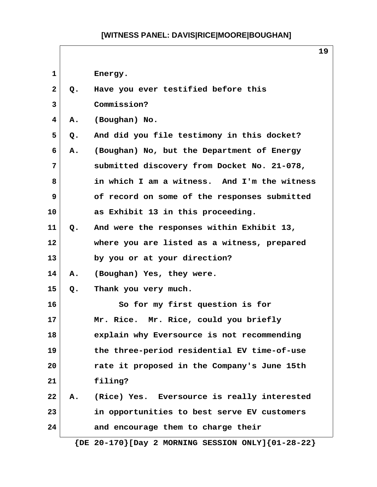|              |    | 19                                           |
|--------------|----|----------------------------------------------|
| 1            |    | Energy.                                      |
| $\mathbf{2}$ | Q. | Have you ever testified before this          |
| 3            |    | Commission?                                  |
| 4            | Α. | (Boughan) No.                                |
| 5            | Q. | And did you file testimony in this docket?   |
| 6            | Α. | (Boughan) No, but the Department of Energy   |
| 7            |    | submitted discovery from Docket No. 21-078,  |
| 8            |    | in which I am a witness. And I'm the witness |
| 9            |    | of record on some of the responses submitted |
| 10           |    | as Exhibit 13 in this proceeding.            |
| 11           | Q. | And were the responses within Exhibit 13,    |
| 12           |    | where you are listed as a witness, prepared  |
| 13           |    | by you or at your direction?                 |
| 14           | Α. | (Boughan) Yes, they were.                    |
| 15           | Q. | Thank you very much.                         |
| 16           |    | So for my first question is for              |
| 17           |    | Mr. Rice. Mr. Rice, could you briefly        |
| 18           |    | explain why Eversource is not recommending   |
| 19           |    | the three-period residential EV time-of-use  |
| 20           |    | rate it proposed in the Company's June 15th  |
| 21           |    | filing?                                      |
| 22           | Α. | (Rice) Yes. Eversource is really interested  |
| 23           |    | in opportunities to best serve EV customers  |
| 24           |    | and encourage them to charge their           |
|              |    |                                              |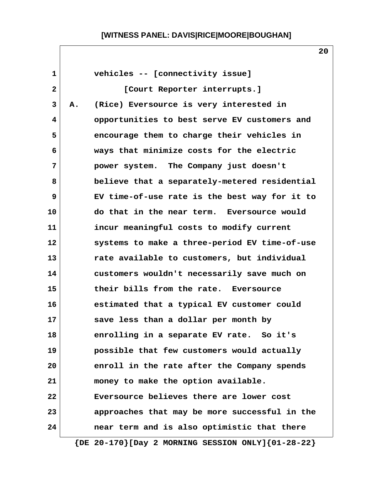| $\mathbf{1}$ |    | vehicles -- [connectivity issue]                            |
|--------------|----|-------------------------------------------------------------|
| $\mathbf{2}$ |    | [Court Reporter interrupts.]                                |
| 3            | Α. | (Rice) Eversource is very interested in                     |
| 4            |    | opportunities to best serve EV customers and                |
| 5            |    | encourage them to charge their vehicles in                  |
| 6            |    | ways that minimize costs for the electric                   |
| 7            |    | power system. The Company just doesn't                      |
| 8            |    | believe that a separately-metered residential               |
| 9            |    | EV time-of-use rate is the best way for it to               |
| 10           |    | do that in the near term. Eversource would                  |
| 11           |    | incur meaningful costs to modify current                    |
| 12           |    | systems to make a three-period EV time-of-use               |
| 13           |    | rate available to customers, but individual                 |
| 14           |    | customers wouldn't necessarily save much on                 |
| 15           |    | their bills from the rate. Eversource                       |
| 16           |    | estimated that a typical EV customer could                  |
| 17           |    | save less than a dollar per month by                        |
| 18           |    | enrolling in a separate EV rate. So it's                    |
| 19           |    | possible that few customers would actually                  |
| 20           |    | enroll in the rate after the Company spends                 |
| 21           |    | money to make the option available.                         |
| 22           |    | Eversource believes there are lower cost                    |
| 23           |    | approaches that may be more successful in the               |
| 24           |    | near term and is also optimistic that there                 |
|              |    | $\{DE 20-170\}$ [Day 2 MORNING SESSION ONLY] $\{01-28-22\}$ |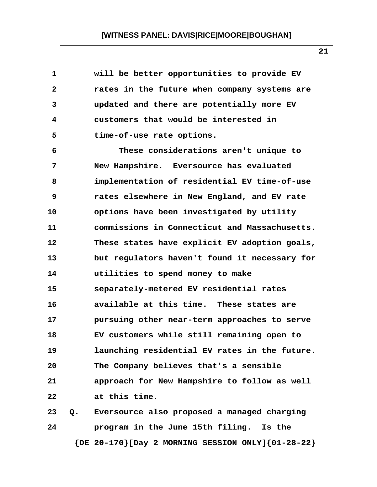| 1            |    | will be better opportunities to provide EV                  |
|--------------|----|-------------------------------------------------------------|
| $\mathbf{2}$ |    | rates in the future when company systems are                |
| 3            |    | updated and there are potentially more EV                   |
| 4            |    | customers that would be interested in                       |
| 5            |    | time-of-use rate options.                                   |
| 6            |    | These considerations aren't unique to                       |
| 7            |    | New Hampshire. Eversource has evaluated                     |
| 8            |    | implementation of residential EV time-of-use                |
| 9            |    | rates elsewhere in New England, and EV rate                 |
| 10           |    | options have been investigated by utility                   |
| 11           |    | commissions in Connecticut and Massachusetts.               |
| 12           |    | These states have explicit EV adoption goals,               |
| 13           |    | but regulators haven't found it necessary for               |
| 14           |    | utilities to spend money to make                            |
| 15           |    | separately-metered EV residential rates                     |
| 16           |    | available at this time. These states are                    |
| 17           |    | pursuing other near-term approaches to serve                |
| 18           |    | EV customers while still remaining open to                  |
| 19           |    | launching residential EV rates in the future.               |
| 20           |    | The Company believes that's a sensible                      |
| 21           |    | approach for New Hampshire to follow as well                |
| 22           |    | at this time.                                               |
| 23           | Q. | Eversource also proposed a managed charging                 |
| 24           |    | program in the June 15th filing. Is the                     |
|              |    | $\{DE 20-170\}$ [Day 2 MORNING SESSION ONLY] $\{01-28-22\}$ |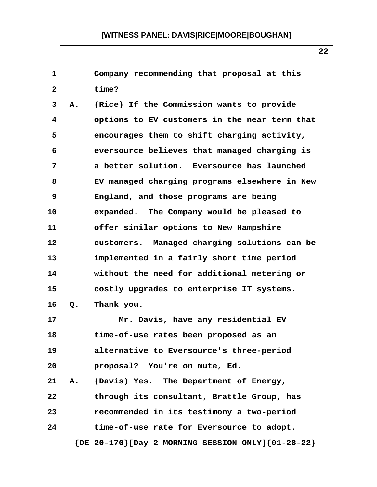**1 Company recommending that proposal at this 2 time? 3 A. (Rice) If the Commission wants to provide 4 options to EV customers in the near term that 5 encourages them to shift charging activity, 6 eversource believes that managed charging is 7 a better solution. Eversource has launched 8 EV managed charging programs elsewhere in New 9 England, and those programs are being 10 expanded. The Company would be pleased to 11 offer similar options to New Hampshire 12 customers. Managed charging solutions can be 13 implemented in a fairly short time period 14 without the need for additional metering or 15 costly upgrades to enterprise IT systems. 16 Q. Thank you. 17 Mr. Davis, have any residential EV 18 time-of-use rates been proposed as an 19 alternative to Eversource's three-period 20 proposal? You're on mute, Ed. 21 A. (Davis) Yes. The Department of Energy, 22 through its consultant, Brattle Group, has 23 recommended in its testimony a two-period 24 time-of-use rate for Eversource to adopt.**

 **{DE 20-170}[Day 2 MORNING SESSION ONLY]{01-28-22}**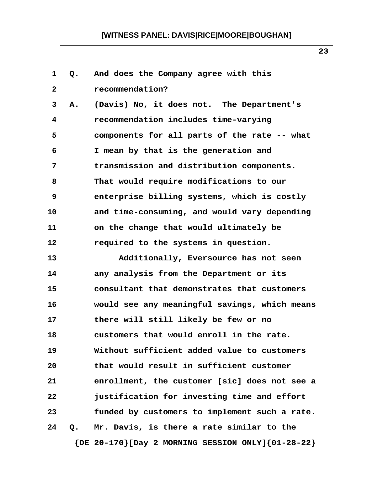| 1            | Q.    | And does the Company agree with this                        |
|--------------|-------|-------------------------------------------------------------|
| $\mathbf{2}$ |       | recommendation?                                             |
| 3            | Α.    | (Davis) No, it does not. The Department's                   |
| 4            |       | recommendation includes time-varying                        |
| 5            |       | components for all parts of the rate -- what                |
| 6            |       | I mean by that is the generation and                        |
| 7            |       | transmission and distribution components.                   |
| 8            |       | That would require modifications to our                     |
| 9            |       | enterprise billing systems, which is costly                 |
| 10           |       | and time-consuming, and would vary depending                |
| 11           |       | on the change that would ultimately be                      |
| 12           |       | required to the systems in question.                        |
| 13           |       | Additionally, Eversource has not seen                       |
| 14           |       | any analysis from the Department or its                     |
| 15           |       | consultant that demonstrates that customers                 |
| 16           |       | would see any meaningful savings, which means               |
| 17           |       | there will still likely be few or no                        |
| 18           |       | customers that would enroll in the rate.                    |
| 19           |       | Without sufficient added value to customers                 |
| 20           |       | that would result in sufficient customer                    |
| 21           |       | enrollment, the customer [sic] does not see a               |
| 22           |       | justification for investing time and effort                 |
| 23           |       | funded by customers to implement such a rate.               |
| 24           | $Q$ . | Mr. Davis, is there a rate similar to the                   |
|              |       | $\{DE 20-170\}$ [Day 2 MORNING SESSION ONLY] $\{01-28-22\}$ |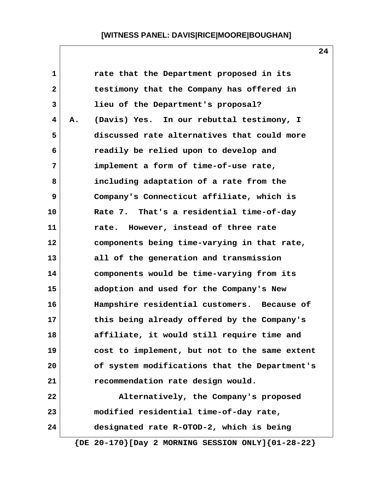| $\mathbf{1}$ |    | rate that the Department proposed in its                    |
|--------------|----|-------------------------------------------------------------|
| $\mathbf{2}$ |    | testimony that the Company has offered in                   |
| 3            |    | lieu of the Department's proposal?                          |
| 4            | Α. | (Davis) Yes. In our rebuttal testimony, I                   |
| 5            |    | discussed rate alternatives that could more                 |
| 6            |    | readily be relied upon to develop and                       |
| 7            |    | implement a form of time-of-use rate,                       |
| 8            |    | including adaptation of a rate from the                     |
| 9            |    | Company's Connecticut affiliate, which is                   |
| 10           |    | Rate 7. That's a residential time-of-day                    |
| 11           |    | rate. However, instead of three rate                        |
| 12           |    | components being time-varying in that rate,                 |
| 13           |    | all of the generation and transmission                      |
| 14           |    | components would be time-varying from its                   |
| 15           |    | adoption and used for the Company's New                     |
| 16           |    | Hampshire residential customers. Because of                 |
| 17           |    | this being already offered by the Company's                 |
| 18           |    | affiliate, it would still require time and                  |
| 19           |    | cost to implement, but not to the same extent               |
| 20           |    | of system modifications that the Department's               |
| 21           |    | recommendation rate design would.                           |
| 22           |    | Alternatively, the Company's proposed                       |
| 23           |    | modified residential time-of-day rate,                      |
| 24           |    | designated rate R-OTOD-2, which is being                    |
|              |    | $\{DE 20-170\}$ [Day 2 MORNING SESSION ONLY] $\{01-28-22\}$ |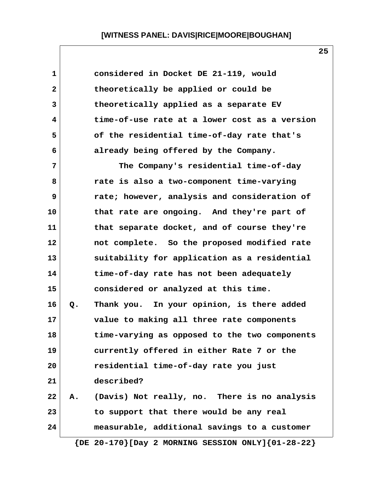| $\mathbf 1$  |    | considered in Docket DE 21-119, would                       |
|--------------|----|-------------------------------------------------------------|
| $\mathbf{2}$ |    | theoretically be applied or could be                        |
| 3            |    | theoretically applied as a separate EV                      |
| 4            |    | time-of-use rate at a lower cost as a version               |
| 5            |    | of the residential time-of-day rate that's                  |
| 6            |    | already being offered by the Company.                       |
| 7            |    | The Company's residential time-of-day                       |
| 8            |    | rate is also a two-component time-varying                   |
| 9            |    | rate; however, analysis and consideration of                |
| 10           |    | that rate are ongoing. And they're part of                  |
| 11           |    | that separate docket, and of course they're                 |
| 12           |    | not complete. So the proposed modified rate                 |
| 13           |    | suitability for application as a residential                |
| 14           |    | time-of-day rate has not been adequately                    |
| 15           |    | considered or analyzed at this time.                        |
| 16           | Q. | Thank you. In your opinion, is there added                  |
| 17           |    | value to making all three rate components                   |
| 18           |    | time-varying as opposed to the two components               |
| 19           |    | currently offered in either Rate 7 or the                   |
| 20           |    | residential time-of-day rate you just                       |
| 21           |    | described?                                                  |
| 22           | Α. | (Davis) Not really, no. There is no analysis                |
| 23           |    | to support that there would be any real                     |
| 24           |    | measurable, additional savings to a customer                |
|              |    | $\{DE 20-170\}$ [Day 2 MORNING SESSION ONLY] $\{01-28-22\}$ |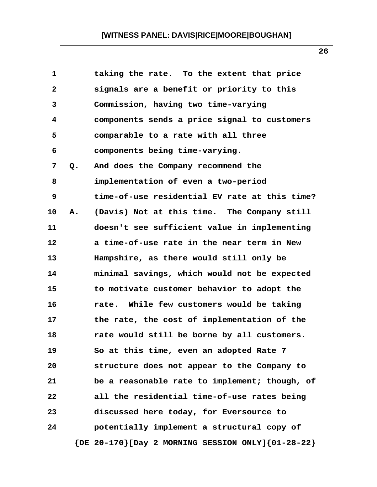| $\mathbf 1$  |    | taking the rate. To the extent that price     |
|--------------|----|-----------------------------------------------|
| $\mathbf{2}$ |    | signals are a benefit or priority to this     |
| 3            |    | Commission, having two time-varying           |
| 4            |    | components sends a price signal to customers  |
| 5            |    | comparable to a rate with all three           |
| 6            |    | components being time-varying.                |
| 7            | Q. | And does the Company recommend the            |
| 8            |    | implementation of even a two-period           |
| 9            |    | time-of-use residential EV rate at this time? |
| 10           | Α. | (Davis) Not at this time. The Company still   |
| 11           |    | doesn't see sufficient value in implementing  |
| 12           |    | a time-of-use rate in the near term in New    |
| 13           |    | Hampshire, as there would still only be       |
| 14           |    | minimal savings, which would not be expected  |
| 15           |    | to motivate customer behavior to adopt the    |
| 16           |    | rate. While few customers would be taking     |
| 17           |    | the rate, the cost of implementation of the   |
| 18           |    | rate would still be borne by all customers.   |
| 19           |    | So at this time, even an adopted Rate 7       |
| 20           |    | structure does not appear to the Company to   |
| 21           |    | be a reasonable rate to implement; though, of |
| 22           |    | all the residential time-of-use rates being   |
| 23           |    | discussed here today, for Eversource to       |
| 24           |    | potentially implement a structural copy of    |
|              |    |                                               |

 **{DE 20-170}[Day 2 MORNING SESSION ONLY]{01-28-22}**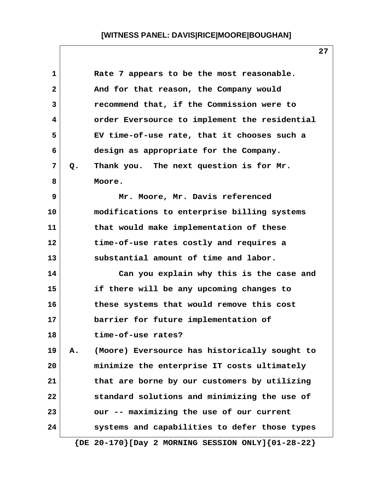| 1            |       | Rate 7 appears to be the most reasonable.                   |
|--------------|-------|-------------------------------------------------------------|
| $\mathbf{2}$ |       | And for that reason, the Company would                      |
| 3            |       | recommend that, if the Commission were to                   |
| 4            |       | order Eversource to implement the residential               |
| 5            |       | EV time-of-use rate, that it chooses such a                 |
| 6            |       | design as appropriate for the Company.                      |
| 7            | $Q$ . | Thank you. The next question is for Mr.                     |
| 8            |       | Moore.                                                      |
| 9            |       | Mr. Moore, Mr. Davis referenced                             |
| 10           |       | modifications to enterprise billing systems                 |
| 11           |       | that would make implementation of these                     |
| 12           |       | time-of-use rates costly and requires a                     |
| 13           |       | substantial amount of time and labor.                       |
| 14           |       | Can you explain why this is the case and                    |
| 15           |       | if there will be any upcoming changes to                    |
| 16           |       | these systems that would remove this cost                   |
| 17           |       | barrier for future implementation of                        |
| 18           |       | time-of-use rates?                                          |
| 19           | Α.    | (Moore) Eversource has historically sought to               |
| 20           |       | minimize the enterprise IT costs ultimately                 |
| 21           |       | that are borne by our customers by utilizing                |
| 22           |       | standard solutions and minimizing the use of                |
| 23           |       | our -- maximizing the use of our current                    |
| 24           |       | systems and capabilities to defer those types               |
|              |       | $\{DE 20-170\}$ [Day 2 MORNING SESSION ONLY] $\{01-28-22\}$ |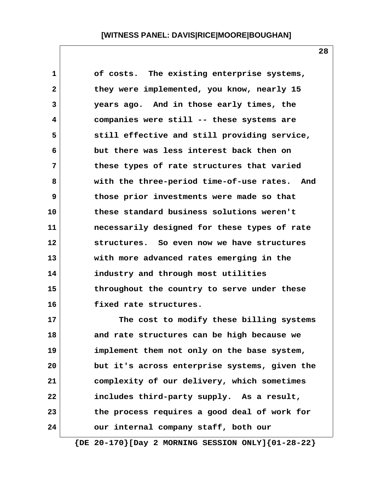| 1            | of costs. The existing enterprise systems,    |
|--------------|-----------------------------------------------|
| $\mathbf{2}$ | they were implemented, you know, nearly 15    |
| 3            | years ago. And in those early times, the      |
| 4            | companies were still -- these systems are     |
| 5            | still effective and still providing service,  |
| 6            | but there was less interest back then on      |
| 7            | these types of rate structures that varied    |
| 8            | with the three-period time-of-use rates. And  |
| 9            | those prior investments were made so that     |
| 10           | these standard business solutions weren't     |
| 11           | necessarily designed for these types of rate  |
| 12           | structures. So even now we have structures    |
| 13           | with more advanced rates emerging in the      |
| 14           | industry and through most utilities           |
| 15           | throughout the country to serve under these   |
| 16           | fixed rate structures.                        |
| 17           | The cost to modify these billing systems      |
| 18           | and rate structures can be high because we    |
| 19           | implement them not only on the base system,   |
| 20           | but it's across enterprise systems, given the |
| 21           | complexity of our delivery, which sometimes   |

**22 includes third-party supply. As a result, 23 the process requires a good deal of work for 24 our internal company staff, both our**

 **{DE 20-170}[Day 2 MORNING SESSION ONLY]{01-28-22}**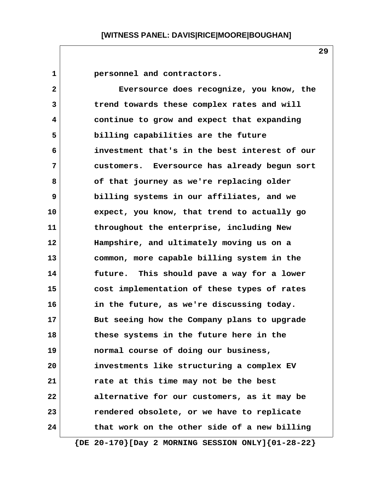**1 personnel and contractors. 2 Eversource does recognize, you know, the 3 trend towards these complex rates and will 4 continue to grow and expect that expanding 5 billing capabilities are the future 6 investment that's in the best interest of our 7 customers. Eversource has already begun sort 8 of that journey as we're replacing older 9 billing systems in our affiliates, and we 10 expect, you know, that trend to actually go 11 throughout the enterprise, including New 12 Hampshire, and ultimately moving us on a 13 common, more capable billing system in the 14 future. This should pave a way for a lower 15 cost implementation of these types of rates 16 in the future, as we're discussing today. 17 But seeing how the Company plans to upgrade 18 these systems in the future here in the 19 normal course of doing our business, 20 investments like structuring a complex EV 21 rate at this time may not be the best 22 alternative for our customers, as it may be 23 rendered obsolete, or we have to replicate 24 that work on the other side of a new billing**

 **{DE 20-170}[Day 2 MORNING SESSION ONLY]{01-28-22}**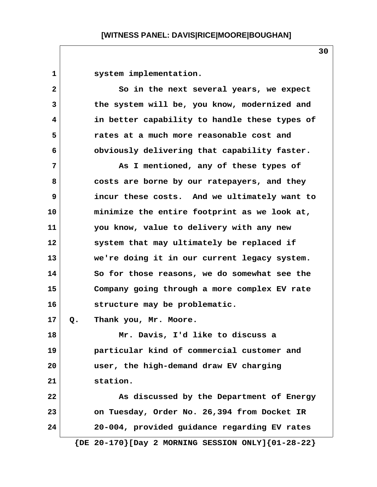1 system implementation. **2** So in the next several years, we expect  **3 the system will be, you know, modernized and 4 in better capability to handle these types of 5 rates at a much more reasonable cost and 6 obviously delivering that capability faster. 7 As I mentioned, any of these types of 8 costs are borne by our ratepayers, and they 9 incur these costs. And we ultimately want to 10 minimize the entire footprint as we look at, 11 you know, value to delivery with any new 12 system that may ultimately be replaced if 13 we're doing it in our current legacy system. 14 So for those reasons, we do somewhat see the 15 Company going through a more complex EV rate 16 structure may be problematic. 17 Q. Thank you, Mr. Moore. 18 Mr. Davis, I'd like to discuss a 19 particular kind of commercial customer and 20 user, the high-demand draw EV charging 21 station. 22 As discussed by the Department of Energy 23 on Tuesday, Order No. 26,394 from Docket IR 24 20-004, provided guidance regarding EV rates**

 **{DE 20-170}[Day 2 MORNING SESSION ONLY]{01-28-22}**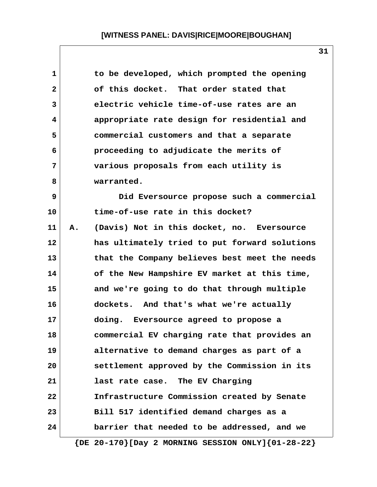| 1            |    | to be developed, which prompted the opening                 |
|--------------|----|-------------------------------------------------------------|
| $\mathbf{2}$ |    | of this docket. That order stated that                      |
| 3            |    | electric vehicle time-of-use rates are an                   |
| 4            |    | appropriate rate design for residential and                 |
| 5            |    | commercial customers and that a separate                    |
| 6            |    | proceeding to adjudicate the merits of                      |
| 7            |    | various proposals from each utility is                      |
| 8            |    | warranted.                                                  |
| 9            |    | Did Eversource propose such a commercial                    |
| 10           |    | time-of-use rate in this docket?                            |
| 11           | Α. | (Davis) Not in this docket, no. Eversource                  |
| 12           |    | has ultimately tried to put forward solutions               |
| 13           |    | that the Company believes best meet the needs               |
| 14           |    | of the New Hampshire EV market at this time,                |
| 15           |    | and we're going to do that through multiple                 |
| 16           |    | dockets. And that's what we're actually                     |
| 17           |    | doing. Eversource agreed to propose a                       |
| 18           |    | commercial EV charging rate that provides an                |
| 19           |    | alternative to demand charges as part of a                  |
| 20           |    | settlement approved by the Commission in its                |
| 21           |    | last rate case. The EV Charging                             |
| 22           |    | Infrastructure Commission created by Senate                 |
| 23           |    | Bill 517 identified demand charges as a                     |
| 24           |    | barrier that needed to be addressed, and we                 |
|              |    | $\{DE 20-170\}$ [Day 2 MORNING SESSION ONLY] $\{01-28-22\}$ |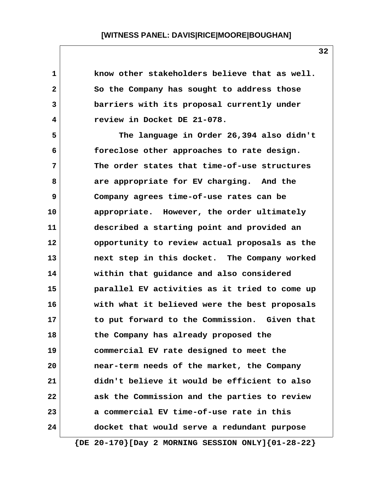| $\mathbf 1$  | know other stakeholders believe that as well.               |
|--------------|-------------------------------------------------------------|
| $\mathbf{2}$ | So the Company has sought to address those                  |
| $\mathbf{3}$ | barriers with its proposal currently under                  |
| 4            | review in Docket DE 21-078.                                 |
| 5            | The language in Order 26,394 also didn't                    |
| 6            | foreclose other approaches to rate design.                  |
| 7            | The order states that time-of-use structures                |
| 8            | are appropriate for EV charging. And the                    |
| 9            | Company agrees time-of-use rates can be                     |
| 10           | appropriate. However, the order ultimately                  |
| 11           | described a starting point and provided an                  |
| $12 \,$      | opportunity to review actual proposals as the               |
| 13           | next step in this docket. The Company worked                |
| 14           | within that guidance and also considered                    |
| 15           | parallel EV activities as it tried to come up               |
| 16           | with what it believed were the best proposals               |
| 17           | to put forward to the Commission. Given that                |
| 18           | the Company has already proposed the                        |
| 19           | commercial EV rate designed to meet the                     |
| 20           | near-term needs of the market, the Company                  |
| 21           | didn't believe it would be efficient to also                |
| 22           | ask the Commission and the parties to review                |
| 23           | a commercial EV time-of-use rate in this                    |
| 24           | docket that would serve a redundant purpose                 |
|              | $\{DE 20-170\}$ [Day 2 MORNING SESSION ONLY] $\{01-28-22\}$ |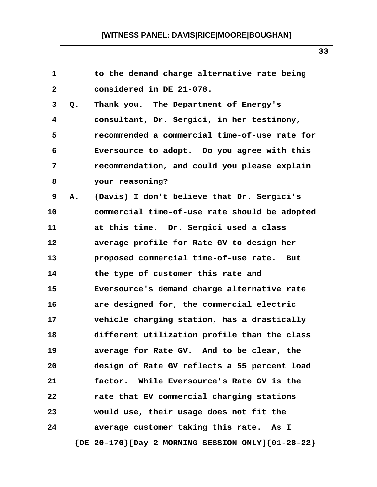| $\mathbf 1$  |    | to the demand charge alternative rate being   |
|--------------|----|-----------------------------------------------|
| $\mathbf{2}$ |    | considered in DE 21-078.                      |
| 3            | Q. | Thank you. The Department of Energy's         |
| 4            |    | consultant, Dr. Sergici, in her testimony,    |
| 5            |    | recommended a commercial time-of-use rate for |
| 6            |    | Eversource to adopt. Do you agree with this   |
| 7            |    | recommendation, and could you please explain  |
| 8            |    | your reasoning?                               |
| 9            | Α. | (Davis) I don't believe that Dr. Sergici's    |
| 10           |    | commercial time-of-use rate should be adopted |
| 11           |    | at this time. Dr. Sergici used a class        |
| $12 \,$      |    | average profile for Rate GV to design her     |
| 13           |    | proposed commercial time-of-use rate. But     |
| 14           |    | the type of customer this rate and            |
| 15           |    | Eversource's demand charge alternative rate   |
| 16           |    | are designed for, the commercial electric     |
| 17           |    | vehicle charging station, has a drastically   |
| 18           |    | different utilization profile than the class  |
| 19           |    | average for Rate GV. And to be clear, the     |
| 20           |    | design of Rate GV reflects a 55 percent load  |
| 21           |    | factor. While Eversource's Rate GV is the     |
| 22           |    | rate that EV commercial charging stations     |
| 23           |    | would use, their usage does not fit the       |
| 24           |    | average customer taking this rate. As I       |
|              |    |                                               |

 **{DE 20-170}[Day 2 MORNING SESSION ONLY]{01-28-22}**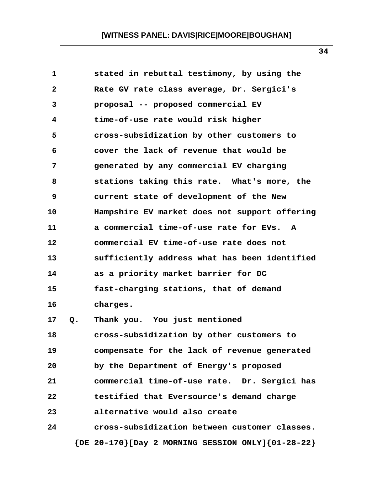| 1            |    | stated in rebuttal testimony, by using the                  |
|--------------|----|-------------------------------------------------------------|
| $\mathbf{2}$ |    | Rate GV rate class average, Dr. Sergici's                   |
| 3            |    | proposal -- proposed commercial EV                          |
| 4            |    | time-of-use rate would risk higher                          |
| 5            |    | cross-subsidization by other customers to                   |
| 6            |    | cover the lack of revenue that would be                     |
| 7            |    | generated by any commercial EV charging                     |
| 8            |    | stations taking this rate. What's more, the                 |
| 9            |    | current state of development of the New                     |
| 10           |    | Hampshire EV market does not support offering               |
| 11           |    | a commercial time-of-use rate for EVs. A                    |
| 12           |    | commercial EV time-of-use rate does not                     |
| 13           |    | sufficiently address what has been identified               |
| 14           |    | as a priority market barrier for DC                         |
| 15           |    | fast-charging stations, that of demand                      |
| 16           |    | charges.                                                    |
| 17           | Q. | Thank you. You just mentioned                               |
| 18           |    | cross-subsidization by other customers to                   |
| 19           |    | compensate for the lack of revenue generated                |
| 20           |    | by the Department of Energy's proposed                      |
| 21           |    | commercial time-of-use rate. Dr. Sergici has                |
| 22           |    | testified that Eversource's demand charge                   |
| 23           |    | alternative would also create                               |
| 24           |    | cross-subsidization between customer classes.               |
|              |    | $\{DE 20-170\}$ [Day 2 MORNING SESSION ONLY] $\{01-28-22\}$ |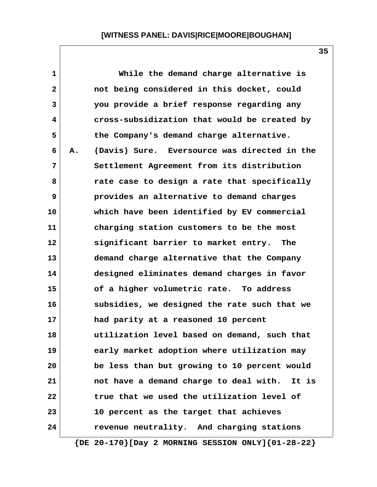| 1               |    | While the demand charge alternative is       |
|-----------------|----|----------------------------------------------|
| $\mathbf{2}$    |    | not being considered in this docket, could   |
| $\mathbf{3}$    |    | you provide a brief response regarding any   |
| 4               |    | cross-subsidization that would be created by |
| 5               |    | the Company's demand charge alternative.     |
| 6               | А. | (Davis) Sure. Eversource was directed in the |
| 7               |    | Settlement Agreement from its distribution   |
| 8               |    | rate case to design a rate that specifically |
| 9               |    | provides an alternative to demand charges    |
| 10              |    | which have been identified by EV commercial  |
| 11              |    | charging station customers to be the most    |
| 12 <sup>2</sup> |    | significant barrier to market entry.<br>The  |
| 13              |    | demand charge alternative that the Company   |
| 14              |    | designed eliminates demand charges in favor  |
| 15              |    | of a higher volumetric rate. To address      |
| 16              |    | subsidies, we designed the rate such that we |
| 17              |    | had parity at a reasoned 10 percent          |
| 18              |    | utilization level based on demand, such that |
| 19              |    | early market adoption where utilization may  |
| 20              |    | be less than but growing to 10 percent would |
| 21              |    | not have a demand charge to deal with. It is |
| 22              |    | true that we used the utilization level of   |
| 23              |    | 10 percent as the target that achieves       |
| 24              |    | revenue neutrality. And charging stations    |
|                 |    |                                              |

 **{DE 20-170}[Day 2 MORNING SESSION ONLY]{01-28-22}**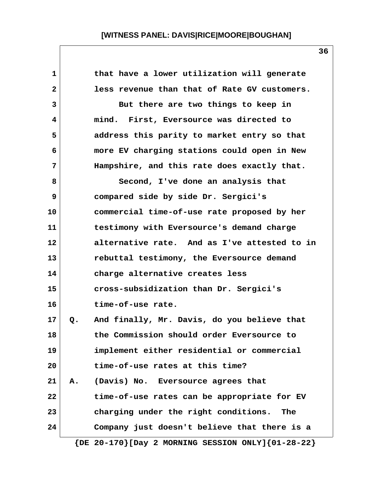| 1            |    | that have a lower utilization will generate                 |
|--------------|----|-------------------------------------------------------------|
| $\mathbf{2}$ |    | less revenue than that of Rate GV customers.                |
| 3            |    | But there are two things to keep in                         |
| 4            |    | mind. First, Eversource was directed to                     |
| 5            |    | address this parity to market entry so that                 |
| 6            |    | more EV charging stations could open in New                 |
| 7            |    | Hampshire, and this rate does exactly that.                 |
| 8            |    | Second, I've done an analysis that                          |
| 9            |    | compared side by side Dr. Sergici's                         |
| 10           |    | commercial time-of-use rate proposed by her                 |
| 11           |    | testimony with Eversource's demand charge                   |
| 12           |    | alternative rate. And as I've attested to in                |
| 13           |    | rebuttal testimony, the Eversource demand                   |
| 14           |    | charge alternative creates less                             |
| 15           |    | cross-subsidization than Dr. Sergici's                      |
| 16           |    | time-of-use rate.                                           |
| 17           | Q. | And finally, Mr. Davis, do you believe that                 |
| 18           |    | the Commission should order Eversource to                   |
| 19           |    | implement either residential or commercial                  |
| 20           |    | time-of-use rates at this time?                             |
| 21           | Α. | (Davis) No. Eversource agrees that                          |
| 22           |    | time-of-use rates can be appropriate for EV                 |
| 23           |    | charging under the right conditions.<br>The                 |
| 24           |    | Company just doesn't believe that there is a                |
|              |    | $\{DE 20-170\}$ [Day 2 MORNING SESSION ONLY] $\{01-28-22\}$ |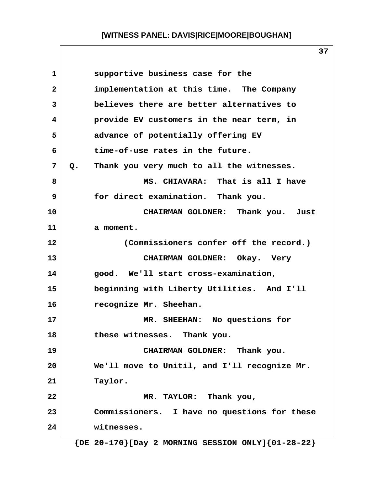**37**

| 1              | supportive business case for the                           |
|----------------|------------------------------------------------------------|
| $\overline{2}$ | implementation at this time. The Company                   |
| 3              | believes there are better alternatives to                  |
| 4              | provide EV customers in the near term, in                  |
| 5              | advance of potentially offering EV                         |
| 6              | time-of-use rates in the future.                           |
| 7              | Thank you very much to all the witnesses.<br>$Q_{\bullet}$ |
| 8              | MS. CHIAVARA: That is all I have                           |
| 9              | for direct examination. Thank you.                         |
| 10             | CHAIRMAN GOLDNER: Thank you. Just                          |
| 11             | a moment.                                                  |
| 12             | (Commissioners confer off the record.)                     |
| 13             | CHAIRMAN GOLDNER: Okay. Very                               |
| 14             | good. We'll start cross-examination,                       |
| 15             | beginning with Liberty Utilities. And I'll                 |
| 16             | recognize Mr. Sheehan.                                     |
| 17             | MR. SHEEHAN: No questions for                              |
| 18             | these witnesses.<br>Thank you.                             |
| 19             | CHAIRMAN GOLDNER: Thank you.                               |
| 20             | We'll move to Unitil, and I'll recognize Mr.               |
| 21             | Taylor.                                                    |
| 22             | MR. TAYLOR: Thank you,                                     |
| 23             | Commissioners. I have no questions for these               |
| 24             | witnesses.                                                 |
|                |                                                            |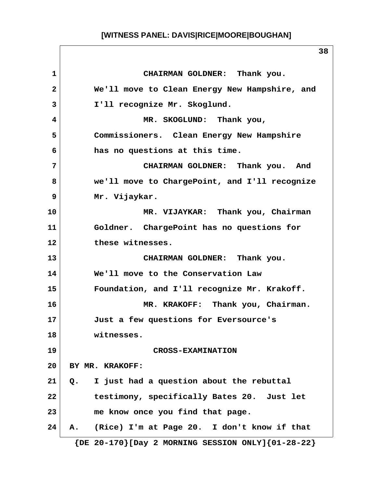**1 CHAIRMAN GOLDNER: Thank you. 2 We'll move to Clean Energy New Hampshire, and 3 I'll recognize Mr. Skoglund. 4 MR. SKOGLUND: Thank you, 5 Commissioners. Clean Energy New Hampshire 6 has no questions at this time. 7 CHAIRMAN GOLDNER: Thank you. And 8 we'll move to ChargePoint, and I'll recognize 9 Mr. Vijaykar. 10 MR. VIJAYKAR: Thank you, Chairman 11 Goldner. ChargePoint has no questions for 12 these witnesses. 13 CHAIRMAN GOLDNER: Thank you. 14 We'll move to the Conservation Law 15 Foundation, and I'll recognize Mr. Krakoff. 16 MR. KRAKOFF: Thank you, Chairman. 17 Just a few questions for Eversource's 18 witnesses. 19 CROSS-EXAMINATION 20 BY MR. KRAKOFF: 21 Q. I just had a question about the rebuttal 22 testimony, specifically Bates 20. Just let 23 me know once you find that page. 24 A. (Rice) I'm at Page 20. I don't know if that {DE 20-170}[Day 2 MORNING SESSION ONLY]{01-28-22}**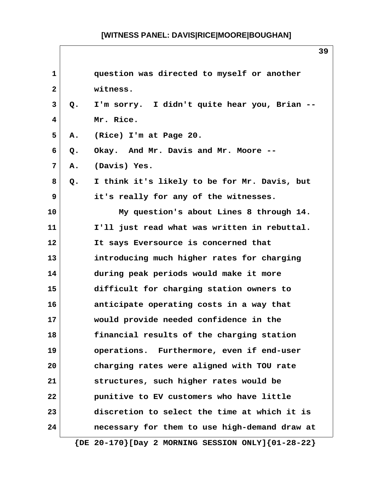| $\mathbf{1}$ |    | question was directed to myself or another                  |
|--------------|----|-------------------------------------------------------------|
| $\mathbf{2}$ |    | witness.                                                    |
| 3            | Q. | I'm sorry. I didn't quite hear you, Brian --                |
| 4            |    | Mr. Rice.                                                   |
| 5            | Α. | (Rice) I'm at Page 20.                                      |
| 6            | Q. | Okay. And Mr. Davis and Mr. Moore --                        |
| 7            | Α. | (Davis) Yes.                                                |
| 8            | Q. | I think it's likely to be for Mr. Davis, but                |
| 9            |    | it's really for any of the witnesses.                       |
| 10           |    | My question's about Lines 8 through 14.                     |
| 11           |    | I'll just read what was written in rebuttal.                |
| 12           |    | It says Eversource is concerned that                        |
| 13           |    | introducing much higher rates for charging                  |
| 14           |    | during peak periods would make it more                      |
| 15           |    | difficult for charging station owners to                    |
| 16           |    | anticipate operating costs in a way that                    |
| 17           |    | would provide needed confidence in the                      |
| 18           |    | financial results of the charging station                   |
| 19           |    | operations. Furthermore, even if end-user                   |
| 20           |    | charging rates were aligned with TOU rate                   |
| 21           |    | structures, such higher rates would be                      |
| 22           |    | punitive to EV customers who have little                    |
| 23           |    | discretion to select the time at which it is                |
| 24           |    | necessary for them to use high-demand draw at               |
|              |    | $\{DE 20-170\}$ [Day 2 MORNING SESSION ONLY] $\{01-28-22\}$ |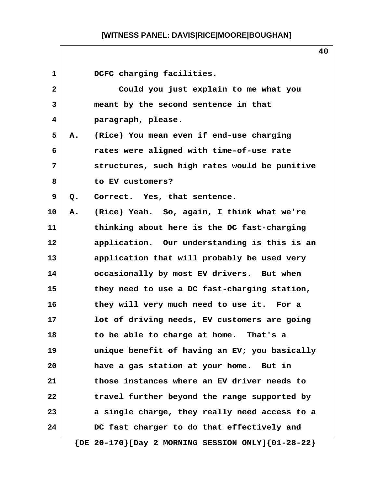| $\mathbf{1}$ |    | DCFC charging facilities.                     |
|--------------|----|-----------------------------------------------|
| $\mathbf{2}$ |    | Could you just explain to me what you         |
| 3            |    | meant by the second sentence in that          |
| 4            |    | paragraph, please.                            |
| 5            | Α. | (Rice) You mean even if end-use charging      |
| 6            |    | rates were aligned with time-of-use rate      |
| 7            |    | structures, such high rates would be punitive |
| 8            |    | to EV customers?                              |
| 9            | Q. | Correct. Yes, that sentence.                  |
| 10           | А. | (Rice) Yeah. So, again, I think what we're    |
| 11           |    | thinking about here is the DC fast-charging   |
| 12           |    | application. Our understanding is this is an  |
| 13           |    | application that will probably be used very   |
| 14           |    | occasionally by most EV drivers. But when     |
| 15           |    | they need to use a DC fast-charging station,  |
| 16           |    | they will very much need to use it. For a     |
| 17           |    | lot of driving needs, EV customers are going  |
| 18           |    | to be able to charge at home. That's a        |
| 19           |    | unique benefit of having an EV; you basically |
| 20           |    | have a gas station at your home. But in       |
| 21           |    | those instances where an EV driver needs to   |
| 22           |    | travel further beyond the range supported by  |
| 23           |    | a single charge, they really need access to a |
| 24           |    | DC fast charger to do that effectively and    |
|              |    |                                               |

 **{DE 20-170}[Day 2 MORNING SESSION ONLY]{01-28-22}**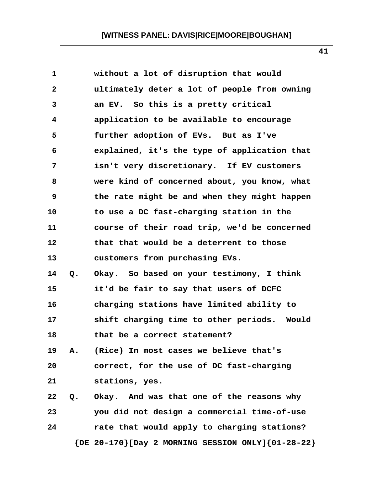| $\mathbf 1$  |    | without a lot of disruption that would                      |
|--------------|----|-------------------------------------------------------------|
| $\mathbf{2}$ |    | ultimately deter a lot of people from owning                |
| 3            |    | an EV. So this is a pretty critical                         |
| 4            |    | application to be available to encourage                    |
| 5            |    | further adoption of EVs. But as I've                        |
| 6            |    | explained, it's the type of application that                |
| 7            |    | isn't very discretionary. If EV customers                   |
| 8            |    | were kind of concerned about, you know, what                |
| 9            |    | the rate might be and when they might happen                |
| 10           |    | to use a DC fast-charging station in the                    |
| 11           |    | course of their road trip, we'd be concerned                |
| 12           |    | that that would be a deterrent to those                     |
| 13           |    | customers from purchasing EVs.                              |
| 14           | Q. | Okay. So based on your testimony, I think                   |
| 15           |    | it'd be fair to say that users of DCFC                      |
| 16           |    | charging stations have limited ability to                   |
| 17           |    | shift charging time to other periods. Would                 |
| 18           |    | that be a correct statement?                                |
| 19           | Α. | (Rice) In most cases we believe that's                      |
| 20           |    | correct, for the use of DC fast-charging                    |
| 21           |    | stations, yes.                                              |
| 22           | Q. | Okay. And was that one of the reasons why                   |
| 23           |    | you did not design a commercial time-of-use                 |
| 24           |    | rate that would apply to charging stations?                 |
|              |    | $\{DE 20-170\}$ [Day 2 MORNING SESSION ONLY] $\{01-28-22\}$ |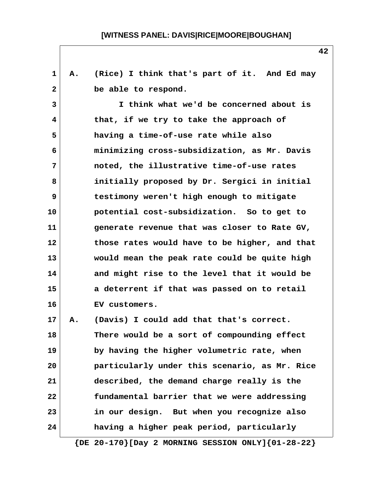**1 A. (Rice) I think that's part of it. And Ed may** 2 be able to respond.  **3 I think what we'd be concerned about is 4 that, if we try to take the approach of 5 having a time-of-use rate while also 6 minimizing cross-subsidization, as Mr. Davis 7 noted, the illustrative time-of-use rates 8 initially proposed by Dr. Sergici in initial 9 testimony weren't high enough to mitigate 10 potential cost-subsidization. So to get to 11 generate revenue that was closer to Rate GV, 12 those rates would have to be higher, and that 13 would mean the peak rate could be quite high 14 and might rise to the level that it would be 15 a deterrent if that was passed on to retail 16 EV customers. 17 A. (Davis) I could add that that's correct. 18 There would be a sort of compounding effect 19 by having the higher volumetric rate, when 20 particularly under this scenario, as Mr. Rice 21 described, the demand charge really is the 22 fundamental barrier that we were addressing 23 in our design. But when you recognize also 24 having a higher peak period, particularly {DE 20-170}[Day 2 MORNING SESSION ONLY]{01-28-22}**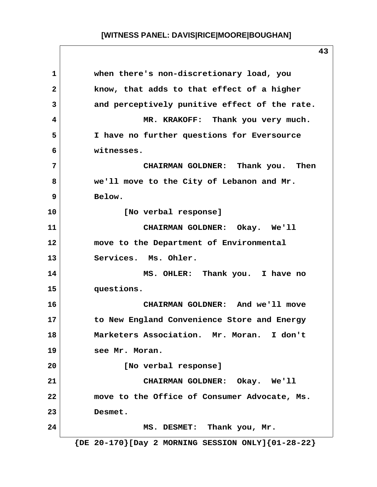**1 when there's non-discretionary load, you 2 know, that adds to that effect of a higher 3 and perceptively punitive effect of the rate. 4 MR. KRAKOFF: Thank you very much. 5 I have no further questions for Eversource 6 witnesses. 7 CHAIRMAN GOLDNER: Thank you. Then 8 we'll move to the City of Lebanon and Mr. 9 Below. 10 [No verbal response] 11 CHAIRMAN GOLDNER: Okay. We'll 12 move to the Department of Environmental 13 Services. Ms. Ohler. 14 MS. OHLER: Thank you. I have no 15 questions. 16 CHAIRMAN GOLDNER: And we'll move 17 to New England Convenience Store and Energy 18 Marketers Association. Mr. Moran. I don't 19 see Mr. Moran. 20 [No verbal response] 21 CHAIRMAN GOLDNER: Okay. We'll 22 move to the Office of Consumer Advocate, Ms. 23 Desmet. 24 MS. DESMET: Thank you, Mr. {DE 20-170}[Day 2 MORNING SESSION ONLY]{01-28-22}**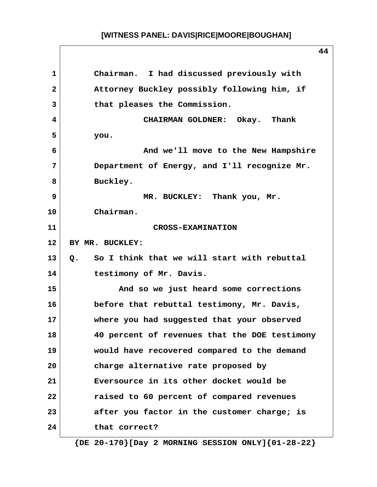**44 1 Chairman. I had discussed previously with 2 Attorney Buckley possibly following him, if 3 that pleases the Commission. 4 CHAIRMAN GOLDNER: Okay. Thank 5 you. 6 And we'll move to the New Hampshire 7 Department of Energy, and I'll recognize Mr.** 8 Buckley.  **9 MR. BUCKLEY: Thank you, Mr. 10 Chairman. 11 CROSS-EXAMINATION 12 BY MR. BUCKLEY: 13 Q. So I think that we will start with rebuttal 14 testimony of Mr. Davis. 15 And so we just heard some corrections 16 before that rebuttal testimony, Mr. Davis, 17 where you had suggested that your observed 18 40 percent of revenues that the DOE testimony 19 would have recovered compared to the demand 20 charge alternative rate proposed by 21 Eversource in its other docket would be 22 raised to 60 percent of compared revenues 23 after you factor in the customer charge; is 24 that correct?**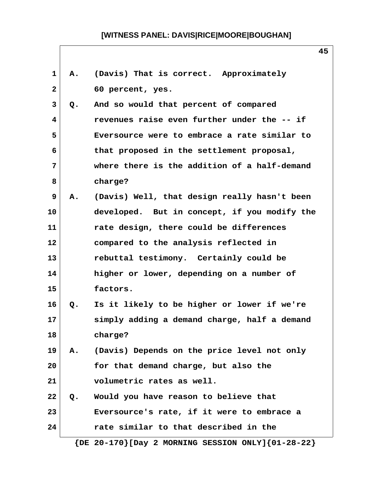| $\mathbf{1}$    | Α. | (Davis) That is correct. Approximately                      |
|-----------------|----|-------------------------------------------------------------|
| $\mathbf{2}$    |    | 60 percent, yes.                                            |
| 3               | Q. | And so would that percent of compared                       |
| 4               |    | revenues raise even further under the -- if                 |
| 5               |    | Eversource were to embrace a rate similar to                |
| 6               |    | that proposed in the settlement proposal,                   |
| 7               |    | where there is the addition of a half-demand                |
| 8               |    | charge?                                                     |
| 9               | Α. | (Davis) Well, that design really hasn't been                |
| 10              |    | developed. But in concept, if you modify the                |
| 11              |    | rate design, there could be differences                     |
| 12 <sub>2</sub> |    | compared to the analysis reflected in                       |
| 13              |    | rebuttal testimony. Certainly could be                      |
| 14              |    | higher or lower, depending on a number of                   |
| 15              |    | factors.                                                    |
| 16              | Q. | Is it likely to be higher or lower if we're                 |
| 17              |    | simply adding a demand charge, half a demand                |
| 18              |    | charge?                                                     |
| 19              | Α. | (Davis) Depends on the price level not only                 |
| 20              |    | for that demand charge, but also the                        |
| 21              |    | volumetric rates as well.                                   |
| 22              | Q. | Would you have reason to believe that                       |
| 23              |    | Eversource's rate, if it were to embrace a                  |
| 24              |    | rate similar to that described in the                       |
|                 |    | $\{DE 20-170\}$ [Day 2 MORNING SESSION ONLY] $\{01-28-22\}$ |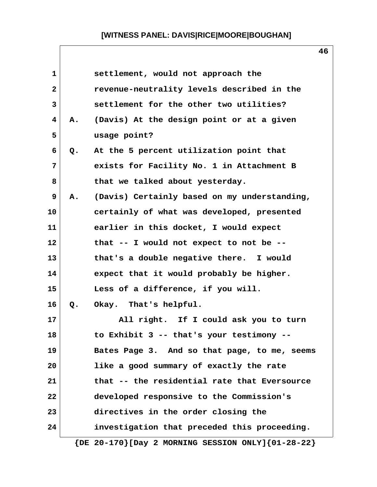| $\mathbf{1}$ |    | settlement, would not approach the                          |
|--------------|----|-------------------------------------------------------------|
| $\mathbf{2}$ |    | revenue-neutrality levels described in the                  |
| 3            |    | settlement for the other two utilities?                     |
| 4            | Α. | (Davis) At the design point or at a given                   |
| 5            |    | usage point?                                                |
| 6            | Q. | At the 5 percent utilization point that                     |
| 7            |    | exists for Facility No. 1 in Attachment B                   |
| 8            |    | that we talked about yesterday.                             |
| 9            | Α. | (Davis) Certainly based on my understanding,                |
| 10           |    | certainly of what was developed, presented                  |
| 11           |    | earlier in this docket, I would expect                      |
| 12           |    | that -- I would not expect to not be --                     |
| 13           |    | that's a double negative there. I would                     |
| 14           |    | expect that it would probably be higher.                    |
| 15           |    | Less of a difference, if you will.                          |
| 16           | Q. | Okay. That's helpful.                                       |
| 17           |    | All right. If I could ask you to turn                       |
| 18           |    | to Exhibit 3 -- that's your testimony --                    |
| 19           |    | Bates Page 3. And so that page, to me, seems                |
| 20           |    | like a good summary of exactly the rate                     |
| 21           |    | that -- the residential rate that Eversource                |
| 22           |    | developed responsive to the Commission's                    |
| 23           |    | directives in the order closing the                         |
| 24           |    | investigation that preceded this proceeding.                |
|              |    | $\{DE 20-170\}$ [Day 2 MORNING SESSION ONLY] $\{01-28-22\}$ |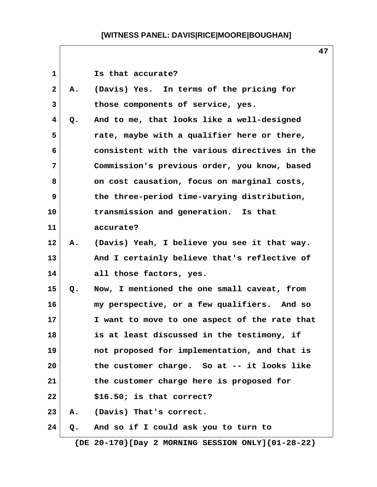| 1            |    | Is that accurate?                             |
|--------------|----|-----------------------------------------------|
| $\mathbf{2}$ | Α. | (Davis) Yes. In terms of the pricing for      |
| 3            |    | those components of service, yes.             |
| 4            | Q. | And to me, that looks like a well-designed    |
| 5            |    | rate, maybe with a qualifier here or there,   |
| 6            |    | consistent with the various directives in the |
| 7            |    | Commission's previous order, you know, based  |
| 8            |    | on cost causation, focus on marginal costs,   |
| 9            |    | the three-period time-varying distribution,   |
| 10           |    | transmission and generation. Is that          |
| 11           |    | accurate?                                     |
| 12           | Α. | (Davis) Yeah, I believe you see it that way.  |
| 13           |    | And I certainly believe that's reflective of  |
| 14           |    | all those factors, yes.                       |
| 15           | Q. | Now, I mentioned the one small caveat, from   |
| 16           |    | my perspective, or a few qualifiers. And so   |
| 17           |    | I want to move to one aspect of the rate that |
| 18           |    | is at least discussed in the testimony, if    |
| 19           |    | not proposed for implementation, and that is  |
| 20           |    | the customer charge. So at -- it looks like   |
| 21           |    | the customer charge here is proposed for      |
| 22           |    | $$16.50;$ is that correct?                    |
| 23           | Α. | (Davis) That's correct.                       |
| 24           | Q. | And so if I could ask you to turn to          |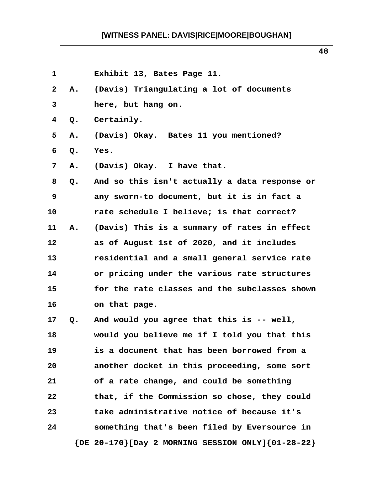|              |    | 48                                            |
|--------------|----|-----------------------------------------------|
| 1            |    | Exhibit 13, Bates Page 11.                    |
| $\mathbf{2}$ | Α. | (Davis) Triangulating a lot of documents      |
| 3            |    | here, but hang on.                            |
| 4            | Q. | Certainly.                                    |
| 5            | Α. | (Davis) Okay. Bates 11 you mentioned?         |
| 6            | Q. | Yes.                                          |
| 7            | Α. | (Davis) Okay. I have that.                    |
| 8            | Q. | And so this isn't actually a data response or |
| 9            |    | any sworn-to document, but it is in fact a    |
| 10           |    | rate schedule I believe; is that correct?     |
| 11           | Α. | (Davis) This is a summary of rates in effect  |
| 12           |    | as of August 1st of 2020, and it includes     |
| 13           |    | residential and a small general service rate  |
| 14           |    | or pricing under the various rate structures  |
| 15           |    | for the rate classes and the subclasses shown |
| 16           |    | on that page.                                 |
| 17           | Q. | And would you agree that this is -- well,     |
| 18           |    | would you believe me if I told you that this  |
| 19           |    | is a document that has been borrowed from a   |
| 20           |    | another docket in this proceeding, some sort  |
| 21           |    | of a rate change, and could be something      |
| 22           |    | that, if the Commission so chose, they could  |
| 23           |    | take administrative notice of because it's    |
| 24           |    | something that's been filed by Eversource in  |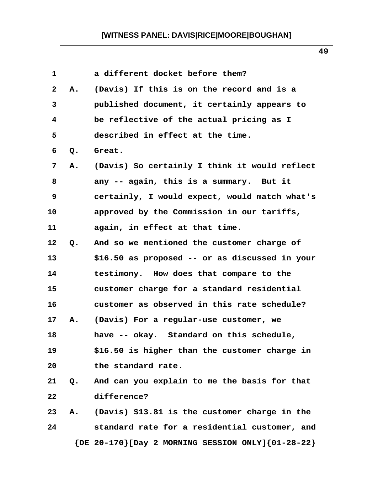| $\mathbf{1}$ |    | a different docket before them?                             |
|--------------|----|-------------------------------------------------------------|
| $\mathbf{2}$ | А. | (Davis) If this is on the record and is a                   |
| 3            |    | published document, it certainly appears to                 |
| 4            |    | be reflective of the actual pricing as I                    |
| 5            |    | described in effect at the time.                            |
| 6            | Q. | Great.                                                      |
| 7            | Α. | (Davis) So certainly I think it would reflect               |
| 8            |    | any -- again, this is a summary. But it                     |
| 9            |    | certainly, I would expect, would match what's               |
| 10           |    | approved by the Commission in our tariffs,                  |
| 11           |    | again, in effect at that time.                              |
| 12           | Q. | And so we mentioned the customer charge of                  |
| 13           |    | \$16.50 as proposed -- or as discussed in your              |
| 14           |    | testimony. How does that compare to the                     |
| 15           |    | customer charge for a standard residential                  |
| 16           |    | customer as observed in this rate schedule?                 |
| 17           | Α. | (Davis) For a regular-use customer, we                      |
| 18           |    | have -- okay. Standard on this schedule,                    |
| 19           |    | \$16.50 is higher than the customer charge in               |
| 20           |    | the standard rate.                                          |
| 21           | Q. | And can you explain to me the basis for that                |
| 22           |    | difference?                                                 |
| 23           | Α. | (Davis) \$13.81 is the customer charge in the               |
| 24           |    | standard rate for a residential customer, and               |
|              |    | $\{DE 20-170\}$ [Day 2 MORNING SESSION ONLY] $\{01-28-22\}$ |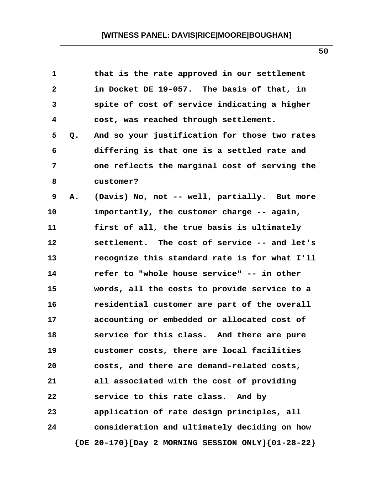| $\mathbf{1}$ |    | that is the rate approved in our settlement                 |
|--------------|----|-------------------------------------------------------------|
| $\mathbf{2}$ |    | in Docket DE 19-057. The basis of that, in                  |
| 3            |    | spite of cost of service indicating a higher                |
| 4            |    | cost, was reached through settlement.                       |
| 5            | Q. | And so your justification for those two rates               |
| 6            |    | differing is that one is a settled rate and                 |
| 7            |    | one reflects the marginal cost of serving the               |
| 8            |    | customer?                                                   |
| 9            | Α. | (Davis) No, not -- well, partially. But more                |
| 10           |    | importantly, the customer charge -- again,                  |
| 11           |    | first of all, the true basis is ultimately                  |
| 12           |    | settlement. The cost of service -- and let's                |
| 13           |    | recognize this standard rate is for what I'll               |
| 14           |    | refer to "whole house service" -- in other                  |
| 15           |    | words, all the costs to provide service to a                |
| 16           |    | residential customer are part of the overall                |
| 17           |    | accounting or embedded or allocated cost of                 |
| 18           |    | service for this class. And there are pure                  |
| 19           |    | customer costs, there are local facilities                  |
| 20           |    | costs, and there are demand-related costs,                  |
| 21           |    | all associated with the cost of providing                   |
| 22           |    | service to this rate class. And by                          |
| 23           |    | application of rate design principles, all                  |
| 24           |    | consideration and ultimately deciding on how                |
|              |    | $\{DE 20-170\}$ [Day 2 MORNING SESSION ONLY] $\{01-28-22\}$ |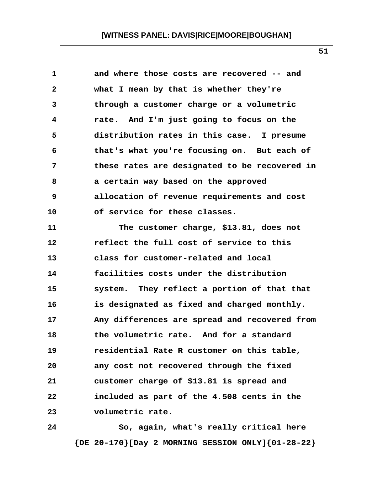| 1                       | and where those costs are recovered -- and    |
|-------------------------|-----------------------------------------------|
| $\overline{\mathbf{2}}$ | what I mean by that is whether they're        |
| 3                       | through a customer charge or a volumetric     |
| 4                       | rate. And I'm just going to focus on the      |
| 5                       | distribution rates in this case. I presume    |
| 6                       | that's what you're focusing on. But each of   |
| 7                       | these rates are designated to be recovered in |
| 8                       | a certain way based on the approved           |
| 9                       | allocation of revenue requirements and cost   |
| 10                      | of service for these classes.                 |
| 11                      | The customer charge, \$13.81, does not        |
| 12                      | reflect the full cost of service to this      |
| 13                      | class for customer-related and local          |
| 14                      | facilities costs under the distribution       |
| 15                      | system. They reflect a portion of that that   |
| 16                      | is designated as fixed and charged monthly.   |
| 17                      | Any differences are spread and recovered from |
| 18                      | the volumetric rate.<br>And for a standard    |
| 19                      | residential Rate R customer on this table,    |
| 20                      | any cost not recovered through the fixed      |
| 21                      | customer charge of \$13.81 is spread and      |
| 22                      | included as part of the 4.508 cents in the    |
| 23                      | volumetric rate.                              |
| 24                      | So, again, what's really critical here        |

 **{DE 20-170}[Day 2 MORNING SESSION ONLY]{01-28-22}**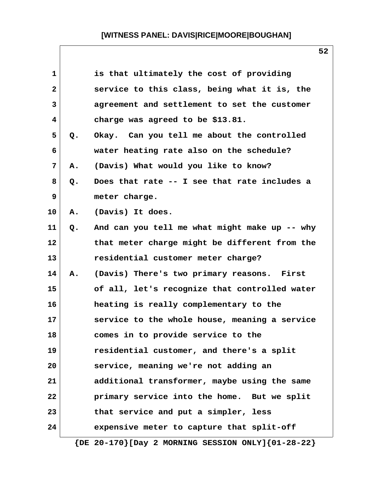| $\mathbf{1}$ |    | is that ultimately the cost of providing                    |
|--------------|----|-------------------------------------------------------------|
| $\mathbf{2}$ |    | service to this class, being what it is, the                |
| 3            |    | agreement and settlement to set the customer                |
| 4            |    | charge was agreed to be \$13.81.                            |
| 5            | Q. | Okay. Can you tell me about the controlled                  |
| 6            |    | water heating rate also on the schedule?                    |
| 7            | Α. | (Davis) What would you like to know?                        |
| 8            | Q. | Does that rate -- I see that rate includes a                |
| 9            |    | meter charge.                                               |
| 10           | Α. | (Davis) It does.                                            |
| 11           | Q. | And can you tell me what might make up -- why               |
| 12           |    | that meter charge might be different from the               |
| 13           |    | residential customer meter charge?                          |
| 14           | Α. | (Davis) There's two primary reasons. First                  |
| 15           |    | of all, let's recognize that controlled water               |
| 16           |    | heating is really complementary to the                      |
| 17           |    | service to the whole house, meaning a service               |
| 18           |    | comes in to provide service to the                          |
| 19           |    | residential customer, and there's a split                   |
| 20           |    | service, meaning we're not adding an                        |
| 21           |    | additional transformer, maybe using the same                |
| 22           |    | primary service into the home. But we split                 |
| 23           |    | that service and put a simpler, less                        |
| 24           |    | expensive meter to capture that split-off                   |
|              |    | $\{DE 20-170\}$ [Day 2 MORNING SESSION ONLY] $\{01-28-22\}$ |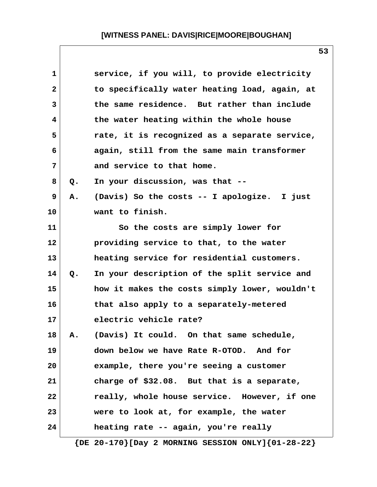| $\mathbf{1}$   |               | service, if you will, to provide electricity  |
|----------------|---------------|-----------------------------------------------|
| $\overline{2}$ |               | to specifically water heating load, again, at |
| 3              |               | the same residence. But rather than include   |
| 4              |               | the water heating within the whole house      |
| 5              |               | rate, it is recognized as a separate service, |
| 6              |               | again, still from the same main transformer   |
| 7              |               | and service to that home.                     |
| 8              | $Q_{\bullet}$ | In your discussion, was that --               |
| 9              | Α.            | (Davis) So the costs -- I apologize. I just   |
| 10             |               | want to finish.                               |
| 11             |               | So the costs are simply lower for             |
| 12             |               | providing service to that, to the water       |
| 13             |               | heating service for residential customers.    |
| 14             | $Q$ .         | In your description of the split service and  |
| 15             |               | how it makes the costs simply lower, wouldn't |
| 16             |               | that also apply to a separately-metered       |
| 17             |               | electric vehicle rate?                        |
| 18             | Α.            | (Davis) It could. On that same schedule,      |
| 19             |               | down below we have Rate R-OTOD. And for       |
| 20             |               | example, there you're seeing a customer       |
| 21             |               | charge of \$32.08. But that is a separate,    |
| 22             |               | really, whole house service. However, if one  |
| 23             |               | were to look at, for example, the water       |
| 24             |               | heating rate -- again, you're really          |
|                |               |                                               |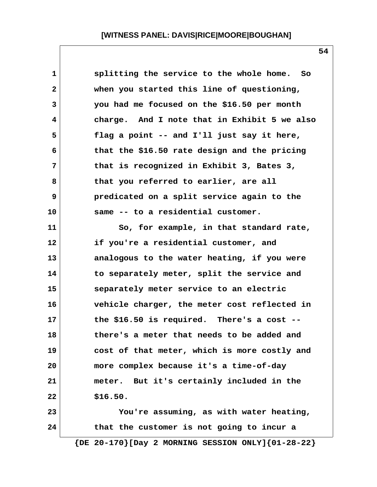| 1            | splitting the service to the whole home. So                 |
|--------------|-------------------------------------------------------------|
| $\mathbf{2}$ | when you started this line of questioning,                  |
| 3            | you had me focused on the \$16.50 per month                 |
| 4            | charge. And I note that in Exhibit 5 we also                |
| 5            | flag a point -- and I'll just say it here,                  |
| 6            | that the \$16.50 rate design and the pricing                |
| 7            | that is recognized in Exhibit 3, Bates 3,                   |
| 8            | that you referred to earlier, are all                       |
| 9            | predicated on a split service again to the                  |
| 10           | same -- to a residential customer.                          |
| 11           | So, for example, in that standard rate,                     |
| 12           | if you're a residential customer, and                       |
| 13           | analogous to the water heating, if you were                 |
| 14           | to separately meter, split the service and                  |
| 15           | separately meter service to an electric                     |
| 16           | vehicle charger, the meter cost reflected in                |
| 17           | the \$16.50 is required. There's a cost $-$ -               |
| 18           | there's a meter that needs to be added and                  |
| 19           | cost of that meter, which is more costly and                |
| 20           | more complex because it's a time-of-day                     |
| 21           | meter. But it's certainly included in the                   |
| 22           | \$16.50.                                                    |
| 23           | You're assuming, as with water heating,                     |
| 24           | that the customer is not going to incur a                   |
|              | $\{DE 20-170\}$ [Day 2 MORNING SESSION ONLY] $\{01-28-22\}$ |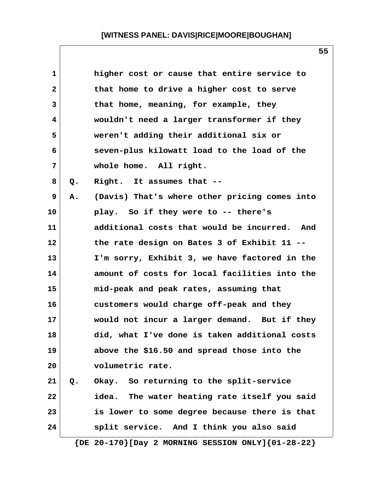| 1            |    | higher cost or cause that entire service to                 |
|--------------|----|-------------------------------------------------------------|
| $\mathbf{2}$ |    | that home to drive a higher cost to serve                   |
| 3            |    | that home, meaning, for example, they                       |
| 4            |    | wouldn't need a larger transformer if they                  |
| 5            |    | weren't adding their additional six or                      |
| 6            |    | seven-plus kilowatt load to the load of the                 |
| 7            |    | whole home. All right.                                      |
| 8            | Q. | Right. It assumes that --                                   |
| 9            | Α. | (Davis) That's where other pricing comes into               |
| 10           |    | play. So if they were to -- there's                         |
| 11           |    | additional costs that would be incurred. And                |
| 12           |    | the rate design on Bates 3 of Exhibit 11 --                 |
| 13           |    | I'm sorry, Exhibit 3, we have factored in the               |
| 14           |    | amount of costs for local facilities into the               |
| 15           |    | mid-peak and peak rates, assuming that                      |
| 16           |    | customers would charge off-peak and they                    |
| 17           |    | would not incur a larger demand. But if they                |
| 18           |    | did, what I've done is taken additional costs               |
| 19           |    | above the \$16.50 and spread those into the                 |
| 20           |    | volumetric rate.                                            |
| 21           | Q. | Okay. So returning to the split-service                     |
| 22           |    | idea. The water heating rate itself you said                |
| 23           |    | is lower to some degree because there is that               |
| 24           |    | split service. And I think you also said                    |
|              |    | $\{DE 20-170\}$ [Day 2 MORNING SESSION ONLY] $\{01-28-22\}$ |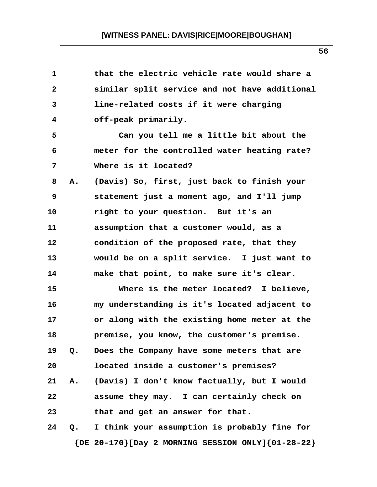| $\mathbf 1$    |    | that the electric vehicle rate would share a                |
|----------------|----|-------------------------------------------------------------|
| $\mathbf{2}$   |    | similar split service and not have additional               |
| 3              |    | line-related costs if it were charging                      |
| 4              |    | off-peak primarily.                                         |
| 5              |    | Can you tell me a little bit about the                      |
| 6              |    | meter for the controlled water heating rate?                |
| $\overline{7}$ |    | Where is it located?                                        |
| 8              | Α. | (Davis) So, first, just back to finish your                 |
| 9              |    | statement just a moment ago, and I'll jump                  |
| 10             |    | right to your question. But it's an                         |
| 11             |    | assumption that a customer would, as a                      |
| 12             |    | condition of the proposed rate, that they                   |
| 13             |    | would be on a split service. I just want to                 |
| 14             |    | make that point, to make sure it's clear.                   |
| 15             |    | Where is the meter located? I believe,                      |
| 16             |    | my understanding is it's located adjacent to                |
| 17             |    | or along with the existing home meter at the                |
| 18             |    | premise, you know, the customer's premise.                  |
| 19             | Q. | Does the Company have some meters that are                  |
| 20             |    | located inside a customer's premises?                       |
| 21             | Α. | (Davis) I don't know factually, but I would                 |
| 22             |    | assume they may. I can certainly check on                   |
| 23             |    | that and get an answer for that.                            |
| 24             | Q. | I think your assumption is probably fine for                |
|                |    | $\{DE 20-170\}$ [Day 2 MORNING SESSION ONLY] $\{01-28-22\}$ |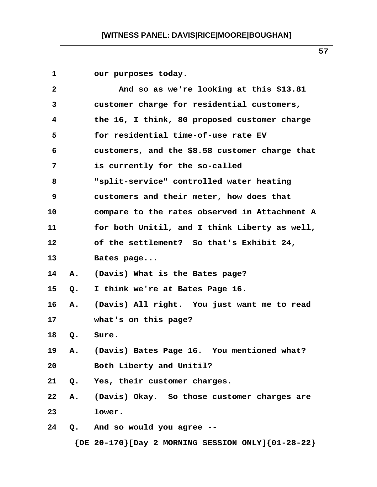1 our purposes today.  **2 And so as we're looking at this \$13.81 3 customer charge for residential customers, 4 the 16, I think, 80 proposed customer charge 5 for residential time-of-use rate EV 6 customers, and the \$8.58 customer charge that 7 is currently for the so-called 8 "split-service" controlled water heating 9 customers and their meter, how does that 10 compare to the rates observed in Attachment A 11 for both Unitil, and I think Liberty as well, 12 of the settlement? So that's Exhibit 24, 13 Bates page... 14 A. (Davis) What is the Bates page? 15 Q. I think we're at Bates Page 16. 16 A. (Davis) All right. You just want me to read 17 what's on this page? 18 Q. Sure. 19 A. (Davis) Bates Page 16. You mentioned what? 20 Both Liberty and Unitil? 21 Q. Yes, their customer charges. 22 A. (Davis) Okay. So those customer charges are 23 lower. 24 Q. And so would you agree --**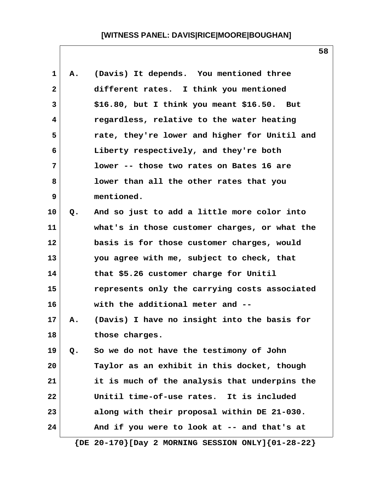| 1  | Α. | (Davis) It depends. You mentioned three                     |
|----|----|-------------------------------------------------------------|
| 2  |    | different rates. I think you mentioned                      |
| 3  |    | $$16.80$ , but I think you meant $$16.50$ . But             |
| 4  |    | regardless, relative to the water heating                   |
| 5  |    | rate, they're lower and higher for Unitil and               |
| 6  |    | Liberty respectively, and they're both                      |
| 7  |    | lower -- those two rates on Bates 16 are                    |
| 8  |    | lower than all the other rates that you                     |
| 9  |    | mentioned.                                                  |
| 10 | Q. | And so just to add a little more color into                 |
| 11 |    | what's in those customer charges, or what the               |
| 12 |    | basis is for those customer charges, would                  |
| 13 |    | you agree with me, subject to check, that                   |
| 14 |    | that \$5.26 customer charge for Unitil                      |
| 15 |    | represents only the carrying costs associated               |
| 16 |    | with the additional meter and --                            |
| 17 | Α. | (Davis) I have no insight into the basis for                |
| 18 |    | those charges.                                              |
| 19 | Q. | So we do not have the testimony of John                     |
| 20 |    | Taylor as an exhibit in this docket, though                 |
| 21 |    | it is much of the analysis that underpins the               |
| 22 |    | Unitil time-of-use rates. It is included                    |
| 23 |    | along with their proposal within DE 21-030.                 |
| 24 |    | And if you were to look at -- and that's at                 |
|    |    | $\{DE 20-170\}$ [Day 2 MORNING SESSION ONLY] $\{01-28-22\}$ |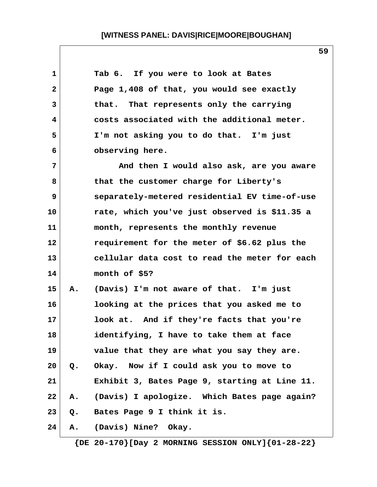| $\mathbf 1$  |    | Tab 6. If you were to look at Bates           |
|--------------|----|-----------------------------------------------|
| $\mathbf{2}$ |    | Page 1,408 of that, you would see exactly     |
| 3            |    | that. That represents only the carrying       |
| 4            |    | costs associated with the additional meter.   |
| 5            |    | I'm not asking you to do that. I'm just       |
| 6            |    | observing here.                               |
| 7            |    | And then I would also ask, are you aware      |
| 8            |    | that the customer charge for Liberty's        |
| 9            |    | separately-metered residential EV time-of-use |
| 10           |    | rate, which you've just observed is \$11.35 a |
| 11           |    | month, represents the monthly revenue         |
| 12           |    | requirement for the meter of \$6.62 plus the  |
| 13           |    | cellular data cost to read the meter for each |
| 14           |    | month of \$5?                                 |
| 15           | Α. | (Davis) I'm not aware of that. I'm just       |
| 16           |    | looking at the prices that you asked me to    |
| 17           |    | look at. And if they're facts that you're     |
| 18           |    | identifying, I have to take them at face      |
| 19           |    | value that they are what you say they are.    |
| 20           | Q. | Okay. Now if I could ask you to move to       |
| 21           |    | Exhibit 3, Bates Page 9, starting at Line 11. |
| 22           | Α. | (Davis) I apologize. Which Bates page again?  |
| 23           | Q. | Bates Page 9 I think it is.                   |
| 24           | Α. | (Davis) Nine? Okay.                           |
|              |    |                                               |

 **{DE 20-170}[Day 2 MORNING SESSION ONLY]{01-28-22}**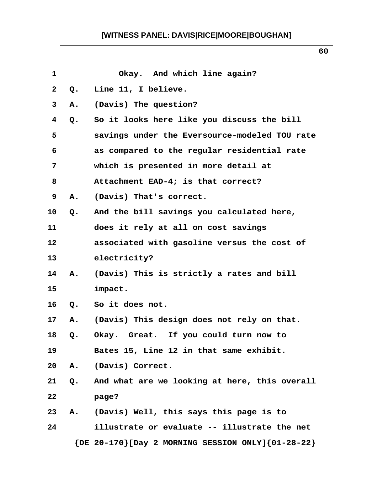$\mathsf{l}$ 

|              |                | v v                                                     |
|--------------|----------------|---------------------------------------------------------|
| $\mathbf{1}$ |                | Okay. And which line again?                             |
| $\mathbf{2}$ | Q <sub>o</sub> | Line 11, I believe.                                     |
| 3            | Α.             | (Davis) The question?                                   |
| 4            | $Q$ .          | So it looks here like you discuss the bill              |
| 5            |                | savings under the Eversource-modeled TOU rate           |
| 6            |                | as compared to the regular residential rate             |
| 7            |                | which is presented in more detail at                    |
| 8            |                | Attachment EAD-4; is that correct?                      |
| 9            | Α.             | (Davis) That's correct.                                 |
| 10           | Q.             | And the bill savings you calculated here,               |
| 11           |                | does it rely at all on cost savings                     |
| 12           |                | associated with gasoline versus the cost of             |
| 13           |                | electricity?                                            |
| 14           | Α.             | (Davis) This is strictly a rates and bill               |
| 15           |                | impact.                                                 |
| 16           | $Q_{\bullet}$  | So it does not.                                         |
| 17           | Α.             | (Davis) This design does not rely on that.              |
| 18           | $Q$ .          | Okay. Great. If you could turn now to                   |
| 19           |                | Bates 15, Line 12 in that same exhibit.                 |
| 20           | Α.             | (Davis) Correct.                                        |
| 21           | Q.             | And what are we looking at here, this overall           |
| 22           |                | page?                                                   |
| 23           | Α.             | (Davis) Well, this says this page is to                 |
| 24           |                | illustrate or evaluate -- illustrate the net            |
|              |                | ${DE 20-170}$ [Day 2 MORNING SESSION ONLY] ${01-28-22}$ |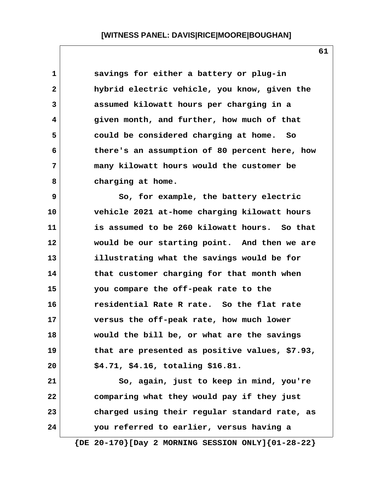| $\mathbf 1$  | savings for either a battery or plug-in        |
|--------------|------------------------------------------------|
| $\mathbf{2}$ | hybrid electric vehicle, you know, given the   |
| 3            | assumed kilowatt hours per charging in a       |
| 4            | given month, and further, how much of that     |
| 5            | could be considered charging at home. So       |
| 6            | there's an assumption of 80 percent here, how  |
| 7            | many kilowatt hours would the customer be      |
| 8            | charging at home.                              |
| 9            | So, for example, the battery electric          |
| 10           | vehicle 2021 at-home charging kilowatt hours   |
| 11           | is assumed to be 260 kilowatt hours. So that   |
| 12           | would be our starting point. And then we are   |
| 13           | illustrating what the savings would be for     |
| 14           | that customer charging for that month when     |
| 15           | you compare the off-peak rate to the           |
| 16           | residential Rate R rate. So the flat rate      |
| 17           | versus the off-peak rate, how much lower       |
| 18           | would the bill be, or what are the savings     |
| 19           | that are presented as positive values, \$7.93, |
| 20           | \$4.71, \$4.16, totaling \$16.81.              |
| 21           | So, again, just to keep in mind, you're        |
| 22           | comparing what they would pay if they just     |
| 23           | charged using their regular standard rate, as  |
| 24           | you referred to earlier, versus having a       |

 **{DE 20-170}[Day 2 MORNING SESSION ONLY]{01-28-22}**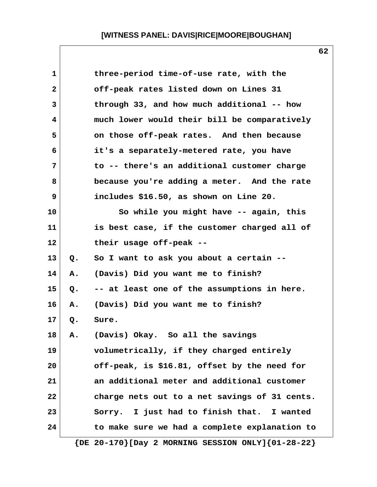| 1  |    | three-period time-of-use rate, with the                     |
|----|----|-------------------------------------------------------------|
| 2  |    | off-peak rates listed down on Lines 31                      |
| 3  |    | through 33, and how much additional -- how                  |
| 4  |    | much lower would their bill be comparatively                |
| 5  |    | on those off-peak rates. And then because                   |
| 6  |    | it's a separately-metered rate, you have                    |
| 7  |    | to -- there's an additional customer charge                 |
| 8  |    | because you're adding a meter. And the rate                 |
| 9  |    | includes \$16.50, as shown on Line 20.                      |
| 10 |    | So while you might have -- again, this                      |
| 11 |    | is best case, if the customer charged all of                |
| 12 |    | their usage off-peak --                                     |
| 13 | Q. | So I want to ask you about a certain --                     |
| 14 | Α. | (Davis) Did you want me to finish?                          |
| 15 | Q. | -- at least one of the assumptions in here.                 |
| 16 | Α. | (Davis) Did you want me to finish?                          |
| 17 | Q. | Sure.                                                       |
| 18 | Α. | (Davis) Okay. So all the savings                            |
| 19 |    | volumetrically, if they charged entirely                    |
| 20 |    | off-peak, is \$16.81, offset by the need for                |
| 21 |    | an additional meter and additional customer                 |
| 22 |    | charge nets out to a net savings of 31 cents.               |
| 23 |    | Sorry. I just had to finish that. I wanted                  |
| 24 |    | to make sure we had a complete explanation to               |
|    |    | $\{DE 20-170\}$ [Day 2 MORNING SESSION ONLY] $\{01-28-22\}$ |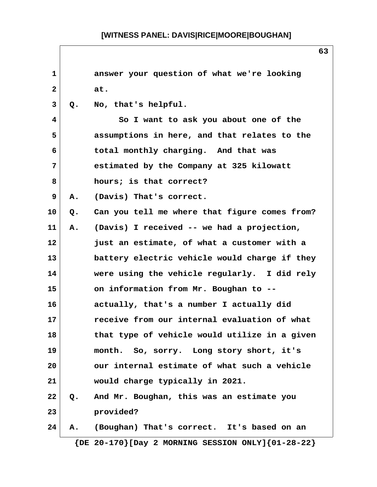| 1               |               |                                               |
|-----------------|---------------|-----------------------------------------------|
|                 |               | answer your question of what we're looking    |
| $\mathbf{2}$    |               | at.                                           |
| 3               | $Q_{\bullet}$ | No, that's helpful.                           |
| 4               |               | So I want to ask you about one of the         |
| 5               |               | assumptions in here, and that relates to the  |
| 6               |               | total monthly charging. And that was          |
| 7               |               | estimated by the Company at 325 kilowatt      |
| 8               |               | hours; is that correct?                       |
| 9               | Α.            | (Davis) That's correct.                       |
| 10 <sup>°</sup> | Q.            | Can you tell me where that figure comes from? |
| 11              | Α.            | (Davis) I received -- we had a projection,    |
| $12 \,$         |               | just an estimate, of what a customer with a   |
| 13              |               | battery electric vehicle would charge if they |
| 14              |               | were using the vehicle regularly. I did rely  |
| 15              |               | on information from Mr. Boughan to --         |
| 16              |               | actually, that's a number I actually did      |
| 17              |               | receive from our internal evaluation of what  |
| 18              |               | that type of vehicle would utilize in a given |
| 19              |               | month. So, sorry. Long story short, it's      |
| 20              |               | our internal estimate of what such a vehicle  |
| 21              |               | would charge typically in 2021.               |
| 22              |               | Q. And Mr. Boughan, this was an estimate you  |
| 23              |               | provided?                                     |
| 24              | Α.            | (Boughan) That's correct. It's based on an    |

 **{DE 20-170}[Day 2 MORNING SESSION ONLY]{01-28-22}**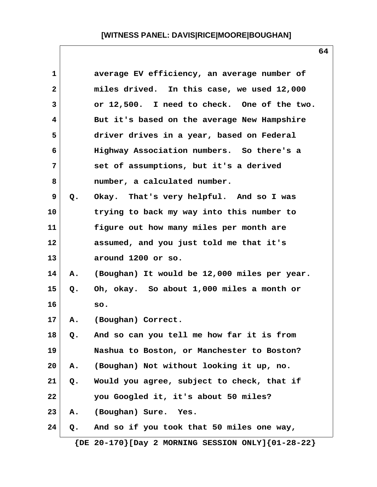| $\mathbf 1$  |    | average EV efficiency, an average number of  |
|--------------|----|----------------------------------------------|
| $\mathbf{2}$ |    | miles drived. In this case, we used 12,000   |
| 3            |    | or 12,500. I need to check. One of the two.  |
| 4            |    | But it's based on the average New Hampshire  |
| 5            |    | driver drives in a year, based on Federal    |
| 6            |    | Highway Association numbers. So there's a    |
| 7            |    | set of assumptions, but it's a derived       |
| 8            |    | number, a calculated number.                 |
| 9            | Q. | Okay. That's very helpful. And so I was      |
| 10           |    | trying to back my way into this number to    |
| 11           |    | figure out how many miles per month are      |
| 12           |    | assumed, and you just told me that it's      |
| 13           |    | around 1200 or so.                           |
| 14           | Α. | (Boughan) It would be 12,000 miles per year. |
| 15           | Q. | Oh, okay. So about 1,000 miles a month or    |
| 16           |    | so.                                          |
| 17           | Α. | (Boughan) Correct.                           |
| 18           | Q. | And so can you tell me how far it is from    |
| 19           |    | Nashua to Boston, or Manchester to Boston?   |
| 20           | Α. | (Boughan) Not without looking it up, no.     |
| 21           | Q. | Would you agree, subject to check, that if   |
| 22           |    | you Googled it, it's about 50 miles?         |
| 23           | Α. | (Boughan) Sure. Yes.                         |
| 24           | Q. | And so if you took that 50 miles one way,    |
|              |    |                                              |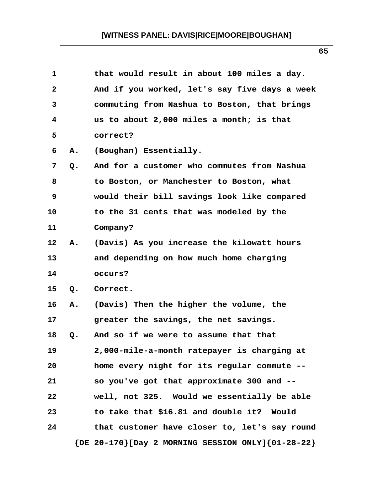| 1            |    | that would result in about 100 miles a day.                 |
|--------------|----|-------------------------------------------------------------|
| $\mathbf{2}$ |    | And if you worked, let's say five days a week               |
| 3            |    | commuting from Nashua to Boston, that brings                |
| 4            |    | us to about 2,000 miles a month; is that                    |
| 5            |    | correct?                                                    |
| 6            | Α. | (Boughan) Essentially.                                      |
| 7            | Q. | And for a customer who commutes from Nashua                 |
| 8            |    | to Boston, or Manchester to Boston, what                    |
| 9            |    | would their bill savings look like compared                 |
| 10           |    | to the 31 cents that was modeled by the                     |
| 11           |    | Company?                                                    |
| 12           | Α. | (Davis) As you increase the kilowatt hours                  |
| 13           |    | and depending on how much home charging                     |
| 14           |    | occurs?                                                     |
| 15           | Q. | Correct.                                                    |
| 16           | Α. | (Davis) Then the higher the volume, the                     |
| 17           |    | greater the savings, the net savings.                       |
| 18           | Q. | And so if we were to assume that that                       |
| 19           |    | 2,000-mile-a-month ratepayer is charging at                 |
| 20           |    | home every night for its regular commute --                 |
| 21           |    | so you've got that approximate 300 and --                   |
| 22           |    | well, not 325. Would we essentially be able                 |
| 23           |    | to take that \$16.81 and double it? Would                   |
| 24           |    | that customer have closer to, let's say round               |
|              |    | $\{DE 20-170\}$ [Day 2 MORNING SESSION ONLY] $\{01-28-22\}$ |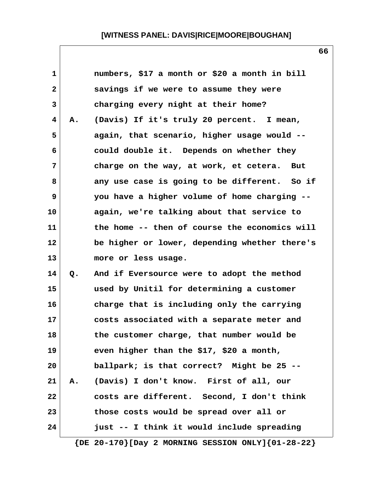| $\mathbf 1$  |    | numbers, \$17 a month or \$20 a month in bill |
|--------------|----|-----------------------------------------------|
| $\mathbf{2}$ |    | savings if we were to assume they were        |
| 3            |    | charging every night at their home?           |
| 4            | Α. | (Davis) If it's truly 20 percent. I mean,     |
| 5            |    | again, that scenario, higher usage would --   |
| 6            |    | could double it. Depends on whether they      |
| 7            |    | charge on the way, at work, et cetera.<br>But |
| 8            |    | any use case is going to be different. So if  |
| 9            |    | you have a higher volume of home charging --  |
| 10           |    | again, we're talking about that service to    |
| 11           |    | the home -- then of course the economics will |
| 12           |    | be higher or lower, depending whether there's |
| 13           |    | more or less usage.                           |
| 14           | Q. | And if Eversource were to adopt the method    |
| 15           |    | used by Unitil for determining a customer     |
| 16           |    | charge that is including only the carrying    |
| 17           |    | costs associated with a separate meter and    |
| 18           |    | the customer charge, that number would be     |
| 19           |    | even higher than the \$17, \$20 a month,      |
| 20           |    | ballpark; is that correct? Might be 25 --     |
| 21           | Α. | (Davis) I don't know. First of all, our       |
| 22           |    | costs are different. Second, I don't think    |
| 23           |    | those costs would be spread over all or       |
| 24           |    | just -- I think it would include spreading    |
|              |    |                                               |

 **{DE 20-170}[Day 2 MORNING SESSION ONLY]{01-28-22}**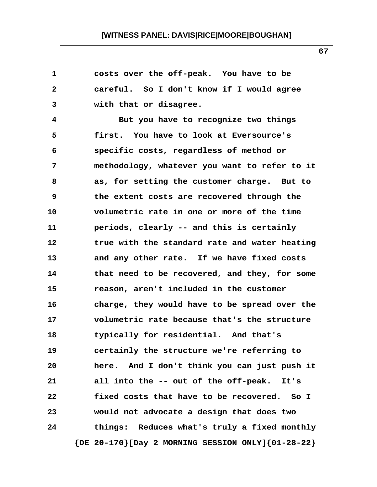| 1  | costs over the off-peak. You have to be       |
|----|-----------------------------------------------|
| 2  | careful. So I don't know if I would agree     |
| 3  | with that or disagree.                        |
| 4  | But you have to recognize two things          |
| 5  | first. You have to look at Eversource's       |
| 6  | specific costs, regardless of method or       |
| 7  | methodology, whatever you want to refer to it |
| 8  | as, for setting the customer charge. But to   |
| 9  | the extent costs are recovered through the    |
| 10 | volumetric rate in one or more of the time    |
| 11 | periods, clearly -- and this is certainly     |
| 12 | true with the standard rate and water heating |
| 13 | and any other rate. If we have fixed costs    |
| 14 | that need to be recovered, and they, for some |
| 15 | reason, aren't included in the customer       |
| 16 | charge, they would have to be spread over the |
| 17 | volumetric rate because that's the structure  |
| 18 | typically for residential. And that's         |
| 19 | certainly the structure we're referring to    |
| 20 | here. And I don't think you can just push it  |
| 21 | all into the -- out of the off-peak.<br>It's  |
| 22 | fixed costs that have to be recovered. So I   |
| 23 | would not advocate a design that does two     |
| 24 | things: Reduces what's truly a fixed monthly  |
|    |                                               |

 **{DE 20-170}[Day 2 MORNING SESSION ONLY]{01-28-22}**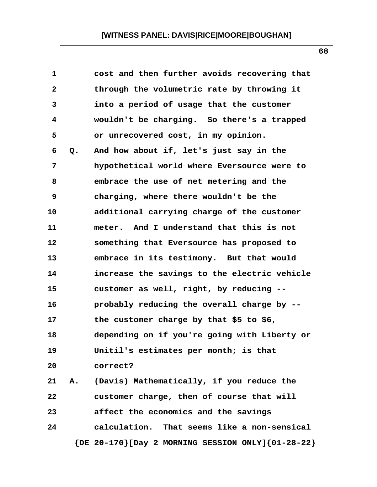| 1            |    | cost and then further avoids recovering that                |
|--------------|----|-------------------------------------------------------------|
| $\mathbf{2}$ |    | through the volumetric rate by throwing it                  |
| 3            |    | into a period of usage that the customer                    |
| 4            |    | wouldn't be charging. So there's a trapped                  |
| 5            |    | or unrecovered cost, in my opinion.                         |
| 6            | Q. | And how about if, let's just say in the                     |
| 7            |    | hypothetical world where Eversource were to                 |
| 8            |    | embrace the use of net metering and the                     |
| 9            |    | charging, where there wouldn't be the                       |
| 10           |    | additional carrying charge of the customer                  |
| 11           |    | meter. And I understand that this is not                    |
| 12           |    | something that Eversource has proposed to                   |
| 13           |    | embrace in its testimony. But that would                    |
| 14           |    | increase the savings to the electric vehicle                |
| 15           |    | customer as well, right, by reducing --                     |
| 16           |    | probably reducing the overall charge by --                  |
| 17           |    | the customer charge by that \$5 to \$6,                     |
| 18           |    | depending on if you're going with Liberty or                |
| 19           |    | Unitil's estimates per month; is that                       |
| 20           |    | correct?                                                    |
| 21           | Α. | (Davis) Mathematically, if you reduce the                   |
| 22           |    | customer charge, then of course that will                   |
| 23           |    | affect the economics and the savings                        |
| 24           |    | calculation. That seems like a non-sensical                 |
|              |    | $\{DE 20-170\}$ [Day 2 MORNING SESSION ONLY] $\{01-28-22\}$ |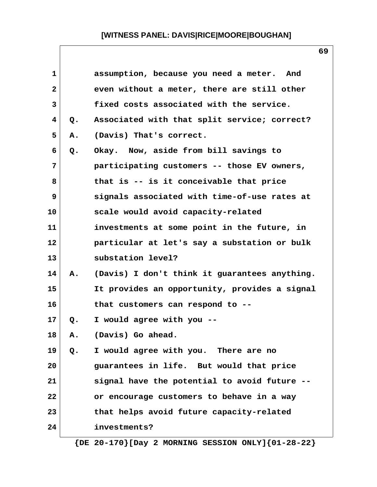| $\mathbf{1}$ |    | assumption, because you need a meter. And     |
|--------------|----|-----------------------------------------------|
| $\mathbf{2}$ |    | even without a meter, there are still other   |
| 3            |    | fixed costs associated with the service.      |
| 4            | Q. | Associated with that split service; correct?  |
| 5            | Α. | (Davis) That's correct.                       |
| 6            | Q. | Okay. Now, aside from bill savings to         |
| 7            |    | participating customers -- those EV owners,   |
| 8            |    | that is -- is it conceivable that price       |
| 9            |    | signals associated with time-of-use rates at  |
| 10           |    | scale would avoid capacity-related            |
| 11           |    | investments at some point in the future, in   |
| 12           |    | particular at let's say a substation or bulk  |
| 13           |    | substation level?                             |
| 14           | А. | (Davis) I don't think it guarantees anything. |
| 15           |    | It provides an opportunity, provides a signal |
| 16           |    | that customers can respond to --              |
| 17           | Q. | I would agree with you --                     |
| 18           | Α. | (Davis) Go ahead.                             |
| 19           | Q. | I would agree with you. There are no          |
| 20           |    | guarantees in life. But would that price      |
| 21           |    | signal have the potential to avoid future --  |
| 22           |    | or encourage customers to behave in a way     |
| 23           |    | that helps avoid future capacity-related      |
| 24           |    | investments?                                  |
|              |    |                                               |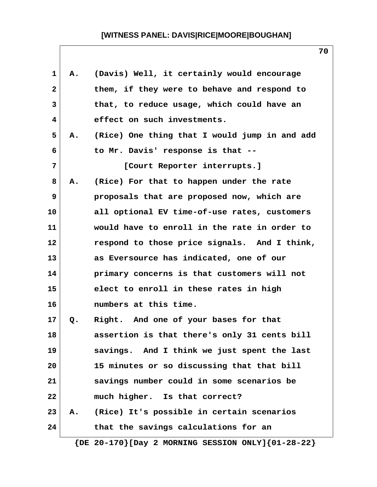| 1            | А. | (Davis) Well, it certainly would encourage    |
|--------------|----|-----------------------------------------------|
| $\mathbf{2}$ |    | them, if they were to behave and respond to   |
| 3            |    | that, to reduce usage, which could have an    |
| 4            |    | effect on such investments.                   |
| 5            | Α. | (Rice) One thing that I would jump in and add |
| 6            |    | to Mr. Davis' response is that --             |
| 7            |    | [Court Reporter interrupts.]                  |
| 8            | Α. | (Rice) For that to happen under the rate      |
| 9            |    | proposals that are proposed now, which are    |
| 10           |    | all optional EV time-of-use rates, customers  |
| 11           |    | would have to enroll in the rate in order to  |
| 12           |    | respond to those price signals. And I think,  |
| 13           |    | as Eversource has indicated, one of our       |
| 14           |    | primary concerns is that customers will not   |
| 15           |    | elect to enroll in these rates in high        |
| 16           |    | numbers at this time.                         |
| 17           | Q. | Right. And one of your bases for that         |
| 18           |    | assertion is that there's only 31 cents bill  |
| 19           |    | savings. And I think we just spent the last   |
| 20           |    | 15 minutes or so discussing that that bill    |
| 21           |    | savings number could in some scenarios be     |
| 22           |    | much higher. Is that correct?                 |
| 23           | Α. | (Rice) It's possible in certain scenarios     |
| 24           |    | that the savings calculations for an          |
|              |    |                                               |

 **{DE 20-170}[Day 2 MORNING SESSION ONLY]{01-28-22}**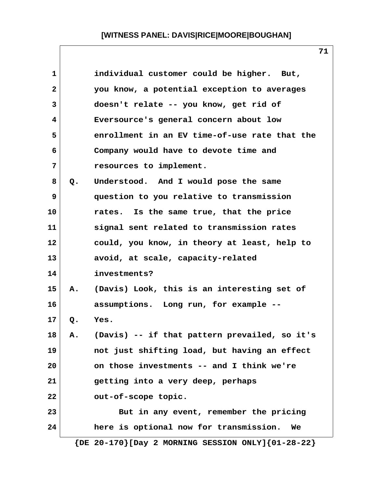| $\mathbf{1}$   |       | individual customer could be higher. But,                   |
|----------------|-------|-------------------------------------------------------------|
| $\overline{a}$ |       | you know, a potential exception to averages                 |
| 3              |       | doesn't relate -- you know, get rid of                      |
| 4              |       | Eversource's general concern about low                      |
| 5              |       | enrollment in an EV time-of-use rate that the               |
| 6              |       | Company would have to devote time and                       |
| 7              |       | resources to implement.                                     |
| 8              | Q.    | Understood. And I would pose the same                       |
| 9              |       | question to you relative to transmission                    |
| 10             |       | rates. Is the same true, that the price                     |
| 11             |       | signal sent related to transmission rates                   |
| 12             |       | could, you know, in theory at least, help to                |
| 13             |       | avoid, at scale, capacity-related                           |
| 14             |       | investments?                                                |
| 15             | Α.    | (Davis) Look, this is an interesting set of                 |
| 16             |       | assumptions. Long run, for example --                       |
| 17             | $Q$ . | Yes.                                                        |
| 18             | A.    | (Davis) -- if that pattern prevailed, so it's               |
| 19             |       | not just shifting load, but having an effect                |
| 20             |       | on those investments -- and I think we're                   |
| 21             |       | getting into a very deep, perhaps                           |
| 22             |       | out-of-scope topic.                                         |
| 23             |       | But in any event, remember the pricing                      |
| 24             |       | here is optional now for transmission.<br>We                |
|                |       | $\{DE 20-170\}$ [Day 2 MORNING SESSION ONLY] $\{01-28-22\}$ |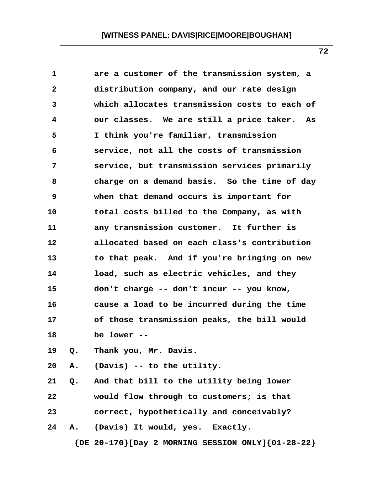| 1  |    | are a customer of the transmission system, a   |
|----|----|------------------------------------------------|
| 2  |    | distribution company, and our rate design      |
| 3  |    | which allocates transmission costs to each of  |
| 4  |    | our classes. We are still a price taker.<br>As |
| 5  |    | I think you're familiar, transmission          |
| 6  |    | service, not all the costs of transmission     |
| 7  |    | service, but transmission services primarily   |
| 8  |    | charge on a demand basis. So the time of day   |
| 9  |    | when that demand occurs is important for       |
| 10 |    | total costs billed to the Company, as with     |
| 11 |    | any transmission customer. It further is       |
| 12 |    | allocated based on each class's contribution   |
| 13 |    | to that peak. And if you're bringing on new    |
| 14 |    | load, such as electric vehicles, and they      |
| 15 |    | don't charge -- don't incur -- you know,       |
| 16 |    | cause a load to be incurred during the time    |
| 17 |    | of those transmission peaks, the bill would    |
| 18 |    | be lower                                       |
| 19 | Q. | Thank you, Mr. Davis.                          |
| 20 | Α. | (Davis) -- to the utility.                     |
| 21 | Q. | And that bill to the utility being lower       |
| 22 |    | would flow through to customers; is that       |
| 23 |    | correct, hypothetically and conceivably?       |
| 24 | Α. | (Davis) It would, yes. Exactly.                |
|    |    |                                                |

 **{DE 20-170}[Day 2 MORNING SESSION ONLY]{01-28-22}**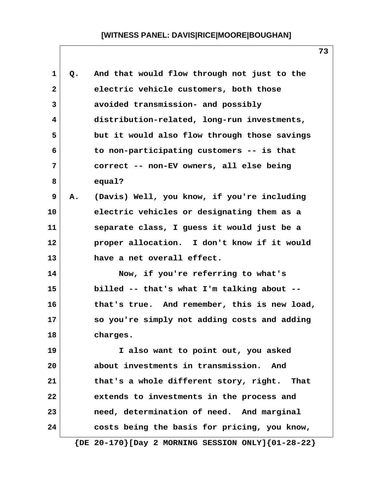| 1  | Q. | And that would flow through not just to the                 |
|----|----|-------------------------------------------------------------|
| 2  |    | electric vehicle customers, both those                      |
| 3  |    | avoided transmission- and possibly                          |
| 4  |    | distribution-related, long-run investments,                 |
| 5  |    | but it would also flow through those savings                |
| 6  |    | to non-participating customers -- is that                   |
| 7  |    | correct -- non-EV owners, all else being                    |
| 8  |    | equal?                                                      |
| 9  | Α. | (Davis) Well, you know, if you're including                 |
| 10 |    | electric vehicles or designating them as a                  |
| 11 |    | separate class, I guess it would just be a                  |
| 12 |    | proper allocation. I don't know if it would                 |
| 13 |    | have a net overall effect.                                  |
| 14 |    | Now, if you're referring to what's                          |
| 15 |    | billed -- that's what I'm talking about --                  |
| 16 |    | that's true. And remember, this is new load,                |
| 17 |    | so you're simply not adding costs and adding                |
| 18 |    | charges.                                                    |
| 19 |    | I also want to point out, you asked                         |
| 20 |    | about investments in transmission.<br>And                   |
| 21 |    | that's a whole different story, right. That                 |
| 22 |    | extends to investments in the process and                   |
| 23 |    | need, determination of need. And marginal                   |
| 24 |    | costs being the basis for pricing, you know,                |
|    |    | $\{DE 20-170\}$ [Day 2 MORNING SESSION ONLY] $\{01-28-22\}$ |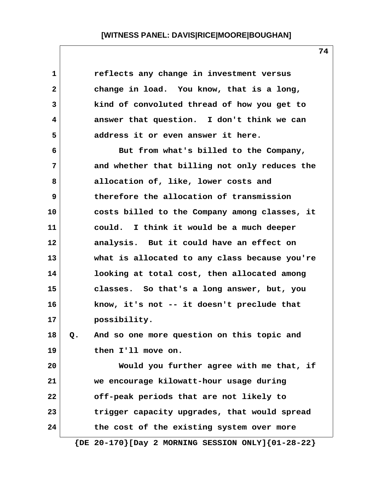| 1            |    | reflects any change in investment versus                    |
|--------------|----|-------------------------------------------------------------|
| $\mathbf{2}$ |    | change in load. You know, that is a long,                   |
| 3            |    | kind of convoluted thread of how you get to                 |
| 4            |    | answer that question. I don't think we can                  |
| 5            |    | address it or even answer it here.                          |
| 6            |    | But from what's billed to the Company,                      |
| 7            |    | and whether that billing not only reduces the               |
| 8            |    | allocation of, like, lower costs and                        |
| 9            |    | therefore the allocation of transmission                    |
| 10           |    | costs billed to the Company among classes, it               |
| 11           |    | could. I think it would be a much deeper                    |
| 12           |    | analysis. But it could have an effect on                    |
| 13           |    | what is allocated to any class because you're               |
| 14           |    | looking at total cost, then allocated among                 |
| 15           |    | classes. So that's a long answer, but, you                  |
| 16           |    | know, it's not -- it doesn't preclude that                  |
| 17           |    | possibility.                                                |
| 18           | Q. | And so one more question on this topic and                  |
| 19           |    | then I'll move on.                                          |
| 20           |    | Would you further agree with me that, if                    |
| 21           |    | we encourage kilowatt-hour usage during                     |
| 22           |    | off-peak periods that are not likely to                     |
| 23           |    | trigger capacity upgrades, that would spread                |
| 24           |    | the cost of the existing system over more                   |
|              |    | $\{DE 20-170\}$ [Day 2 MORNING SESSION ONLY] $\{01-28-22\}$ |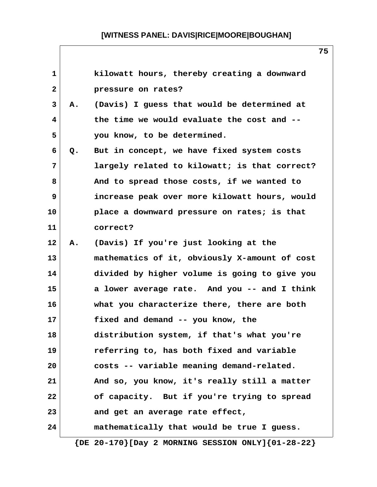| $\mathbf{1}$   |    | kilowatt hours, thereby creating a downward                 |
|----------------|----|-------------------------------------------------------------|
| $\overline{2}$ |    | pressure on rates?                                          |
| 3              | Α. | (Davis) I guess that would be determined at                 |
| 4              |    | the time we would evaluate the cost and --                  |
| 5              |    | you know, to be determined.                                 |
| 6              | Q. | But in concept, we have fixed system costs                  |
| $7\phantom{.}$ |    | largely related to kilowatt; is that correct?               |
| 8              |    | And to spread those costs, if we wanted to                  |
| 9              |    | increase peak over more kilowatt hours, would               |
| 10             |    | place a downward pressure on rates; is that                 |
| 11             |    | correct?                                                    |
| 12             | Α. | (Davis) If you're just looking at the                       |
| 13             |    | mathematics of it, obviously X-amount of cost               |
| 14             |    | divided by higher volume is going to give you               |
| 15             |    | a lower average rate. And you -- and I think                |
| 16             |    | what you characterize there, there are both                 |
| 17             |    | fixed and demand -- you know, the                           |
| 18             |    | distribution system, if that's what you're                  |
| 19             |    | referring to, has both fixed and variable                   |
| 20             |    | costs -- variable meaning demand-related.                   |
| 21             |    | And so, you know, it's really still a matter                |
| 22             |    | of capacity. But if you're trying to spread                 |
| 23             |    | and get an average rate effect,                             |
| 24             |    | mathematically that would be true I guess.                  |
|                |    | $\{DE 20-170\}$ [Day 2 MORNING SESSION ONLY] $\{01-28-22\}$ |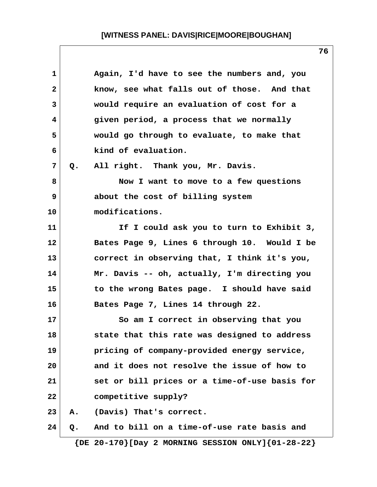| 1            |    | Again, I'd have to see the numbers and, you   |
|--------------|----|-----------------------------------------------|
| $\mathbf{2}$ |    | know, see what falls out of those. And that   |
| 3            |    | would require an evaluation of cost for a     |
| 4            |    | given period, a process that we normally      |
| 5            |    | would go through to evaluate, to make that    |
| 6            |    | kind of evaluation.                           |
| 7            | Q. | All right. Thank you, Mr. Davis.              |
| 8            |    | Now I want to move to a few questions         |
| 9            |    | about the cost of billing system              |
| 10           |    | modifications.                                |
| 11           |    | If I could ask you to turn to Exhibit 3,      |
| 12           |    | Bates Page 9, Lines 6 through 10. Would I be  |
| 13           |    | correct in observing that, I think it's you,  |
| 14           |    | Mr. Davis -- oh, actually, I'm directing you  |
| 15           |    | to the wrong Bates page. I should have said   |
| 16           |    | Bates Page 7, Lines 14 through 22.            |
| 17           |    | So am I correct in observing that you         |
| 18           |    | state that this rate was designed to address  |
| 19           |    | pricing of company-provided energy service,   |
| 20           |    | and it does not resolve the issue of how to   |
| 21           |    | set or bill prices or a time-of-use basis for |
| 22           |    | competitive supply?                           |
| 23           | Α. | (Davis) That's correct.                       |
| 24           | Q. | And to bill on a time-of-use rate basis and   |
|              |    |                                               |

 **{DE 20-170}[Day 2 MORNING SESSION ONLY]{01-28-22}**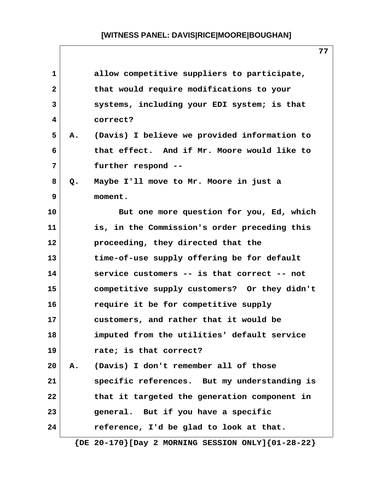**77**

|    | allow competitive suppliers to participate,  |
|----|----------------------------------------------|
|    | that would require modifications to your     |
|    | systems, including your EDI system; is that  |
|    | correct?                                     |
| Α. | (Davis) I believe we provided information to |
|    | that effect. And if Mr. Moore would like to  |
|    | further respond --                           |
| Q. | Maybe I'll move to Mr. Moore in just a       |
|    | moment.                                      |
|    | But one more question for you, Ed, which     |
|    | is, in the Commission's order preceding this |
|    | proceeding, they directed that the           |
|    | time-of-use supply offering be for default   |
|    | service customers -- is that correct -- not  |
|    | competitive supply customers? Or they didn't |
|    | require it be for competitive supply         |
|    | customers, and rather that it would be       |
|    | imputed from the utilities' default service  |
|    | rate; is that correct?                       |
| Α. | (Davis) I don't remember all of those        |
|    | specific references. But my understanding is |
|    | that it targeted the generation component in |
|    | general. But if you have a specific          |
|    | reference, I'd be glad to look at that.      |
|    |                                              |

 **{DE 20-170}[Day 2 MORNING SESSION ONLY]{01-28-22}**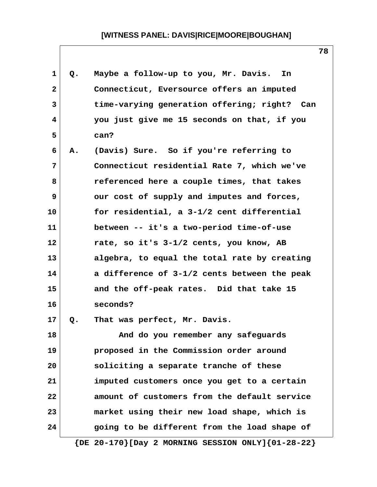| 1  | Q. | Maybe a follow-up to you, Mr. Davis.<br>In                  |
|----|----|-------------------------------------------------------------|
| 2  |    | Connecticut, Eversource offers an imputed                   |
| 3  |    | time-varying generation offering; right? Can                |
| 4  |    | you just give me 15 seconds on that, if you                 |
| 5  |    | can?                                                        |
| 6  | Α. | (Davis) Sure. So if you're referring to                     |
| 7  |    | Connecticut residential Rate 7, which we've                 |
| 8  |    | referenced here a couple times, that takes                  |
| 9  |    | our cost of supply and imputes and forces,                  |
| 10 |    | for residential, a 3-1/2 cent differential                  |
| 11 |    | between -- it's a two-period time-of-use                    |
| 12 |    | rate, so it's 3-1/2 cents, you know, AB                     |
| 13 |    | algebra, to equal the total rate by creating                |
| 14 |    | a difference of 3-1/2 cents between the peak                |
| 15 |    | and the off-peak rates. Did that take 15                    |
| 16 |    | seconds?                                                    |
| 17 | Q. | That was perfect, Mr. Davis.                                |
| 18 |    | And do you remember any safeguards                          |
| 19 |    | proposed in the Commission order around                     |
| 20 |    | soliciting a separate tranche of these                      |
| 21 |    | imputed customers once you get to a certain                 |
| 22 |    | amount of customers from the default service                |
| 23 |    | market using their new load shape, which is                 |
| 24 |    | going to be different from the load shape of                |
|    |    | $\{DE 20-170\}$ [Day 2 MORNING SESSION ONLY] $\{01-28-22\}$ |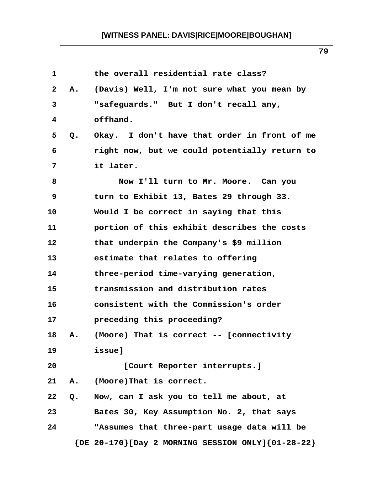| $\mathbf 1$  |    | the overall residential rate class?                         |
|--------------|----|-------------------------------------------------------------|
| $\mathbf{2}$ | Α. | (Davis) Well, I'm not sure what you mean by                 |
| 3            |    | "safeguards." But I don't recall any,                       |
| 4            |    | offhand.                                                    |
| 5            | Q. | Okay. I don't have that order in front of me                |
| 6            |    | right now, but we could potentially return to               |
| 7            |    | it later.                                                   |
| 8            |    | Now I'll turn to Mr. Moore. Can you                         |
| 9            |    | turn to Exhibit 13, Bates 29 through 33.                    |
| 10           |    | Would I be correct in saying that this                      |
| 11           |    | portion of this exhibit describes the costs                 |
| 12           |    | that underpin the Company's \$9 million                     |
| 13           |    | estimate that relates to offering                           |
| 14           |    | three-period time-varying generation,                       |
| 15           |    | transmission and distribution rates                         |
| 16           |    | consistent with the Commission's order                      |
| 17           |    | preceding this proceeding?                                  |
| 18           | Α. | (Moore) That is correct -- [connectivity                    |
| 19           |    | issue]                                                      |
| 20           |    | [Court Reporter interrupts.]                                |
| 21           | Α. | (Moore)That is correct.                                     |
| 22           | Q. | Now, can I ask you to tell me about, at                     |
| 23           |    | Bates 30, Key Assumption No. 2, that says                   |
| 24           |    | "Assumes that three-part usage data will be                 |
|              |    | $\{DE 20-170\}$ [Day 2 MORNING SESSION ONLY] $\{01-28-22\}$ |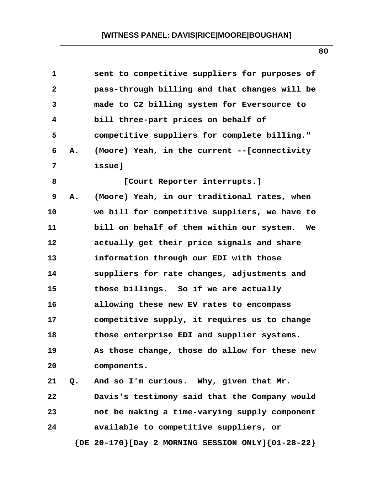| $\mathbf 1$  |       | sent to competitive suppliers for purposes of |
|--------------|-------|-----------------------------------------------|
| $\mathbf{2}$ |       | pass-through billing and that changes will be |
| 3            |       | made to C2 billing system for Eversource to   |
| 4            |       | bill three-part prices on behalf of           |
| 5            |       | competitive suppliers for complete billing."  |
| 6            | Α.    | (Moore) Yeah, in the current --[connectivity  |
| 7            |       | issue]                                        |
| 8            |       | [Court Reporter interrupts.]                  |
| 9            | Α.    | (Moore) Yeah, in our traditional rates, when  |
| 10           |       | we bill for competitive suppliers, we have to |
| 11           |       | bill on behalf of them within our system. We  |
| 12           |       | actually get their price signals and share    |
| 13           |       | information through our EDI with those        |
| 14           |       | suppliers for rate changes, adjustments and   |
| 15           |       | those billings. So if we are actually         |
| 16           |       | allowing these new EV rates to encompass      |
| 17           |       | competitive supply, it requires us to change  |
| 18           |       | those enterprise EDI and supplier systems.    |
| 19           |       | As those change, those do allow for these new |
| 20           |       | components.                                   |
| 21           | $Q$ . | And so I'm curious. Why, given that Mr.       |
| 22           |       | Davis's testimony said that the Company would |
| 23           |       | not be making a time-varying supply component |
| 24           |       | available to competitive suppliers, or        |

 **{DE 20-170}[Day 2 MORNING SESSION ONLY]{01-28-22}**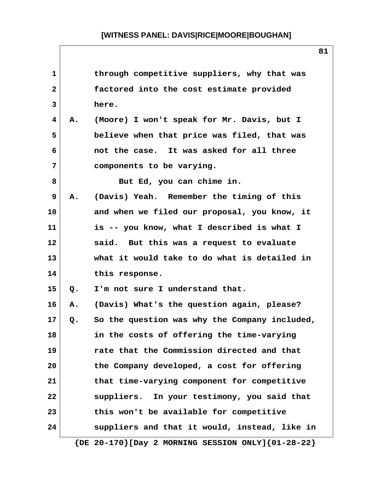| $\mathbf{1}$   |    | through competitive suppliers, why that was                 |
|----------------|----|-------------------------------------------------------------|
| $\overline{a}$ |    | factored into the cost estimate provided                    |
| 3              |    | here.                                                       |
| 4              | Α. | (Moore) I won't speak for Mr. Davis, but I                  |
| 5              |    | believe when that price was filed, that was                 |
| 6              |    | not the case. It was asked for all three                    |
| 7              |    | components to be varying.                                   |
| 8              |    | But Ed, you can chime in.                                   |
| 9              | Α. | (Davis) Yeah. Remember the timing of this                   |
| 10             |    | and when we filed our proposal, you know, it                |
| 11             |    | is -- you know, what I described is what I                  |
| 12             |    | said. But this was a request to evaluate                    |
| 13             |    | what it would take to do what is detailed in                |
| 14             |    | this response.                                              |
| 15             | Q. | I'm not sure I understand that.                             |
| 16             | Α. | (Davis) What's the question again, please?                  |
| 17             | Q. | So the question was why the Company included,               |
| 18             |    | in the costs of offering the time-varying                   |
| 19             |    | rate that the Commission directed and that                  |
| 20             |    | the Company developed, a cost for offering                  |
| 21             |    | that time-varying component for competitive                 |
| 22             |    | suppliers. In your testimony, you said that                 |
| 23             |    | this won't be available for competitive                     |
| 24             |    | suppliers and that it would, instead, like in               |
|                |    | $\{DE 20-170\}$ [Day 2 MORNING SESSION ONLY] $\{01-28-22\}$ |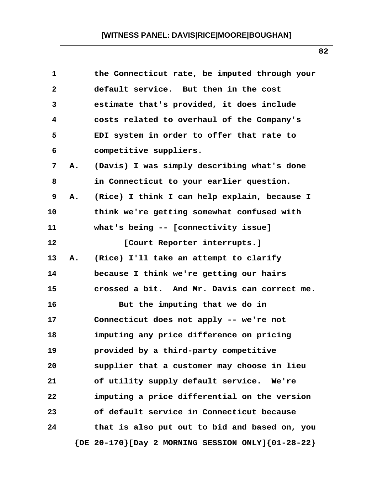| $\mathbf{1}$ |    | the Connecticut rate, be imputed through your               |
|--------------|----|-------------------------------------------------------------|
| $\mathbf{2}$ |    | default service. But then in the cost                       |
| 3            |    | estimate that's provided, it does include                   |
| 4            |    | costs related to overhaul of the Company's                  |
| 5            |    | EDI system in order to offer that rate to                   |
| 6            |    | competitive suppliers.                                      |
| 7            | Α. | (Davis) I was simply describing what's done                 |
| 8            |    | in Connecticut to your earlier question.                    |
| 9            | Α. | (Rice) I think I can help explain, because I                |
| 10           |    | think we're getting somewhat confused with                  |
| 11           |    | what's being -- [connectivity issue]                        |
| 12           |    | [Court Reporter interrupts.]                                |
| 13           | Α. | (Rice) I'll take an attempt to clarify                      |
| 14           |    | because I think we're getting our hairs                     |
| 15           |    | crossed a bit. And Mr. Davis can correct me.                |
| 16           |    | But the imputing that we do in                              |
| 17           |    | Connecticut does not apply -- we're not                     |
| 18           |    | imputing any price difference on pricing                    |
| 19           |    | provided by a third-party competitive                       |
| 20           |    | supplier that a customer may choose in lieu                 |
| 21           |    | of utility supply default service. We're                    |
| 22           |    | imputing a price differential on the version                |
| 23           |    | of default service in Connecticut because                   |
| 24           |    | that is also put out to bid and based on, you               |
|              |    | $\{DE 20-170\}$ [Day 2 MORNING SESSION ONLY] $\{01-28-22\}$ |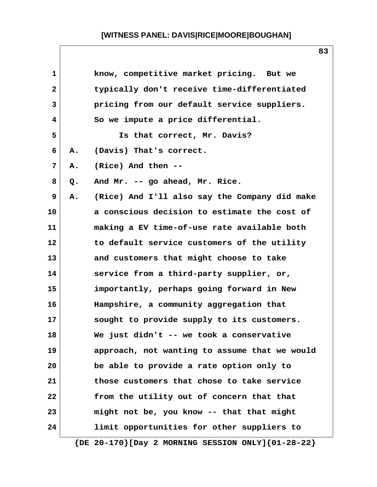| $\mathbf{1}$   |    | know, competitive market pricing. But we                    |
|----------------|----|-------------------------------------------------------------|
| $\overline{2}$ |    | typically don't receive time-differentiated                 |
| 3              |    | pricing from our default service suppliers.                 |
| 4              |    | So we impute a price differential.                          |
| 5              |    | Is that correct, Mr. Davis?                                 |
| 6              | Α. | (Davis) That's correct.                                     |
| 7              | Α. | (Rice) And then --                                          |
| 8              | Q. | And Mr. -- go ahead, Mr. Rice.                              |
| 9              | Α. | (Rice) And I'll also say the Company did make               |
| 10             |    | a conscious decision to estimate the cost of                |
| 11             |    | making a EV time-of-use rate available both                 |
| 12             |    | to default service customers of the utility                 |
| 13             |    | and customers that might choose to take                     |
| 14             |    | service from a third-party supplier, or,                    |
| 15             |    | importantly, perhaps going forward in New                   |
| 16             |    | Hampshire, a community aggregation that                     |
| 17             |    | sought to provide supply to its customers.                  |
| 18             |    | We just didn't -- we took a conservative                    |
| 19             |    | approach, not wanting to assume that we would               |
| 20             |    | be able to provide a rate option only to                    |
| 21             |    | those customers that chose to take service                  |
| 22             |    | from the utility out of concern that that                   |
| 23             |    | might not be, you know -- that that might                   |
| 24             |    | limit opportunities for other suppliers to                  |
|                |    | $\{DE 20-170\}$ [Day 2 MORNING SESSION ONLY] $\{01-28-22\}$ |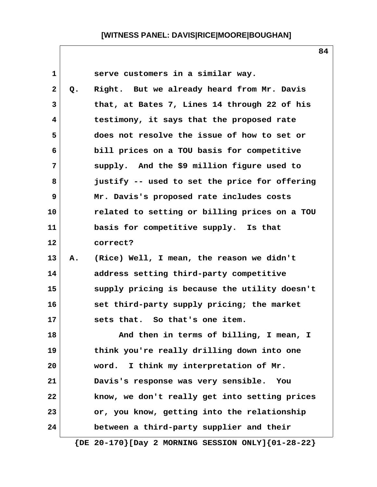| $\mathbf{1}$ |    | serve customers in a similar way.                           |
|--------------|----|-------------------------------------------------------------|
| $\mathbf{2}$ | Q. | Right. But we already heard from Mr. Davis                  |
| 3            |    | that, at Bates 7, Lines 14 through 22 of his                |
| 4            |    | testimony, it says that the proposed rate                   |
| 5            |    | does not resolve the issue of how to set or                 |
| 6            |    | bill prices on a TOU basis for competitive                  |
| 7            |    | supply. And the \$9 million figure used to                  |
| 8            |    | justify -- used to set the price for offering               |
| 9            |    | Mr. Davis's proposed rate includes costs                    |
| 10           |    | related to setting or billing prices on a TOU               |
| 11           |    | basis for competitive supply. Is that                       |
| 12           |    | correct?                                                    |
| 13           | Α. | (Rice) Well, I mean, the reason we didn't                   |
| 14           |    | address setting third-party competitive                     |
| 15           |    | supply pricing is because the utility doesn't               |
| 16           |    | set third-party supply pricing; the market                  |
| 17           |    | sets that. So that's one item.                              |
| 18           |    | And then in terms of billing, I mean, I                     |
| 19           |    | think you're really drilling down into one                  |
| 20           |    | I think my interpretation of Mr.<br>word.                   |
| 21           |    | Davis's response was very sensible.<br>You                  |
| 22           |    | know, we don't really get into setting prices               |
| 23           |    | or, you know, getting into the relationship                 |
| 24           |    | between a third-party supplier and their                    |
|              |    | $\{DE 20-170\}$ [Day 2 MORNING SESSION ONLY] $\{01-28-22\}$ |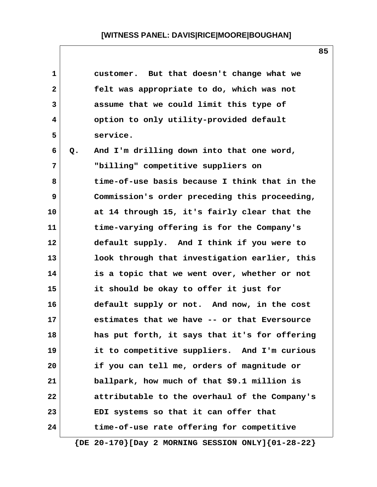| 1            |    | customer. But that doesn't change what we     |
|--------------|----|-----------------------------------------------|
| $\mathbf{2}$ |    | felt was appropriate to do, which was not     |
| 3            |    | assume that we could limit this type of       |
| 4            |    | option to only utility-provided default       |
| 5            |    | service.                                      |
| 6            | Q. | And I'm drilling down into that one word,     |
| 7            |    | "billing" competitive suppliers on            |
| 8            |    | time-of-use basis because I think that in the |
| 9            |    | Commission's order preceding this proceeding, |
| 10           |    | at 14 through 15, it's fairly clear that the  |
| 11           |    | time-varying offering is for the Company's    |
| 12           |    | default supply. And I think if you were to    |
| 13           |    | look through that investigation earlier, this |
| 14           |    | is a topic that we went over, whether or not  |
| 15           |    | it should be okay to offer it just for        |
| 16           |    | default supply or not. And now, in the cost   |
| 17           |    | estimates that we have -- or that Eversource  |
| 18           |    | has put forth, it says that it's for offering |
| 19           |    | it to competitive suppliers. And I'm curious  |
| 20           |    | if you can tell me, orders of magnitude or    |
| 21           |    | ballpark, how much of that \$9.1 million is   |
| 22           |    | attributable to the overhaul of the Company's |
| 23           |    | EDI systems so that it can offer that         |
| 24           |    | time-of-use rate offering for competitive     |
|              |    |                                               |

 **{DE 20-170}[Day 2 MORNING SESSION ONLY]{01-28-22}**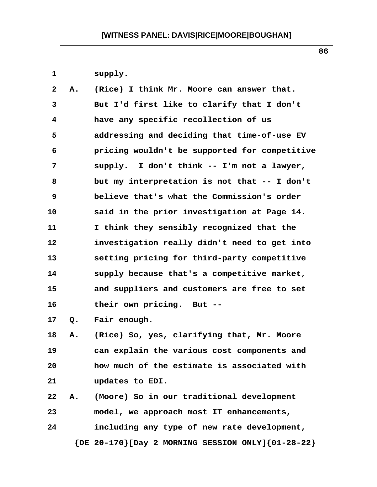1 supply.

| $\mathbf{2}$ | Α. | (Rice) I think Mr. Moore can answer that.     |
|--------------|----|-----------------------------------------------|
| 3            |    | But I'd first like to clarify that I don't    |
| 4            |    | have any specific recollection of us          |
| 5            |    | addressing and deciding that time-of-use EV   |
| 6            |    | pricing wouldn't be supported for competitive |
| 7            |    | supply. I don't think -- I'm not a lawyer,    |
| 8            |    | but my interpretation is not that -- I don't  |
| 9            |    | believe that's what the Commission's order    |
| 10           |    | said in the prior investigation at Page 14.   |
| 11           |    | I think they sensibly recognized that the     |
| 12           |    | investigation really didn't need to get into  |
| 13           |    | setting pricing for third-party competitive   |
| 14           |    | supply because that's a competitive market,   |
| 15           |    | and suppliers and customers are free to set   |
| 16           |    | their own pricing. But --                     |
| 17           | Q. | Fair enough.                                  |
| 18           | Α. | (Rice) So, yes, clarifying that, Mr. Moore    |
| 19           |    | can explain the various cost components and   |
| 20           |    | how much of the estimate is associated with   |
| 21           |    | updates to EDI.                               |
| 22           | Α. | (Moore) So in our traditional development     |
| 23           |    | model, we approach most IT enhancements,      |
| 24           |    | including any type of new rate development,   |

 **{DE 20-170}[Day 2 MORNING SESSION ONLY]{01-28-22}**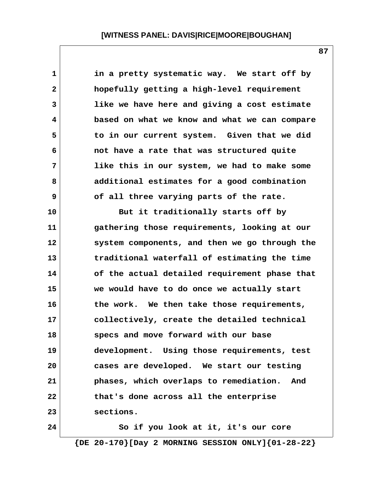**1 in a pretty systematic way. We start off by 2 hopefully getting a high-level requirement 3 like we have here and giving a cost estimate 4 based on what we know and what we can compare 5 to in our current system. Given that we did 6 not have a rate that was structured quite 7 like this in our system, we had to make some 8 additional estimates for a good combination 9 of all three varying parts of the rate. 10 But it traditionally starts off by 11 gathering those requirements, looking at our 12 system components, and then we go through the 13 traditional waterfall of estimating the time 14 of the actual detailed requirement phase that 15 we would have to do once we actually start 16 the work. We then take those requirements, 17 collectively, create the detailed technical 18 specs and move forward with our base 19 development. Using those requirements, test 20 cases are developed. We start our testing 21 phases, which overlaps to remediation. And 22 that's done across all the enterprise 23 sections. 24 So if you look at it, it's our core**

 **{DE 20-170}[Day 2 MORNING SESSION ONLY]{01-28-22}**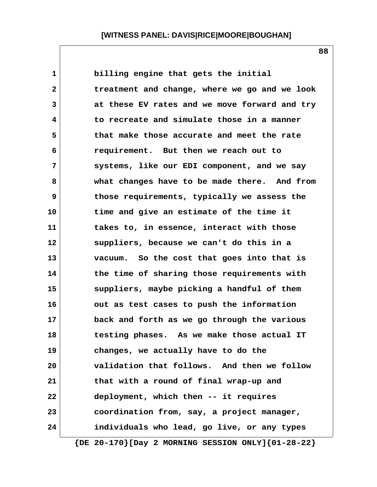**1 billing engine that gets the initial 2 treatment and change, where we go and we look 3 at these EV rates and we move forward and try 4 to recreate and simulate those in a manner 5 that make those accurate and meet the rate 6 requirement. But then we reach out to 7 systems, like our EDI component, and we say 8 what changes have to be made there. And from 9 those requirements, typically we assess the 10 time and give an estimate of the time it 11 takes to, in essence, interact with those 12 suppliers, because we can't do this in a 13 vacuum. So the cost that goes into that is 14 the time of sharing those requirements with 15 suppliers, maybe picking a handful of them 16 out as test cases to push the information 17 back and forth as we go through the various 18 testing phases. As we make those actual IT 19 changes, we actually have to do the 20 validation that follows. And then we follow 21 that with a round of final wrap-up and 22 deployment, which then -- it requires 23 coordination from, say, a project manager, 24 individuals who lead, go live, or any types**

**88**

 **{DE 20-170}[Day 2 MORNING SESSION ONLY]{01-28-22}**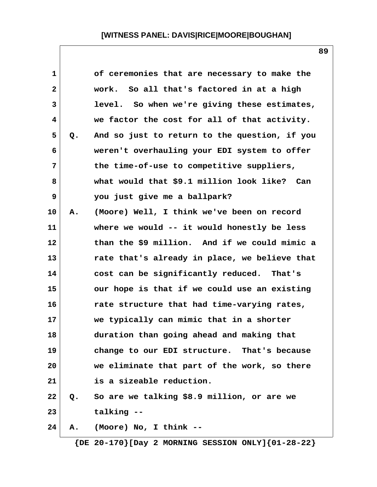| $\mathbf 1$  |               | of ceremonies that are necessary to make the  |
|--------------|---------------|-----------------------------------------------|
| $\mathbf{2}$ |               | work. So all that's factored in at a high     |
| 3            |               | level. So when we're giving these estimates,  |
| 4            |               | we factor the cost for all of that activity.  |
| 5            | Q.            | And so just to return to the question, if you |
| 6            |               | weren't overhauling your EDI system to offer  |
| 7            |               | the time-of-use to competitive suppliers,     |
| 8            |               | what would that \$9.1 million look like? Can  |
| 9            |               | you just give me a ballpark?                  |
| 10           | Α.            | (Moore) Well, I think we've been on record    |
| 11           |               | where we would -- it would honestly be less   |
| 12           |               | than the \$9 million. And if we could mimic a |
| 13           |               | rate that's already in place, we believe that |
| 14           |               | cost can be significantly reduced. That's     |
| 15           |               | our hope is that if we could use an existing  |
| 16           |               | rate structure that had time-varying rates,   |
| 17           |               | we typically can mimic that in a shorter      |
| 18           |               | duration than going ahead and making that     |
| 19           |               | change to our EDI structure. That's because   |
| 20           |               | we eliminate that part of the work, so there  |
| 21           |               | is a sizeable reduction.                      |
| 22           | $Q_{\bullet}$ | So are we talking \$8.9 million, or are we    |
| 23           |               | talking --                                    |
| 24           | Α.            | (Moore) No, I think --                        |

 **{DE 20-170}[Day 2 MORNING SESSION ONLY]{01-28-22}**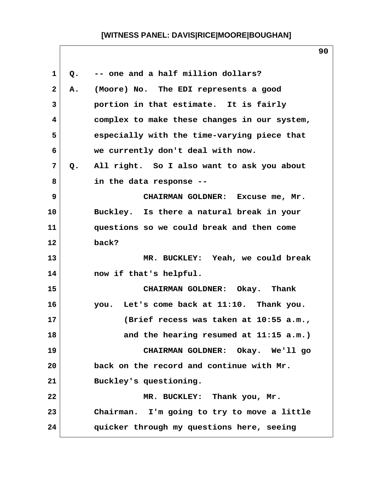| $\mathbf 1$             | Q. | -- one and a half million dollars?           |
|-------------------------|----|----------------------------------------------|
| $\mathbf{2}$            | Α. | (Moore) No. The EDI represents a good        |
| $\mathbf{3}$            |    | portion in that estimate. It is fairly       |
| $\overline{\mathbf{4}}$ |    | complex to make these changes in our system, |
| 5                       |    | especially with the time-varying piece that  |
| 6                       |    | we currently don't deal with now.            |
| 7                       | Q. | All right. So I also want to ask you about   |
| 8                       |    | in the data response --                      |
| 9                       |    | CHAIRMAN GOLDNER: Excuse me, Mr.             |
| 10                      |    | Buckley. Is there a natural break in your    |
| 11                      |    | questions so we could break and then come    |
| 12 <sub>2</sub>         |    | back?                                        |
| 13                      |    | MR. BUCKLEY: Yeah, we could break            |
| 14                      |    | now if that's helpful.                       |
| 15                      |    | CHAIRMAN GOLDNER: Okay. Thank                |
| 16                      |    | you. Let's come back at 11:10. Thank you.    |
| 17                      |    | (Brief recess was taken at 10:55 a.m.,       |
| 18                      |    | and the hearing resumed at 11:15 a.m.)       |
| 19                      |    | CHAIRMAN GOLDNER: Okay. We'll go             |
| 20                      |    | back on the record and continue with Mr.     |
| 21                      |    | Buckley's questioning.                       |
| 22                      |    | MR. BUCKLEY: Thank you, Mr.                  |
| 23                      |    | Chairman. I'm going to try to move a little  |
| 24                      |    | quicker through my questions here, seeing    |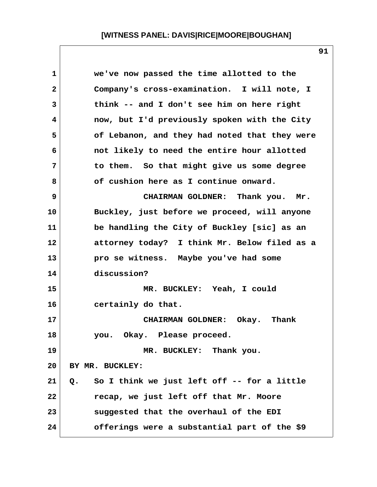| 1  | we've now passed the time allotted to the         |
|----|---------------------------------------------------|
| 2  | Company's cross-examination. I will note, I       |
| 3  | think -- and I don't see him on here right        |
| 4  | now, but I'd previously spoken with the City      |
| 5  | of Lebanon, and they had noted that they were     |
| 6  | not likely to need the entire hour allotted       |
| 7  | to them. So that might give us some degree        |
| 8  | of cushion here as I continue onward.             |
| 9  | CHAIRMAN GOLDNER: Thank you. Mr.                  |
| 10 | Buckley, just before we proceed, will anyone      |
| 11 | be handling the City of Buckley [sic] as an       |
| 12 | attorney today? I think Mr. Below filed as a      |
| 13 | pro se witness. Maybe you've had some             |
| 14 | discussion?                                       |
| 15 | MR. BUCKLEY: Yeah, I could                        |
| 16 | certainly do that.                                |
| 17 | CHAIRMAN GOLDNER: Okay. Thank                     |
| 18 | you. Okay. Please proceed.                        |
| 19 | MR. BUCKLEY: Thank you.                           |
| 20 | BY MR. BUCKLEY:                                   |
| 21 | So I think we just left off -- for a little<br>Q. |
| 22 | recap, we just left off that Mr. Moore            |
| 23 | suggested that the overhaul of the EDI            |
| 24 | offerings were a substantial part of the \$9      |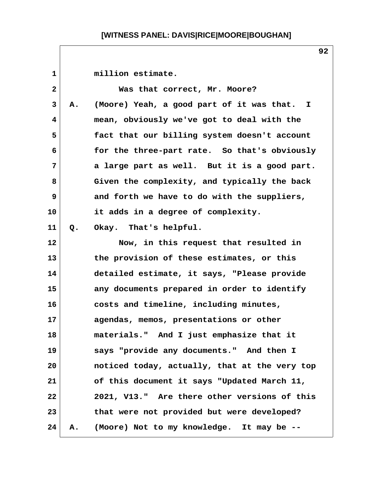| $\mathbf 1$  |    | million estimate.                             |
|--------------|----|-----------------------------------------------|
| $\mathbf{2}$ |    | Was that correct, Mr. Moore?                  |
| 3            | Α. | (Moore) Yeah, a good part of it was that. I   |
| 4            |    | mean, obviously we've got to deal with the    |
| 5            |    | fact that our billing system doesn't account  |
| 6            |    | for the three-part rate. So that's obviously  |
| 7            |    | a large part as well. But it is a good part.  |
| 8            |    | Given the complexity, and typically the back  |
| 9            |    | and forth we have to do with the suppliers,   |
| 10           |    | it adds in a degree of complexity.            |
| 11           | Q. | Okay. That's helpful.                         |
| 12           |    | Now, in this request that resulted in         |
| 13           |    | the provision of these estimates, or this     |
| 14           |    | detailed estimate, it says, "Please provide   |
| 15           |    | any documents prepared in order to identify   |
| 16           |    | costs and timeline, including minutes,        |
| 17           |    | agendas, memos, presentations or other        |
| 18           |    | materials." And I just emphasize that it      |
| 19           |    | says "provide any documents." And then I      |
| 20           |    | noticed today, actually, that at the very top |
| 21           |    | of this document it says "Updated March 11,   |
| 22           |    | 2021, V13." Are there other versions of this  |
| 23           |    | that were not provided but were developed?    |
| 24           | Α. | (Moore) Not to my knowledge. It may be --     |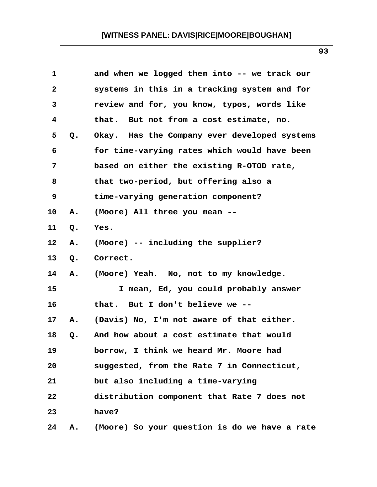| 1            |    | and when we logged them into -- we track our  |
|--------------|----|-----------------------------------------------|
| $\mathbf{2}$ |    | systems in this in a tracking system and for  |
| 3            |    | review and for, you know, typos, words like   |
| 4            |    | But not from a cost estimate, no.<br>that.    |
| 5            | Q. | Okay. Has the Company ever developed systems  |
| 6            |    | for time-varying rates which would have been  |
| 7            |    | based on either the existing R-OTOD rate,     |
| 8            |    | that two-period, but offering also a          |
| 9            |    | time-varying generation component?            |
| 10           | Α. | (Moore) All three you mean --                 |
| 11           | Q. | Yes.                                          |
| 12           | Α. | (Moore) -- including the supplier?            |
| 13           | Q. | Correct.                                      |
| 14           | Α. | (Moore) Yeah. No, not to my knowledge.        |
| 15           |    | I mean, Ed, you could probably answer         |
| 16           |    | But I don't believe we --<br>that.            |
| 17           | Α. | (Davis) No, I'm not aware of that either.     |
| 18           | Q. | And how about a cost estimate that would      |
| 19           |    | borrow, I think we heard Mr. Moore had        |
| 20           |    | suggested, from the Rate 7 in Connecticut,    |
| 21           |    | but also including a time-varying             |
| 22           |    | distribution component that Rate 7 does not   |
| 23           |    | have?                                         |
| 24           | Α. | (Moore) So your question is do we have a rate |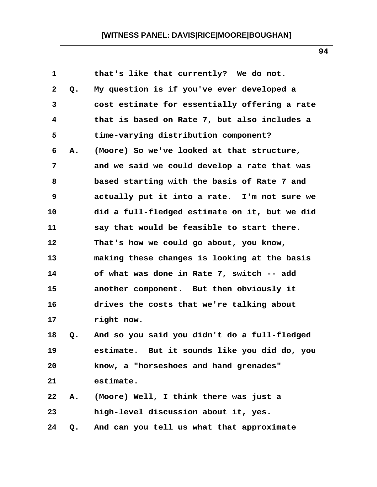| $\mathbf{1}$ |    | that's like that currently? We do not.        |
|--------------|----|-----------------------------------------------|
| $\mathbf{2}$ | Q. | My question is if you've ever developed a     |
| 3            |    | cost estimate for essentially offering a rate |
| 4            |    | that is based on Rate 7, but also includes a  |
| 5            |    | time-varying distribution component?          |
| 6            | Α. | (Moore) So we've looked at that structure,    |
| 7            |    | and we said we could develop a rate that was  |
| 8            |    | based starting with the basis of Rate 7 and   |
| 9            |    | actually put it into a rate. I'm not sure we  |
| 10           |    | did a full-fledged estimate on it, but we did |
| 11           |    | say that would be feasible to start there.    |
| 12           |    | That's how we could go about, you know,       |
| 13           |    | making these changes is looking at the basis  |
| 14           |    | of what was done in Rate 7, switch -- add     |
| 15           |    | another component. But then obviously it      |
| 16           |    | drives the costs that we're talking about     |
| 17           |    | right now.                                    |
| 18           | Q. | And so you said you didn't do a full-fledged  |
| 19           |    | estimate. But it sounds like you did do, you  |
| 20           |    | know, a "horseshoes and hand grenades"        |
| 21           |    | estimate.                                     |
| 22           | Α. | (Moore) Well, I think there was just a        |
| 23           |    | high-level discussion about it, yes.          |
| 24           | Q. | And can you tell us what that approximate     |
|              |    |                                               |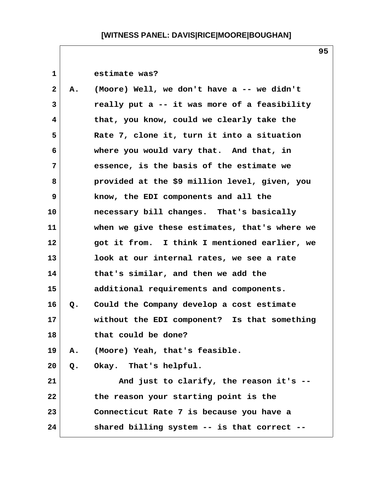| $\mathbf 1$    |    | estimate was?                                 |
|----------------|----|-----------------------------------------------|
| $\mathbf{2}$   | А. | (Moore) Well, we don't have a -- we didn't    |
| 3              |    | really put a -- it was more of a feasibility  |
| 4              |    | that, you know, could we clearly take the     |
| 5              |    | Rate 7, clone it, turn it into a situation    |
| 6              |    | where you would vary that. And that, in       |
| $\overline{7}$ |    | essence, is the basis of the estimate we      |
| 8              |    | provided at the \$9 million level, given, you |
| 9              |    | know, the EDI components and all the          |
| 10             |    | necessary bill changes. That's basically      |
| 11             |    | when we give these estimates, that's where we |
| 12             |    | got it from. I think I mentioned earlier, we  |
| 13             |    | look at our internal rates, we see a rate     |
| 14             |    | that's similar, and then we add the           |
| 15             |    | additional requirements and components.       |
| 16             | Q. | Could the Company develop a cost estimate     |
| 17             |    | without the EDI component? Is that something  |
| 18             |    | that could be done?                           |
| 19             | Α. | (Moore) Yeah, that's feasible.                |
| 20             | Q. | Okay. That's helpful.                         |
| 21             |    | And just to clarify, the reason it's --       |
| 22             |    | the reason your starting point is the         |
| 23             |    | Connecticut Rate 7 is because you have a      |
| 24             |    | shared billing system -- is that correct --   |

 $\mathsf{l}$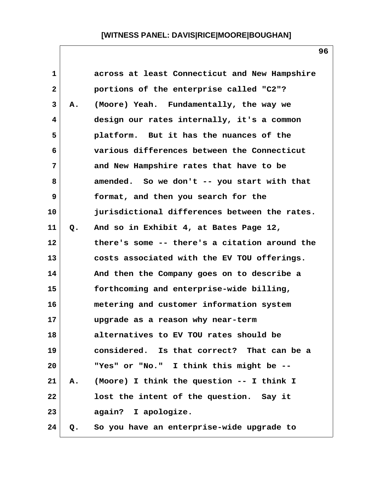| $\mathbf{1}$ |    | across at least Connecticut and New Hampshire |
|--------------|----|-----------------------------------------------|
| $\mathbf{2}$ |    | portions of the enterprise called "C2"?       |
| 3            | Α. | (Moore) Yeah. Fundamentally, the way we       |
| 4            |    | design our rates internally, it's a common    |
| 5            |    | platform. But it has the nuances of the       |
| 6            |    | various differences between the Connecticut   |
| 7            |    | and New Hampshire rates that have to be       |
| 8            |    | amended. So we don't -- you start with that   |
| 9            |    | format, and then you search for the           |
| 10           |    | jurisdictional differences between the rates. |
| 11           | Q. | And so in Exhibit 4, at Bates Page 12,        |
| 12           |    | there's some -- there's a citation around the |
| 13           |    | costs associated with the EV TOU offerings.   |
| 14           |    | And then the Company goes on to describe a    |
| 15           |    | forthcoming and enterprise-wide billing,      |
| 16           |    | metering and customer information system      |
| 17           |    | upgrade as a reason why near-term             |
| 18           |    | alternatives to EV TOU rates should be        |
| 19           |    | considered. Is that correct? That can be a    |
| 20           |    | "Yes" or "No." I think this might be --       |
| 21           | Α. | (Moore) I think the question -- I think I     |
| 22           |    | lost the intent of the question. Say it       |
| 23           |    | again? I apologize.                           |
| 24           | Q. | So you have an enterprise-wide upgrade to     |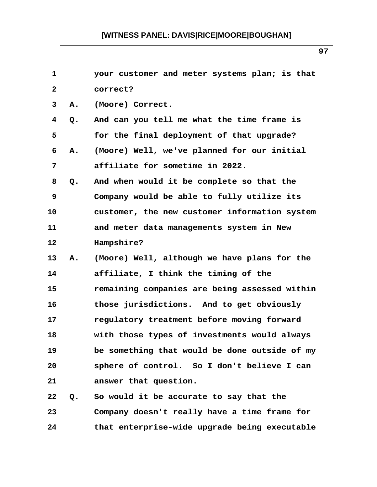| $\mathbf{1}$ |    | your customer and meter systems plan; is that |
|--------------|----|-----------------------------------------------|
| 2            |    | correct?                                      |
| 3            | Α. | (Moore) Correct.                              |
| 4            | Q. | And can you tell me what the time frame is    |
| 5            |    | for the final deployment of that upgrade?     |
| 6            | Α. | (Moore) Well, we've planned for our initial   |
| 7            |    | affiliate for sometime in 2022.               |
| 8            | Q. | And when would it be complete so that the     |
| 9            |    | Company would be able to fully utilize its    |
| 10           |    | customer, the new customer information system |
| 11           |    | and meter data managements system in New      |
| 12           |    | Hampshire?                                    |
| 13           | Α. | (Moore) Well, although we have plans for the  |
| 14           |    | affiliate, I think the timing of the          |
| 15           |    | remaining companies are being assessed within |
| 16           |    | those jurisdictions. And to get obviously     |
| 17           |    | regulatory treatment before moving forward    |
| 18           |    | with those types of investments would always  |
| 19           |    | be something that would be done outside of my |
| 20           |    | sphere of control. So I don't believe I can   |
| 21           |    | answer that question.                         |
| 22           | Q. | So would it be accurate to say that the       |
| 23           |    | Company doesn't really have a time frame for  |
| 24           |    | that enterprise-wide upgrade being executable |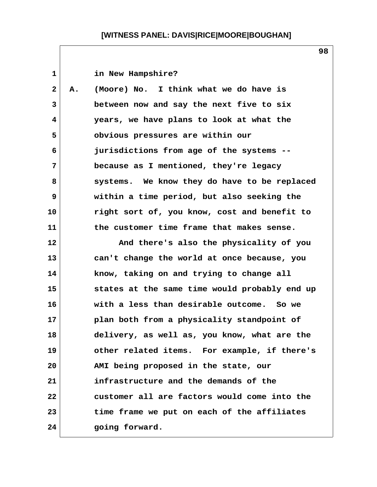| 1  |    | in New Hampshire?                             |
|----|----|-----------------------------------------------|
| 2  | Α. | (Moore) No. I think what we do have is        |
| 3  |    | between now and say the next five to six      |
| 4  |    | years, we have plans to look at what the      |
| 5  |    | obvious pressures are within our              |
| 6  |    | jurisdictions from age of the systems --      |
| 7  |    | because as I mentioned, they're legacy        |
| 8  |    | systems. We know they do have to be replaced  |
| 9  |    | within a time period, but also seeking the    |
| 10 |    | right sort of, you know, cost and benefit to  |
| 11 |    | the customer time frame that makes sense.     |
| 12 |    | And there's also the physicality of you       |
| 13 |    | can't change the world at once because, you   |
| 14 |    | know, taking on and trying to change all      |
| 15 |    | states at the same time would probably end up |
| 16 |    | with a less than desirable outcome. So we     |
| 17 |    | plan both from a physicality standpoint of    |
| 18 |    | delivery, as well as, you know, what are the  |
| 19 |    | other related items. For example, if there's  |
| 20 |    | AMI being proposed in the state, our          |
| 21 |    | infrastructure and the demands of the         |
| 22 |    | customer all are factors would come into the  |
| 23 |    | time frame we put on each of the affiliates   |
| 24 |    | going forward.                                |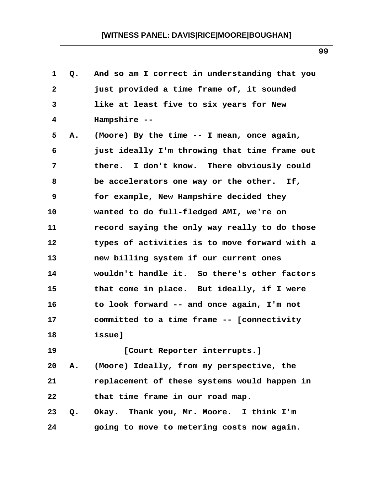| 1  | Q. | And so am I correct in understanding that you |
|----|----|-----------------------------------------------|
| 2  |    | just provided a time frame of, it sounded     |
| 3  |    | like at least five to six years for New       |
| 4  |    | Hampshire --                                  |
| 5  | Α. | (Moore) By the time -- I mean, once again,    |
| 6  |    | just ideally I'm throwing that time frame out |
| 7  |    | there. I don't know. There obviously could    |
| 8  |    | be accelerators one way or the other. If,     |
| 9  |    | for example, New Hampshire decided they       |
| 10 |    | wanted to do full-fledged AMI, we're on       |
| 11 |    | record saying the only way really to do those |
| 12 |    | types of activities is to move forward with a |
| 13 |    | new billing system if our current ones        |
| 14 |    | wouldn't handle it. So there's other factors  |
| 15 |    | that come in place. But ideally, if I were    |
| 16 |    | to look forward -- and once again, I'm not    |
| 17 |    | committed to a time frame -- [connectivity    |
| 18 |    | issue]                                        |
| 19 |    | [Court Reporter interrupts.]                  |
| 20 | Α. | (Moore) Ideally, from my perspective, the     |
| 21 |    | replacement of these systems would happen in  |
| 22 |    | that time frame in our road map.              |
| 23 | Q. | Okay. Thank you, Mr. Moore. I think I'm       |
| 24 |    | going to move to metering costs now again.    |
|    |    |                                               |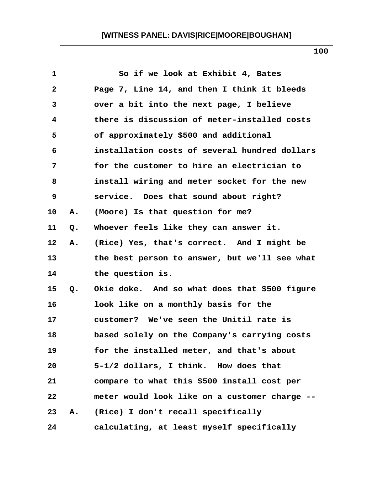| 1            |    | So if we look at Exhibit 4, Bates             |
|--------------|----|-----------------------------------------------|
| $\mathbf{2}$ |    | Page 7, Line 14, and then I think it bleeds   |
| 3            |    | over a bit into the next page, I believe      |
| 4            |    | there is discussion of meter-installed costs  |
| 5            |    | of approximately \$500 and additional         |
| 6            |    | installation costs of several hundred dollars |
| 7            |    | for the customer to hire an electrician to    |
| 8            |    | install wiring and meter socket for the new   |
| 9            |    | service. Does that sound about right?         |
| 10           | Α. | (Moore) Is that question for me?              |
| 11           | Q. | Whoever feels like they can answer it.        |
| 12           | Α. | (Rice) Yes, that's correct. And I might be    |
| 13           |    | the best person to answer, but we'll see what |
| 14           |    | the question is.                              |
| 15           | Q. | Okie doke. And so what does that \$500 figure |
| 16           |    | look like on a monthly basis for the          |
| 17           |    | customer? We've seen the Unitil rate is       |
| 18           |    | based solely on the Company's carrying costs  |
| 19           |    | for the installed meter, and that's about     |
| 20           |    | 5-1/2 dollars, I think. How does that         |
| 21           |    | compare to what this \$500 install cost per   |
| 22           |    | meter would look like on a customer charge -- |
| 23           | Α. | (Rice) I don't recall specifically            |
| 24           |    | calculating, at least myself specifically     |

 $\mathsf{l}$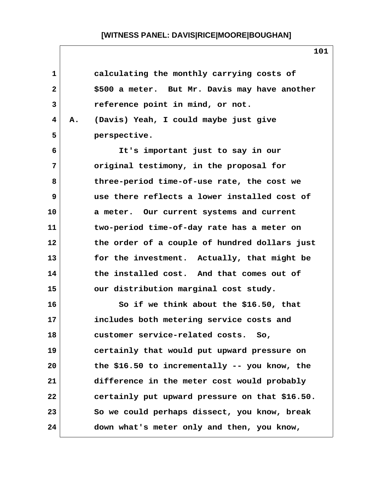| $\mathbf 1$  |    | calculating the monthly carrying costs of      |
|--------------|----|------------------------------------------------|
| $\mathbf{2}$ |    | \$500 a meter. But Mr. Davis may have another  |
| 3            |    | reference point in mind, or not.               |
| 4            | Α. | (Davis) Yeah, I could maybe just give          |
| 5            |    | perspective.                                   |
| 6            |    | It's important just to say in our              |
| 7            |    | original testimony, in the proposal for        |
| 8            |    | three-period time-of-use rate, the cost we     |
| 9            |    | use there reflects a lower installed cost of   |
| 10           |    | a meter. Our current systems and current       |
| 11           |    | two-period time-of-day rate has a meter on     |
| 12           |    | the order of a couple of hundred dollars just  |
| 13           |    | for the investment. Actually, that might be    |
| 14           |    | the installed cost. And that comes out of      |
| 15           |    | our distribution marginal cost study.          |
| 16           |    | So if we think about the $$16.50$ , that       |
| 17           |    | includes both metering service costs and       |
| 18           |    | customer service-related costs.<br>So,         |
| 19           |    | certainly that would put upward pressure on    |
| 20           |    | the \$16.50 to incrementally $-$ you know, the |
| 21           |    | difference in the meter cost would probably    |
| 22           |    | certainly put upward pressure on that \$16.50. |
| 23           |    | So we could perhaps dissect, you know, break   |
| 24           |    | down what's meter only and then, you know,     |

 $\mathsf{l}$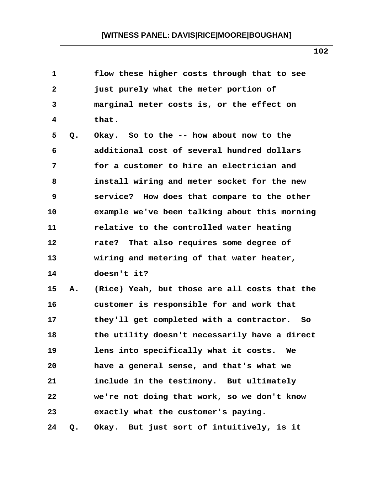| 1            |    | flow these higher costs through that to see   |
|--------------|----|-----------------------------------------------|
| $\mathbf{2}$ |    | just purely what the meter portion of         |
| 3            |    | marginal meter costs is, or the effect on     |
| 4            |    | that.                                         |
| 5            | Q. | Okay. So to the -- how about now to the       |
| 6            |    | additional cost of several hundred dollars    |
| 7            |    | for a customer to hire an electrician and     |
| 8            |    | install wiring and meter socket for the new   |
| 9            |    | service? How does that compare to the other   |
| 10           |    | example we've been talking about this morning |
| 11           |    | relative to the controlled water heating      |
| 12           |    | rate? That also requires some degree of       |
| 13           |    | wiring and metering of that water heater,     |
| 14           |    | doesn't it?                                   |
| 15           | Α. | (Rice) Yeah, but those are all costs that the |
| 16           |    | customer is responsible for and work that     |
| 17           |    | they'll get completed with a contractor. So   |
| 18           |    | the utility doesn't necessarily have a direct |
| 19           |    | lens into specifically what it costs.<br>We   |
| 20           |    | have a general sense, and that's what we      |
| 21           |    | include in the testimony. But ultimately      |
| 22           |    | we're not doing that work, so we don't know   |
| 23           |    | exactly what the customer's paying.           |
| 24           | Q. | Okay. But just sort of intuitively, is it     |

 $\mathsf{l}$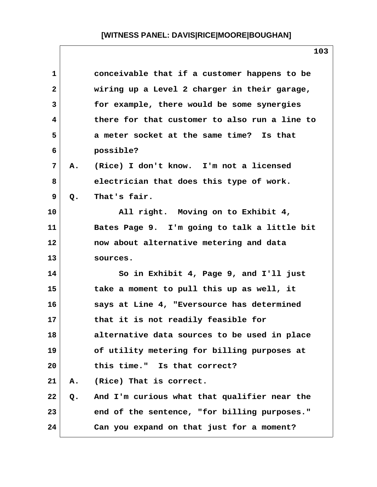| $\mathbf{1}$ |       | conceivable that if a customer happens to be  |
|--------------|-------|-----------------------------------------------|
| $\mathbf{2}$ |       | wiring up a Level 2 charger in their garage,  |
| 3            |       | for example, there would be some synergies    |
| 4            |       | there for that customer to also run a line to |
| 5            |       | a meter socket at the same time? Is that      |
| 6            |       | possible?                                     |
| 7            | Α.    | (Rice) I don't know. I'm not a licensed       |
| 8            |       | electrician that does this type of work.      |
| 9            | $Q$ . | That's fair.                                  |
| 10           |       | All right. Moving on to Exhibit 4,            |
| 11           |       | Bates Page 9. I'm going to talk a little bit  |
| 12           |       | now about alternative metering and data       |
| 13           |       | sources.                                      |
| 14           |       | So in Exhibit 4, Page 9, and I'll just        |
| 15           |       | take a moment to pull this up as well, it     |
| 16           |       | says at Line 4, "Eversource has determined    |
| 17           |       | that it is not readily feasible for           |
| 18           |       | alternative data sources to be used in place  |
| 19           |       | of utility metering for billing purposes at   |
| 20           |       | this time." Is that correct?                  |
| 21           | Α.    | (Rice) That is correct.                       |
| 22           | Q.    | And I'm curious what that qualifier near the  |
| 23           |       | end of the sentence, "for billing purposes."  |
| 24           |       | Can you expand on that just for a moment?     |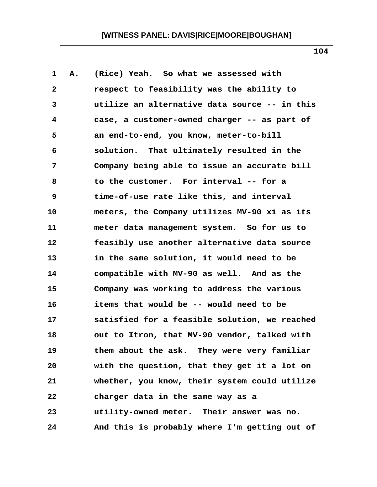| $\mathbf 1$  | Α. | (Rice) Yeah. So what we assessed with         |  |
|--------------|----|-----------------------------------------------|--|
| $\mathbf{2}$ |    | respect to feasibility was the ability to     |  |
| 3            |    | utilize an alternative data source -- in this |  |
| 4            |    | case, a customer-owned charger -- as part of  |  |
| 5            |    | an end-to-end, you know, meter-to-bill        |  |
| 6            |    | solution. That ultimately resulted in the     |  |
| 7            |    | Company being able to issue an accurate bill  |  |
| 8            |    | to the customer. For interval -- for a        |  |
| 9            |    | time-of-use rate like this, and interval      |  |
| 10           |    | meters, the Company utilizes MV-90 xi as its  |  |
| 11           |    | meter data management system. So for us to    |  |
| 12           |    | feasibly use another alternative data source  |  |
| 13           |    | in the same solution, it would need to be     |  |
| 14           |    | compatible with MV-90 as well. And as the     |  |
| 15           |    | Company was working to address the various    |  |
| 16           |    | items that would be -- would need to be       |  |
| 17           |    | satisfied for a feasible solution, we reached |  |
| 18           |    | out to Itron, that MV-90 vendor, talked with  |  |
| 19           |    | them about the ask. They were very familiar   |  |
| 20           |    | with the question, that they get it a lot on  |  |
| 21           |    | whether, you know, their system could utilize |  |
| 22           |    | charger data in the same way as a             |  |
| 23           |    | utility-owned meter. Their answer was no.     |  |
| 24           |    | And this is probably where I'm getting out of |  |

 $\mathsf{l}$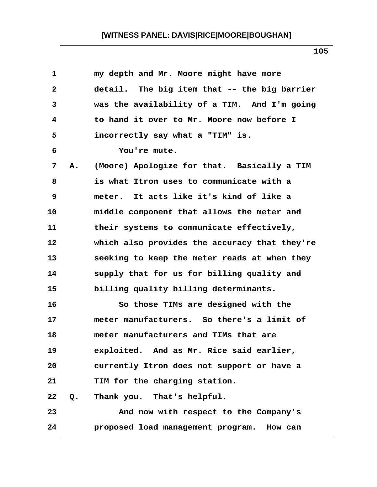| 1            |    | my depth and Mr. Moore might have more        |
|--------------|----|-----------------------------------------------|
| $\mathbf{2}$ |    | detail. The big item that -- the big barrier  |
| 3            |    | was the availability of a TIM. And I'm going  |
| 4            |    | to hand it over to Mr. Moore now before I     |
| 5            |    | incorrectly say what a "TIM" is.              |
| 6            |    | You're mute.                                  |
| 7            | А. | (Moore) Apologize for that. Basically a TIM   |
| 8            |    | is what Itron uses to communicate with a      |
| 9            |    | meter. It acts like it's kind of like a       |
| 10           |    | middle component that allows the meter and    |
| 11           |    | their systems to communicate effectively,     |
| 12           |    | which also provides the accuracy that they're |
| 13           |    | seeking to keep the meter reads at when they  |
| 14           |    | supply that for us for billing quality and    |
| 15           |    | billing quality billing determinants.         |
| 16           |    | So those TIMs are designed with the           |
| 17           |    | meter manufacturers. So there's a limit of    |
| 18           |    | meter manufacturers and TIMs that are         |
| 19           |    | exploited. And as Mr. Rice said earlier,      |
| 20           |    | currently Itron does not support or have a    |
| 21           |    | TIM for the charging station.                 |
| 22           | Q. | Thank you. That's helpful.                    |
| 23           |    | And now with respect to the Company's         |
| 24           |    | proposed load management program. How can     |
|              |    |                                               |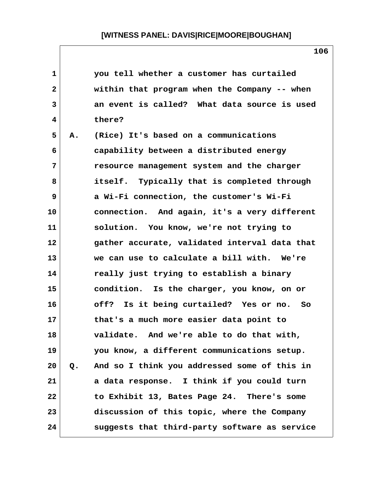| $\mathbf{1}$ |    | you tell whether a customer has curtailed     |
|--------------|----|-----------------------------------------------|
| $\mathbf{2}$ |    | within that program when the Company -- when  |
| 3            |    | an event is called? What data source is used  |
| 4            |    | there?                                        |
| 5            | Α. | (Rice) It's based on a communications         |
| 6            |    | capability between a distributed energy       |
| 7            |    | resource management system and the charger    |
| 8            |    | itself. Typically that is completed through   |
| 9            |    | a Wi-Fi connection, the customer's Wi-Fi      |
| 10           |    | connection. And again, it's a very different  |
| 11           |    | solution. You know, we're not trying to       |
| 12           |    | gather accurate, validated interval data that |
| 13           |    | we can use to calculate a bill with. We're    |
| 14           |    | really just trying to establish a binary      |
| 15           |    | condition. Is the charger, you know, on or    |
| 16           |    | off? Is it being curtailed? Yes or no. So     |
| 17           |    | that's a much more easier data point to       |
| 18           |    | validate. And we're able to do that with,     |
| 19           |    | you know, a different communications setup.   |
| 20           | Q. | And so I think you addressed some of this in  |
| 21           |    | a data response. I think if you could turn    |
| 22           |    | to Exhibit 13, Bates Page 24. There's some    |
| 23           |    | discussion of this topic, where the Company   |
| 24           |    | suggests that third-party software as service |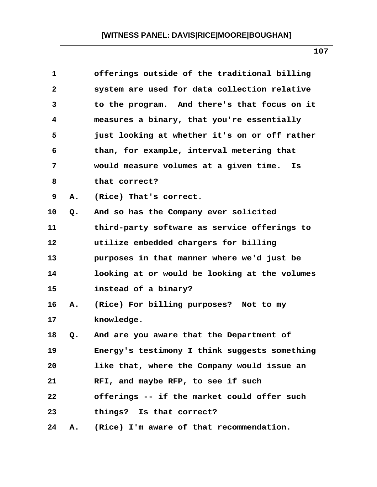| 1            |    | offerings outside of the traditional billing  |
|--------------|----|-----------------------------------------------|
| $\mathbf{2}$ |    | system are used for data collection relative  |
| 3            |    | to the program. And there's that focus on it  |
| 4            |    | measures a binary, that you're essentially    |
| 5            |    | just looking at whether it's on or off rather |
| 6            |    | than, for example, interval metering that     |
| 7            |    | would measure volumes at a given time. Is     |
| 8            |    | that correct?                                 |
| 9            | Α. | (Rice) That's correct.                        |
| 10           | Q. | And so has the Company ever solicited         |
| 11           |    | third-party software as service offerings to  |
| 12           |    | utilize embedded chargers for billing         |
| 13           |    | purposes in that manner where we'd just be    |
| 14           |    | looking at or would be looking at the volumes |
| 15           |    | instead of a binary?                          |
| 16           | Α. | (Rice) For billing purposes? Not to my        |
| 17           |    | knowledge.                                    |
| 18           | Q. | And are you aware that the Department of      |
| 19           |    | Energy's testimony I think suggests something |
| 20           |    | like that, where the Company would issue an   |
| 21           |    | RFI, and maybe RFP, to see if such            |
| 22           |    | offerings -- if the market could offer such   |
| 23           |    | things? Is that correct?                      |
| 24           | Α. | (Rice) I'm aware of that recommendation.      |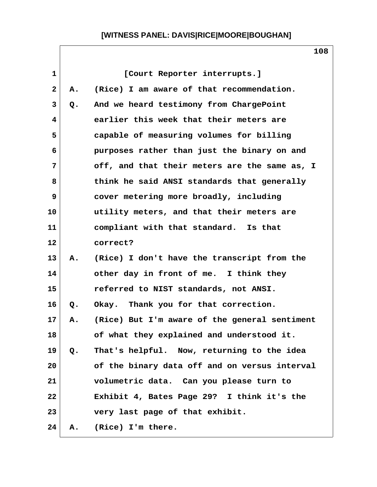| $\mathbf{1}$ |    | [Court Reporter interrupts.]                  |
|--------------|----|-----------------------------------------------|
| $\mathbf{2}$ | Α. | (Rice) I am aware of that recommendation.     |
| 3            | Q. | And we heard testimony from ChargePoint       |
| 4            |    | earlier this week that their meters are       |
| 5            |    | capable of measuring volumes for billing      |
| 6            |    | purposes rather than just the binary on and   |
| 7            |    | off, and that their meters are the same as, I |
| 8            |    | think he said ANSI standards that generally   |
| 9            |    | cover metering more broadly, including        |
| 10           |    | utility meters, and that their meters are     |
| 11           |    | compliant with that standard. Is that         |
| 12           |    | correct?                                      |
| 13           | Α. | (Rice) I don't have the transcript from the   |
| 14           |    | other day in front of me. I think they        |
| 15           |    | referred to NIST standards, not ANSI.         |
| 16           | Q. | Okay. Thank you for that correction.          |
| $17\,$       | А. | (Rice) But I'm aware of the general sentiment |
| 18           |    | of what they explained and understood it.     |
| 19           | Q. | That's helpful. Now, returning to the idea    |
| 20           |    | of the binary data off and on versus interval |
| 21           |    | volumetric data. Can you please turn to       |
| 22           |    | Exhibit 4, Bates Page 29? I think it's the    |
| 23           |    | very last page of that exhibit.               |
| 24           | А. | (Rice) I'm there.                             |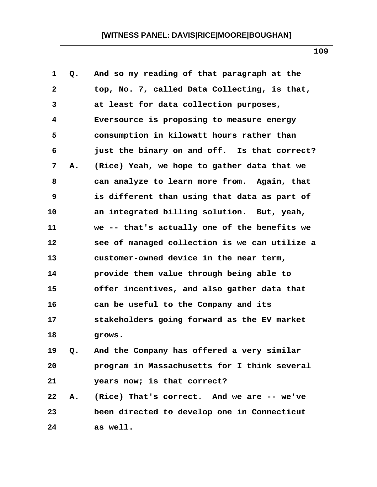| $\mathbf 1$ | Q. | And so my reading of that paragraph at the    |  |
|-------------|----|-----------------------------------------------|--|
| 2           |    | top, No. 7, called Data Collecting, is that,  |  |
| 3           |    | at least for data collection purposes,        |  |
| 4           |    | Eversource is proposing to measure energy     |  |
| 5           |    | consumption in kilowatt hours rather than     |  |
| 6           |    | just the binary on and off. Is that correct?  |  |
| 7           | Α. | (Rice) Yeah, we hope to gather data that we   |  |
| 8           |    | can analyze to learn more from. Again, that   |  |
| 9           |    | is different than using that data as part of  |  |
| 10          |    | an integrated billing solution. But, yeah,    |  |
| 11          |    | we -- that's actually one of the benefits we  |  |
| 12          |    | see of managed collection is we can utilize a |  |
| 13          |    | customer-owned device in the near term,       |  |
| 14          |    | provide them value through being able to      |  |
| 15          |    | offer incentives, and also gather data that   |  |
| 16          |    | can be useful to the Company and its          |  |
| 17          |    | stakeholders going forward as the EV market   |  |
| 18          |    | grows.                                        |  |
| 19          | Q. | And the Company has offered a very similar    |  |
| 20          |    | program in Massachusetts for I think several  |  |
| 21          |    | years now; is that correct?                   |  |
| 22          | Α. | (Rice) That's correct. And we are -- we've    |  |
| 23          |    | been directed to develop one in Connecticut   |  |
| 24          |    | as well.                                      |  |
|             |    |                                               |  |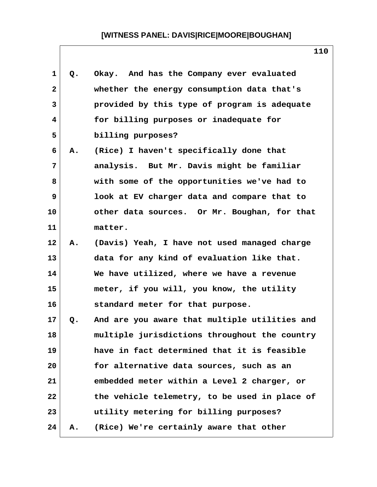| 1            | Q. | Okay. And has the Company ever evaluated      |
|--------------|----|-----------------------------------------------|
| $\mathbf{2}$ |    | whether the energy consumption data that's    |
| 3            |    | provided by this type of program is adequate  |
| 4            |    | for billing purposes or inadequate for        |
| 5            |    | billing purposes?                             |
| 6            | Α. | (Rice) I haven't specifically done that       |
| 7            |    | analysis. But Mr. Davis might be familiar     |
| 8            |    | with some of the opportunities we've had to   |
| 9            |    | look at EV charger data and compare that to   |
| 10           |    | other data sources. Or Mr. Boughan, for that  |
| 11           |    | matter.                                       |
| 12           | Α. | (Davis) Yeah, I have not used managed charge  |
| 13           |    | data for any kind of evaluation like that.    |
| 14           |    | We have utilized, where we have a revenue     |
| 15           |    | meter, if you will, you know, the utility     |
| 16           |    | standard meter for that purpose.              |
| 17           | Q. | And are you aware that multiple utilities and |
| 18           |    | multiple jurisdictions throughout the country |
| 19           |    | have in fact determined that it is feasible   |
| 20           |    | for alternative data sources, such as an      |
| 21           |    | embedded meter within a Level 2 charger, or   |
| 22           |    | the vehicle telemetry, to be used in place of |
| 23           |    | utility metering for billing purposes?        |
| 24           | Α. | (Rice) We're certainly aware that other       |

 $\mathsf{l}$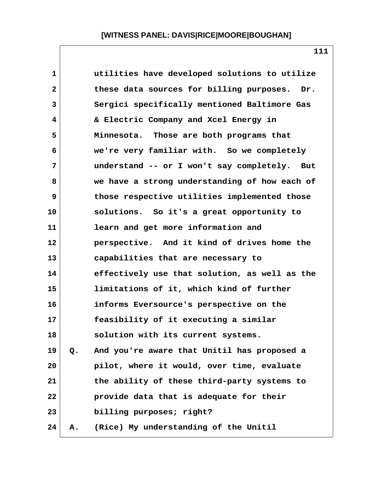| $\mathbf 1$  |    | utilities have developed solutions to utilize   |
|--------------|----|-------------------------------------------------|
| $\mathbf{2}$ |    | these data sources for billing purposes.<br>Dr. |
| 3            |    | Sergici specifically mentioned Baltimore Gas    |
| 4            |    | & Electric Company and Xcel Energy in           |
| 5            |    | Minnesota. Those are both programs that         |
| 6            |    | we're very familiar with. So we completely      |
| 7            |    | understand -- or I won't say completely.<br>But |
| 8            |    | we have a strong understanding of how each of   |
| 9            |    | those respective utilities implemented those    |
| 10           |    | solutions. So it's a great opportunity to       |
| 11           |    | learn and get more information and              |
| $12 \,$      |    | perspective. And it kind of drives home the     |
| 13           |    | capabilities that are necessary to              |
| 14           |    | effectively use that solution, as well as the   |
| 15           |    | limitations of it, which kind of further        |
| 16           |    | informs Eversource's perspective on the         |
| 17           |    | feasibility of it executing a similar           |
| 18           |    | solution with its current systems.              |
| 19           | Q. | And you're aware that Unitil has proposed a     |
| 20           |    | pilot, where it would, over time, evaluate      |
| 21           |    | the ability of these third-party systems to     |
| 22           |    | provide data that is adequate for their         |
| 23           |    | billing purposes; right?                        |
| 24           | Α. | (Rice) My understanding of the Unitil           |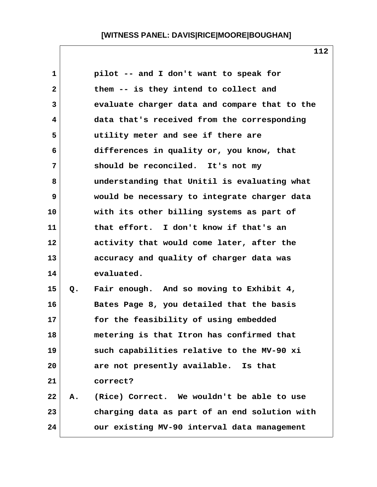| 1  |    | pilot -- and I don't want to speak for        |
|----|----|-----------------------------------------------|
| 2  |    | them -- is they intend to collect and         |
| 3  |    | evaluate charger data and compare that to the |
| 4  |    | data that's received from the corresponding   |
| 5  |    | utility meter and see if there are            |
| 6  |    | differences in quality or, you know, that     |
| 7  |    | should be reconciled. It's not my             |
| 8  |    | understanding that Unitil is evaluating what  |
| 9  |    | would be necessary to integrate charger data  |
| 10 |    | with its other billing systems as part of     |
| 11 |    | that effort. I don't know if that's an        |
| 12 |    | activity that would come later, after the     |
| 13 |    | accuracy and quality of charger data was      |
| 14 |    | evaluated.                                    |
| 15 | Q. | Fair enough. And so moving to Exhibit 4,      |
| 16 |    | Bates Page 8, you detailed that the basis     |
| 17 |    | for the feasibility of using embedded         |
| 18 |    | metering is that Itron has confirmed that     |
| 19 |    | such capabilities relative to the MV-90 xi    |
| 20 |    | are not presently available. Is that          |
| 21 |    | correct?                                      |
| 22 | Α. | (Rice) Correct. We wouldn't be able to use    |
| 23 |    | charging data as part of an end solution with |
| 24 |    | our existing MV-90 interval data management   |
|    |    |                                               |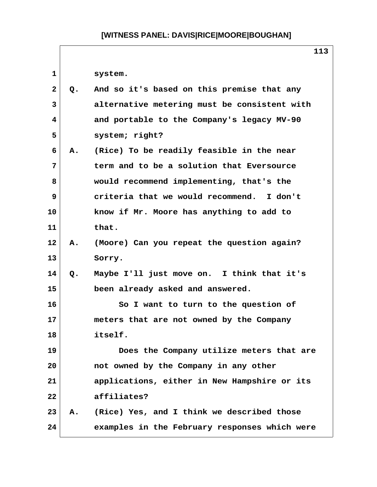$\mathsf{r}$ 

|              |       | 113                                           |
|--------------|-------|-----------------------------------------------|
| $\mathbf{1}$ |       | system.                                       |
| $\mathbf{2}$ | Q.    | And so it's based on this premise that any    |
| 3            |       | alternative metering must be consistent with  |
| 4            |       | and portable to the Company's legacy MV-90    |
| 5            |       | system; right?                                |
| 6            | Α.    | (Rice) To be readily feasible in the near     |
| 7            |       | term and to be a solution that Eversource     |
| 8            |       | would recommend implementing, that's the      |
| 9            |       | criteria that we would recommend. I don't     |
| 10           |       | know if Mr. Moore has anything to add to      |
| 11           |       | that.                                         |
| 12           | Α.    | (Moore) Can you repeat the question again?    |
| 13           |       | Sorry.                                        |
| 14           | $Q$ . | Maybe I'll just move on. I think that it's    |
| 15           |       | been already asked and answered.              |
| 16           |       | So I want to turn to the question of          |
| 17           |       | meters that are not owned by the Company      |
| 18           |       | itself.                                       |
| 19           |       | Does the Company utilize meters that are      |
| 20           |       | not owned by the Company in any other         |
| 21           |       | applications, either in New Hampshire or its  |
| 22           |       | affiliates?                                   |
| 23           | A.,   | (Rice) Yes, and I think we described those    |
| 24           |       | examples in the February responses which were |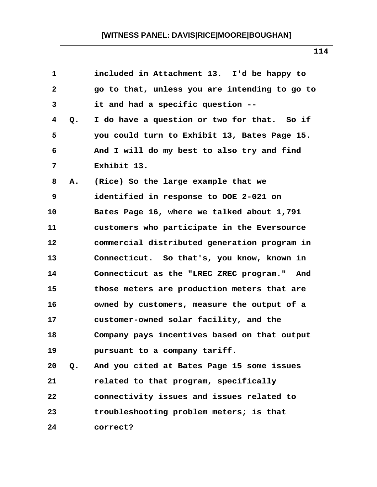| 1            |    | included in Attachment 13. I'd be happy to    |
|--------------|----|-----------------------------------------------|
| $\mathbf{2}$ |    | go to that, unless you are intending to go to |
| 3            |    | it and had a specific question --             |
| 4            | Q. | I do have a question or two for that. So if   |
| 5            |    | you could turn to Exhibit 13, Bates Page 15.  |
| 6            |    | And I will do my best to also try and find    |
| 7            |    | Exhibit 13.                                   |
| 8            | Α. | (Rice) So the large example that we           |
| 9            |    | identified in response to DOE 2-021 on        |
| 10           |    | Bates Page 16, where we talked about 1,791    |
| 11           |    | customers who participate in the Eversource   |
| 12           |    | commercial distributed generation program in  |
| 13           |    | Connecticut. So that's, you know, known in    |
| 14           |    | Connecticut as the "LREC ZREC program." And   |
| 15           |    | those meters are production meters that are   |
| 16           |    | owned by customers, measure the output of a   |
| 17           |    | customer-owned solar facility, and the        |
| 18           |    | Company pays incentives based on that output  |
| 19           |    | pursuant to a company tariff.                 |
| 20           | Q. | And you cited at Bates Page 15 some issues    |
| 21           |    | related to that program, specifically         |
| 22           |    | connectivity issues and issues related to     |
| 23           |    | troubleshooting problem meters; is that       |
| 24           |    | correct?                                      |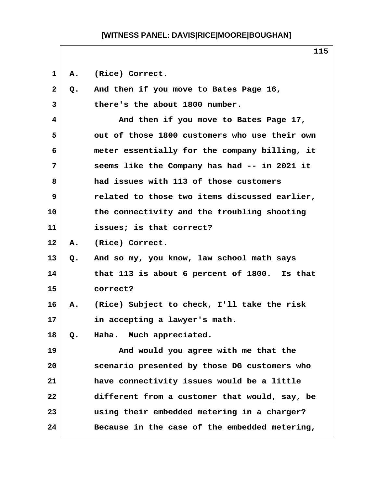1 A. (Rice) Correct.  **2 Q. And then if you move to Bates Page 16, 3 there's the about 1800 number. 4 And then if you move to Bates Page 17, 5 out of those 1800 customers who use their own 6 meter essentially for the company billing, it 7 seems like the Company has had -- in 2021 it 8 had issues with 113 of those customers 9 related to those two items discussed earlier, 10 the connectivity and the troubling shooting 11 issues; is that correct? 12 A. (Rice) Correct. 13 Q. And so my, you know, law school math says 14 that 113 is about 6 percent of 1800. Is that 15 correct? 16 A. (Rice) Subject to check, I'll take the risk 17 in accepting a lawyer's math. 18 Q. Haha. Much appreciated. 19 And would you agree with me that the 20 scenario presented by those DG customers who 21 have connectivity issues would be a little 22 different from a customer that would, say, be 23 using their embedded metering in a charger? 24 Because in the case of the embedded metering,**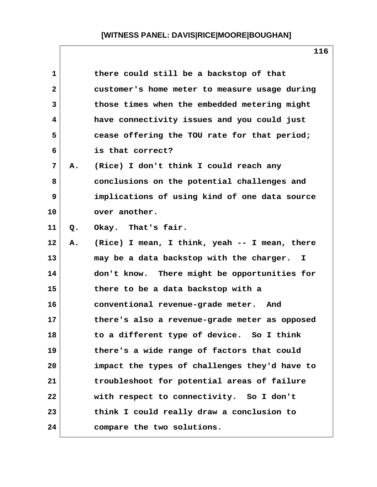| 1            |    | there could still be a backstop of that       |
|--------------|----|-----------------------------------------------|
| $\mathbf{2}$ |    | customer's home meter to measure usage during |
| 3            |    | those times when the embedded metering might  |
| 4            |    | have connectivity issues and you could just   |
| 5            |    | cease offering the TOU rate for that period;  |
| 6            |    | is that correct?                              |
| 7            | А. | (Rice) I don't think I could reach any        |
| 8            |    | conclusions on the potential challenges and   |
| 9            |    | implications of using kind of one data source |
| 10           |    | over another.                                 |
| 11           | Q. | Okay. That's fair.                            |
| 12           | Α. | (Rice) I mean, I think, yeah -- I mean, there |
| 13           |    | may be a data backstop with the charger.<br>I |
| 14           |    | don't know. There might be opportunities for  |
| 15           |    | there to be a data backstop with a            |
| 16           |    | conventional revenue-grade meter. And         |
| 17           |    | there's also a revenue-grade meter as opposed |
| 18           |    | to a different type of device. So I think     |
| 19           |    | there's a wide range of factors that could    |
| 20           |    | impact the types of challenges they'd have to |
| 21           |    | troubleshoot for potential areas of failure   |
| 22           |    | with respect to connectivity. So I don't      |
| 23           |    | think I could really draw a conclusion to     |
| 24           |    | compare the two solutions.                    |

 $\mathsf{l}$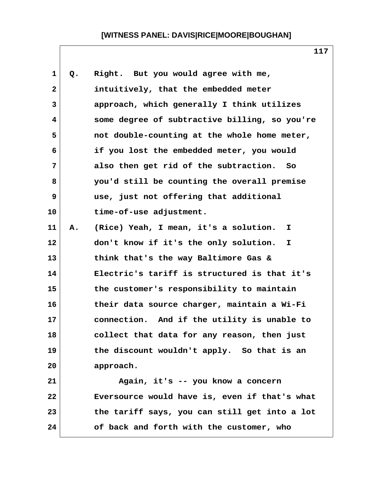| $\mathbf 1$ | Q. | Right. But you would agree with me,           |
|-------------|----|-----------------------------------------------|
| 2           |    | intuitively, that the embedded meter          |
| 3           |    | approach, which generally I think utilizes    |
| 4           |    | some degree of subtractive billing, so you're |
| 5           |    | not double-counting at the whole home meter,  |
| 6           |    | if you lost the embedded meter, you would     |
| 7           |    | also then get rid of the subtraction. So      |
| 8           |    | you'd still be counting the overall premise   |
| 9           |    | use, just not offering that additional        |
| 10          |    | time-of-use adjustment.                       |
| 11          | Α. | (Rice) Yeah, I mean, it's a solution.<br>I.   |
| 12          |    | don't know if it's the only solution.<br>I.   |
| 13          |    | think that's the way Baltimore Gas &          |
| 14          |    | Electric's tariff is structured is that it's  |
| 15          |    | the customer's responsibility to maintain     |
| 16          |    | their data source charger, maintain a Wi-Fi   |
| 17          |    | connection. And if the utility is unable to   |
| 18          |    | collect that data for any reason, then just   |
| 19          |    | the discount wouldn't apply. So that is an    |
| 20          |    | approach.                                     |
| 21          |    | Again, it's -- you know a concern             |
| 22          |    | Eversource would have is, even if that's what |
| 23          |    | the tariff says, you can still get into a lot |
| 24          |    | of back and forth with the customer, who      |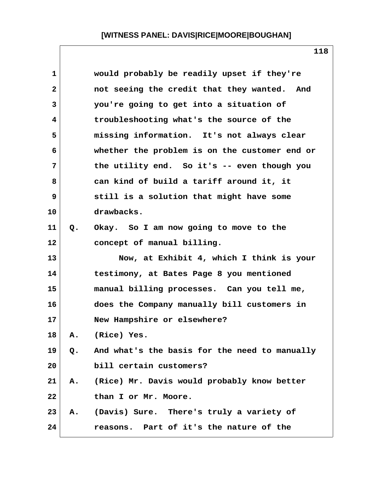| $\mathbf 1$  |    | would probably be readily upset if they're    |
|--------------|----|-----------------------------------------------|
| $\mathbf{2}$ |    | not seeing the credit that they wanted. And   |
| 3            |    | you're going to get into a situation of       |
| 4            |    | troubleshooting what's the source of the      |
| 5            |    | missing information. It's not always clear    |
| 6            |    | whether the problem is on the customer end or |
| 7            |    | the utility end. So it's -- even though you   |
| 8            |    | can kind of build a tariff around it, it      |
| 9            |    | still is a solution that might have some      |
| 10           |    | drawbacks.                                    |
| 11           | Q. | Okay. So I am now going to move to the        |
| 12           |    | concept of manual billing.                    |
| 13           |    | Now, at Exhibit 4, which I think is your      |
| 14           |    | testimony, at Bates Page 8 you mentioned      |
| 15           |    | manual billing processes. Can you tell me,    |
| 16           |    | does the Company manually bill customers in   |
| 17           |    | New Hampshire or elsewhere?                   |
| 18           | Α. | (Rice) Yes.                                   |
| 19           | Q. | And what's the basis for the need to manually |
| 20           |    | bill certain customers?                       |
| 21           | А. | (Rice) Mr. Davis would probably know better   |
| 22           |    | than I or Mr. Moore.                          |
| 23           | Α. | (Davis) Sure. There's truly a variety of      |
| 24           |    | reasons. Part of it's the nature of the       |
|              |    |                                               |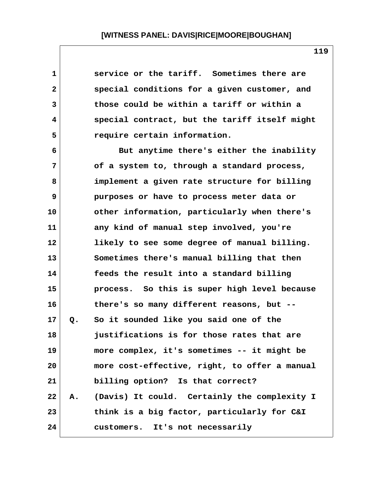| 1            |    | service or the tariff. Sometimes there are    |  |
|--------------|----|-----------------------------------------------|--|
| $\mathbf{2}$ |    | special conditions for a given customer, and  |  |
| 3            |    | those could be within a tariff or within a    |  |
| 4            |    | special contract, but the tariff itself might |  |
| 5            |    | require certain information.                  |  |
| 6            |    | But anytime there's either the inability      |  |
| 7            |    | of a system to, through a standard process,   |  |
| 8            |    | implement a given rate structure for billing  |  |
| 9            |    | purposes or have to process meter data or     |  |
| 10           |    | other information, particularly when there's  |  |
| 11           |    | any kind of manual step involved, you're      |  |
| 12           |    | likely to see some degree of manual billing.  |  |
| 13           |    | Sometimes there's manual billing that then    |  |
| 14           |    | feeds the result into a standard billing      |  |
| 15           |    | process. So this is super high level because  |  |
| 16           |    | there's so many different reasons, but --     |  |
| 17           | Q. | So it sounded like you said one of the        |  |
| 18           |    | justifications is for those rates that are    |  |
| 19           |    | more complex, it's sometimes -- it might be   |  |
| 20           |    | more cost-effective, right, to offer a manual |  |
| 21           |    | billing option? Is that correct?              |  |
| 22           | Α. | (Davis) It could. Certainly the complexity I  |  |
| 23           |    | think is a big factor, particularly for C&I   |  |
| 24           |    | customers. It's not necessarily               |  |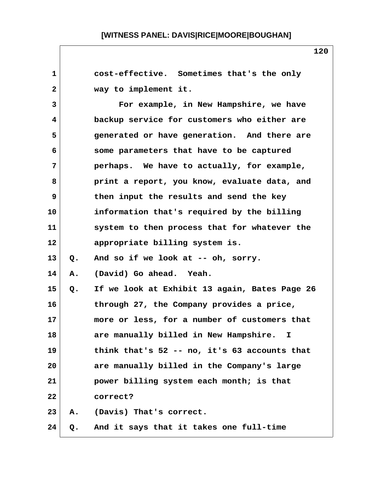**1 cost-effective. Sometimes that's the only 2 way to implement it. 3 For example, in New Hampshire, we have 4 backup service for customers who either are 5 generated or have generation. And there are 6 some parameters that have to be captured 7 perhaps. We have to actually, for example, 8 print a report, you know, evaluate data, and 9 then input the results and send the key 10 information that's required by the billing 11 system to then process that for whatever the 12 appropriate billing system is. 13 Q. And so if we look at -- oh, sorry. 14 A. (David) Go ahead. Yeah. 15 Q. If we look at Exhibit 13 again, Bates Page 26 16 through 27, the Company provides a price, 17 more or less, for a number of customers that 18 are manually billed in New Hampshire. I 19 think that's 52 -- no, it's 63 accounts that 20 are manually billed in the Company's large 21 power billing system each month; is that 22 correct? 23 A. (Davis) That's correct. 24 Q. And it says that it takes one full-time**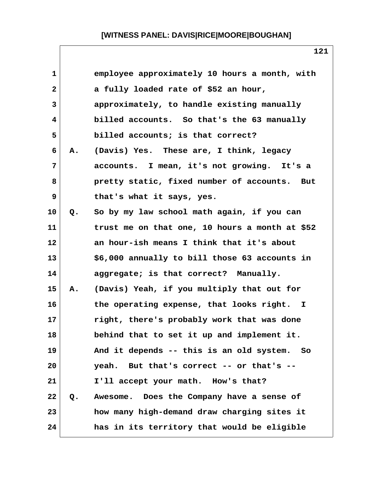| $\mathbf{1}$ |    | employee approximately 10 hours a month, with  |
|--------------|----|------------------------------------------------|
| $\mathbf{2}$ |    | a fully loaded rate of \$52 an hour,           |
| 3            |    | approximately, to handle existing manually     |
| 4            |    | billed accounts. So that's the 63 manually     |
| 5            |    | billed accounts; is that correct?              |
| 6            | Α. | (Davis) Yes. These are, I think, legacy        |
| 7            |    | accounts. I mean, it's not growing. It's a     |
| 8            |    | pretty static, fixed number of accounts. But   |
| 9            |    | that's what it says, yes.                      |
| 10           | Q. | So by my law school math again, if you can     |
| 11           |    | trust me on that one, 10 hours a month at \$52 |
| 12           |    | an hour-ish means I think that it's about      |
| 13           |    | \$6,000 annually to bill those 63 accounts in  |
| 14           |    | aggregate; is that correct? Manually.          |
| 15           | Α. | (Davis) Yeah, if you multiply that out for     |
| 16           |    | the operating expense, that looks right. I     |
| 17           |    | right, there's probably work that was done     |
| 18           |    | behind that to set it up and implement it.     |
| 19           |    | And it depends -- this is an old system. So    |
| 20           |    | yeah. But that's correct -- or that's --       |
| 21           |    | I'll accept your math. How's that?             |
| 22           | Q. | Awesome. Does the Company have a sense of      |
| 23           |    | how many high-demand draw charging sites it    |
| 24           |    | has in its territory that would be eligible    |

 $\mathsf{l}$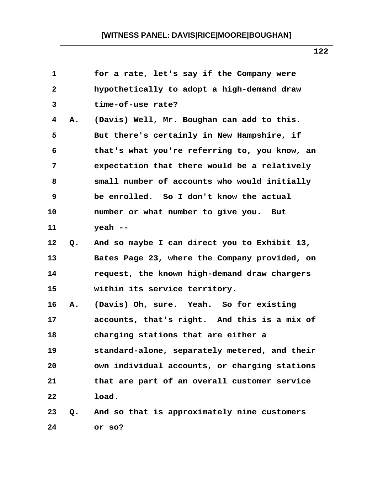| $\mathbf{1}$    |    | for a rate, let's say if the Company were      |
|-----------------|----|------------------------------------------------|
| $\mathbf{2}$    |    | hypothetically to adopt a high-demand draw     |
| 3               |    | time-of-use rate?                              |
| $\overline{4}$  | Α. | (Davis) Well, Mr. Boughan can add to this.     |
| 5               |    | But there's certainly in New Hampshire, if     |
| 6               |    | that's what you're referring to, you know, an  |
| 7               |    | expectation that there would be a relatively   |
| 8               |    | small number of accounts who would initially   |
| 9               |    | be enrolled. So I don't know the actual        |
| 10              |    | number or what number to give you. But         |
| 11              |    | $y$ eah --                                     |
| 12 <sub>2</sub> | Q. | And so maybe I can direct you to Exhibit 13,   |
| 13              |    | Bates Page 23, where the Company provided, on  |
| 14              |    | request, the known high-demand draw chargers   |
| 15              |    | within its service territory.                  |
| 16              | А. | (Davis) Oh, sure. Yeah. So for existing        |
| 17              |    | accounts, that's right. And this is a mix of   |
| 18              |    | charging stations that are either a            |
| 19              |    | standard-alone, separately metered, and their  |
| 20              |    | own individual accounts, or charging stations  |
| 21              |    | that are part of an overall customer service   |
| 22              |    | load.                                          |
| 23              |    | Q. And so that is approximately nine customers |
| 24              |    | or so?                                         |
|                 |    |                                                |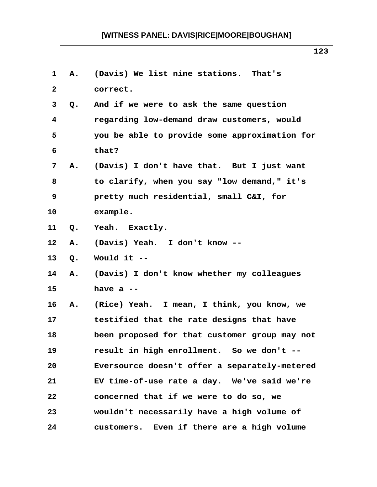| 1               | Α.                     | (Davis) We list nine stations. That's         |
|-----------------|------------------------|-----------------------------------------------|
| $\mathbf{2}$    |                        | correct.                                      |
| $\mathbf{3}$    | Q.                     | And if we were to ask the same question       |
| $\overline{4}$  |                        | regarding low-demand draw customers, would    |
| 5               |                        | you be able to provide some approximation for |
| 6               |                        | that?                                         |
| $7\phantom{.}$  | <b>A.</b>              | (Davis) I don't have that. But I just want    |
| 8               |                        | to clarify, when you say "low demand," it's   |
| 9               |                        | pretty much residential, small C&I, for       |
| 10              |                        | example.                                      |
| 11              | $Q_{\bullet}$          | Yeah. Exactly.                                |
| 12 <sub>2</sub> | A.                     | (Davis) Yeah. I don't know --                 |
| 13              | Q.                     | Would it --                                   |
| 14              | Α.                     | (Davis) I don't know whether my colleagues    |
| 15              |                        | have $a -$                                    |
| 16              | $\mathbf{A}_{\bullet}$ | (Rice) Yeah. I mean, I think, you know, we    |
| 17              |                        | testified that the rate designs that have     |
| 18              |                        | been proposed for that customer group may not |
| 19              |                        | result in high enrollment. So we don't --     |
| 20              |                        | Eversource doesn't offer a separately-metered |
| 21              |                        | EV time-of-use rate a day. We've said we're   |
| 22              |                        | concerned that if we were to do so, we        |
| 23              |                        | wouldn't necessarily have a high volume of    |
| 24              |                        | customers. Even if there are a high volume    |

 $\mathsf{l}$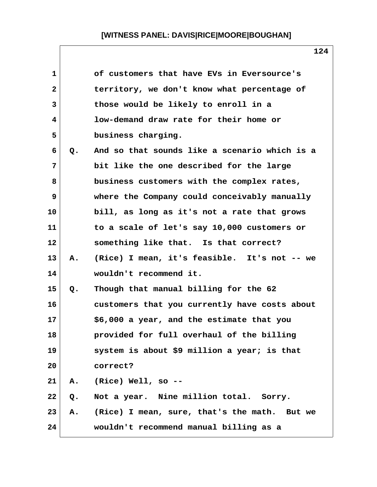| 1            |    | of customers that have EVs in Eversource's    |
|--------------|----|-----------------------------------------------|
| $\mathbf{2}$ |    | territory, we don't know what percentage of   |
| 3            |    | those would be likely to enroll in a          |
| 4            |    | low-demand draw rate for their home or        |
| 5            |    | business charging.                            |
| 6            | Q. | And so that sounds like a scenario which is a |
| 7            |    | bit like the one described for the large      |
| 8            |    | business customers with the complex rates,    |
| 9            |    | where the Company could conceivably manually  |
| 10           |    | bill, as long as it's not a rate that grows   |
| 11           |    | to a scale of let's say 10,000 customers or   |
| 12           |    | something like that. Is that correct?         |
| 13           | Α. | (Rice) I mean, it's feasible. It's not -- we  |
| 14           |    | wouldn't recommend it.                        |
| 15           | Q. | Though that manual billing for the 62         |
| 16           |    | customers that you currently have costs about |
| 17           |    | \$6,000 a year, and the estimate that you     |
| 18           |    | provided for full overhaul of the billing     |
| 19           |    | system is about \$9 million a year; is that   |
| 20           |    | correct?                                      |
| 21           | Α. | (Rice) Well, so --                            |
| 22           | Q. | Not a year. Nine million total. Sorry.        |
| 23           | Α. | (Rice) I mean, sure, that's the math. But we  |
| 24           |    | wouldn't recommend manual billing as a        |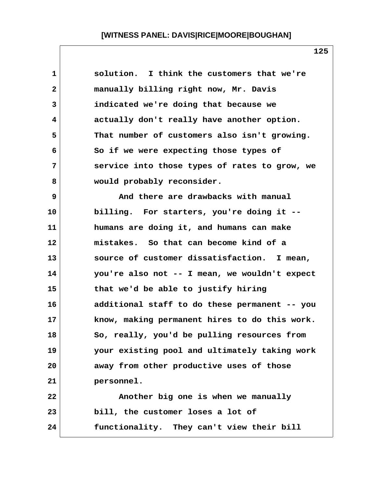| 1            | solution. I think the customers that we're    |
|--------------|-----------------------------------------------|
| $\mathbf{2}$ | manually billing right now, Mr. Davis         |
| 3            | indicated we're doing that because we         |
| 4            | actually don't really have another option.    |
| 5            | That number of customers also isn't growing.  |
| 6            | So if we were expecting those types of        |
| 7            | service into those types of rates to grow, we |
| 8            | would probably reconsider.                    |
| 9            | And there are drawbacks with manual           |
| 10           | billing. For starters, you're doing it --     |
| 11           | humans are doing it, and humans can make      |
| 12           | mistakes. So that can become kind of a        |
| 13           | source of customer dissatisfaction. I mean,   |
| 14           | you're also not -- I mean, we wouldn't expect |
| 15           | that we'd be able to justify hiring           |
| 16           | additional staff to do these permanent -- you |
| 17           | know, making permanent hires to do this work. |
| 18           | So, really, you'd be pulling resources from   |
| 19           | your existing pool and ultimately taking work |
| 20           | away from other productive uses of those      |
| 21           | personnel.                                    |
| 22           | Another big one is when we manually           |
| 23           | bill, the customer loses a lot of             |
| 24           | functionality. They can't view their bill     |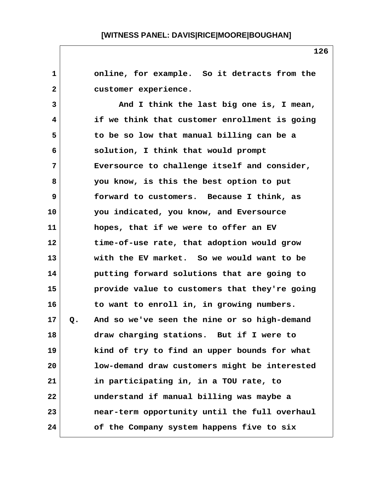**1 online, for example. So it detracts from the 2 customer experience. 3 And I think the last big one is, I mean, 4 if we think that customer enrollment is going 5 to be so low that manual billing can be a 6 solution, I think that would prompt 7 Eversource to challenge itself and consider, 8 you know, is this the best option to put 9 forward to customers. Because I think, as 10 you indicated, you know, and Eversource 11 hopes, that if we were to offer an EV 12 time-of-use rate, that adoption would grow 13 with the EV market. So we would want to be 14 putting forward solutions that are going to 15 provide value to customers that they're going 16 to want to enroll in, in growing numbers. 17 Q. And so we've seen the nine or so high-demand 18 draw charging stations. But if I were to 19 kind of try to find an upper bounds for what 20 low-demand draw customers might be interested 21 in participating in, in a TOU rate, to 22 understand if manual billing was maybe a 23 near-term opportunity until the full overhaul 24 of the Company system happens five to six**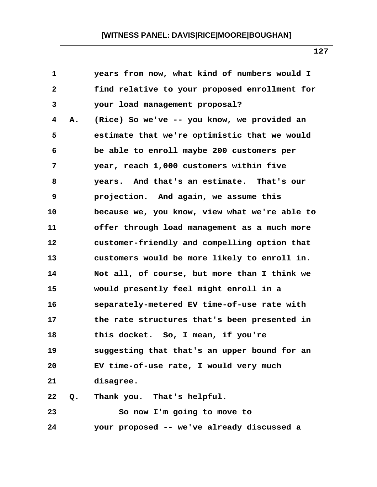| $\mathbf 1$  |    | years from now, what kind of numbers would I  |
|--------------|----|-----------------------------------------------|
| $\mathbf{2}$ |    | find relative to your proposed enrollment for |
| 3            |    | your load management proposal?                |
| 4            | Α. | (Rice) So we've -- you know, we provided an   |
| 5            |    | estimate that we're optimistic that we would  |
| 6            |    | be able to enroll maybe 200 customers per     |
| 7            |    | year, reach 1,000 customers within five       |
| 8            |    | years. And that's an estimate. That's our     |
| 9            |    | projection. And again, we assume this         |
| 10           |    | because we, you know, view what we're able to |
| 11           |    | offer through load management as a much more  |
| $12 \,$      |    | customer-friendly and compelling option that  |
| 13           |    | customers would be more likely to enroll in.  |
| 14           |    | Not all, of course, but more than I think we  |
| 15           |    | would presently feel might enroll in a        |
| 16           |    | separately-metered EV time-of-use rate with   |
| 17           |    | the rate structures that's been presented in  |
| 18           |    | this docket. So, I mean, if you're            |
| 19           |    | suggesting that that's an upper bound for an  |
| 20           |    | EV time-of-use rate, I would very much        |
| 21           |    | disagree.                                     |
| 22           | Q. | Thank you. That's helpful.                    |
| 23           |    | So now I'm going to move to                   |
| 24           |    | your proposed -- we've already discussed a    |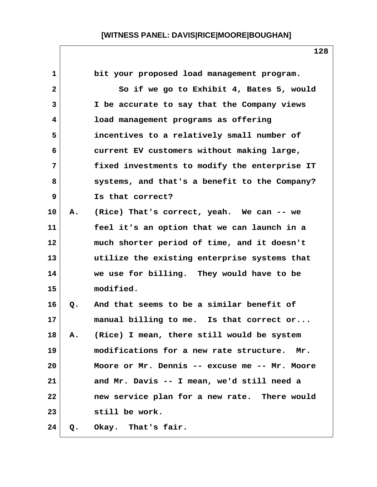| 1               |    | bit your proposed load management program.     |
|-----------------|----|------------------------------------------------|
| 2               |    | So if we go to Exhibit 4, Bates 5, would       |
| 3               |    | I be accurate to say that the Company views    |
| 4               |    | load management programs as offering           |
| 5               |    | incentives to a relatively small number of     |
| 6               |    | current EV customers without making large,     |
| 7               |    | fixed investments to modify the enterprise IT  |
| 8               |    | systems, and that's a benefit to the Company?  |
| 9               |    | Is that correct?                               |
| 10              | Α. | (Rice) That's correct, yeah. We can -- we      |
| 11              |    | feel it's an option that we can launch in a    |
| 12              |    | much shorter period of time, and it doesn't    |
| 13              |    | utilize the existing enterprise systems that   |
| 14              |    | we use for billing. They would have to be      |
| 15              |    | modified.                                      |
| 16              | Q. | And that seems to be a similar benefit of      |
| 17 <sub>2</sub> |    | manual billing to me. Is that correct or       |
| 18              | Α. | (Rice) I mean, there still would be system     |
| 19              |    | modifications for a new rate structure.<br>Mr. |
| 20              |    | Moore or Mr. Dennis -- excuse me -- Mr. Moore  |
| 21              |    | and Mr. Davis -- I mean, we'd still need a     |
| 22              |    | new service plan for a new rate. There would   |
| 23              |    | still be work.                                 |
| 24              | Q. | Okay. That's fair.                             |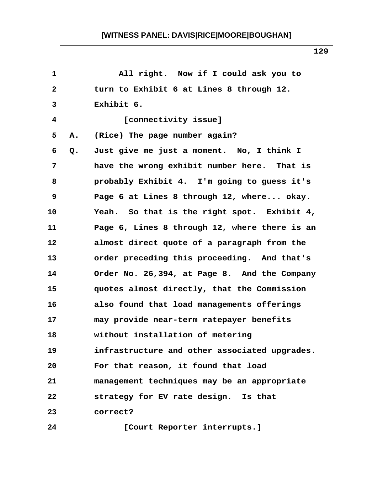| $\mathbf{1}$ |    | All right. Now if I could ask you to          |
|--------------|----|-----------------------------------------------|
| $\mathbf{2}$ |    | turn to Exhibit 6 at Lines 8 through 12.      |
| 3            |    | Exhibit 6.                                    |
| 4            |    | [connectivity issue]                          |
| 5            | Α. | (Rice) The page number again?                 |
| 6            | Q. | Just give me just a moment. No, I think I     |
| 7            |    | have the wrong exhibit number here. That is   |
| 8            |    | probably Exhibit 4. I'm going to guess it's   |
| 9            |    | Page 6 at Lines 8 through 12, where okay.     |
| 10           |    | Yeah. So that is the right spot. Exhibit 4,   |
| 11           |    | Page 6, Lines 8 through 12, where there is an |
| 12           |    | almost direct quote of a paragraph from the   |
| 13           |    | order preceding this proceeding. And that's   |
| 14           |    | Order No. 26,394, at Page 8. And the Company  |
| 15           |    | quotes almost directly, that the Commission   |
| 16           |    | also found that load managements offerings    |
| 17           |    | may provide near-term ratepayer benefits      |
| 18           |    | without installation of metering              |
| 19           |    | infrastructure and other associated upgrades. |
| 20           |    | For that reason, it found that load           |
| 21           |    | management techniques may be an appropriate   |
| 22           |    | strategy for EV rate design. Is that          |
| 23           |    | correct?                                      |
| 24           |    | [Court Reporter interrupts.]                  |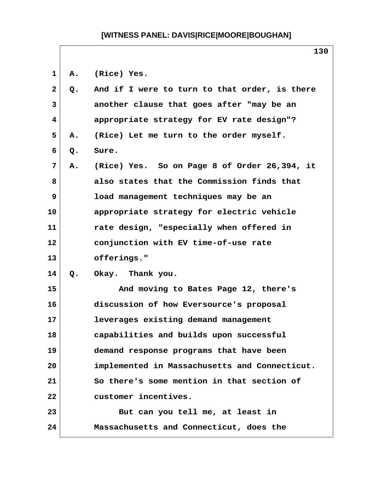**1 A. (Rice) Yes. 2 Q. And if I were to turn to that order, is there 3 another clause that goes after "may be an 4 appropriate strategy for EV rate design"? 5 A. (Rice) Let me turn to the order myself. 6 Q. Sure. 7 A. (Rice) Yes. So on Page 8 of Order 26,394, it 8 also states that the Commission finds that 9 load management techniques may be an 10 appropriate strategy for electric vehicle 11 rate design, "especially when offered in 12 conjunction with EV time-of-use rate 13 offerings." 14 Q. Okay. Thank you. 15 And moving to Bates Page 12, there's 16 discussion of how Eversource's proposal 17 leverages existing demand management 18 capabilities and builds upon successful 19 demand response programs that have been 20 implemented in Massachusetts and Connecticut. 21 So there's some mention in that section of 22 customer incentives.** 23 But can you tell me, at least in **24 Massachusetts and Connecticut, does the**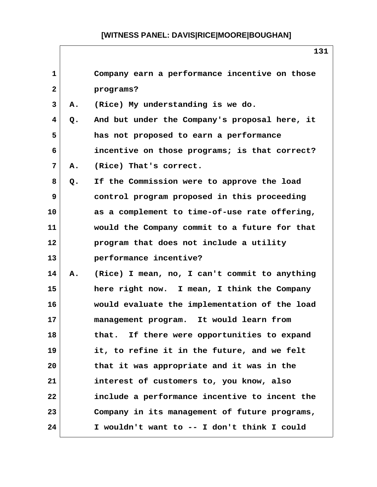| $\mathbf{1}$ |       | Company earn a performance incentive on those |
|--------------|-------|-----------------------------------------------|
| $\mathbf{2}$ |       | programs?                                     |
| 3            | А.    | (Rice) My understanding is we do.             |
| 4            | Q.    | And but under the Company's proposal here, it |
| 5            |       | has not proposed to earn a performance        |
| 6            |       | incentive on those programs; is that correct? |
| 7            | Α.    | (Rice) That's correct.                        |
| 8            | $Q$ . | If the Commission were to approve the load    |
| 9            |       | control program proposed in this proceeding   |
| 10           |       | as a complement to time-of-use rate offering, |
| 11           |       | would the Company commit to a future for that |
| 12           |       | program that does not include a utility       |
| 13           |       | performance incentive?                        |
| 14           | Α.    | (Rice) I mean, no, I can't commit to anything |
| 15           |       | here right now. I mean, I think the Company   |
| 16           |       | would evaluate the implementation of the load |
| 17           |       | management program. It would learn from       |
| 18           |       | that. If there were opportunities to expand   |
| 19           |       | it, to refine it in the future, and we felt   |
| 20           |       | that it was appropriate and it was in the     |
| 21           |       | interest of customers to, you know, also      |
| 22           |       | include a performance incentive to incent the |
| 23           |       | Company in its management of future programs, |
| 24           |       | I wouldn't want to -- I don't think I could   |

 $\mathsf{l}$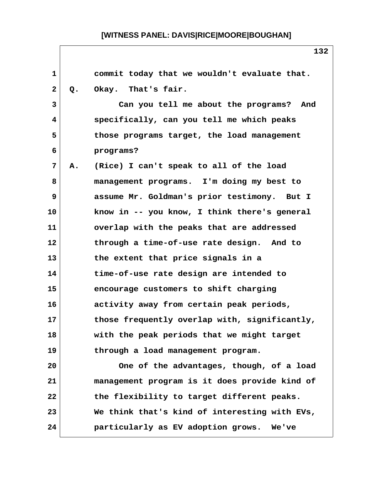| $\mathbf{1}$   |    | commit today that we wouldn't evaluate that.  |
|----------------|----|-----------------------------------------------|
| $\mathbf{2}$   | Q. | Okay. That's fair.                            |
| 3              |    | Can you tell me about the programs? And       |
| 4              |    | specifically, can you tell me which peaks     |
| 5              |    | those programs target, the load management    |
| 6              |    | programs?                                     |
| $\overline{7}$ | Α. | (Rice) I can't speak to all of the load       |
| 8              |    | management programs. I'm doing my best to     |
| 9              |    | assume Mr. Goldman's prior testimony. But I   |
| 10             |    | know in -- you know, I think there's general  |
| 11             |    | overlap with the peaks that are addressed     |
| 12             |    | through a time-of-use rate design. And to     |
| 13             |    | the extent that price signals in a            |
| 14             |    | time-of-use rate design are intended to       |
| 15             |    | encourage customers to shift charging         |
| 16             |    | activity away from certain peak periods,      |
| 17             |    | those frequently overlap with, significantly, |
| 18             |    | with the peak periods that we might target    |
| 19             |    | through a load management program.            |
| 20             |    | One of the advantages, though, of a load      |
| 21             |    | management program is it does provide kind of |
| 22             |    | the flexibility to target different peaks.    |
| 23             |    | We think that's kind of interesting with EVs, |
| 24             |    | particularly as EV adoption grows. We've      |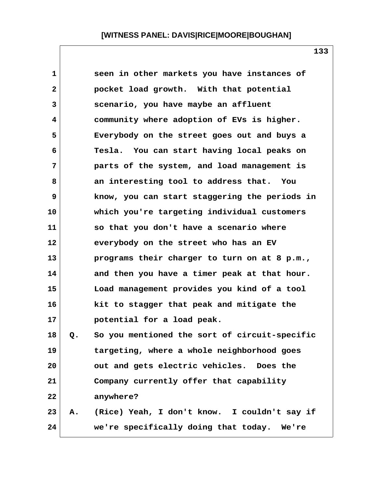| 1            |    | seen in other markets you have instances of   |
|--------------|----|-----------------------------------------------|
| $\mathbf{2}$ |    | pocket load growth. With that potential       |
| 3            |    | scenario, you have maybe an affluent          |
| 4            |    | community where adoption of EVs is higher.    |
| 5            |    | Everybody on the street goes out and buys a   |
| 6            |    | Tesla. You can start having local peaks on    |
| 7            |    | parts of the system, and load management is   |
| 8            |    | an interesting tool to address that. You      |
| 9            |    | know, you can start staggering the periods in |
| 10           |    | which you're targeting individual customers   |
| 11           |    | so that you don't have a scenario where       |
| 12           |    | everybody on the street who has an EV         |
| 13           |    | programs their charger to turn on at 8 p.m.,  |
| 14           |    | and then you have a timer peak at that hour.  |
| 15           |    | Load management provides you kind of a tool   |
| 16           |    | kit to stagger that peak and mitigate the     |
| 17           |    | potential for a load peak.                    |
| 18           | Q. | So you mentioned the sort of circuit-specific |
| 19           |    | targeting, where a whole neighborhood goes    |
| 20           |    | out and gets electric vehicles. Does the      |
| 21           |    | Company currently offer that capability       |
| 22           |    | anywhere?                                     |
| 23           | Α. | (Rice) Yeah, I don't know. I couldn't say if  |
| 24           |    | we're specifically doing that today. We're    |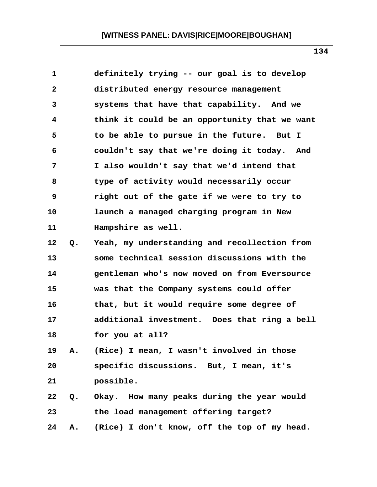| 1            |       | definitely trying -- our goal is to develop   |
|--------------|-------|-----------------------------------------------|
| $\mathbf{2}$ |       | distributed energy resource management        |
| 3            |       | systems that have that capability. And we     |
| 4            |       | think it could be an opportunity that we want |
| 5            |       | to be able to pursue in the future. But I     |
| 6            |       | couldn't say that we're doing it today. And   |
| 7            |       | I also wouldn't say that we'd intend that     |
| 8            |       | type of activity would necessarily occur      |
| 9            |       | right out of the gate if we were to try to    |
| 10           |       | launch a managed charging program in New      |
| 11           |       | Hampshire as well.                            |
| 12           | $Q$ . | Yeah, my understanding and recollection from  |
| 13           |       | some technical session discussions with the   |
| 14           |       | gentleman who's now moved on from Eversource  |
| 15           |       | was that the Company systems could offer      |
| 16           |       | that, but it would require some degree of     |
| 17           |       | additional investment. Does that ring a bell  |
| 18           |       | for you at all?                               |
| 19           | Α.    | (Rice) I mean, I wasn't involved in those     |
| 20           |       | specific discussions. But, I mean, it's       |
| 21           |       | possible.                                     |
| 22           | Q.    | Okay. How many peaks during the year would    |
| 23           |       | the load management offering target?          |
| 24           | Α.    | (Rice) I don't know, off the top of my head.  |

 $\mathsf{l}$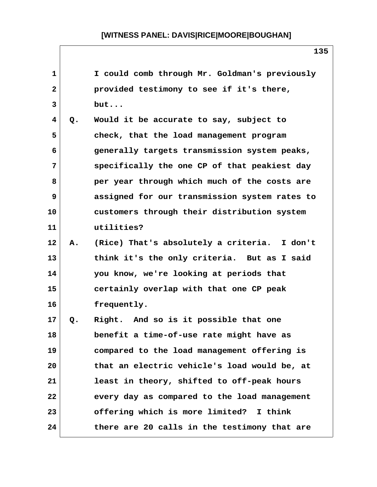| $\mathbf 1$     |       | I could comb through Mr. Goldman's previously |
|-----------------|-------|-----------------------------------------------|
| 2               |       | provided testimony to see if it's there,      |
| 3               |       | but                                           |
| 4               | $Q$ . | Would it be accurate to say, subject to       |
| 5               |       | check, that the load management program       |
| 6               |       | generally targets transmission system peaks,  |
| 7               |       | specifically the one CP of that peakiest day  |
| 8               |       | per year through which much of the costs are  |
| 9               |       | assigned for our transmission system rates to |
| 10              |       | customers through their distribution system   |
| 11              |       | utilities?                                    |
| 12              | Α.    | (Rice) That's absolutely a criteria. I don't  |
| 13              |       | think it's the only criteria. But as I said   |
| 14              |       | you know, we're looking at periods that       |
| 15              |       | certainly overlap with that one CP peak       |
| 16              |       | frequently.                                   |
| 17 <sub>2</sub> | Q.    | Right. And so is it possible that one         |
| 18              |       | benefit a time-of-use rate might have as      |
| 19              |       | compared to the load management offering is   |
| 20              |       | that an electric vehicle's load would be, at  |
| 21              |       | least in theory, shifted to off-peak hours    |
| 22              |       | every day as compared to the load management  |
| 23              |       | offering which is more limited? I think       |
| 24              |       | there are 20 calls in the testimony that are  |

 $\mathsf{l}$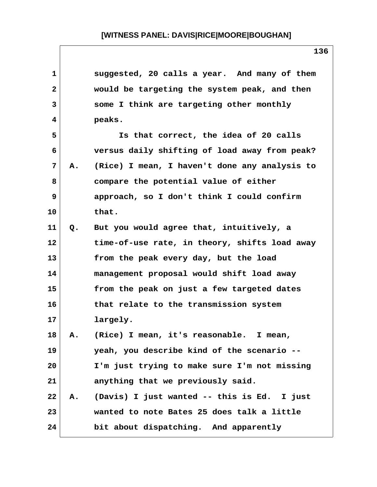| 1              |    | suggested, 20 calls a year. And many of them  |
|----------------|----|-----------------------------------------------|
| $\mathbf{2}$   |    | would be targeting the system peak, and then  |
| 3              |    | some I think are targeting other monthly      |
| 4              |    | peaks.                                        |
| 5              |    | Is that correct, the idea of 20 calls         |
| 6              |    | versus daily shifting of load away from peak? |
| $\overline{7}$ | Α. | (Rice) I mean, I haven't done any analysis to |
| 8              |    | compare the potential value of either         |
| 9              |    | approach, so I don't think I could confirm    |
| 10             |    | that.                                         |
| 11             | Q. | But you would agree that, intuitively, a      |
| 12             |    | time-of-use rate, in theory, shifts load away |
| 13             |    | from the peak every day, but the load         |
| 14             |    | management proposal would shift load away     |
| 15             |    | from the peak on just a few targeted dates    |
| 16             |    | that relate to the transmission system        |
| 17             |    | largely.                                      |
| 18             | Α. | (Rice) I mean, it's reasonable.<br>I mean,    |
| 19             |    | yeah, you describe kind of the scenario --    |
| 20             |    | I'm just trying to make sure I'm not missing  |
| 21             |    | anything that we previously said.             |
| 22             | Α. | (Davis) I just wanted -- this is Ed. I just   |
| 23             |    | wanted to note Bates 25 does talk a little    |
| 24             |    | bit about dispatching. And apparently         |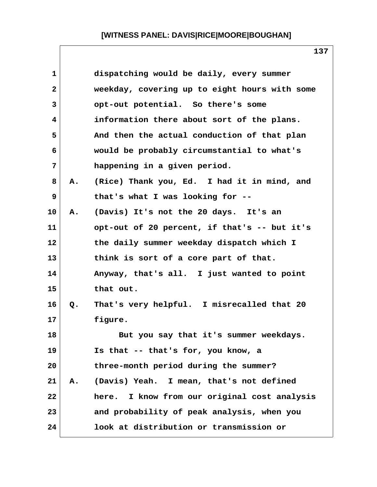| $\mathbf{1}$ |    | dispatching would be daily, every summer        |
|--------------|----|-------------------------------------------------|
| $\mathbf{2}$ |    | weekday, covering up to eight hours with some   |
| 3            |    | opt-out potential. So there's some              |
| 4            |    | information there about sort of the plans.      |
| 5            |    | And then the actual conduction of that plan     |
| 6            |    | would be probably circumstantial to what's      |
| 7            |    | happening in a given period.                    |
| 8            | Α. | (Rice) Thank you, Ed. I had it in mind, and     |
| 9            |    | that's what I was looking for --                |
| 10           | Α. | (Davis) It's not the 20 days. It's an           |
| 11           |    | opt-out of 20 percent, if that's -- but it's    |
| 12           |    | the daily summer weekday dispatch which I       |
| 13           |    | think is sort of a core part of that.           |
| 14           |    | Anyway, that's all. I just wanted to point      |
| 15           |    | that out.                                       |
| 16           | Q. | That's very helpful. I misrecalled that 20      |
| 17           |    | figure.                                         |
| 18           |    | But you say that it's summer weekdays.          |
| 19           |    | Is that -- that's for, you know, a              |
| 20           |    | three-month period during the summer?           |
| 21           | Α. | (Davis) Yeah.<br>I mean, that's not defined     |
| 22           |    | I know from our original cost analysis<br>here. |
| 23           |    | and probability of peak analysis, when you      |
| 24           |    | look at distribution or transmission or         |

 $\mathsf{l}$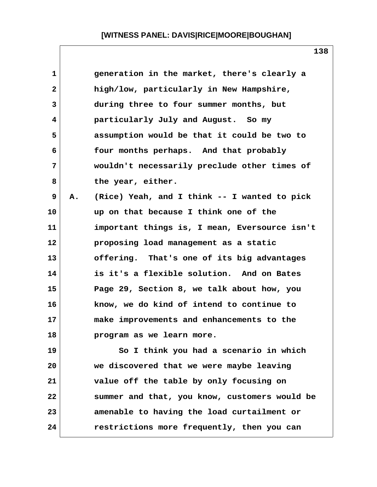| 1            |    | generation in the market, there's clearly a   |  |
|--------------|----|-----------------------------------------------|--|
| $\mathbf{2}$ |    | high/low, particularly in New Hampshire,      |  |
| 3            |    | during three to four summer months, but       |  |
| 4            |    | particularly July and August. So my           |  |
| 5            |    | assumption would be that it could be two to   |  |
| 6            |    | four months perhaps. And that probably        |  |
| 7            |    | wouldn't necessarily preclude other times of  |  |
| 8            |    | the year, either.                             |  |
| 9            | Α. | (Rice) Yeah, and I think -- I wanted to pick  |  |
| 10           |    | up on that because I think one of the         |  |
| 11           |    | important things is, I mean, Eversource isn't |  |
| 12           |    | proposing load management as a static         |  |
| 13           |    | offering. That's one of its big advantages    |  |
| 14           |    | is it's a flexible solution. And on Bates     |  |
| 15           |    | Page 29, Section 8, we talk about how, you    |  |
| 16           |    | know, we do kind of intend to continue to     |  |
| 17           |    | make improvements and enhancements to the     |  |
| 18           |    | program as we learn more.                     |  |
| 19           |    | So I think you had a scenario in which        |  |
| 20           |    | we discovered that we were maybe leaving      |  |
| 21           |    | value off the table by only focusing on       |  |
| 22           |    | summer and that, you know, customers would be |  |
| 23           |    | amenable to having the load curtailment or    |  |
| 24           |    | restrictions more frequently, then you can    |  |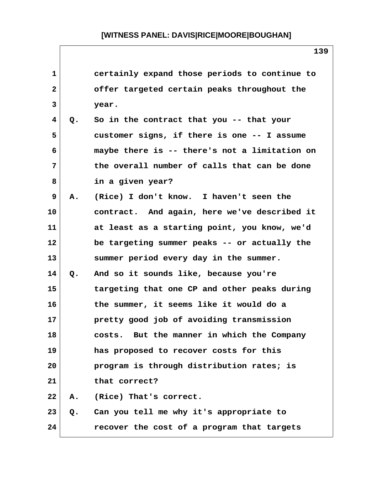| 1            |    | certainly expand those periods to continue to |
|--------------|----|-----------------------------------------------|
| $\mathbf{2}$ |    | offer targeted certain peaks throughout the   |
| 3            |    | year.                                         |
| 4            | Q. | So in the contract that you -- that your      |
| 5            |    | customer signs, if there is one -- I assume   |
| 6            |    | maybe there is -- there's not a limitation on |
| 7            |    | the overall number of calls that can be done  |
| 8            |    | in a given year?                              |
| 9            | Α. | (Rice) I don't know. I haven't seen the       |
| 10           |    | contract. And again, here we've described it  |
| 11           |    | at least as a starting point, you know, we'd  |
| 12           |    | be targeting summer peaks -- or actually the  |
| 13           |    | summer period every day in the summer.        |
| 14           | Q. | And so it sounds like, because you're         |
| 15           |    | targeting that one CP and other peaks during  |
| 16           |    | the summer, it seems like it would do a       |
| 17           |    | pretty good job of avoiding transmission      |
| 18           |    | costs. But the manner in which the Company    |
| 19           |    | has proposed to recover costs for this        |
| 20           |    | program is through distribution rates; is     |
| 21           |    | that correct?                                 |
| 22           | Α. | (Rice) That's correct.                        |
| 23           | Q. | Can you tell me why it's appropriate to       |
| 24           |    | recover the cost of a program that targets    |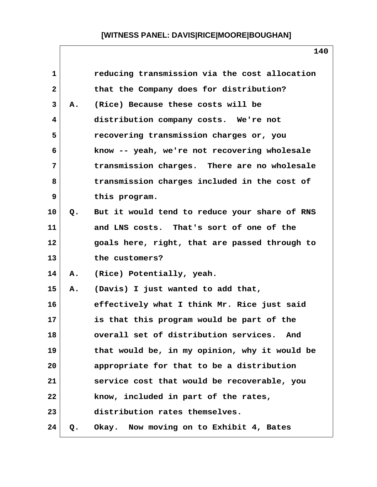| 1            |    | reducing transmission via the cost allocation |
|--------------|----|-----------------------------------------------|
| $\mathbf{2}$ |    | that the Company does for distribution?       |
| 3            | Α. | (Rice) Because these costs will be            |
| 4            |    | distribution company costs. We're not         |
| 5            |    | recovering transmission charges or, you       |
| 6            |    | know -- yeah, we're not recovering wholesale  |
| 7            |    | transmission charges. There are no wholesale  |
| 8            |    | transmission charges included in the cost of  |
| 9            |    | this program.                                 |
| 10           | Q. | But it would tend to reduce your share of RNS |
| 11           |    | and LNS costs. That's sort of one of the      |
| 12           |    | goals here, right, that are passed through to |
| 13           |    | the customers?                                |
| 14           | Α. | (Rice) Potentially, yeah.                     |
| 15           | Α. | (Davis) I just wanted to add that,            |
| 16           |    | effectively what I think Mr. Rice just said   |
| 17           |    | is that this program would be part of the     |
| 18           |    | overall set of distribution services. And     |
| 19           |    | that would be, in my opinion, why it would be |
| 20           |    | appropriate for that to be a distribution     |
| 21           |    | service cost that would be recoverable, you   |
| 22           |    | know, included in part of the rates,          |
| 23           |    | distribution rates themselves.                |
| 24           | Q. | Okay. Now moving on to Exhibit 4, Bates       |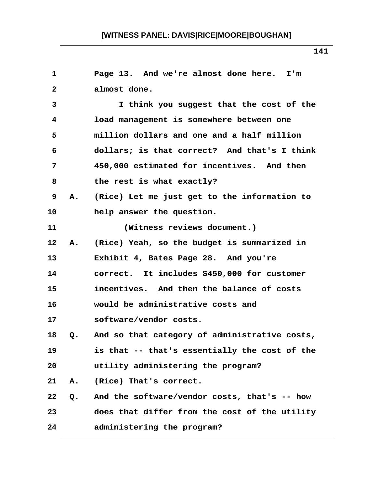| $\mathbf{1}$   |    | Page 13. And we're almost done here. I'm        |
|----------------|----|-------------------------------------------------|
| $\overline{2}$ |    | almost done.                                    |
| 3              |    | I think you suggest that the cost of the        |
| 4              |    | load management is somewhere between one        |
| 5              |    | million dollars and one and a half million      |
| 6              |    | dollars; is that correct? And that's I think    |
| 7              |    | 450,000 estimated for incentives. And then      |
| 8              |    | the rest is what exactly?                       |
| 9              |    | A. (Rice) Let me just get to the information to |
| 10             |    | help answer the question.                       |
| 11             |    | (Witness reviews document.)                     |
| 12             | Α. | (Rice) Yeah, so the budget is summarized in     |
| 13             |    | Exhibit 4, Bates Page 28. And you're            |
| 14             |    | correct. It includes \$450,000 for customer     |
| 15             |    | incentives. And then the balance of costs       |
| 16             |    | would be administrative costs and               |
| 17             |    | software/vendor costs.                          |
| 18             | Q. | And so that category of administrative costs,   |
| 19             |    | is that -- that's essentially the cost of the   |
| 20             |    | utility administering the program?              |
| 21             | Α. | (Rice) That's correct.                          |
| 22             | Q. | And the software/vendor costs, that's -- how    |
| 23             |    | does that differ from the cost of the utility   |
| 24             |    | administering the program?                      |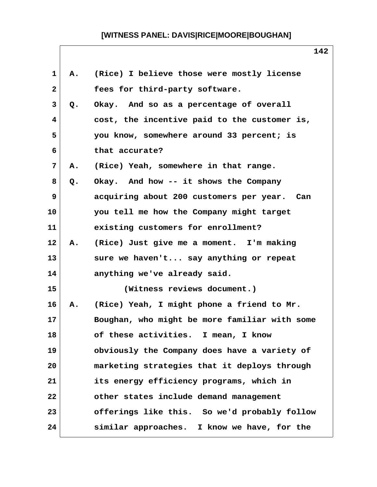| 1            | Α. | (Rice) I believe those were mostly license    |
|--------------|----|-----------------------------------------------|
| $\mathbf{2}$ |    | fees for third-party software.                |
| 3            | Q. | Okay. And so as a percentage of overall       |
| 4            |    | cost, the incentive paid to the customer is,  |
| 5            |    | you know, somewhere around 33 percent; is     |
| 6            |    | that accurate?                                |
| 7            | Α. | (Rice) Yeah, somewhere in that range.         |
| 8            | Q. | Okay. And how -- it shows the Company         |
| 9            |    | acquiring about 200 customers per year. Can   |
| 10           |    | you tell me how the Company might target      |
| 11           |    | existing customers for enrollment?            |
| 12           | Α. | (Rice) Just give me a moment. I'm making      |
| 13           |    | sure we haven't say anything or repeat        |
| 14           |    | anything we've already said.                  |
| 15           |    | (Witness reviews document.)                   |
| 16           | Α. | (Rice) Yeah, I might phone a friend to Mr.    |
| 17           |    | Boughan, who might be more familiar with some |
| 18           |    | of these activities. I mean, I know           |
| 19           |    | obviously the Company does have a variety of  |
| 20           |    | marketing strategies that it deploys through  |
| 21           |    | its energy efficiency programs, which in      |
| 22           |    | other states include demand management        |
| 23           |    | offerings like this. So we'd probably follow  |
| 24           |    | similar approaches. I know we have, for the   |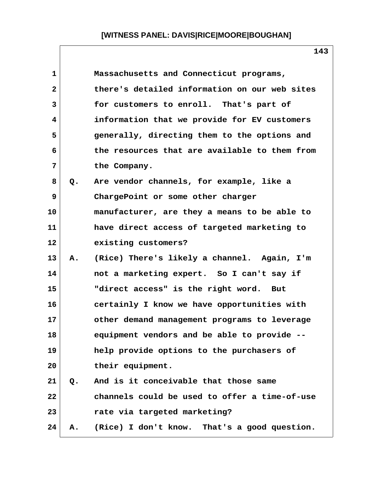| $\mathbf{1}$ |           | Massachusetts and Connecticut programs,       |
|--------------|-----------|-----------------------------------------------|
| $\mathbf{2}$ |           | there's detailed information on our web sites |
| 3            |           | for customers to enroll. That's part of       |
| 4            |           | information that we provide for EV customers  |
| 5            |           | generally, directing them to the options and  |
| 6            |           | the resources that are available to them from |
| 7            |           | the Company.                                  |
| 8            | Q.        | Are vendor channels, for example, like a      |
| 9            |           | ChargePoint or some other charger             |
| 10           |           | manufacturer, are they a means to be able to  |
| 11           |           | have direct access of targeted marketing to   |
| 12           |           | existing customers?                           |
| 13           | <b>A.</b> | (Rice) There's likely a channel. Again, I'm   |
| 14           |           | not a marketing expert. So I can't say if     |
| 15           |           | "direct access" is the right word. But        |
| 16           |           | certainly I know we have opportunities with   |
| 17           |           | other demand management programs to leverage  |
| 18           |           | equipment vendors and be able to provide --   |
| 19           |           | help provide options to the purchasers of     |
| 20           |           | their equipment.                              |
| 21           | $Q$ .     | And is it conceivable that those same         |
| 22           |           | channels could be used to offer a time-of-use |
| 23           |           | rate via targeted marketing?                  |
| 24           | Α.        | (Rice) I don't know. That's a good question.  |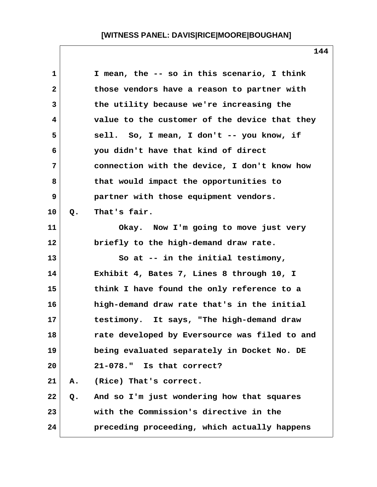| $\mathbf 1$  |    | I mean, the -- so in this scenario, I think   |
|--------------|----|-----------------------------------------------|
| $\mathbf{2}$ |    | those vendors have a reason to partner with   |
| 3            |    | the utility because we're increasing the      |
| 4            |    | value to the customer of the device that they |
| 5            |    | sell. So, I mean, I don't -- you know, if     |
| 6            |    | you didn't have that kind of direct           |
| 7            |    | connection with the device, I don't know how  |
| 8            |    | that would impact the opportunities to        |
| 9            |    | partner with those equipment vendors.         |
| 10           | Q. | That's fair.                                  |
| 11           |    | Okay. Now I'm going to move just very         |
| 12           |    | briefly to the high-demand draw rate.         |
| 13           |    | So at -- in the initial testimony,            |
| 14           |    | Exhibit 4, Bates 7, Lines 8 through 10, I     |
| 15           |    | think I have found the only reference to a    |
| 16           |    | high-demand draw rate that's in the initial   |
| 17           |    | testimony. It says, "The high-demand draw     |
| 18           |    | rate developed by Eversource was filed to and |
| 19           |    | being evaluated separately in Docket No. DE   |
| 20           |    | $21 - 078.$ "<br>Is that correct?             |
| 21           | Α. | (Rice) That's correct.                        |
| 22           | Q. | And so I'm just wondering how that squares    |
| 23           |    | with the Commission's directive in the        |
| 24           |    | preceding proceeding, which actually happens  |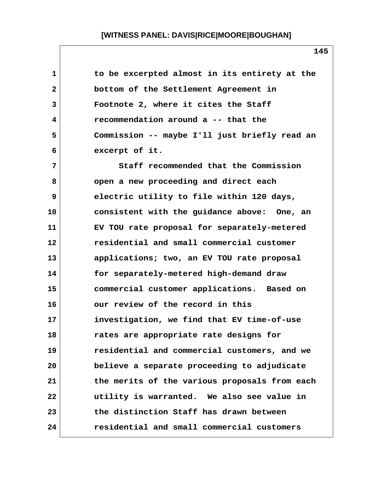| 1  | to be excerpted almost in its entirety at the |
|----|-----------------------------------------------|
| 2  | bottom of the Settlement Agreement in         |
| 3  | Footnote 2, where it cites the Staff          |
| 4  | recommendation around a -- that the           |
| 5  | Commission -- maybe I'll just briefly read an |
| 6  | excerpt of it.                                |
| 7  | Staff recommended that the Commission         |
| 8  | open a new proceeding and direct each         |
| 9  | electric utility to file within 120 days,     |
| 10 | consistent with the guidance above: One, an   |
| 11 | EV TOU rate proposal for separately-metered   |
| 12 | residential and small commercial customer     |
| 13 | applications; two, an EV TOU rate proposal    |
| 14 | for separately-metered high-demand draw       |
| 15 | commercial customer applications. Based on    |
| 16 | our review of the record in this              |
| 17 | investigation, we find that EV time-of-use    |
| 18 | rates are appropriate rate designs for        |
| 19 | residential and commercial customers, and we  |
| 20 | believe a separate proceeding to adjudicate   |
| 21 | the merits of the various proposals from each |
| 22 | utility is warranted. We also see value in    |
| 23 | the distinction Staff has drawn between       |
| 24 | residential and small commercial customers    |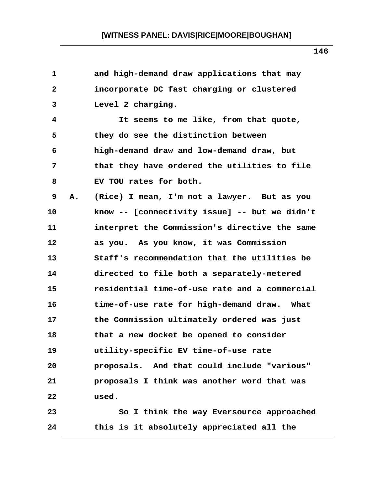| $\mathbf 1$    |    | and high-demand draw applications that may    |
|----------------|----|-----------------------------------------------|
| $\overline{2}$ |    | incorporate DC fast charging or clustered     |
| 3              |    | Level 2 charging.                             |
| 4              |    | It seems to me like, from that quote,         |
| 5              |    | they do see the distinction between           |
| 6              |    | high-demand draw and low-demand draw, but     |
| 7              |    | that they have ordered the utilities to file  |
| 8              |    | EV TOU rates for both.                        |
| 9              | Α. | (Rice) I mean, I'm not a lawyer. But as you   |
| 10             |    | know -- [connectivity issue] -- but we didn't |
| 11             |    | interpret the Commission's directive the same |
| 12             |    | as you. As you know, it was Commission        |
| 13             |    | Staff's recommendation that the utilities be  |
| 14             |    | directed to file both a separately-metered    |
| 15             |    | residential time-of-use rate and a commercial |
| 16             |    | time-of-use rate for high-demand draw. What   |
| 17             |    | the Commission ultimately ordered was just    |
| 18             |    | that a new docket be opened to consider       |
| 19             |    | utility-specific EV time-of-use rate          |
| 20             |    | proposals. And that could include "various"   |
| 21             |    | proposals I think was another word that was   |
| 22             |    | used.                                         |
| 23             |    | So I think the way Eversource approached      |
| 24             |    | this is it absolutely appreciated all the     |

 $\mathsf{l}$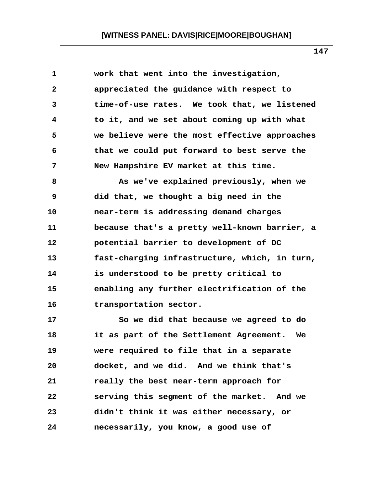| 1            | work that went into the investigation,        |
|--------------|-----------------------------------------------|
| $\mathbf{2}$ | appreciated the guidance with respect to      |
| 3            | time-of-use rates. We took that, we listened  |
| 4            | to it, and we set about coming up with what   |
| 5            | we believe were the most effective approaches |
| 6            | that we could put forward to best serve the   |
| 7            | New Hampshire EV market at this time.         |
| 8            | As we've explained previously, when we        |
| 9            | did that, we thought a big need in the        |
| 10           | near-term is addressing demand charges        |
| 11           | because that's a pretty well-known barrier, a |
| 12           | potential barrier to development of DC        |
| 13           | fast-charging infrastructure, which, in turn, |
| 14           | is understood to be pretty critical to        |
| 15           | enabling any further electrification of the   |
| 16           | transportation sector.                        |
| 17           | So we did that because we agreed to do        |
| 18           | it as part of the Settlement Agreement. We    |
| 19           | were required to file that in a separate      |
| 20           | docket, and we did. And we think that's       |
| 21           | really the best near-term approach for        |
| 22           | serving this segment of the market. And we    |
| 23           | didn't think it was either necessary, or      |
| 24           | necessarily, you know, a good use of          |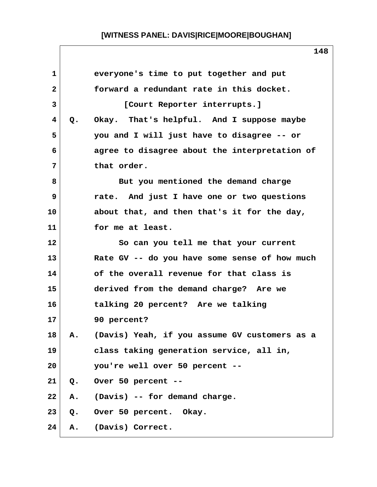|               | everyone's time to put together and put       |
|---------------|-----------------------------------------------|
|               | forward a redundant rate in this docket.      |
|               | [Court Reporter interrupts.]                  |
| Q.            | Okay. That's helpful. And I suppose maybe     |
|               | you and I will just have to disagree -- or    |
|               | agree to disagree about the interpretation of |
|               | that order.                                   |
|               | But you mentioned the demand charge           |
|               | rate. And just I have one or two questions    |
|               | about that, and then that's it for the day,   |
|               | for me at least.                              |
|               | So can you tell me that your current          |
|               | Rate GV -- do you have some sense of how much |
|               | of the overall revenue for that class is      |
|               | derived from the demand charge? Are we        |
|               | talking 20 percent? Are we talking            |
|               | 90 percent?                                   |
| Α.            | (Davis) Yeah, if you assume GV customers as a |
|               | class taking generation service, all in,      |
|               | you're well over 50 percent --                |
| $Q_{\bullet}$ | Over 50 percent --                            |
| Α.            | (Davis) -- for demand charge.                 |
|               | Q. Over 50 percent. Okay.                     |
| Α.            | (Davis) Correct.                              |
|               |                                               |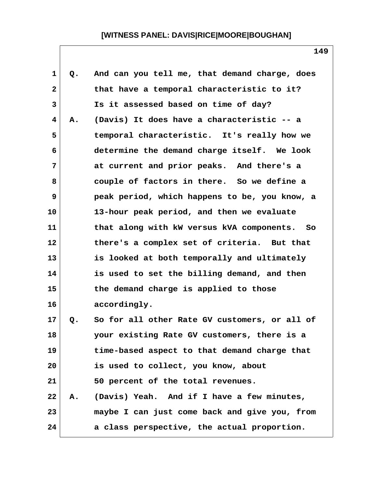| $\mathbf 1$  | Q. | And can you tell me, that demand charge, does |
|--------------|----|-----------------------------------------------|
| $\mathbf{2}$ |    | that have a temporal characteristic to it?    |
| 3            |    | Is it assessed based on time of day?          |
| 4            | Α. | (Davis) It does have a characteristic -- a    |
| 5            |    | temporal characteristic. It's really how we   |
| 6            |    | determine the demand charge itself. We look   |
| 7            |    | at current and prior peaks. And there's a     |
| 8            |    | couple of factors in there. So we define a    |
| 9            |    | peak period, which happens to be, you know, a |
| 10           |    | 13-hour peak period, and then we evaluate     |
| 11           |    | that along with kW versus kVA components. So  |
| 12           |    | there's a complex set of criteria. But that   |
| 13           |    | is looked at both temporally and ultimately   |
| 14           |    | is used to set the billing demand, and then   |
| 15           |    | the demand charge is applied to those         |
| 16           |    | accordingly.                                  |
| 17           | Q. | So for all other Rate GV customers, or all of |
| 18           |    | your existing Rate GV customers, there is a   |
| 19           |    | time-based aspect to that demand charge that  |
| 20           |    | is used to collect, you know, about           |
| 21           |    | 50 percent of the total revenues.             |
| 22           | Α. | (Davis) Yeah. And if I have a few minutes,    |
| 23           |    | maybe I can just come back and give you, from |
| 24           |    | a class perspective, the actual proportion.   |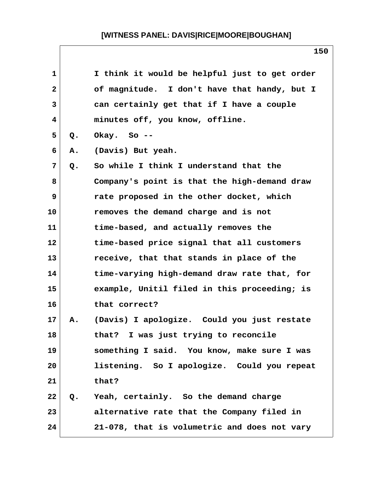| 1  |       | I think it would be helpful just to get order |
|----|-------|-----------------------------------------------|
| 2  |       | of magnitude. I don't have that handy, but I  |
| 3  |       | can certainly get that if I have a couple     |
| 4  |       | minutes off, you know, offline.               |
| 5  | Q.    | Okay. So $-$ -                                |
| 6  | Α.    | (Davis) But yeah.                             |
| 7  | $Q$ . | So while I think I understand that the        |
| 8  |       | Company's point is that the high-demand draw  |
| 9  |       | rate proposed in the other docket, which      |
| 10 |       | removes the demand charge and is not          |
| 11 |       | time-based, and actually removes the          |
| 12 |       | time-based price signal that all customers    |
| 13 |       | receive, that that stands in place of the     |
| 14 |       | time-varying high-demand draw rate that, for  |
| 15 |       | example, Unitil filed in this proceeding; is  |
| 16 |       | that correct?                                 |
| 17 | Α.    | (Davis) I apologize. Could you just restate   |
| 18 |       | that? I was just trying to reconcile          |
| 19 |       | something I said. You know, make sure I was   |
| 20 |       | listening. So I apologize. Could you repeat   |
| 21 |       | that?                                         |
| 22 | Q.    | Yeah, certainly. So the demand charge         |
| 23 |       | alternative rate that the Company filed in    |
| 24 |       | 21-078, that is volumetric and does not vary  |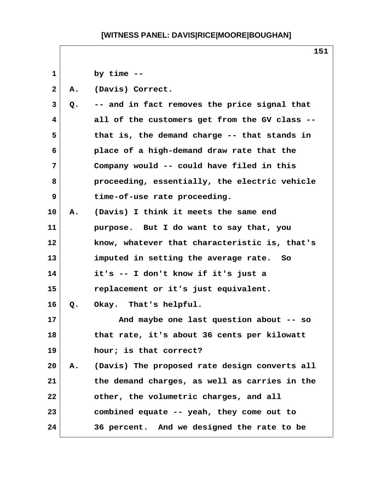**1 by time -- 2 A. (Davis) Correct. 3 Q. -- and in fact removes the price signal that 4 all of the customers get from the GV class -- 5 that is, the demand charge -- that stands in 6 place of a high-demand draw rate that the 7 Company would -- could have filed in this 8 proceeding, essentially, the electric vehicle 9 time-of-use rate proceeding. 10 A. (Davis) I think it meets the same end 11 purpose. But I do want to say that, you 12 know, whatever that characteristic is, that's 13 imputed in setting the average rate. So 14 it's -- I don't know if it's just a 15 replacement or it's just equivalent. 16 Q. Okay. That's helpful. 17 And maybe one last question about -- so 18 that rate, it's about 36 cents per kilowatt 19 hour; is that correct? 20 A. (Davis) The proposed rate design converts all 21 the demand charges, as well as carries in the 22 other, the volumetric charges, and all 23 combined equate -- yeah, they come out to 24 36 percent. And we designed the rate to be**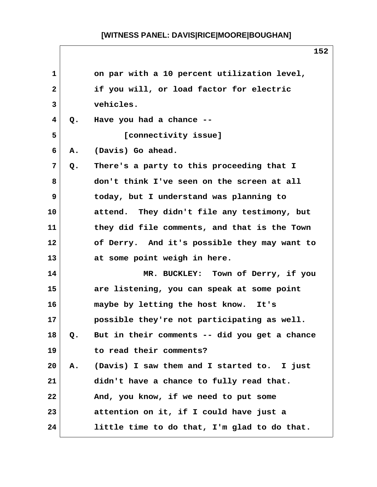|              |    | 152                                           |
|--------------|----|-----------------------------------------------|
| $\mathbf{1}$ |    | on par with a 10 percent utilization level,   |
| $\mathbf{2}$ |    | if you will, or load factor for electric      |
| 3            |    | vehicles.                                     |
| 4            | Q. | Have you had a chance --                      |
| 5            |    | [connectivity issue]                          |
| 6            | Α. | (Davis) Go ahead.                             |
| 7            | Q. | There's a party to this proceeding that I     |
| 8            |    | don't think I've seen on the screen at all    |
| 9            |    | today, but I understand was planning to       |
| 10           |    | attend. They didn't file any testimony, but   |
| 11           |    | they did file comments, and that is the Town  |
| 12           |    | of Derry. And it's possible they may want to  |
| 13           |    | at some point weigh in here.                  |
| 14           |    | MR. BUCKLEY: Town of Derry, if you            |
| 15           |    | are listening, you can speak at some point    |
| 16           |    | maybe by letting the host know.<br>It's       |
| 17           |    | possible they're not participating as well.   |
| 18           | Q. | But in their comments -- did you get a chance |
| 19           |    | to read their comments?                       |
| 20           | Α. | (Davis) I saw them and I started to. I just   |
| 21           |    | didn't have a chance to fully read that.      |
| 22           |    | And, you know, if we need to put some         |
| 23           |    | attention on it, if I could have just a       |
| 24           |    | little time to do that, I'm glad to do that.  |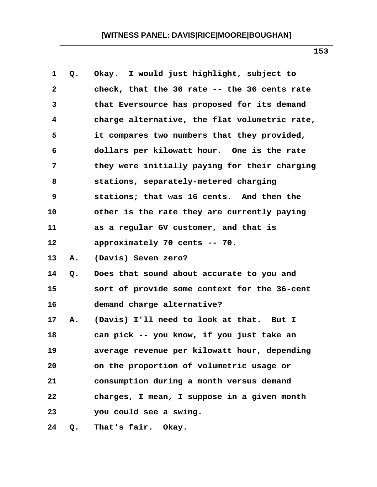| 1              | Q. | Okay. I would just highlight, subject to      |
|----------------|----|-----------------------------------------------|
| $\mathbf{2}$   |    | check, that the 36 rate -- the 36 cents rate  |
| 3              |    | that Eversource has proposed for its demand   |
| 4              |    | charge alternative, the flat volumetric rate, |
| 5              |    | it compares two numbers that they provided,   |
| 6              |    | dollars per kilowatt hour. One is the rate    |
| $7\phantom{.}$ |    | they were initially paying for their charging |
| 8              |    | stations, separately-metered charging         |
| 9              |    | stations; that was 16 cents. And then the     |
| 10             |    | other is the rate they are currently paying   |
| 11             |    | as a regular GV customer, and that is         |
| 12             |    | approximately 70 cents -- 70.                 |
| 13             | Α. | (Davis) Seven zero?                           |
| 14             | Q. | Does that sound about accurate to you and     |
| 15             |    | sort of provide some context for the 36-cent  |
| 16             |    | demand charge alternative?                    |
| 17             | Α. | (Davis) I'll need to look at that. But I      |
| 18             |    | can pick -- you know, if you just take an     |
| 19             |    | average revenue per kilowatt hour, depending  |
| 20             |    | on the proportion of volumetric usage or      |
| 21             |    | consumption during a month versus demand      |
| 22             |    | charges, I mean, I suppose in a given month   |
| 23             |    | you could see a swing.                        |
| 24             | Q. | That's fair. Okay.                            |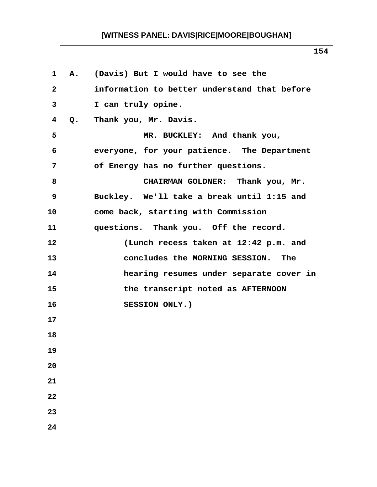| $\mathbf{1}$            |               | A. (Davis) But I would have to see the       |
|-------------------------|---------------|----------------------------------------------|
| $\mathbf{2}$            |               | information to better understand that before |
| $\mathbf{3}$            |               | I can truly opine.                           |
| $\overline{\mathbf{4}}$ | $Q_{\bullet}$ | Thank you, Mr. Davis.                        |
| 5                       |               | MR. BUCKLEY: And thank you,                  |
| 6                       |               | everyone, for your patience. The Department  |
| 7                       |               | of Energy has no further questions.          |
| 8                       |               | CHAIRMAN GOLDNER: Thank you, Mr.             |
| 9                       |               | Buckley. We'll take a break until 1:15 and   |
| 10                      |               | come back, starting with Commission          |
| 11                      |               | questions. Thank you. Off the record.        |
| 12                      |               | (Lunch recess taken at 12:42 p.m. and        |
| 13                      |               | concludes the MORNING SESSION. The           |
| 14                      |               | hearing resumes under separate cover in      |
| 15                      |               | the transcript noted as AFTERNOON            |
| 16                      |               | SESSION ONLY.)                               |
| 17                      |               |                                              |
| 18                      |               |                                              |
| 19                      |               |                                              |
| 20                      |               |                                              |
| 21                      |               |                                              |
| 22                      |               |                                              |
| 23                      |               |                                              |
| 24                      |               |                                              |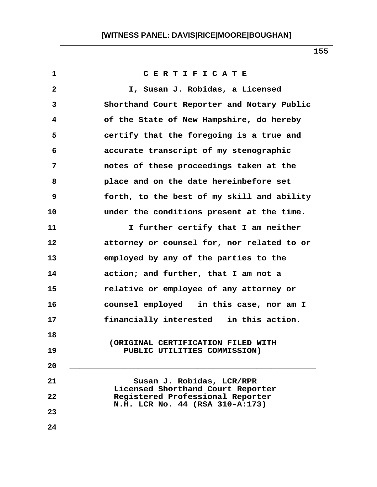**1 C E R T I F I C A T E 2 I, Susan J. Robidas, a Licensed 3 Shorthand Court Reporter and Notary Public 4 of the State of New Hampshire, do hereby 5 certify that the foregoing is a true and 6 accurate transcript of my stenographic 7 notes of these proceedings taken at the 8 place and on the date hereinbefore set 9 forth, to the best of my skill and ability 10 under the conditions present at the time. 11 I further certify that I am neither 12 attorney or counsel for, nor related to or 13 employed by any of the parties to the 14 action; and further, that I am not a 15 relative or employee of any attorney or 16 counsel employed in this case, nor am I 17 financially interested in this action. 18 (ORIGINAL CERTIFICATION FILED WITH 19 PUBLIC UTILITIES COMMISSION) 20 \_\_\_\_\_\_\_\_\_\_\_\_\_\_\_\_\_\_\_\_\_\_\_\_\_\_\_\_\_\_\_\_\_\_\_\_\_\_\_\_\_\_\_\_\_\_\_\_\_\_** 21 Susan J. Robidas, LCR/RPR  **Licensed Shorthand Court Reporter 22 Registered Professional Reporter N.H. LCR No. 44 (RSA 310-A:173) 23 24**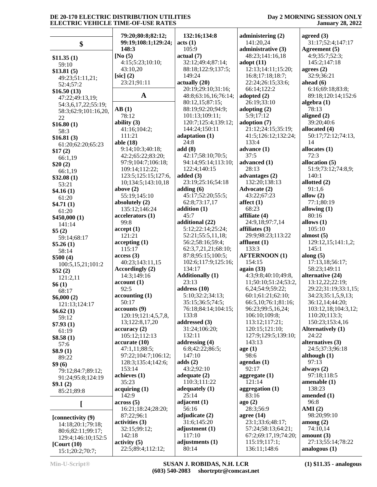|                        | 79:20;80:8;82:12;                       | 132:16;134:8                | administering (2)                     | agreed $(3)$               |
|------------------------|-----------------------------------------|-----------------------------|---------------------------------------|----------------------------|
| \$                     | 99:19;108:1;129:24;                     | acts (1)                    | 141:20,24                             | 31:17;52:4;147:17          |
|                        | 148:3                                   | 105:9                       | administrative (3)                    | Agreement (5)              |
| \$11.35(1)             | [No $(5)$                               | actual(7)                   | 48:23;141:16,18                       | 4:9;35:7;52:3;             |
| 59:10                  | 4:15;5:23;10:10;                        | 32:12;49:4;87:14;           | adopt(11)                             | 145:2;147:18               |
| \$13.81(5)             | 43:10,20                                | 88:18;122:9;137:5;          | 12:13;14:11;15:20;                    | agrees $(2)$               |
| 49:23;51:11,21;        | $[sic]$ (2)                             | 149:24                      | 16:8;17:18;18:7;                      | 32:9;36:21                 |
| 52:4;57:2              | 23:21;91:11                             | actually(20)                | 22:24;26:15;33:6;                     | ahead $(6)$                |
| \$16.50(13)            |                                         | 20:19;29:10;31:16;          | 66:14;122:2                           | 6:16;69:18;83:8;           |
| 47:22;49:13,19;        | $\mathbf A$                             | 48:8;63:16,16;76:14;        | adopted (2)                           | 89:18;120:14;152:6         |
| 54:3,6,17,22;55:19;    |                                         | 80:12,15;87:15;             | 26:19;33:10                           | algebra $(1)$              |
| 58:3;62:9;101:16,20,   | AB(1)                                   | 88:19;92:20;94:9;           | adopting $(2)$                        | 78:13                      |
| 22                     | 78:12                                   | 101:13;109:11;              | 5:9;17:12                             | aligned $(2)$              |
| \$16.80(1)             | ability $(3)$                           | 120:7;125:4;139:12;         | adoption (7)                          | 39:20;40:6                 |
| 58:3                   | 41:16;104:2;                            | 144:24;150:11               | 21:12;24:15;35:19;                    | allocated (4)              |
| \$16.81(3)             | 111:21                                  | adaptation (1)<br>24:8      | 41:5;126:12;132:24;                   | 50:17;72:12;74:13,<br>14   |
| 61:20;62:20;65:23      | able (18)                               |                             | 133:4                                 |                            |
| \$17(2)                | 9:14;10:3;40:18;                        | add(8)<br>42:17;58:10;70:5; | advance (1)<br>37:5                   | allocates $(1)$<br>72:3    |
| 66:1,19                | 42:2;65:22;83:20;<br>97:9;104:7;106:18; | 94:14;95:14;113:10;         | advanced (1)                          | allocation (5)             |
| \$20(2)                | 109:14;112:22;                          | 122:4;140:15                | 28:13                                 | 51:9;73:12;74:8,9;         |
| 66:1,19                | 123:5;125:15;127:6,                     | added $(3)$                 | advantages $(2)$                      | 140:1                      |
| \$32.08(1)             | 10;134:5;143:10,18                      | 23:19;25:16;54:18           | 132:20;138:13                         | allotted $(2)$             |
| 53:21                  | above $(2)$                             | adding $(6)$                | <b>Advocate (2)</b>                   | 91:1,6                     |
| \$4.16(1)              | 55:19;145:10                            | 45:17;52:20;55:5;           | 43:22;67:23                           | allow $(2)$                |
| 61:20                  | absolutely (2)                          | 62:8;73:17,17               | affect $(1)$                          | 77:1;80:19                 |
| \$4.71(1)              | 135:12;146:24                           | addition (1)                | 68:23                                 | allowing $(1)$             |
| 61:20                  | accelerators (1)                        | 45:7                        | affiliate (4)                         | 80:16                      |
| \$450,000(1)<br>141:14 | 99:8                                    | additional (22)             | 24:9,18;97:7,14                       | allows $(1)$               |
| \$5(2)                 | accept(1)                               | 5:12;22:14;25:24;           | affiliates $(3)$                      | 105:10                     |
| 59:14;68:17            | 121:21                                  | 52:21;55:5,11,18;           | 29:9;98:23;113:22                     | almost $(5)$               |
| \$5.26(1)              | accepting(1)                            | 56:2;58:16;59:4;            | affluent $(1)$                        | 129:12,15;141:1,2;         |
| 58:14                  | 115:17                                  | 62:3,7,21,21;68:10;         | 133:3                                 | 145:1                      |
| \$500(4)               | access(3)                               | 87:8;95:15;100:5;           | <b>AFTERNOON (1)</b>                  | along $(5)$                |
| 100:5,15,21;101:2      | 40:23;143:11,15                         | 102:6;117:9;125:16;         | 154:15                                | 17:13,18;56:17;            |
| \$52(2)                | Accordingly (2)                         | 134:17                      | again $(33)$                          | 58:23;149:11               |
| 121:2,11               | 14:3;149:16                             | <b>Additionally (1)</b>     | 4:3;9:8;40:10;49:8,                   | alternative (24)           |
| \$6(1)                 | account(1)                              | 23:13                       | 11;50:10;51:24;53:2,                  | 13:12,22;22:19;            |
| 68:17                  | 92:5                                    | address $(10)$              | 6,24;54:9;59:22;                      | 29:22;31:19;33:1,15;       |
| \$6,000(2)             | accounting(1)                           | 5:10;32:2;34:13;            | 60:1;61:21;62:10;                     | 34:23;35:1,5,9,13;         |
| 121:13;124:17          | 50:17                                   | 35:15;36:5;74:5;            | 66:5,10;76:1;81:16;                   | 36:12,14;44:20;            |
| \$6.62(1)              | accounts (9)                            | 76:18;84:14;104:15;         | 96:23;99:5,16,24;                     | 103:12,18;104:3,12;        |
| 59:12                  | 120:19;121:4,5,7,8,                     | 133:8                       | 106:10;109:8;                         | 110:20;113:3;              |
| \$7.93(1)              | 13;122:8,17,20                          | addressed (3)               | 113:12;117:21;                        | 150:23;153:4,16            |
| 61:19                  | accuracy(2)<br>105:12;112:13            | 31:24;106:20;<br>132:11     | 120:15;121:10;<br>127:9;129:5;139:10; | Alternatively (1)<br>24:22 |
| \$8.58(1)              | accurate (10)                           | addressing (4)              | 143:13                                | alternatives (3)           |
| 57:6                   | 47:1,11;88:5;                           | 6:8;42:22;86:5;             | age(1)                                | 24:5;37:3;96:18            |
| \$8.9(1)               | 97:22;104:7;106:12;                     | 147:10                      | 98:6                                  | although $(1)$             |
| 89:22                  | 128:3;135:4;142:6;                      | adds $(2)$                  | agendas $(1)$                         | 97:13                      |
| \$9(6)                 | 153:14                                  | 43:2;92:10                  | 92:17                                 | always $(2)$               |
| 79:12;84:7;89:12;      | achieves $(1)$                          | adequate $(2)$              | aggregate $(1)$                       | 97:18;118:5                |
| 91:24;95:8;124:19      | 35:23                                   | 110:3;111:22                | 121:14                                | amenable $(1)$             |
| \$9.1(2)<br>85:21;89:8 | acquiring (1)                           | adequately $(1)$            | aggregation (1)                       | 138:23                     |
|                        | 142:9                                   | 25:14                       | 83:16                                 | amended (1)                |
|                        | across(5)                               | adjacent $(1)$              | ago(2)                                | 96:8                       |
|                        | 16:21;18:24;28:20;                      | 56:16                       | 28:3;56:9                             | AMI(2)                     |
| [connectivity (9)      | 87:22;96:1                              | adjudicate $(2)$            | agree $(14)$                          | 98:20;99:10                |
| 14:18;20:1;79:18;      | activities (3)                          | 31:6;145:20                 | 23:1;33:6;48:17;                      | among $(2)$                |
| 80:6;82:11;99:17;      | 32:15;99:12;                            | adjustment $(1)$            | 57:24;58:13;64:21;                    | 74:10,14                   |
| 129:4;146:10;152:5     | 142:18                                  | 117:10                      | 67:2;69:17,19;74:20;                  | amount $(3)$               |
| $[$ Court $(10)$       | $\text{activity} (5)$                   | adjustments (1)             | 115:19;117:1;                         | 27:13;55:14;78:22          |
| 15:1;20:2;70:7;        | 22:5;89:4;112:12;                       | 80:14                       | 136:11;148:6                          | analogous $(1)$            |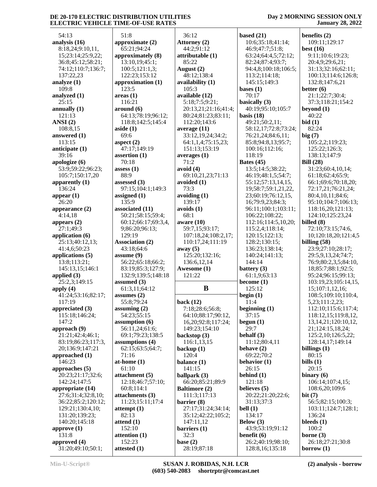#### **Day 2 MORNING SESSION ONLY January 28, 2022**

| 54:13                                  | 51:8            |
|----------------------------------------|-----------------|
| analysis (16)                          | approx          |
| 8:18,24;9:10,11,                       | 65:2            |
| 15;23:14;25:9,22;                      | approx          |
| 36:8;45:12;58:21;                      | 13:1            |
| 74:12;110:7;136:7;<br>137:22,23        | 100:<br>122:    |
| analyze (1)                            | approx          |
| 109:8                                  | 123:            |
| analyzed (1)                           | areas (         |
| 25:15                                  | 116:            |
| annually (1)                           | aroun           |
| 121:13                                 | 64:1            |
| ANSI(2)<br>108:8,15                    | 118:<br>aside ( |
| answered (1)                           | 69:6            |
| 113:15                                 | aspect          |
| anticipate (1)                         | 47:1            |
| 39:16                                  | asserti         |
| apologize (6)                          | 70:1            |
| 53:9;59:22;96:23;<br>105:7;150:17,20   | assess<br>88:9  |
| apparently (1)                         | assesse         |
| 136:24                                 | 97:1            |
| appear $(1)$                           | assign          |
| 26:20                                  | 135:            |
| appearance (2)                         | associa         |
| 4:14,18                                | 50:2            |
| appears (2)<br>27:1;49:3               | 60:1<br>9;86    |
| application (6)                        | 129:            |
| 25:13;40:12,13;                        | Associ          |
| 41:4,6;50:23                           | 43:1            |
| applications (5)                       | assum           |
| 13:8;113:21;<br>145:13,15;146:1        | 56:2            |
| applied (3)                            | 83:1<br>132:    |
| 25:2,3;149:15                          | assum           |
| apply (4)                              | 61:3            |
| 41:24;53:16;82:17;                     | assum           |
| 117:19                                 | 55:8            |
| appreciated (3)<br>115:18;146:24;      | assum<br>54:2   |
| 147:2                                  | assum           |
| approach (9)                           | 56:1            |
| 21:21;42:4;46:1;                       | 69:1            |
| 83:19;86:23;117:3,                     | assum           |
| 20;136:9;147:21<br>approached (1)      | 62:1<br>71:1    |
| 146:23                                 | at-hon          |
| approaches (5)                         | 61:1            |
| 20:23;21:17;32:6;                      | attach          |
| 142:24;147:5                           | 12:1            |
| appropriate (14)                       | 60:8            |
| 27:6;31:4;32:8,10;                     | attach<br>11:2  |
| 36:22;85:2;120:12;<br>129:21;130:4,10; | attemp          |
| 131:20;139:23;                         | 82:1            |
| 140:20;145:18                          | attend          |
| approve (1)                            | 152:            |
| 131:8                                  | attenti         |
| approved (4)<br>31:20;49:10;50:1;      | 152:<br>atteste |
|                                        |                 |

| 51:8                                 | 36:12                                    | b٤       |
|--------------------------------------|------------------------------------------|----------|
| approximate (2)                      | Attorney (2)                             |          |
| 65:21;94:24                          | 44:2;91:12                               |          |
| approximately (8)                    | attributable (1)                         |          |
| 13:10,19;45:1;                       | 85:22                                    |          |
| 100:5;121:1,3;                       | August (2)                               |          |
| 122:23;153:12                        | 48:12;138:4                              |          |
| approximation (1)                    | availability (1)                         |          |
| 123:5                                | 105:3                                    | bε       |
| areas(1)                             | available (12)                           |          |
| 116:21                               | 5:18;7:5;9:21;                           | b٤       |
| around(6)                            | 20:13,21;21:16;41:4;                     |          |
| 64:13;78:19;96:12;                   | 80:24;81:23;83:11;                       | b٤       |
| 118:8;142:5;145:4                    | 112:20;143:6                             |          |
| aside(1)<br>69:6                     | average (11)<br>33:12,19,24;34:2;        |          |
| aspect $(2)$                         | 64:1,1,4;75:15,23;                       |          |
| 47:17;149:19                         | 151:13;153:19                            |          |
| assertion (1)                        | averages (1)                             |          |
| 70:18                                | 71:2                                     | B        |
| assess $(1)$                         | avoid $(4)$                              |          |
| 88:9                                 | 69:10,21,23;71:13                        |          |
| assessed $(3)$                       | avoided (1)                              |          |
| 97:15;104:1;149:3                    | 73:3                                     |          |
| assigned (1)                         | avoiding $(1)$                           |          |
| 135:9                                | 139:17                                   |          |
| associated (11)                      | avoids(1)                                |          |
| 50:21;58:15;59:4;                    | 68:1                                     |          |
| 60:12;66:17;69:3,4,                  | aware $(10)$                             |          |
| 9;86:20;96:13;                       | 59:7,15;93:17;                           |          |
| 129:19                               | 107:18,24;108:2,17;                      |          |
|                                      | 110:17,24;111:19                         |          |
|                                      |                                          |          |
| <b>Association (2)</b><br>43:18;64:6 | away $(5)$                               |          |
| assume $(9)$                         | 125:20;132:16;                           |          |
| 56:22;65:18;66:2;                    | 136:6,12,14                              |          |
| 83:19;85:3;127:9;                    | Awesome (1)                              | b٤       |
| 132:9;139:5;148:18                   | 121:22                                   |          |
| assumed $(3)$                        |                                          | b€       |
| 61:3,11;64:12                        | B                                        |          |
| assumes $(2)$                        |                                          | b€       |
| 55:8;79:24                           | back $(12)$                              |          |
| assuming $(2)$                       | 7:18;28:6;56:8;                          | b€       |
| 54:23;55:15                          | 64:10;88:17;90:12,                       |          |
| assumption (6)                       | 16,20;92:8;117:24;                       | b€       |
| 56:11,24;61:6;                       | 149:23;154:10                            |          |
| 69:1;79:23;138:5                     | backstop (3)                             | b€       |
| assumptions (4)                      | 116:1,13,15                              |          |
| 62:15;63:5;64:7;                     | backup $(1)$                             | b€       |
| 71:16                                | 120:4                                    |          |
| at-home $(1)$                        | balance (1)                              | b€       |
| 61:10                                | 141:15                                   |          |
| attachment (5)                       | ballpark (3)                             | b€       |
| 12:18;46:7;57:10;<br>60:8;114:1      | 66:20;85:21;89:9<br><b>Baltimore (2)</b> | b€       |
| attachments (3)                      | 111:3;117:13                             |          |
| 11:23;15:11;17:4                     | barrier (8)                              |          |
| attempt $(1)$                        | 27:17;31:24;34:14;                       | b€       |
| 82:13                                | 35:12;42:22;105:2;                       |          |
| attend $(1)$                         | 147:11,12                                | $\bf{B}$ |
| 152:10                               | barriers (1)                             |          |
| attention (1)                        | 32:3                                     | b        |
| 152:23<br>attested (1)               | base $(2)$<br>28:19;87:18                |          |

| based $(21)$         | benefits $(2)$   |
|----------------------|------------------|
|                      |                  |
| 10:6;35:18;41:14;    | 109:11;1         |
| 46:9;47:7;51:8;      | best $(16)$      |
| 63:24;64:4,5;72:12;  | 9:11;10:6        |
| 82:24;87:4;93:7;     | 20:4,9;29        |
| 94:4,8;100:18;106:5; | 31:13;32         |
| 113:2;114:18;        | 100:13;1         |
| 145:15;149:3         | 132:8;14         |
| bases $(1)$          | better $(6)$     |
|                      |                  |
| 70:17                | 21:1;22:7        |
| basically (3)        | 37:3;118         |
| 40:19;95:10;105:7    | beyond $(1)$     |
| basis $(18)$         | 40:22            |
| 49:21;50:2,11;       | bid(1)           |
| 58:12,17;72:8;73:24; | 82:24            |
| 76:21,24;84:6,11;    | big(7)           |
| 85:8;94:8,13;95:7;   | 105:2,2;1        |
| 100:16;112:16;       | 125:22;1         |
|                      |                  |
| 118:19               | 138:13;14        |
| Bates (45)           | <b>Bill</b> (28) |
| 13:5;14:5;38:22;     | 31:23;60         |
| 46:19;48:1,5;54:7;   | 61:18;62         |
| 55:12;57:13,14,15,   | 66:1;69:6        |
| 19;58:7;59:1,21,22,  | 72:17,21         |
| 23;60:19;76:12,15,   | 80:4,10,1        |
| 16;79:9,23;84:3;     | 95:10;10         |
| 96:11;100:1;103:11;  | 118:16,2         |
| 106:22;108:22;       | 124:10;12        |
|                      |                  |
| 112:16;114:5,10,20;  | billed (8)       |
| 115:2,4;118:14;      | 72:10;73         |
| 120:15;122:13;       | 10;120:18        |
| 128:2;130:15;        | billing $(58)$   |
| 136:23;138:14;       | 23:9;27:1        |
| 140:24;141:13;       | 29:5,9,13        |
| 144:14               | 76:9;80:2        |
| battery (3)          | 18;85:7;8        |
| 61:1,9;63:13         | 95:24;96         |
| become $(1)$         | 103:19,23        |
| 125:12               | 15;107:1         |
| begin $(1)$          | 108:5;10         |
|                      |                  |
| 11:4                 | 5,23;111         |
| beginning $(1)$      | 112:10;1         |
| 37:15                | 118:12,1:        |
| begun $(1)$          | 13, 14, 21;      |
| 29:7                 | 21;124:1.        |
| behalf (3)           | 125:2,10         |
| 11:12;80:4,11        | 128:14,1         |
| behave (2)           | billings $(1)$   |
| 69:22;70:2           | 80:15            |
| behavior (1)         | bills $(1)$      |
| 26:15                | 20:15            |
|                      |                  |
| behind $(1)$         | binary $(6)$     |
| 121:18               | 106:14;1         |
| believes (5)         | 108:6,20         |
| 20:22;21:20;22:6;    | bit(7)           |
| 31:13;37:3           | 56:5;82:1        |
| bell $(1)$           | 103:11;12        |
| 134:17               | 136:24           |
| Below (3)            | bleeds $(1)$     |
| 43:9;53:19;91:12     | 100:2            |
| benefit (6)          | borne $(3)$      |
| 26:2;40:19;98:10;    | 26:18;27         |
|                      |                  |
| 128:8,16;135:18      | borrow $(1)$     |

**benefits (2)** 109:11;129:17 **best (16)** 9:11;10:6;19:23; 20:4,9;29:6,21; 31:13;32:16;62:11; 100:13;114:6;126:8; 132:8;147:6,21 **better (6)** 21:1;22:7;30:4; 37:3;118:21;154:2 **beyond (1)** 40:22 **bid (1)** 82:24 **big (7)** 105:2,2;119:23; 125:22;126:3; 138:13;147:9 **Bill (28)** 31:23;60:4,10,14; 61:18;62:4;65:9; 66:1;69:6;70:18,20; 72:17,21;76:21,24; 80:4,10,11;84:6; 95:10;104:7;106:13; 118:16,20;121:13; 124:10;125:23,24 **billed (8)** 72:10;73:15;74:6, 10;120:18,20;121:4,5 **billing (58)** 23:9;27:10;28:17; 29:5,9,13,24;74:7; 76:9;80:2,3,5;84:10, 18;85:7;88:1;92:5; 95:24;96:15;99:13; 103:19,23;105:14,15, 15;107:1,12,16; 108:5;109:10;110:4, 5,23;111:2,23; 112:10;115:6;117:4; 118:12,15;119:8,12, 13,14,21;120:10,12, 21;124:15,18,24; 125:2,10;126:5,22; 128:14,17;149:14 **billings (1)** 80:15 **bills (1)** 20:15 **binary (6)** 106:14;107:4,15; 108:6,20;109:6 **bit (7)** 56:5;82:15;100:3; 103:11;124:7;128:1; 136:24 **bleeds (1)** 100:2 **borne (3)** 26:18;27:21;30:8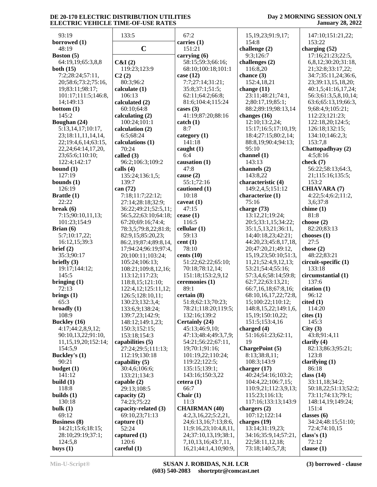| 93:19                                   | 133:5                              | 67:2                                   | 15, 19, 23; 91: 9, 17;     | 147:10;151:21,22;                |
|-----------------------------------------|------------------------------------|----------------------------------------|----------------------------|----------------------------------|
| borrowed (1)                            |                                    | carries (1)                            | 154:8                      | 153:22                           |
| 48:19                                   | $\mathbf C$                        | 151:21                                 | challenge (2)              | charging (52)                    |
| Boston (5)                              |                                    | carrying (6)                           | 9:3;126:7                  | 17:16;21:23;22:5,                |
| 64:19,19;65:3,8,8                       | C&I(2)                             | 58:15;59:3;66:16;                      | challenges (2)             | 6,8,12;30:20;31:18,              |
| both $(15)$                             | 119:23;123:9                       | 68:10;100:18;101:1                     | 116:8,20                   | 21;32:8;33:17,22;                |
| 7:2;28:24;57:11,                        | C2(2)                              | case $(12)$                            | chance (3)                 | 34:7;35:11,24;36:6,              |
| 20;58:6;73:2;75:16,                     | 80:3;96:2                          | 7:7;27:14;31:21;                       | 152:4,18,21                | 23;39:13,15,18,20;               |
| 19;83:11;98:17;                         | calculate (1)                      | 35:8;37:1;51:5;                        | change $(11)$              | 40:1,5;41:16,17,24;              |
| 101:17;111:5;146:8,                     | 106:13                             | 62:11;64:2;66:8;                       | 23:11;48:21;74:1,          | 56:3;61:3,5,8,10,14;             |
| 14;149:13                               | calculated (2)                     | 81:6;104:4;115:24                      | 2;80:17,19;85:1;           | 63:6;65:13,19;66:3,              |
| bottom $(1)$                            | 60:10;64:8                         | cases $(3)$                            | 88:2;89:19;98:13,14        | 9;68:4,9;105:21;                 |
| 145:2                                   | calculating $(2)$                  | 41:19;87:20;88:16                      | changes $(16)$             | 112:23;121:23;                   |
| Boughan (24)                            | 100:24;101:1                       | $\text{catch} (1)$                     | 12:10;13:2,24;             | 122:18,20;124:5;                 |
| 5:13,14,17;10:17,                       | calculation $(2)$                  | 8:7                                    | 15:17;16:5;17:10,19;       | 126:18;132:15;                   |
| 23;18:11,11,14,14,                      | 6:5;68:24                          | category $(1)$                         | 18:4;27:15;80:2,14;        | 134:10;146:2,3;                  |
| 22;19:4,6,14;63:15,                     | calculations (1)                   | 141:18                                 | 88:8,19;90:4;94:13;        | 153:7,8                          |
| 22, 24; 64: 14, 17, 20,                 | 70:24                              | caught $(1)$                           | 95:10                      | Chattopadhyay (2)                |
| 23;65:6;110:10;                         | called $(3)$                       | 6:4                                    | channel (1)<br>143:13      | 4:5;8:16                         |
| 122:4;142:17<br>bound $(1)$             | 96:2;106:3;109:2<br>calls $(4)$    | causation (1)<br>47:8                  | channels (2)               | check $(7)$<br>56:22;58:13;64:3, |
| 127:19                                  | 135:24;136:1,5;                    | cause $(2)$                            | 143:8,22                   | 21;115:16;135:5;                 |
| bounds $(1)$                            | 139:7                              | 55:1;72:16                             | characteristic (4)         | 153:2                            |
| 126:19                                  | can (72)                           | cautioned (1)                          | 149:2,4,5;151:12           | <b>CHIAVARA (7)</b>              |
| Brattle (1)                             | 7:18;11:7;22:12;                   | 10:18                                  | characterize (1)           | 4:22;5:4;6:2;11:2,               |
| 22:22                                   | 27:14;28:18;32:9;                  | caveat $(1)$                           | 75:16                      | 3,6;37:8                         |
| break(6)                                | 36:22;49:21;52:5,11;               | 47:15                                  | charge (73)                | chime $(1)$                      |
| 7:15;90:10,11,13;                       | 56:5,22;63:10;64:18;               | cease $(1)$                            | 13:12,21;19:24;            | 81:8                             |
| 101:23;154:9                            | 67:20;69:16;74:4;                  | 116:5                                  | 20:5;33:1,15;34:22;        | choose $(2)$                     |
| Brian $(6)$                             | 78:3,5;79:8,22;81:8;               | cellular $(1)$                         | 35:1,5,13,21;36:11,        | 82:20;83:13                      |
| 5:7;10:17,22;                           | 82:9,15;85:20,23;                  | 59:13                                  | 14;40:18,23;42:21;         | chooses $(1)$                    |
| 16:12,15;39:3                           | 86:2,19;87:4;89:8,14,              | cent(1)                                | 44:20,23;45:8,17,18,       | 27:5                             |
| brief (2)                               | 17;94:24;96:19;97:4,               | 78:10                                  | 20;47:20,21;49:12,         | chose $(2)$                      |
| 35:3;90:17                              | 20;100:11;103:24;                  | cents $(10)$                           | 15, 19, 23; 50: 10; 51: 3, | 48:22;83:21                      |
| briefly $(3)$                           | 105:24;106:13;                     | 51:22;62:22;65:10;                     | 11,21;52:4,9,12,13;        | circuit-specific (1)             |
| 19:17;144:12;                           | 108:21;109:8,12,16;                | 70:18;78:12,14;                        | 53:21;54:4;55:16;          | 133:18                           |
| 145:5                                   | 113:12;117:23;                     | 151:18;153:2,9,12                      | 57:3,4,6;58:14;59:8;       | circumstantial (1)               |
| bringing $(1)$                          | 118:8,15;121:10;                   | ceremonies (1)                         | 62:7,22;63:13,21;          | 137:6                            |
| 72:13                                   | 122:4,12;125:11,12;                | 89:1                                   | 66:7,16,18;67:8,16;        | citation (1)                     |
| brings $(1)$                            | 126:5;128:10,11;                   | certain (8)                            | 68:10,16,17,22;72:8,       | 96:12                            |
| 65:3                                    | 130:23;132:3,4;                    | 51:8;62:13;70:23;                      | 15;100:22;110:12;          | cited(1)                         |
| broadly $(1)$                           | 133:6,9;138:24;                    | 78:21;118:20;119:5;                    | 148:8, 15, 22; 149: 1, 6,  | 114:20                           |
| 108:9                                   | 139:7,23;142:9;                    | 132:16;139:2                           | 15, 19; 150: 10, 22;       | cites(1)                         |
| <b>Buckley</b> (16)                     | 148:12;149:1,23;                   | Certainly (24)                         | 151:5;153:4,16             | 145:3                            |
| 4:17;44:2,8,9,12;<br>90:10,13,22;91:10, | 150:3;152:15;                      | 45:13;46:9,10;<br>47:13;48:4;49:3,7,9; | charged (4)                | City(3)<br>43:8;91:4,11          |
| 11, 15, 19, 20; 152: 14;                | 153:18;154:3<br>capabilities $(5)$ | 54:21;56:22;67:11,                     | 51:16;61:23;62:11,<br>19   | clarify $(4)$                    |
| 154:5,9                                 | 27:24;29:5;111:13;                 | 19;70:1;91:16;                         | <b>ChargePoint (5)</b>     | 82:13;86:3;95:21;                |
| <b>Buckley's (1)</b>                    | 112:19;130:18                      | 101:19,22;110:24;                      | 8:13;38:8,11;              | 123:8                            |
| 90:21                                   | capability (5)                     | 119:22;122:5;                          | 108:3;143:9                | clarifying $(1)$                 |
| budget (1)                              | 30:4,6;106:6;                      | 135:15;139:1;                          | charger $(17)$             | 86:18                            |
| 141:12                                  | 133:21;134:3                       | 143:16;150:3,22                        | 40:24;54:16;103:2;         | class $(14)$                     |
| build $(1)$                             | capable $(2)$                      | cetera(1)                              | 104:4,22;106:7,15;         | 33:11,18;34:2;                   |
| 118:8                                   | 29:13;108:5                        | 66:7                                   | 110:9,21;112:3,9,13;       | 50:18,22;51:13;52:2;             |
| builds $(1)$                            | capacity (2)                       | Chair $(1)$                            | 115:23;116:13;             | 73:11;74:13;79:1;                |
| 130:18                                  | 74:23;75:22                        | 11:3                                   | 117:16;133:13;143:9        | 148:14,19;149:24;                |
| bulk $(1)$                              | capacity-related (3)               | <b>CHAIRMAN (40)</b>                   | chargers $(2)$             | 151:4                            |
| 69:12                                   | 69:10,23;71:13                     | 4:2,3,16,22;5:2,21,                    | 107:12;122:14              | classes $(6)$                    |
| <b>Business</b> (8)                     | capture $(1)$                      | 24;6:13,16;7:13;8:6,                   | charges $(19)$             | 34:24;48:15;51:10;               |
| 14:21;15:6;18:15;                       | 52:24                              | 11;9:16,23;10:4,8,11,                  | 13:14;31:19,23;            | 72:4;74:10,15                    |
| 28:10;29:19;37:1;                       | captured (1)                       | 24;37:10,13,19;38:1,                   | 34:16;35:9,14;57:21,       | class's $(1)$                    |
| 124:5,8                                 | 120:6                              | 7, 10, 13, 16; 43: 7, 11,              | 22;58:11,12,18;            | 72:12                            |
| buys $(1)$                              | careful $(1)$                      | 16,21;44:1,4,10;90:9,                  | 73:18;140:5,7,8;           | clause $(1)$                     |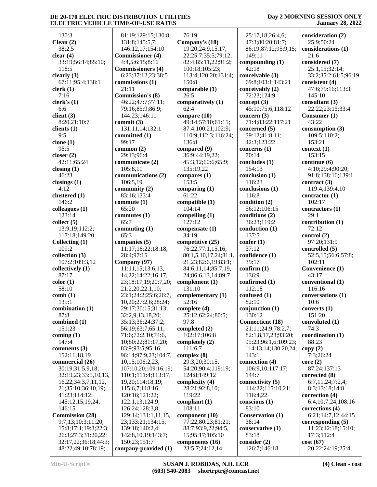#### **Day 2 MORNING SESSION ONLY January 28, 2022**

 130:3 **Clean (2)** 38:2,5 **clear (4)** 33:19;56:14;85:10; 118:5 **clearly (3)** 67:11;95:4;138:1 **clerk (1)** 7:16 **clerk's (1)** 6:6 **client (3)** 8:20,21;10:7 **clients (1)** 9:5 **clone (1)** 95:5 **closer (2)** 42:11;65:24 **closing (1)** 46:23 **closings (1)** 4:12 **clustered (1)** 146:2 **colleagues (1)** 123:14 **collect (5)** 13:9,19;112:2; 117:18;149:20 **Collecting (1)** 109:2 **collection (3)** 107:2;109:3,12 **collectively (1)** 87:17 **color (1)** 58:10 **comb (1)** 135:1 **combination (1)** 87:8 **combined (1)** 151:23 **coming (1)** 147:4 **comments (3)** 152:11,18,19 **commercial (26)** 30:19;31:5,9,18; 32:19,23;33:5,10,13, 16,22;34:3,7,11,12, 21;35:10;36:10,19; 41:23;114:12; 145:12,15,19,24; 146:15 **Commission (28)** 9:7,13;10:3;11:20; 15:8;17:1;19:3;22:3; 26:3;27:3;31:20,22; 32:17,22;36:18;44:3; 48:22;49:10;78:19;

 81:19;129:15;130:8; 131:8;145:5,7; 146:12,17;154:10 **Commissioner (4)** 4:4,5;6:15;8:16 **Commissioners (4)** 6:23;37:12,23;38:5 **commissions (1)** 21:11 **Commission's (8)** 46:22;47:7;77:11; 79:16;85:9;86:9; 144:23;146:11 **commit (3)** 131:11,14;132:1 **committed (1)** 99:17 **common (2)** 29:13;96:4 **communicate (2)** 105:8,11 **communications (2)** 106:5,19 **community (2)** 83:16;133:4 **commute (1)** 65:20 **commutes (1)** 65:7 **commuting (1)** 65:3 **companies (5)** 11:17;16:22;18:18; 28:4;97:15 **Company (97)** 11:11,15;13:6,13, 14,22;14:22;16:17, 23;18:17,19;20:7,20; 21:2,20;22:1,10; 23:1;24:2;25:6;26:7, 10,20;27:2,6;28:24; 29:17;30:15;31:13; 32:2,9,13,18,20; 35:13;36:24;37:2; 56:19;63:7;65:11; 71:6;72:2,10;74:6, 10;80:22;81:17,20; 83:9;93:5;95:16; 96:14;97:9,23;104:7, 10,15;106:2,23; 107:10,20;109:16,19; 110:1;111:4;113:17, 19,20;114:18,19; 115:6,7;118:16; 120:16;121:22; 122:1,13;124:9; 126:24;128:3,8; 129:14;131:1,11,15, 23;133:21;134:15; 139:18;140:2,4; 142:8,10,19;143:7; 150:23;151:7 **company-provided (1)**

 76:19 **Company's (18)** 19:20;24:9,15,17, 22;25:7;35:5;79:12; 82:4;85:11,22;91:2; 100:18;105:23; 113:4;120:20;131:4; 150:8 **comparable (1)** 26:5 **comparatively (1)** 62:4 **compare (10)** 49:14;57:10;61:15; 87:4;100:21;102:9; 110:9;112:3;116:24; 136:8 **compared (9)** 36:9;44:19,22; 45:3,12;60:6;65:9; 135:19,22 **compares (1)** 153:5 **comparing (1)** 61:22 **compatible (1)** 104:14 **compelling (1)** 127:12 **compensate (1)** 34:19 **competitive (25)** 76:22;77:1,15,16; 80:1,5,10,17,24;81:1, 21,23;82:6,19;83:1; 84:6,11,14;85:7,19, 24;86:6,13,14;89:7 **complement (1)** 131:10 **complementary (1)** 52:16 **complete (4)** 25:12;62:24;80:5; 97:8 **completed (2)** 102:17;106:8 **completely (2)** 111:6,7 **complex (8)** 29:3,20;30:15; 54:20;90:4;119:19; 124:8;149:12 **complexity (4)** 28:21;92:8,10; 119:22 **compliant (1)** 108:11 **component (10)** 77:22;80:23;81:21; 88:7;93:9,22;94:5, 15;95:17;105:10 **components (16)** 23:5,7;24:12,14;

 25:17,18;26:4,6; 47:3;80:20;81:7; 86:19;87:12;95:9,15; 149:11 **compounding (1)** 42:18 **conceivable (3)** 69:8;103:1;143:21 **conceivably (2)** 72:23;124:9 **concept (3)** 45:10;75:6;118:12 **concern (3)** 71:4;83:22;117:21 **concerned (5)** 39:12;41:8,11; 42:3;123:22 **concerns (1)** 70:14 **concludes (1)** 154:13 **conclusion (1)** 116:23 **conclusions (1)** 116:8 **condition (2)** 56:12;106:15 **conditions (2)** 36:23;119:2 **conduction (1)** 137:5 **confer (1)** 37:12 **confidence (1)**  $39.17$ **confirm (1)** 136:9 **confirmed (1)** 112:18 **confused (1)** 82:10 **conjunction (1)** 130:12 **Connecticut (18)** 21:11;24:9;78:2,7; 82:1,8,17,23;93:20; 95:23;96:1,6;109:23; 114:13,14;130:20,24; 143:1 **connection (4)** 106:9,10;117:17; 144:7 **connectivity (5)** 114:22;115:10,21; 116:4,22 **conscious (1)** 83:10 **Conservation (1)** 38:14 **conservative (1)** 83:18 **consider (2)** 126:7;146:18

**consideration (2)** 25:9;50:24 **considerations (1)** 21:6 **considered (7)** 25:1,15;32:14; 33:2;35:2;61:5;96:19 **consistent (4)** 47:6;79:16;113:3; 145:10 **consultant (3)** 22:22;23:15;33:4 **Consumer (1)** 43:22 **consumption (3)** 109:5;110:2; 153:21 **context (1)** 153:15 **continue (6)** 4:10;29:4;90:20; 91:8;138:16;139:1 **contract (3)** 119:4;139:4,10 **contractor (1)** 102:17 **contractors (1)** 29:1 **contribution (1)** 72:12 **control (2)** 97:20;131:9 **controlled (5)** 52:5,15;56:6;57:8;  $102.11$ **Convenience (1)** 43:17 **conventional (1)** 116:16 **conversations (1)** 10:6 **converts (1)** 151:20 **convoluted (1)** 74:3 **coordination (1)** 88:23 **copy (2)** 7:3;26:24 **core (2)** 87:24;137:13 **corrected (8)** 6:7,11,24;7:2,4; 8:3;13:18;14:8 **correction (4)** 6:4,10;7:24;108:16 **corrections (4)** 6:21;14:7,12;44:15 **corresponding (5)** 11:23;12:18;15:10; 17:3;112:4 **cost (67)** 20:22;24:19;25:4;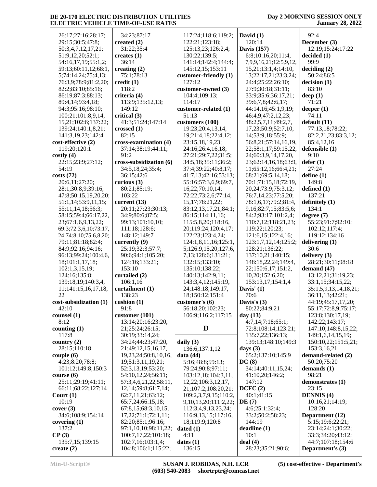### **Day 2 MORNING SESSION ONLY January 28, 2022**

| 26:17;27:16;28:17;     |                            |                            |                             |                       |
|------------------------|----------------------------|----------------------------|-----------------------------|-----------------------|
|                        | 34:23;87:17                | 117:24;118:6;119:2;        | David $(1)$                 | 92:4                  |
| 29:15:30:5:47:8;       | created $(2)$              | 122:21;123:18;             | 120:14                      | December (3)          |
| 50:3,4,7,12,17,21;     | 31:22;35:4                 | 125:13,23;126:2,4;         | <b>Davis</b> (157)          | 12:19:15:24:17:22     |
|                        |                            |                            |                             |                       |
| 51:9,12,20;52:1;       | creates $(1)$              | 130:22;139:5;              | 6:8;10:16,20;11:4,          | decided(1)            |
| 54:16,17,19;55:1,2;    | 36:14                      | 141:14;142:4;144:4;        | 7,9,9,16,21;12:5,9,12,      | 99:9                  |
| 59:13;60:11,12;68:1,   | creating $(2)$             | 145:12,15;153:11           | 15,21;13:1,4;14:10,         | deciding (2)          |
| 5;74:14,24;75:4,13;    | 75:1;78:13                 | customer-friendly (1)      | 13;22:17,21;23:3,24;        | 50:24;86:5            |
| 76:3,9;78:9;81:2,20;   | $\text{credit}(1)$         | 127:12                     | 24:4;25:22;26:10;           | decision(1)           |
| 82:2;83:10;85:16;      | 118:2                      | customer-owned (3)         | 27:9;30:18;31:11;           | 83:10                 |
|                        |                            |                            |                             |                       |
| 86:19;87:3;88:13;      | criteria (4)               | 104:4;109:13;              | 33:9;35:6;36:17,21;         | deep $(1)$            |
| 89:4,14;93:4,18;       | 113:9;135:12,13;           | 114:17                     | 39:6,7,8;42:6,17;           | 71:21                 |
| 94:3;95:16;98:10;      | 149:12                     | customer-related (1)       | 44:14,16;45:1,9,19;         | deeper $(1)$          |
| 100:21;101:8,9,14,     | critical $(3)$             | 51:13                      | 46:4,9;47:2,12,23;          | 74:11                 |
| 15,21;102:6;137:22;    | 41:3;51:24;147:14          | customers (100)            | 48:2,5,7,11;49:2,7,         | default (11)          |
| 139:24;140:1,8,21;     | crossed $(1)$              | 19:23;20:4,13,14,          | 17,23;50:9;52:7,10,         | 77:13,18;78:22;       |
|                        | 82:15                      |                            |                             |                       |
| 141:3,19,23;142:4      |                            | 19;21:4,18;22:4,12;        | 14;53:9,18;55:9;            | 82:2,21,23;83:3,12;   |
| cost-effective (2)     | cross-examination (4)      | 23:15,18,19,23;            | 56:8,21;57:14,16,19,        | 85:4,12,16            |
| 119:20;120:1           | 37:14;38:19;44:11;         | 24:16;26:4,16,18;          | 22;58:1,17;59:15,22,        | defensible (1)        |
| costly(4)              | 91:2                       | 27:21;29:7,22;31:5;        | 24;60:3,9,14,17,20,         | 9:10                  |
| 22:15;23:9;27:12;      | cross-subsidization (6)    | 34:5,18;35:11;36:2;        | 23;62:14,16,18;63:9,        | defer(1)              |
| 54:19                  | 34:5,18,24;35:4;           | 37:4;39:22;40:8,17;        | 11;65:12,16;66:4,21;        | 27:24                 |
| costs(72)              |                            | 41:7,13;42:16;53:13;       |                             | define (1)            |
|                        | 36:15;42:6                 |                            | 68:21;69:5,14,18;           |                       |
| 20:6,11;27:20;         | curious $(3)$              | 55:16;57:3,6,9;69:7,       | 70:1;71:15,18;72:19,        | 149:8                 |
| 28:1;30:8,9;39:16;     | 80:21;85:19;               | 16,22;70:10,14;            | 20, 24; 73: 9; 75: 3, 12;   | defined $(1)$         |
| 47:8;50:15,19,20,20;   | 103:22                     | 72:22;73:2,6;77:14,        | 76:7,14,23;77:5,20;         | 137:21                |
| 51:1,14;53:9,11,15;    | current $(13)$             | 15, 17; 78: 21, 22;        | 78:1,6,17;79:2;81:4,        | definitely $(1)$      |
| 55:11,14,18;56:3;      | 20:11;27:23;30:13;         | 83:12,13,17,21;84:1;       | 9, 16; 82: 7, 15; 83: 5, 6; | 134:1                 |
| 58:15;59:4;66:17,22,   | 34:9;80:6;87:5;            | 86:15;114:11,16;           | 84:2;93:17;101:2,4;         | degree $(7)$          |
|                        |                            |                            |                             |                       |
| 23;67:1,6,9,13,22;     | 99:13;101:10,10;           | 115:5,8,20;118:16,         | 110:7,12;118:21,23;         | 55:23;91:7;92:10;     |
| 69:3;72:3,6,10;73:17,  | 111:18;128:6;              | 20;119:24;120:4,17;        | 119:22;120:23;              | 102:12;117:4;         |
| 24;74:8,10;75:6,8,20;  | 148:12;149:7               | 122:23;123:4,24;           | 121:6,15;122:4,16;          | 119:12;134:16         |
| 79:11;81:18;82:4;      | currently (9)              | 124:1,8,11,16;125:1,       | 123:1,7,12,14;125:2;        | delivering $(1)$      |
| 84:9;92:16;94:16;      | 25:19;32:3;57:7;           | 5;126:9,15,20;127:6,       | 128:21;136:22;              | 30:6                  |
| 96:13;99:24;100:4,6,   | 90:6;94:1;105:20;          | 7,13;128:6;131:21;         | 137:10,21;140:15;           | delivery $(3)$        |
| 18;101:1,17,18;        | 124:16;133:21;             | 132:15;133:10;             | 148:18,22,24;149:4,         | 28:21;30:11;98:18     |
| 102:1,3,15,19;         | 153:10                     | 135:10;138:22;             | 22;150:6,17;151:2,          | demand $(47)$         |
|                        |                            |                            |                             |                       |
|                        |                            |                            |                             |                       |
| 124:16;135:8;          | curtailed (2)              | 140:13;142:9,11;           | 10,20;152:6,20;             | 13:12,21;31:19,23;    |
| 139:18,19;140:3,4,     | 106:1,16                   | 143:3,4,12;145:19,         | 153:13,17;154:1,4           | 33:1,15;34:15,22;     |
| 11;141:15,16,17,18,    | curtailment (1)            | 24;148:18;149:17,          | Davis' $(1)$                | 35:1,5,9,13,14,18,21; |
| 22                     | 138:23                     | 18;150:12;151:4            |                             |                       |
|                        |                            |                            | 70:6                        | 36:11,13;42:21;       |
| cost-subsidization (1) | cushion $(1)$              | customer's $(6)$           | Davis's $(3)$               | 44:19;45:17,17,20;    |
| 42:10                  | 91:8                       | 56:18,20;102:23;           | 80:22;84:9,21               | 55:17;72:8,9;75:17;   |
| counsel (1)            | customer $(101)$           | 106:9;116:2;117:15         | day $(13)$                  | 123:8;130:17,19;      |
| 8:12                   | 13:14;20:16;23:20,         |                            | 4:7,14;7:18;65:1;           | 142:22;143:17;        |
| counting $(1)$         | 21;25:24;26:15;            | D                          | 72:8;108:14;123:21;         | 147:10;148:8,15,22;   |
| 117:8                  | 30:19;33:14,24;            |                            | 135:7,22;136:13;            | 149:1,6,14,15,19;     |
| country $(2)$          | 34:24;44:23;47:20,         | daily $(3)$                | 139:13;148:10;149:3         | 150:10,22;151:5,21;   |
|                        |                            |                            |                             |                       |
| 28:15:110:18           | 21;49:12,15,16,17,         | 136:6;137:1,12             | days $(3)$                  | 153:3,16,21           |
| couple(6)              | 19, 23, 24; 50: 8, 10, 16, | data $(44)$                | 65:2;137:10;145:9           | demand-related (2)    |
| 4:23;8:20;78:8;        | 19;51:3,11,19,21;          | 5:16;48:8;59:13;           | DC(8)                       | 50:20;75:20           |
| 101:12;149:8;150:3     | 52:3,13,19;53:20;          | 79:24;90:8;97:11;          | 34:14;40:11,15,24;          | demands $(1)$         |
| course(6)              | 54:10,12,24;56:11;         | 103:12,18;104:3,11,        | 41:10,20;146:2;             | 98:21                 |
| 25:11;29:19;41:11;     | 57:3,4,6,21,22;58:11,      | 12,22;106:3,12,17,         | 147:12                      | demonstrates (1)      |
| 66:11;68:22;127:14     | 12, 14; 59: 8; 61: 7, 14;  | 21;107:2;108:20,21;        | DCFC(2)                     | 23:15                 |
|                        |                            |                            |                             |                       |
| Court $(1)$            | 62:7,11,21;63:12;          | 109:2,3,7,9,15;110:2,      | 40:1;41:15                  | <b>DENNIS</b> (4)     |
| 10:19                  | 65:7,24;66:15,18;          | 9, 10, 13, 20; 111: 2, 22; | DE(7)                       | 10:16,21;14:19;       |
| cover(3)               | 67:8,15;68:3,10,15,        | 112:3,4,9,13,23,24;        | 4:6;25:1;32:4;              | 128:20                |
| 34:6;108:9;154:14      | 17,22;71:1;72:1,11;        | 116:9, 13, 15; 117: 16,    | 33:2;50:2;58:23;            | Department (12)       |
| covering $(1)$         | 82:20;85:1;96:16;          | 18;119:9;120:8             | 144:19                      | 5:15;19:6;22:21;      |
| 137:2                  | 97:1,10,10;98:11,22;       | dated $(1)$                | deadline (1)                | 23:14;24:1;30:22;     |
| CP(3)                  | 100:7,17,22;101:18;        | 4:11                       | 10:1                        | 33:3;34:20;43:12;     |
| 135:7,15;139:15        | 102:7,16;103:1,4;          | dates $(1)$                | deal(4)                     | 44:7;107:18;154:6     |
| create $(2)$           | 104:8;106:1;115:22;        | 136:15                     | 28:23;35:21;90:6;           | Department's (3)      |

**Min-U-Script® SUSAN J. ROBIDAS, N.H. LCR (603) 540-2083 shortrptr@comcast.net**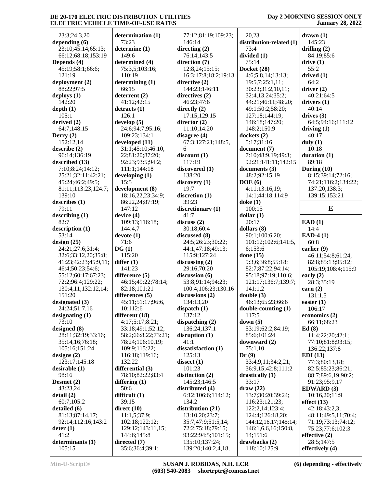#### **Day 2 MORNING SESSION ONLY January 28, 2022**

 23:3;24:3,20 **depending (6)** 23:10;45:14;65:13; 66:12;68:18;153:19 **Depends (4)** 45:19;58:1;66:6; 121:19 **deployment (2)** 88:22;97:5 **deploys (1)** 142:20 **depth (1)** 105:1 **derived (2)** 64:7;148:15 **Derry (2)** 152:12,14 **describe (2)** 96:14;136:19 **described (13)** 7:10;8:24;14:12; 25:21;32:11;42:21; 45:24;46:2;49:5; 81:11;113:23;124:7; 139:10 **describes (1)** 79:11 **describing (1)** 82:7 **description (1)** 53:14 **design (25)** 24:21;27:6;31:4; 32:6;33:12,20;35:8; 41:23;42:23;45:9,11; 46:4;50:23;54:6; 55:12;60:17;67:23; 72:2;96:4;129:22; 130:4,11;132:12,14; 151:20 **designated (3)** 24:24;51:7,16 **designating (1)** 73:10 **designed (8)** 28:11;32:19;33:16; 35:14,16;76:18; 105:16;151:24 **designs (2)** 123:17;145:18 **desirable (1)** 98:16 **Desmet (2)** 43:23,24 **detail (2)** 60:7;105:2 **detailed (6)** 81:13;87:14,17; 92:14;112:16;143:2 **deter (1)** 41:2 **determinants (1)** 105:15

**determination (1)** 73:23 **determine (1)** 149:6 **determined (4)** 75:3,5;103:16; 110:19 **determining (1)** 66:15 **deterrent (2)** 41:12;42:15 **detracts (1)** 126:1 **develop (5)** 24:6;94:7;95:16; 109:23;134:1 **developed (11)** 31:1;45:10;46:10, 22;81:20;87:20; 92:23;93:5;94:2; 111:1;144:18 **developing (1)** 15:5 **development (8)** 18:16,22,23;34:9; 86:22,24;87:19; 147:12 **device (4)** 109:13;116:18; 144:4,7 **devote (1)** 71:6 **DG (1)** 115:20 **differ (1)** 141:23 **difference (5)** 46:15;49:22;78:14; 82:18;101:21 **differences (5)** 45:11;51:17;96:6, 10;112:6 **different (18)** 4:17;5:17;8:21; 33:18;49:1;52:12; 58:2;66:8,22;73:21; 78:24;106:10,19; 109:9;115:22; 116:18;119:16; 132:22 **differential (3)** 78:10;82:22;83:4 **differing (1)** 50:6 **difficult (1)** 39:15 **direct (10)** 11:1,5;37:9; 102:18;122:12; 129:12;143:11,15; 144:6;145:8 **directed (7)** 35:6;36:4;39:1;

 77:12;81:19;109:23; 146:14 **directing (2)** 76:14;143:5 **direction (7)** 12:8,24;15:15; 16:3;17:8;18:2;19:13 **directive (2)** 144:23;146:11 **directives (2)** 46:23;47:6 **directly (2)** 17:15;129:15 **director (2)** 11:10;14:20 **disagree (4)** 67:3;127:21;148:5, 6 **discount (1)** 117:19 **discovered (1)** 138:20 **discovery (1)** 19:7 **discretion (1)** 39:23 **discretionary (1)** 41:7 **discuss (2)** 30:18;60:4 **discussed (8)** 24:5;26:23;30:22; 44:1;47:18;49:13; 115:9;127:24 **discussing (2)** 29:16;70:20 **discussion (6)** 53:8;91:14;94:23; 100:4;106:23;130:16 **discussions (2)** 134:13,20 **dispatch (1)** 137:12 **dispatching (2)** 136:24;137:1 **disruption (1)** 41:1 **dissatisfaction (1)** 125:13 **dissect (1)** 101:23 **distinction (2)** 145:23;146:5 **distributed (4)** 6:12;106:6;114:12; 134:2 **distribution (21)** 13:10,20;23:7; 35:7;47:9;51:5,14; 72:2;75:18;79:15; 93:22;94:5;101:15; 135:10;137:24; 139:20;140:2,4,18,

 20,23 **distribution-related (1)** 73:4 **divided (1)** 75:14 **Docket (28)** 4:6;5:8,14;13:13; 19:5,7;25:1,11; 30:23;31:2,10,11; 32:4,13,24;35:2; 44:21;46:11;48:20; 49:1;50:2;58:20; 127:18;144:19; 146:18;147:20; 148:2;150:9 **dockets (2)** 5:17;31:16 **document (7)** 7:10;48:9,19;49:3; 92:21;141:11;142:15 **documents (3)** 48:2;92:15,19 **DOE (6)** 4:11;13:16,19; 14:1;44:18;114:9 **doke (1)** 100:15 **dollar (1)** 20:17 **dollars (8)** 90:1;100:6,20; 101:12;102:6;141:5, 6;153:6 **done (15)** 9:3,6;36:8;55:18; 82:7;87:22;94:14; 95:18;97:19;110:6; 121:17;136:7;139:7; 141:1,2 **double (3)** 46:13;65:23;66:6 **double-counting (1)** 117:5 **down (5)** 53:19;62:2;84:19; 85:6;101:24 **downward (2)** 75:1,10 **Dr (9)** 33:4,9,11;34:2,21; 36:9,15;42:8;111:2 **drastically (1)** 33:17 **draw (22)** 13:7;30:20;39:24; 116:23;121:23; 122:2,14;123:4; 124:4;126:18,20; 144:12,16,17;145:14; 146:1,6,6,16;150:8, 14;151:6 **drawbacks (2)** 118:10;125:9

**drawn (1)** 145:23 **drilling (2)** 84:19;85:6 **drive (1)** 55:2 **drived (1)** 64:2 **driver (2)** 40:21;64:5 **drivers (1)** 40:14 **drives (3)** 64:5;94:16;111:12 **driving (1)** 40:17 **duly (1)** 10:18 **duration (1)** 89:18 **During (10)** 8:15;39:14;72:16; 74:21;116:2;134:22; 137:20;138:3; 139:15;153:21 **E EAD (1)** 14:4 **EAD-4 (1)** 60:8 **earlier (9)** 46:11;54:8;61:24; 82:8;85:13;95:12; 105:19;108:4;115:9 **early (2)** 28:3;35:19 **earn (2)** 131:1,5 **easier (1)** 106:17 **economics (2)** 66:11;68:23 **Ed (8)** 11:4;22:20;42:1; 77:10;81:8;93:15; 136:22;137:8 **EDI (13)** 77:3;80:13,18; 82:5;85:23;86:21; 88:7;89:6,19;90:2; 91:23;95:9,17 **EDWARD (3)** 10:16,20;11:9 **effect (13)** 42:18;43:2,3; 48:11;49:5,11;70:4; 71:19;73:13;74:12; 75:23;77:6;102:3 **effective (2)** 28:5;147:5 **effectively (4)**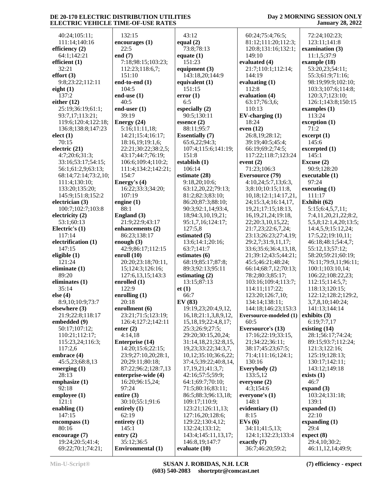40:24;105:11; 111:14;140:16 **efficiency (2)** 64:1;142:21 **efficient (1)** 32:21 **effort (3)** 9:8;23:22;112:11 **eight (1)** 137:2 **either (12)** 25:19;36:19;61:1; 93:7,17;113:21; 119:6;120:4;122:18; 136:8;138:8;147:23 **elect (1)** 70:15 **electric (21)** 4:7;20:6;31:3; 33:16;53:17;54:15; 56:1;61:2,9;63:13; 68:14;72:14;73:2,10; 111:4;130:10; 133:20;135:20; 145:9;151:8;152:2 **electrician (3)** 100:7;102:7;103:8 **electricity (2)** 53:1;60:13 **Electric's (1)** 117:14 **electrification (1)** 147:15 **eligible (1)** 121:24 **eliminate (1)** 89:20 **eliminates (1)** 35:14 **else (4)** 8:9,10;10:9;73:7 **elsewhere (3)** 21:9;22:8;118:17 **embedded (9)** 50:17;107:12; 110:21;112:17; 115:23,24;116:3; 117:2,6 **embrace (4)** 45:5,23;68:8,13 **emerging (1)** 28:13 **emphasize (1)** 92:18 **employee (1)** 121:1 **enabling (1)** 147:15 **encompass (1)** 80:16 **encourage (7)** 19:24;20:5;41:4; 69:22;70:1;74:21;

 132:15 **encourages (1)** 22:5 **end (7)** 7:18;98:15;103:23; 112:23;118:6,7; 151:10 **end-to-end (1)** 104:5 **end-use (1)** 40:5 **end-user (1)** 39:19 **Energy (24)** 5:16;11:11,18; 14:21;15:4;16:17; 18:16,19;19:1,6; 22:21;30:22;38:2,5; 43:17;44:7;76:19; 106:6;109:4;110:2; 111:4;134:2;142:21; 154:7 **Energy's (4)** 16:22;33:3;34:20; 107:19 **engine (1)** 88:1 **England (3)** 21:9;22:9;43:17 **enhancements (2)** 86:23;138:17 **enough (3)** 42:9;86:17;112:15 **enroll (10)** 20:20;23:18;70:11, 15;124:3;126:16; 127:6,13,15;143:3 **enrolled (1)** 122:9 **enrolling (1)** 20:18 **enrollment (6)** 23:21;71:5;123:19; 126:4;127:2;142:11 **enter (2)** 4:14,18 **Enterprise (14)** 14:20;15:6;22:15; 23:9;27:10,20;28:1, 20;29:11;80:18; 87:22;96:2;128:7,13 **enterprise-wide (4)** 16:20;96:15,24; 97:24 **entire (3)** 30:10;55:1;91:6 **entirely (1)** 62:19 **entirety (1)** 145:1 **entry (2)** 35:12;36:5 **Environmental (1)** 43:12 **equal (2) equate (1)** 151:23 **equipment (3) equivalent (1)** 151:15 **error (1)** 6:5 **especially (2) essence (2)** 88:11;95:7 **Essentially (7)** 151:8 **establish (1)** 106:14 **estimate (28)** 127:5,8 **estimated (5)** 63:7;141:7 **estimates (6) estimating (2) et (1)** 66:7 **EV (83) evaluate (10)**

 73:8;78:13 143:18,20;144:9 90:5;130:11 65:6,22;94:3; 107:4;115:6;141:19; 9:18,20;10:6; 63:12,20,22;79:13; 81:2;82:3;83:10; 86:20;87:3;88:10; 90:3;92:1,14;93:4, 18;94:3,10,19,21; 95:1,7,16;124:17; 13:6;14:1;20:16; 68:19;85:17;87:8; 89:3;92:13;95:11 13:15;87:13 19:19,23;20:4,9,12, 16,18;21:1,3,8,9,12, 15,18,19;22:4,8,17; 25:3;26:9;27:5; 29:20;30:15,20,24; 31:14,18,21;32:8,15, 19,23;33:22;34:3,7, 10,12;35:10;36:6,22; 37:4,5;39:22;40:8,14, 17,19,21;41:3,7; 42:16;57:5;59:9; 64:1;69:7;70:10; 71:5;80:16;83:11; 86:5;88:3;96:13,18; 109:17;110:9; 123:21;126:11,13; 127:16,20;128:6; 129:22;130:4,12; 132:24;133:12; 143:4;145:11,13,17; 146:8,19;147:7 60:24;75:4;76:5; 81:12;111:20;112:3; 120:8;131:16;132:1; 149:10 **evaluated (4)** 21:7;110:1;112:14; 144:19 **evaluating (1)** 112:8 **evaluation (4)** 63:17;76:3,6; 110:13 **EV-charging (1)** 18:24 **even (12)** 26:8,19;28:12; 39:19;40:5;45:4; 66:19;69:2;74:5; 117:22;118:7;123:24 **event (2)** 71:23;106:3 **Eversource (79)** 4:10,24;5:7,13;6:3, 3;8:10;10:15;11:8, 10,18;12:1;14:17,21, 24;15:3,4;16:14,17, 19,21;17:15;18:13, 16,19,21,24;19:18, 22;20:3,10,15,22; 21:7,23;22:6,7,24; 23:13;26:23;27:4,19; 29:2,7;31:9,11,17; 33:6;35:6;36:4,13,18, 21;39:12;43:5;44:21; 45:5;46:21;48:24; 66:14;68:7,12;70:13; 78:2;80:3;85:17; 103:16;109:4;113:7; 114:11;117:22; 123:20;126:7,10; 134:14;138:11; 144:18;146:23;153:3 **Eversource-modeled (1)** 60:5 **Eversource's (13)** 17:16;22:19;33:15, 21;34:22;36:11; 38:17;45:23;67:5; 71:4;111:16;124:1; 130:16 **Everybody (2)** 133:5,12 **everyone (2)** 4:3;154:6 **everyone's (1)** 148:1 **evidentiary (1)** 8:15 **EVs (6)** 34:11;41:5,13; 124:1;132:23;133:4 **exactly (7)** 36:7;46:20;59:2;

### **Day 2 MORNING SESSION ONLY January 28, 2022**

 72:24;102:23; 123:11;141:8 **examination (3)** 11:1,5;37:9 **example (18)** 53:20,23;54:11; 55:3;61:9;71:16; 98:19;99:9;102:10; 103:3;107:6;114:8; 120:3,7;123:10; 126:1;143:8;150:15 **examples (1)** 113:24 **exception (1)** 71:2 **excerpt (1)** 145:6 **excerpted (1)** 145:1 **Excuse (2)** 90:9;128:20 **executable (1)** 97:24 **executing (1)** 111:17 **Exhibit (62)** 5:15;6:4,5,7,11; 7:4,11,20,21,22;8:2, 5,5,8;12:1,4,20;13:5; 14:4,5,9;15:12,24; 17:5,22;19:10,11; 46:18;48:1;54:4,7; 55:12,13;57:12; 58:20;59:21;60:19; 76:11;79:9,11;96:11; 100:1;103:10,14; 106:22;108:22,23; 112:15;114:5,7; 118:13;120:15; 122:12;128:2;129:2, 3,7,8,10;140:24; 141:13;144:14 **exhibits (3)** 6:19;7:7,17 **existing (14)** 28:1;56:17;74:24; 89:15;93:7;112:24; 121:3;122:16; 125:19;128:13; 130:17;142:11; 143:12;149:18 **exists (1)** 46:7 **expand (3)** 103:24;131:18; 139:1 **expanded (1)** 22:10 **expanding (1)** 29:4 **expect (8)** 29:4,10;30:2; 46:11,12,14;49:9;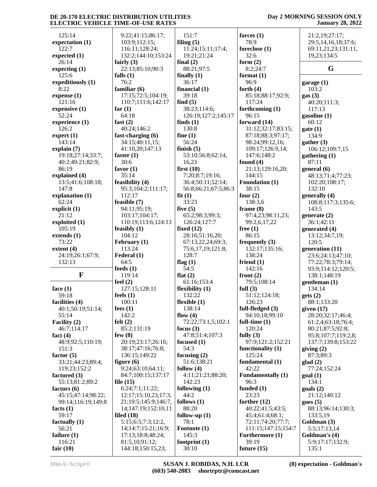#### **Day 2 MORNING SESSION ONLY January 28, 2022**

| 125:14                     |                                    | 151:7                      |
|----------------------------|------------------------------------|----------------------------|
|                            | 9:22;41:15;86:17;<br>103:9;112:15; | filing $(5)$               |
| expectation (1)<br>122:7   | 116:11;128:24;                     | 11:24;15:11;17:4;          |
|                            |                                    |                            |
| expected $(1)$<br>26:14    | 132:2;144:10;153:24                | 19:21;21:24                |
|                            | fairly $(3)$                       | final $(2)$                |
| expecting (1)              | 22:13;85:10;90:3                   | 88:21;97:5                 |
| 125:6                      | falls $(1)$                        | finally $(1)$              |
| expeditiously (1)          | 76:2                               | 36:17                      |
| 8:22                       | familiar (6)                       | financial $(1)$            |
| expense(1)                 | 17:15;72:5;104:19;                 | 39:18                      |
| 121:16                     | 110:7;111:6;142:17                 | find $(5)$                 |
| expensive $(1)$            | far $(1)$                          | 38:23;114:6;               |
| 52:24                      | 64:18                              | 126:19;127:2;145:          |
| experience (1)             | fast $(2)$                         | finds $(1)$                |
| 126:2                      | 40:24;146:2                        | 130:8                      |
| expert $(1)$               | fast-charging (6)                  | fine $(1)$                 |
| 143:14                     | 34:15;40:11,15;                    | 56:24                      |
| explain (7)                | 41:10,20;147:13                    | finish $(5)$               |
| 19:18;27:14;33:7;          | faster $(1)$                       | 53:10;56:8;62:14,          |
| 40:2;49:21;82:9;           | 30:6                               | 16,23                      |
| 86:19                      | favor $(1)$                        | first $(10)$               |
| explained (4)              | 35:14                              | 7:20;8:7;19:16;            |
| 13:5;41:6;108:18;          | feasibility (4)                    | 36:4;50:11;52:14;          |
| 147:8                      | 95:3;104:2;111:17;                 | 56:8;66:21;67:5;86         |
| explanation (1)            | 112:17                             | fit(1)                     |
| 62:24                      | feasible (7)                       | 33:23                      |
| explicit $(1)$             | 94:11;95:19;                       | five $(5)$                 |
| 21:12                      | 103:17;104:17;                     | 65:2;98:3;99:3;            |
| exploited (1)              | 110:19;113:6;124:13                | 126:24;127:7               |
| 105:19                     | feasibly $(1)$                     | fixed $(12)$               |
| extends(1)                 | 104:12                             | 28:16;51:16,20;            |
| 73:22                      | February (1)                       | 67:13,22,24;69:3;          |
| extent $(4)$               | 113:24                             | 75:6,17,19;121:8;<br>128:7 |
| 24:19;26:1;67:9;<br>132:13 | Federal (1)<br>64:5                | flag $(1)$                 |
|                            | feeds $(1)$                        | 54:5                       |
| F                          | 119:14                             | flat $(2)$                 |
|                            | feel $(2)$                         | 61:16;153:4                |
| face $(1)$                 | 127:15;128:11                      | flexibility (1)            |
| 59:18                      | feels $(1)$                        | 132:22                     |
| facilities (4)             | 100:11                             | flexible (1)               |
| 40:1;50:19;51:14;          | fees $(1)$                         | 138:14                     |
| 55:14                      | 142:2                              | flow $(4)$                 |
| Facility (2)               | felt $(2)$                         | 72:22;73:1,5;102:1         |
| 46:7;114:17                | 85:2;131:19                        | focus $(3)$                |
| fact $(4)$                 | few $(8)$                          | 47:8;51:4;107:3            |
| 48:9;92:5;110:19;          | 20:19;23:17;26:16;                 | focused (1)                |
| 151:3                      | 38:17;47:16;76:8;                  | 54:3                       |
| factor $(5)$               | 136:15;149:22                      | focusing $(2)$             |
| 33:21;44:23;89:4;          | figure $(6)$                       | 51:6;138:21                |
| 119:23;152:2               | 9:24;63:10;64:11;                  | follow $(4)$               |
| factored (3)               | 84:7;100:15;137:17                 | 4:11;21:21;88:20;          |
| 55:13;81:2;89:2            | file $(15)$                        | 142:23                     |
| factors $(6)$              | 6:24;7:1;11:22;                    | following $(1)$            |
| 45:15;47:14;98:22;         | 12:17;15:10,23;17:3,               | 44:2                       |
| 99:14;116:19;149:8         | 21;19:5;145:9;146:7,               | follows $(1)$              |
| facts $(1)$                | 14;147:19;152:10,11                | 88:20                      |
| 59:17                      | filed $(18)$                       | follow-up $(1)$            |
| factually (1)              | 5:15;6:5;7:3;12:2,                 | 78:1                       |
| 56:21                      | 14;14:7;15:21;16:9;                | Footnote (1)               |
| failure $(1)$              | 17:13;18:8;48:24;                  | 145:3                      |
| 116:21                     | 81:5,10;91:12;                     | footprint $(1)$            |
| fair $(10)$                | 144:18;150:15,23;                  | 30:10                      |

 126:19;127:2;145:17 56:8;66:21;67:5;86:3  $22:73:1,5;102:1$ **forces (1)** 78:9 **foreclose (1)** 32:6 **form (2)** 8:2;24:7 **format (1)** 96:9 **forth (4)** 85:18;88:17;92:9; 117:24 **forthcoming (1)** 96:15 **forward (14)** 31:12;32:17;83:15; 87:18;88:3;97:17; 98:24;99:12,16; 109:17;126:9,14; 147:6;148:2 **found (4)** 21:13;129:16,20; 144:15 **Foundation (1)** 38:15 **four (2)** 138:3,6 **frame (8)** 97:4,23;98:11,23; 99:2,6,17,22 **free (1)** 86:15 **frequently (3)** 132:17;135:16; 138:24 **friend (1)** 142:16 **front (2)** 79:5;108:14 **full (3)** 51:12;124:18; 126:23 **full-fledged (3)** 94:10,18;99:10 **full-time (1)** 120:24 **fully (3)** 97:9;121:2;152:21 **functionality (1)** 125:24 **fundamental (1)** 42:22 **Fundamentally (1)** 96:3 **funded (1)** 23:23 **further (12)** 40:22;41:5;43:5; 45:4;61:4;68:1; 72:11;74:20;77:7; 111:15;147:15;154:7 **Furthermore (1)** 39:19 **future (15)**

 21:2,19;27:17; 29:5,14,16,18;37:6; 69:11,21,23;131:11, 19,23;134:5 **G garage (1)** 103:2 **gas (3)** 40:20;111:3; 117:13 **gasoline (1)** 60:12 **gate (1)** 134:9 **gather (3)** 106:12;109:7,15 **gathering (1)** 87:11 **general (6)** 48:13;71:4;77:23; 102:20;108:17; 132:10 **generally (4)** 108:8;117:3;135:6; 143:5 **generate (2)** 36:1;42:11 **generated (4)** 13:12;34:7,19; 120:5 **generation (11)** 23:6;24:13;47:10; 77:22;78:3;79:14; 93:9;114:12;120:5; 138:1;148:19 **gentleman (1)** 134:14 **gets (2)** 88:1;133:20 **given (17)** 28:20;32:17;46:4; 61:2,4;63:18;76:4; 80:21;87:5;92:8; 95:8;107:7;119:2,8; 137:7;139:8;153:22 **giving (2)** 87:3;89:3 **glad (2)** 77:24;152:24 **goal (1)** 134:1 **goals (2)** 21:12;140:12 **goes (5)** 88:13;96:14;130:3; 133:5,19 **Goldman (3)** 5:5;17:13,14

**Goldman's (4)** 5:9;17:17;132:9; 135:1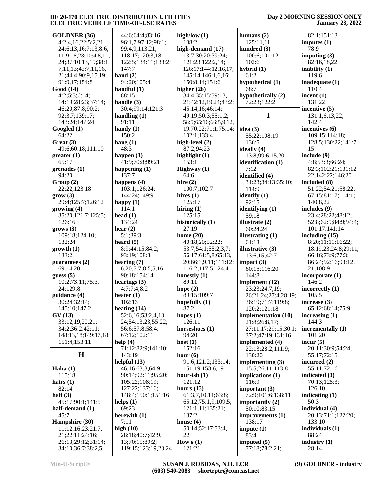| <b>GOLDNER (36)</b>       | 44:6;64:4;83:16;    | high/low $(1)$        | humans $(2)$         | 82:1;151:13          |
|---------------------------|---------------------|-----------------------|----------------------|----------------------|
| 4:2,4,16,22;5:2,21,       | 96:1,7;97:12;98:1;  | 138:2                 | 125:11,11            | imputes $(1)$        |
| 24;6:13,16;7:13;8:6,      | 99:4,9;113:21;      | high-demand (17)      | hundred (3)          | 78:9                 |
|                           |                     |                       |                      |                      |
| 11;9:16,23;10:4,8,11,     | 118:17;120:3,18;    | 13:7;30:20;39:24;     | 100:6;101:12;        | imputing $(3)$       |
| 24;37:10,13,19;38:1,      | 122:5;134:11;138:2; | 121:23;122:2,14;      | 102:6                | 82:16,18,22          |
| 7, 11, 13; 43: 7, 11, 16, | 147:7               | 126:17;144:12,16,17;  | hybrid $(1)$         | inability $(1)$      |
| 21;44:4;90:9,15,19;       | hand $(2)$          | 145:14;146:1,6,16;    | 61:2                 | 119:6                |
| 91:9,17;154:8             | 94:20;105:4         | 150:8,14;151:6        | hypothetical (1)     | inadequate (1)       |
| Good (14)                 | handful $(1)$       | higher $(26)$         | 68:7                 | 110:4                |
| 4:2;5:3;6:14;             | 88:15               | 34:4;35:15;39:13,     | hypothetically (2)   | incent $(1)$         |
| 14:19;28:23;37:14;        | handle $(3)$        | 21;42:12,19,24;43:2;  | 72:23;122:2          | 131:22               |
| 46:20;87:8;90:2;          | 30:4;99:14;121:3    | 45:14,16;46:14;       |                      | incentive (5)        |
| 92:3,7;139:17;            | handling $(1)$      | 49:19;50:3;55:1,2;    | I                    | 131:1,6,13,22;       |
| 143:24;147:24             | 91:11               | 58:5;65:16;66:5,9,12, |                      | 142:4                |
| Googled (1)               | handy $(1)$         | 19;70:22;71:1;75:14;  | idea $(3)$           | incentives $(6)$     |
| 64:22                     | 150:2               | 102:1;133:4           | 55:22;108:19;        | 109:15;114:18;       |
| Great (3)                 | hang $(1)$          | high-level (2)        | 136:5                | 128:5;130:22;141:7,  |
|                           |                     | 87:2:94:23            |                      |                      |
| 49:6;60:18;111:10         | 48:3                |                       | ideally $(4)$        | 15                   |
| greater(1)                | happen $(3)$        | highlight $(1)$       | 13:8;99:6,15,20      | include (9)          |
| 65:17                     | 41:9;70:8;99:21     | 153:1                 | identification (1)   | 4:8;53:3;66:24;      |
| grenades (1)              | happening $(1)$     | Highway (1)           | 7:12                 | 82:3;102:21;131:12,  |
| 94:20                     | 137:7               | 64:6                  | identified (4)       | 22;142:22;146:20     |
| Group(2)                  | happens $(4)$       | hire $(2)$            | 31:23;34:13;35:10;   | included (8)         |
| 22:22;123:18              | 103:1;126:24;       | 100:7;102:7           | 114:9                | 51:22;54:21;58:22;   |
| grow(3)                   | 144:24;149:9        | hires $(1)$           | identify $(1)$       | 67:15;81:17;114:1;   |
| 29:4;125:7;126:12         | happy $(1)$         | 125:17                | 92:15                | 140:8,22             |
| growing (4)               | 114:1               | hiring $(1)$          | identifying $(1)$    | includes $(9)$       |
| 35:20;121:7;125:5;        | head $(1)$          | 125:15                | 59:18                | 23:4;28:22;48:12;    |
| 126:16                    | 134:24              | historically (1)      | illustrate $(2)$     | 52:8;62:9;84:9;94:4; |
| grows (3)                 | hear $(2)$          | 27:19                 | 60:24,24             | 101:17;141:14        |
| 109:18;124:10;            | 5:1;39:3            | home $(20)$           | illustrating (1)     | including $(15)$     |
| 132:24                    | heard $(5)$         | 40:18,20;52:22;       | 61:13                | 8:20;11:11;16:22;    |
|                           |                     |                       |                      |                      |
| growth(1)                 | 8:9;44:15;84:2;     | 53:7;54:1;55:2,3,7;   | illustrative (3)     | 18:19,23;24:8;29:11; |
| 133:2                     | 93:19;108:3         | 56:17;61:5,8;65:13,   | 13:6, 15:42:7        | 66:16;73:9;77:3;     |
| guarantees $(2)$          | hearing $(7)$       | 20;66:3,9,11;111:12;  | impact (3)           | 86:24;92:16;93:12,   |
| 69:14,20                  | 6:20;7:7;8:5,5,16;  | 116:2;117:5;124:4     | 60:15;116:20;        | 21;108:9             |
| guess $(5)$               | 90:18;154:14        | honestly $(1)$        | 144:8                | incorporate $(1)$    |
| 10:2;73:11;75:3,          | hearings $(3)$      | 89:11                 | implement (12)       | 146:2                |
| 24;129:8                  | 4:7;7:4;8:2         | hope $(2)$            | 23:23;24:7,19;       | incorrectly (1)      |
| guidance (4)              | heater $(1)$        | 89:15;109:7           | 26:21,24;27:4;28:19; | 105:5                |
| 30:24;32:14;              | 102:13              | hopefully (1)         | 36:19;71:7;119:8;    | increase $(3)$       |
| 145:10;147:2              | heating $(14)$      | 87:2                  | 120:2;121:18         | 65:12;68:14;75:9     |
| GV(13)                    | 52:6,16:53:2,4,13,  | hopes $(1)$           | implementation (10)  | increasing $(1)$     |
| 33:12,19,20,21;           | 24;54:13,23;55:22;  | 126:11                | 21:8;26:8,17;        | 144:3                |
| 34:2;36:2;42:11;          | 56:6;57:8;58:4;     | horseshoes (1)        | 27:11,17;29:15;30:1; | incrementally (1)    |
| 148:13,18;149:17,18;      | 67:12;102:11        | 94:20                 | 37:2;47:19;131:16    | 101:20               |
| 151:4;153:11              | help $(4)$          | host $(1)$            | implemented (4)      | incur $(5)$          |
|                           | 71:12;82:9;141:10;  | 152:16                | 22:13;28:2;111:9;    | 20:11;30:9;54:24;    |
| $\mathbf H$               | 143:19              | hour $(6)$            | 130:20               | 55:17;72:15          |
|                           |                     | 91:6;121:2;133:14;    |                      |                      |
|                           | helpful $(13)$      |                       | implementing $(3)$   | incurred (2)         |
| Haha $(1)$                | 46:16;63:3;64:9;    | 151:19;153:6,19       | 15:5;26:11;113:8     | 55:11;72:16          |
| 115:18                    | 90:14;92:11;95:20;  | hour-ish $(1)$        | implications $(1)$   | indicated (3)        |
| hairs $(1)$               | 105:22;108:19;      | 121:12                | 116:9                | 70:13;125:3;         |
| 82:14                     | 127:22;137:16;      | hours $(13)$          | important $(3)$      | 126:10               |
| half $(3)$                | 148:4;150:1;151:16  | 61:3,7,10,11;63:8;    | 72:9;101:6;138:11    | indicating $(1)$     |
| 45:17;90:1;141:5          | helps $(1)$         | 65:12;75:1,9;109:5;   | importantly $(2)$    | 50:3                 |
| half-demand (1)           | 69:23               | 121:1,11;135:21;      | 50:10;83:15          | individual (4)       |
| 45:7                      | herewith $(1)$      | 137:2                 | improvements (1)     | 20:13;71:1;122:20;   |
| Hampshire (30)            | 7:11                | house $(4)$           | 138:17               | 133:10               |
| 11:12;16:23;21:7,         | high $(10)$         | 50:14;52:17;53:4,     | impute $(1)$         | individuals $(1)$    |
| 21;22:11;24:16;           | 28:18;40:7;42:9,    | 22                    | 83:4                 | 88:24                |
| 26:13;29:12;31:14;        | 13;70:15;89:2;      | How's $(1)$           | imputed $(5)$        | industry $(1)$       |
| 34:10;36:7;38:2,5;        | 119:15;123:19,23,24 | 121:21                | 77:18;78:2,21;       | 28:14                |
|                           |                     |                       |                      |                      |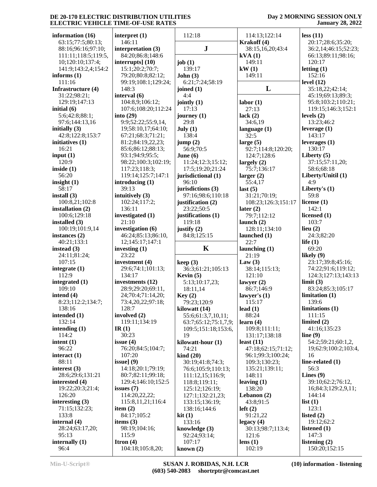| information (16)                     | interpret (1)                         | 112:18                                                | 114:13;122:14                      | less(11)                      |
|--------------------------------------|---------------------------------------|-------------------------------------------------------|------------------------------------|-------------------------------|
| 63:15;77:5;80:13;                    | 146:11                                |                                                       | Krakoff (4)                        | 20:17;28:6;35:20;             |
| 88:16;96:16;97:10;                   | interpretation (3)                    | ${\bf J}$                                             | 38:15,16,20;43:4                   | 36:2,14;46:15;52:23;          |
| 111:11;118:5;119:5,                  | 84:20;86:8;148:6                      |                                                       | $\text{kVA}(1)$                    | 66:13;89:11;98:16;            |
| 10;120:10;137:4;                     | interrupts $(10)$                     | job $(1)$                                             | 149:11                             | 120:17                        |
| 141:9;143:2,4;154:2<br>informs $(1)$ | 15:1;20:2;70:7;<br>79:20;80:8;82:12;  | 139:17<br>John(3)                                     | kW(1)<br>149:11                    | letting $(1)$<br>152:16       |
| 111:16                               | 99:19;108:1;129:24;                   | 6:21;7:24;58:19                                       |                                    | level $(12)$                  |
| Infrastructure (4)                   | 148:3                                 | joined $(1)$                                          | L                                  | 35:18,22;42:14;               |
| 31:22;98:21;                         | interval (6)                          | 4:4                                                   |                                    | 45:19;69:13;89:3;             |
| 129:19;147:13                        | 104:8,9;106:12;                       | jointly $(1)$                                         | labor(1)                           | 95:8;103:2;110:21;            |
| initial $(6)$                        | 107:6;108:20;112:24                   | 17:13                                                 | 27:13                              | 119:15;146:3;152:1            |
| 5:6;42:8;88:1;                       | into $(29)$                           | journey $(1)$                                         | lack $(2)$                         | levels $(2)$                  |
| 97:6;144:13,16                       | 9:9;52:22;55:9,14,                    | 29:8                                                  | 34:6,19                            | 13:23;46:2                    |
| initially $(3)$                      | 19;58:10,17;64:10;                    | July (1)                                              | language $(1)$                     | leverage $(1)$                |
| 42:8;122:8;153:7                     | 67:21;68:3;71:21;                     | 138:4                                                 | 32:5                               | 143:17                        |
| initiatives $(1)$                    | 81:2;84:19,22,23;                     | jump(2)                                               | large $(5)$                        | leverages $(1)$               |
| 16:21                                | 85:6;86:12;88:13;                     | 56:9;70:5                                             | 92:7;114:8;120:20;                 | 130:17                        |
| input $(1)$                          | 93:1;94:9;95:5;                       | June $(6)$                                            | 124:7;128:6                        | Liberty $(5)$                 |
| 120:9<br>inside $(1)$                | 98:22;100:3;102:19;<br>117:23;118:3;  | 11:24;12:3;15:12;<br>17:5;19:20;21:24                 | largely $(2)$<br>75:7;136:17       | 37:15;57:11,20;<br>58:6:68:18 |
| 56:20                                | 119:14;125:7;147:1                    | jurisdictional (1)                                    | larger $(2)$                       | Liberty/Unitil (1)            |
| insight $(1)$                        | introducing $(1)$                     | 96:10                                                 | 55:4,17                            | 4:9                           |
| 58:17                                | 39:13                                 | jurisdictions (3)                                     | last $(5)$                         | Liberty's $(1)$               |
| install $(3)$                        | intuitively $(3)$                     | 97:16;98:6;110:18                                     | 31:21;70:19;                       | 59:8                          |
| 100:8,21;102:8                       | 102:24;117:2;                         | justification (2)                                     | 108:23;126:3;151:17                | license $(1)$                 |
| installation (2)                     | 136:11                                | 23:22;50:5                                            | later $(2)$                        | 142:1                         |
| 100:6;129:18                         | investigated (1)                      | justifications (1)                                    | 79:7;112:12                        | licensed (1)                  |
| installed $(3)$                      | 21:10                                 | 119:18                                                | launch $(2)$                       | 103:7                         |
| 100:19;101:9,14                      | investigation (6)                     | justify $(2)$                                         | 128:11;134:10                      | lieu $(2)$                    |
| instances $(2)$                      | 46:24;85:13;86:10,                    | 84:8;125:15                                           | launched $(1)$                     | 24:3;82:20                    |
|                                      |                                       |                                                       |                                    |                               |
| 40:21;133:1                          | 12;145:17;147:1                       |                                                       | 22:7                               | life $(1)$                    |
| instead $(3)$                        | investing $(1)$                       | K                                                     | launching $(1)$                    | 69:20                         |
| 24:11;81:24;                         | 23:22                                 |                                                       | 21:19                              | likely $(9)$                  |
| 107:15                               | investment (4)                        | keep(3)                                               | Law $(3)$                          | 23:17;39:8;45:16;             |
| integrate $(1)$                      | 29:6;74:1;101:13;                     | 36:3;61:21;105:13                                     | 38:14;115:13;                      | 74:22;91:6;119:12;            |
| 112:9                                | 134:17                                | Kevin $(5)$                                           | 121:10                             | 124:3;127:13;143:13           |
| integrated (1)<br>109:10             | investments (12)<br>28:9;29:20;69:11, | 5:13;10:17,23;                                        | lawyer $(2)$<br>86:7;146:9         | limit(3)<br>83:24;85:3;105:17 |
| intend $(4)$                         | 24;70:4;71:14,20;                     | 18:11,14<br>Key(2)                                    | lawyer's $(1)$                     | limitation (1)                |
| 8:23;112:2;134:7;                    | 73:4,20,22;97:18;                     | 79:23;120:9                                           | 115:17                             | 139:6                         |
| 138:16                               | 128:7                                 | kilowatt (14)                                         | lead $(1)$                         | limitations <sub>(1)</sub>    |
| intended (1)                         | involved (2)                          | 55:6;61:3,7,10,11;                                    | 88:24                              | 111:15                        |
| 132:14                               | 119:11;134:19                         | 63:7;65:12;75:1,7,9;                                  | learn $(4)$                        | limited $(2)$                 |
| intending $(1)$                      | IR $(1)$                              | 109:5;151:18;153:6,                                   | 109:8;111:11;                      | 41:16;135:23                  |
| 114:2                                | 30:23                                 | 19                                                    | 131:17;138:18                      | line $(9)$                    |
| intent $(1)$                         | issue $(4)$                           | kilowatt-hour (1)                                     | least $(11)$                       | 54:2;59:21;60:1,2,            |
| 96:22                                | 76:20;84:5;104:7;<br>107:20           | 74:21                                                 | 47:18;62:15;71:12;                 | 19;62:9;100:2;103:4,<br>16    |
| interact $(1)$<br>88:11              | issue] $(9)$                          | $\boldsymbol{\mathrm{kind}}$ (20)<br>30:19;41:8;74:3; | 96:1;99:3;100:24;<br>109:3;130:23; | line-related $(1)$            |
| interest $(3)$                       | 14:18;20:1;79:19;                     | 76:6;105:9;110:13;                                    | 135:21;139:11;                     | 56:3                          |
| 28:6;29:6;131:21                     | 80:7;82:11;99:18;                     | 111:12,15;116:9;                                      | 148:11                             | Lines $(9)$                   |
| interested $(4)$                     | 129:4;146:10;152:5                    | 118:8;119:11;                                         | leaving $(1)$                      | 39:10;62:2;76:12,             |
| 19:22;20:3;21:4;                     | issues $(7)$                          | 125:12;126:19;                                        | 138:20                             | 16;84:3;129:2,9,11;           |
| 126:20                               | 114:20,22,22;                         | 127:1;132:21,23;                                      | Lebanon $(2)$                      | 144:14                        |
| interesting $(3)$                    | 115:8, 11, 21; 116: 4                 | 133:15;136:19;                                        | 43:8;91:5                          | list(1)                       |
| 71:15;132:23;                        | item $(2)$                            | 138:16;144:6                                          | left(2)                            | 123:1                         |
| 133:8                                | 84:17;105:2                           | kit(1)                                                | 91:21,22                           | listed $(2)$                  |
| internal (4)                         | items $(3)$                           | 133:16                                                | legacy(4)                          | 19:12;62:2                    |
| 28:24;63:17,20;                      | 98:19;104:16;                         | knowledge $(3)$                                       | 30:13;98:7;113:4;                  | listened $(1)$                |
| 95:13<br>internally $(1)$            | 115:9<br>Itron $(4)$                  | 92:24;93:14;<br>107:17                                | 121:6<br>lens $(1)$                | 147:3<br>listening $(2)$      |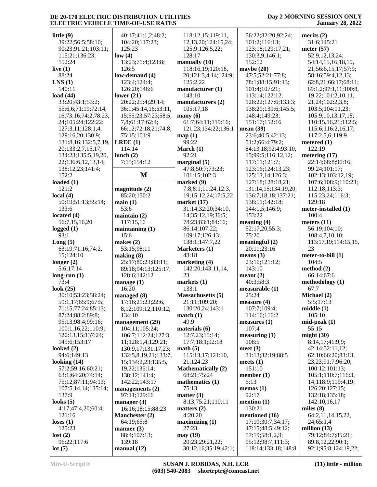| little $(9)$                    | 40:17;41:1,2;48:2;                          | 118:12,15;119:11,                         | 56:22;82:20;92:24;                   | merits $(2)$                                |
|---------------------------------|---------------------------------------------|-------------------------------------------|--------------------------------------|---------------------------------------------|
| 39:22;56:5;58:10;               | 104:20;117:23;                              | 12, 13, 20; 124: 15, 24;                  | 101:2;116:13;                        | 31:6;145:21                                 |
| 90:23;91:21;103:11;             | 125:23                                      | 125:9;126:5,22;                           | 123:18;129:17,21;                    | meter $(57)$                                |
| 115:21;136:23;                  | low(4)                                      | 128:17                                    | 130:3,9;146:1;                       | 52:9,12,13,24;                              |
| 152:24                          | 13:23;71:4;123:8;                           | manually $(10)$                           | 152:12                               | 54:14,15,16,18,19,                          |
| live $(1)$                      | 126:5                                       | 118:16,19;120:18,                         | maybe $(20)$                         | 21;56:6,15,17;57:9;                         |
| 88:24                           | low-demand (4)                              | 20;121:3,4,14;124:9;                      | 47:5;52:21;77:8;                     | 58:16;59:4,12,13;                           |
| LNS(1)                          | 123:4;124:4;                                | 125:2,22                                  | 78:1;88:15;91:13;                    | 62:8,21;66:17;68:11;                        |
| 140:11                          | 126:20;146:6                                | manufacturer (1)                          | 101:4;107:21;                        | 69:1,2;97:1,11;100:8,                       |
|                                 |                                             | 143:10                                    |                                      |                                             |
| load $(44)$<br>33:20;43:1;53:2; | lower $(21)$<br>20:22;25:4;29:14;           | manufacturers (2)                         | 113:14;122:12;                       | 19,22;101:2,10,11,<br>21, 24; 102: 2, 3, 8; |
|                                 |                                             | 105:17,18                                 | 126:22;127:6;133:3;                  | 103:5;104:11,23;                            |
| 55:6,6;71:19;72:14,             | 36:1;45:14,16;53:11,                        |                                           | 138:20;139:6;145:5;                  | 105:9, 10, 13, 17, 18;                      |
| 16;73:16;74:2;78:23,            | 15;55:23;57:23;58:5,                        | $\max(6)$                                 | 148:4;149:23;<br>151:17;152:16       |                                             |
| 24;105:24;122:22;               | 7,8;61:17;62:4;<br>66:12;72:18,21;74:8;     | 61:7;64:11;119:16;<br>121:23;134:22;136:1 | mean $(39)$                          | 110:15,16,21;112:5;                         |
| 127:3,11;128:1,4;               |                                             |                                           | 23:6;40:5;42:13;                     | 115:6;116:2,16,17;<br>117:2,5,6;119:9       |
| 129:16,20;130:9;                | 75:15;101:9                                 | map(1)<br>99:22                           |                                      |                                             |
| 131:8, 16; 132:5, 7, 19,        | LREC(1)                                     |                                           | 51:2;66:4;79:2;                      | metered $(1)$<br>122:19                     |
| 20;133:2,7,15,17;               | 114:14                                      | March (1)                                 | 84:13,18;92:4;93:10,                 |                                             |
| 134:23;135:5,19,20,             | lunch $(2)$                                 | 92:21                                     | 15;99:5;116:12,12;                   | metering $(17)$                             |
| 22;136:6,12,13,14;              | 7:15;154:12                                 | marginal $(5)$                            | 117:11;121:7;                        | 22:14;68:8;96:16;                           |
| 138:12,23;141:4;                | M                                           | 47:8;50:7;73:23;                          | 123:16;124:13,23;                    | 99:24;101:17;                               |
| 152:2                           |                                             | 101:15;102:3                              | 125:13,14;126:3;                     | 102:13;103:12,19;                           |
| loaded $(1)$<br>121:2           |                                             | marked (9)                                | 127:18;128:18,21;                    | 107:6;108:9;110:23;                         |
|                                 | magnitude $(2)$                             | 7:8;8:1;11:24;12:3,                       | 131:14,15;134:19,20;                 | 112:18;113:3;                               |
| local $(4)$                     | 85:20;150:2                                 | 19;15:12,24;17:5,22                       | 136:7,18,18;137:21;                  | 115:23,24;116:3;                            |
| 50:19;51:13;55:14;              | main(1)                                     | market $(17)$                             | 138:11;142:18;                       | 129:18                                      |
| 133:6                           | 53:6                                        | 31:14;32:20;34:10,                        | 144:1,5;146:9;                       | meter-installed (1)                         |
| located $(4)$                   | maintain $(2)$                              | 14;35:12,19;36:5;                         | 153:22                               | 100:4                                       |
| 56:7,15,16,20                   | 117:15,16                                   | 78:23;83:1;84:16;                         | meaning $(4)$                        | meters $(11)$                               |
| logged $(1)$<br>93:1            | maintaining $(1)$                           | 86:14;107:22;                             | 52:17,20;55:3;<br>75:20              | 56:19;104:10;                               |
|                                 | 15:6                                        | 109:17;126:13;<br>138:1;147:7,22          | meaningful $(2)$                     | 108:4,7,10,10;                              |
| Long(5)<br>63:19;71:16;74:2,    | makes $(2)$<br>53:15;98:11                  | Marketers (1)                             | 20:11;23:16                          | 113:17,19;114:15,15,<br>23                  |
| 15;124:10                       | making (8)                                  | 43:18                                     | means $(3)$                          | meter-to-bill (1)                           |
| longer $(2)$                    | 25:17;80:23;83:11;                          | marketing (4)                             | 23:16;121:12;                        | 104:5                                       |
| 5:6;17:14                       | 89:18;94:13;125:17;                         | 142:20;143:11,14,                         | 143:10                               | method $(2)$                                |
| long-run $(1)$                  | 128:6;142:12                                | 23                                        | meant(2)                             | 66:14;67:6                                  |
| 73:4                            | manage $(1)$                                | markets $(1)$                             | 40:3;58:3                            | methodology (1)                             |
| look $(25)$                     | 16:20                                       | 133:1                                     | measurable (1)                       | 67:7                                        |
| 30:10;53:23;58:24;              | managed (8)                                 | <b>Massachusetts</b> (5)                  | 25:24                                | Michael (2)                                 |
| 59:1,17;65:9;67:5;              | 17:16;21:23;22:6,                           | 21:11;109:20;                             | measure(4)                           | 5:5;17:13                                   |
| 71:15;77:24;85:13;              | 8,12;109:12;110:12;                         | 130:20,24;143:1                           | 107:7;109:4;                         | middle(1)                                   |
| 87:24;88:2;89:8;                | 134:10                                      | match(1)                                  | 114:16;116:2                         | 105:10                                      |
| 95:13;98:4;99:16;               | management (29)                             | 49:9                                      | measures (1)                         | $mid-peak(1)$                               |
| 100:1,16,22;110:9;              | 104:11;105:24;                              | materials (6)                             | 107:4                                | 55:15                                       |
| 120:13,15;137:24;               |                                             | 12:7,23;15:14;                            |                                      | might $(30)$                                |
| 149:6;153:17                    | 106:7;112:24;127:3,<br>11;128:1,4;129:21;   | 17:7;18:1;92:18                           | measuring (1)<br>108:5               | 8:14,17;41:9,9;                             |
|                                 |                                             |                                           |                                      | 42:14;52:11,12;                             |
| looked $(2)$<br>94:6;149:13     | 130:9,17;131:17,23;<br>132:5,8,19,21;133:7, | math(5)<br>115:13,17;121:10,              | meet $(3)$<br>31:13;32:19;88:5       | 62:10;66:20;83:13,                          |
| looking $(14)$                  |                                             | 21;124:23                                 |                                      |                                             |
| 57:2;59:16;60:21;               | 15;134:2,23;135:5,<br>19,22;136:14;         | <b>Mathematically (2)</b>                 | meets $(1)$<br>151:10                | 23,23;91:7;96:20;<br>100:12;101:13;         |
| 63:1;64:20;74:14;               |                                             | 68:21;75:24                               | member $(1)$                         | 105:1;110:7;116:3,                          |
| 75:12;87:11;94:13;              | 138:12;141:4;<br>142:22;143:17              | mathematics (1)                           | 5:13                                 | 14;118:9;119:4,19;                          |
|                                 |                                             |                                           |                                      |                                             |
| 107:5,14,14;135:14;<br>137:9    | managements $(2)$<br>97:11;129:16           | 75:13<br>matter $(3)$                     | $\mathbf{memos}$ (1)<br>92:17        | 126:20;127:15;<br>132:18;135:18;            |
| looks $(5)$                     | manager $(3)$                               | 8:13;75:21;110:11                         | mention $(1)$                        | 142:10,16,17                                |
| 4:17;47:4,20;60:4;              | 16:16;18:15;88:23                           | matters $(2)$                             | 130:21                               | miles $(8)$                                 |
|                                 |                                             |                                           |                                      |                                             |
| 121:16                          | Manchester (2)                              | 4:20,20<br>maximizing(1)                  | mentioned (16)<br>17:19;30:7;34:17;  | 64:2,11,14,15,22,<br>24;65:1,4              |
| loss(1)<br>125:23               | 64:19;65:8                                  | 27:23                                     | 47:15;48:5;49:12;                    | million $(13)$                              |
|                                 | manner $(3)$                                |                                           |                                      | 79:12;84:7;85:21;                           |
| lost(2)<br>96:22;117:6          | 88:4;107:13;<br>139:18                      | may (19)<br>20:23;29:21,22;               | 57:19;58:1,2,9;<br>95:12;98:7;111:3; | 89:8,12,22;90:1;                            |
|                                 |                                             |                                           |                                      |                                             |
| lot(7)                          | manual (12)                                 | 30:12,16;35:19;42:1;                      | 118:14;133:18;148:8                  | 92:1;95:8;124:19,22;                        |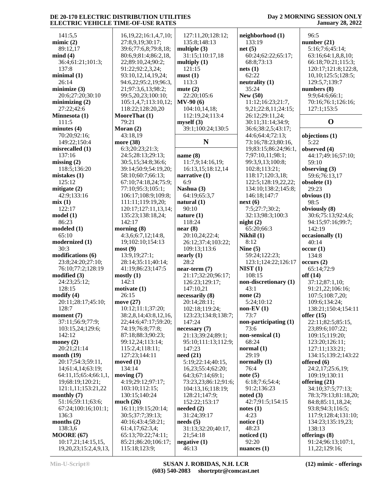#### **Day 2 MORNING SESSION ONLY January 28, 2022**

 141:5,5 **mimic (2)** 89:12,17 **mind (4)** 36:4;61:21;101:3; 137:8 **minimal (1)** 26:14 **minimize (3)** 20:6;27:20;30:10 **minimizing (2)** 27:22;42:6 **Minnesota (1)** 111:5 **minutes (4)** 70:20;92:16; 149:22;150:4 **misrecalled (1)** 137:16 **missing (2)** 118:5;136:20 **mistakes (1)** 125:12 **mitigate (2)** 42:9;133:16 **mix (1)** 122:17 **model (1)** 86:23 **modeled (1)** 65:10 **modernized (1)** 30:3 **modifications (6)** 23:8;24:20;27:10; 76:10;77:2;128:19 **modified (3)** 24:23;25:12; 128:15 **modify (4)** 20:11;28:17;45:10; 128:7 **moment (7)** 37:11;56:9;77:9; 103:15,24;129:6; 142:12 **money (2)** 20:21;21:14 **month (19)** 20:17;54:3;59:11, 14;61:4,14;63:19; 64:11,15;65:4;66:1,1, 19;68:19;120:21; 121:1,11;153:21,22 **monthly (7)** 51:16;59:11;63:6; 67:24;100:16;101:1; 136:3 **months (2)** 138:3,6 **MOORE (67)** 10:17,21;14:15,15, 19,20,23;15:2,4,9,13,

 16,19,22;16:1,4,7,10; 27:8,9,19;30:17; 39:6;77:6,8;79:8,18; 80:6,9;81:4;86:2,18, 22;89:10,24;90:2; 91:22;92:2,3,24; 93:10,12,14,19,24; 94:6,22;95:2,19;96:3, 21;97:3,6,13;98:2; 99:5,20,23;100:10; 105:1,4,7;113:10,12; 118:22;128:20,20 **MooreThat (1)** 79:21 **Moran (2)** 43:18,19 **more (38)** 6:3;20:23;21:3; 24:5;28:13;29:13; 30:5,15;34:8;36:6; 39:14;50:9;54:19,20; 58:10;60:7;66:13; 67:10;74:18,24;75:9; 77:10;95:3;105:1; 106:17;108:9;109:8; 111:11;119:19,20; 120:17;127:11,13,14; 135:23;138:18,24; 142:17 **morning (8)** 4:3,6;6:7,12;14:8, 19;102:10;154:13 **most (9)** 13:9,19;27:1; 28:14;35:11;40:14; 41:19;86:23;147:5 **mostly (1)** 142:1 **motivate (1)** 26:15 **move (27)** 10:12;11:1;37:20; 38:2,8,14;43:8,12,16, 22;44:6;47:17;59:20; 74:19;76:8;77:8; 87:18;88:3;90:23; 99:12,24;113:14; 115:2,4;118:11; 127:23;144:11 **moved (1)** 134:14 **moving (7)** 4:19;29:12;97:17; 103:10;112:15; 130:15;140:24 **much (26)** 16:11;19:15;20:14; 30:5;37:7;39:13; 40:16;43:4;58:21; 61:4,17;62:3,4; 65:13;70:22;74:11; 85:21;86:20;106:17; 115:18;123:9; 127:11,20;128:12; 135:8;148:13 **multiple (3)** 31:15;110:17,18 **multiply (1)** 121:15 **must (1)** 113:3 **mute (2)** 22:20;105:6 **MV-90 (6)** 104:10,14,18; 112:19,24;113:4 **myself (3)** 39:1;100:24;130:5 **N name (8)** 11:7,9;14:16,19; 16:13,15;18:12,14 **narrative (1)** 6:9 **Nashua (3)** 64:19;65:3,7 **natural (1)** 90:10 **nature (1)** 118:24 **near (8)** 20:10,24;22:4; 26:12;37:4;103:22; 109:13;113:6 **nearly (1)** 28:2 **near-term (7)** 21:17;32:20;96:17; 126:23;129:17; 147:10,21 **necessarily (8)** 20:14;28:11; 102:18;119:24; 123:23;134:8;138:7; 147:24 **necessary (7)** 21:13;39:24;89:1; 95:10;111:13;112:9; 147:23 **need (21)** 5:19;22:14;40:15, 16,23;55:4;62:20; 64:3;67:14;69:1; 73:23,23;86:12;91:6; 104:13,16;118:19; 128:21;147:9; 152:22;153:17 **needed (2)** 31:24;39:17 **needs (5)** 31:13;32:20;40:17, 21;54:18 **negative (1)** 46:13

**neighborhood (1)** 133:19 **net (5)** 60:24;62:22;65:17; 68:8;73:13 **nets (1)** 62:22 **neutrality (1)** 35:24 **New (50)** 11:12;16:23;21:7, 9,21;22:8,11;24:15; 26:12;29:11,24; 30:11;31:14;34:9; 36:6;38:2,5;43:17; 44:6;64:4;72:13; 73:16;78:23;80:16, 19;83:15;86:24;96:1, 7;97:10,11;98:1; 99:3,9,13;100:8; 102:8;113:21; 118:17;120:3,18; 122:5;128:19,22,22; 134:10;138:2;145:8; 146:18;147:7 **next (6)** 7:5;27:7;30:2; 32:13;98:3;100:3 **night (2)** 65:20;66:3 **Nikhil (1)** 8:12 **Nine (5)** 59:24;122:23; 123:1;124:22;126:17 **NIST (1)** 108:15 **non-discretionary (1)** 43:1 **none (2)** 5:24;10:12 **non-EV (1)** 73:7 **non-participating (1)** 73:6 **non-sensical (1)** 68:24 **normal (1)** 29:19 **normally (1)** 76:4 **note (5)** 6:18;7:6;54:4; 91:2;136:23 **noted (3)** 42:7;91:5;154:15 **notes (1)** 4:23 **notice (1)** 48:23 **noticed (1)** 92:20 **nuances (1)**

 96:5 **number (21)** 5:16;7:6;45:14; 63:16;64:1,8,8,10; 66:18;70:21;115:3; 120:17;121:8;122:8, 10,10;125:5;128:5; 129:5,7;139:7 **numbers (8)** 9:9;64:6;66:1; 70:16;76:1;126:16; 127:1;153:5 **O objections (1)** 5:22 **observed (4)** 44:17;49:16;57:10; 59:10 **observing (3)** 59:6;76:13,17 **obsolete (1)** 29:23 **obvious (1)** 98:5 **obviously (8)** 30:6;75:13;92:4,6; 94:15;97:16;99:7; 142:19 **occasionally (1)** 40:14 **occur (1)** 134:8 **occurs (2)** 65:14;72:9 **off (14)** 37:12;87:1,10; 91:21,22;106:16; 107:5;108:7,20; 109:6;134:24; 138:21;150:4;154:11 **offer (15)** 22:11;82:5;85:15, 23;89:6;107:22; 109:15;119:20; 123:20;126:11; 127:11;133:21; 134:15;139:2;143:22 **offered (6)** 24:2,17;25:6,19; 109:19;130:11 **offering (21)** 34:10;37:5;77:13; 78:3;79:13;81:18,20; 84:8;85:11,18,24; 93:8;94:3;116:5; 117:9;128:4;131:10; 134:23;135:19,23; 138:13 **offerings (8)** 91:24;96:13;107:1,

11,22;129:16;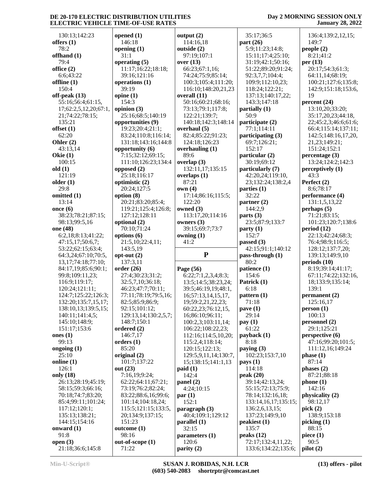| 130:13;142:23                  | opened $(1)$         | output $(2)$          | 35:17;36:5                                | 136:4;139:2,12,15;   |
|--------------------------------|----------------------|-----------------------|-------------------------------------------|----------------------|
| offers $(1)$                   | 146:18               | 114:16,18             | part $(26)$                               | 149:7                |
| 78:2                           | opening $(1)$        | outside (2)           | 5:9;11:23;14:8;                           | people (2)           |
| offhand (1)                    | 31:1                 | 97:19;107:1           | 15:11;17:4;25:10;                         | 8:21;41:2            |
| 79:4                           | operating $(5)$      | over (13)             | 31:19;42:1;50:16;                         | per $(13)$           |
| office $(2)$                   | 11:17;16:22;18:18;   | 66:23;67:1,16;        | 51:22;89:20;91:24;                        | 20:17:54:3:61:3;     |
| 6:6;43:22                      | 39:16;121:16         | 74:24;75:9;85:14;     | 92:3,7,7;104:4;                           | 64:11,14;68:19;      |
| offline (1)                    | operations (1)       |                       |                                           |                      |
|                                | 39:19                | 100:3;105:4;111:20;   | 109:9;112:10,23;                          | 100:21;127:6;135:8;  |
| 150:4                          |                      | 116:10;148:20,21,23   | 118:24;122:21;                            | 142:9;151:18;153:6,  |
| off-peak $(13)$                | opine $(1)$          | overall (11)          | 137:13;140:17,22;                         | 19                   |
| 55:16;56:4;61:15,              | 154:3                | 50:16;60:21;68:16;    | 143:3;147:18                              | percent $(24)$       |
| 17;62:2,5,12,20;67:1,          | opinion (3)          | 73:13;79:1;117:8;     | partially (1)                             | 13:10,20;33:20;      |
| 21;74:22;78:15;                | 25:16;68:5;140:19    | 122:21;139:7;         | 50:9                                      | 35:17,20,23;44:18,   |
| 135:21                         | opportunities (9)    | 140:18;142:3;148:14   | participate (2)                           | 22;45:2,3;46:6;61:6; |
| offset $(1)$                   | 19:23;20:4;21:1;     | overhaul (5)          | 77:1;114:11                               | 66:4;115:14;137:11;  |
| 62:20                          | 83:24;110:8;116:14;  | 82:4;85:22;91:23;     | participating (3)                         | 142:5;148:16,17,20,  |
| Ohler $(2)$                    | 131:18;143:16;144:8  | 124:18;126:23         | 69:7;126:21;                              | 21,23;149:21;        |
| 43:13,14                       | opportunity (6)      | overhauling (1)       | 152:17                                    | 151:24;152:1         |
| Okie $(1)$                     | 7:15;32:12;69:15;    | 89:6                  | particular (2)                            | percentage (3)       |
| 100:15                         | 111:10;126:23;134:4  | overlap $(3)$         | 30:19;69:12                               | 13:24;124:2;142:3    |
| old(1)                         | opposed (2)          | 132:11,17;135:15      | particularly (7)                          | perceptively (1)     |
| 121:19                         | 25:18:116:17         | overlaps $(1)$        | 42:20,24;119:10,                          | 43:3                 |
| older $(1)$                    | optimistic (2)       | 87:21                 | 23;132:24;138:2,4                         | Perfect (2)          |
| 29:8                           |                      | own(4)                |                                           |                      |
|                                | 20:24;127:5          |                       | parties (1)                               | 8:6;78:17            |
| omitted (1)                    | option $(8)$         | 17:14;86:16;115:5;    | 32:22                                     | performance (4)      |
| 13:14                          | 20:21;83:20;85:4;    | 122:20                | partner $(2)$                             | 131:1,5,13,22        |
| once $(6)$                     | 119:21;125:4;126:8;  | owned (3)             | 144:2,9                                   | perhaps(5)           |
| 38:23;78:21;87:15;             | 127:12;128:11        | 113:17,20;114:16      | parts $(3)$                               | 71:21;83:15;         |
| 98:13;99:5,16                  | optional (2)         | owners (3)            | 23:5;87:9;133:7                           | 101:23;120:7;138:6   |
| one (48)                       | 70:10;71:24          | 39:15;69:7;73:7       | party(1)                                  | period (12)          |
| 6:2,18;8:13;41:22;             | options (6)          | owning $(1)$          | 152:7                                     | 22:13;42:24;68:3;    |
|                                |                      |                       |                                           |                      |
| 47:15,17;50:6,7;               | 21:5,10;22:4,11;     | 41:2                  | passed $(3)$                              | 76:4;98:9;116:5;     |
| 53:22;62:15;63:4;              | 143:5,19             |                       | 42:15;91:1;140:12                         | 128:12;137:7,20;     |
| 64:3,24;67:10;70:5,            | $opt-out(2)$         | ${\bf P}$             | pass-through (1)                          | 139:13;149:9,10      |
| 13, 17; 74: 18; 77: 10;        | 137:3,11             |                       | 80:2                                      | periods(10)          |
| 84:17,19;85:6;90:1;            | order(26)            | Page (56)             | patience (1)                              | 8:19;39:14;41:17;    |
| 99:8;109:11,23;                | 27:4;30:23;31:2;     |                       | 154:6                                     | 67:11;74:22;132:16,  |
|                                |                      | 6:22;7:1,2,3,4;8:3;   |                                           |                      |
| 116:9;119:17;                  | 32:5,7,10;36:18;     | 13:5;14:5;38:23,24;   | Patrick (1)                               | 18;133:9;135:14;     |
| 120:24;121:11;                 | 46:23;47:7;70:11;    | 39:5;46:19,19;48:1,   | 6:18                                      | 139:1                |
| 124:7;125:22;126:3;            | 77:11;78:19;79:5,16; | 16;57:13,14,15,17,    | pattern (1)                               | permanent (2)        |
| 132:20;135:7,15,17;            | 82:5;85:9;86:9;      | 19;59:2,21,22,23;     | 71:18                                     | 125:16,17            |
| 138:10,13;139:5,15;            | 92:15;101:12;        | 60:22,23;76:12,15,    | $\mathbf{p}$ ave $(1)$                    | person(1)            |
| 140:11;141:4,5;                | 129:13,14;130:2,5,7; | 16;86:10;96:11;       | 29:14                                     | 100:13               |
| 145:10;148:9;                  | 148:7;150:1          | 100:2,3;103:11,14;    | pay(1)                                    | personnel (2)        |
| 151:17;153:6                   | ordered (2)          | 106:22;108:22,23;     | 61:22                                     | 29:1;125:21          |
| ones $(1)$                     | 146:7,17             | 112:16;114:5,10,20;   | payback (1)                               | perspective(6)       |
| 99:13                          | orders $(1)$         | 115:2,4;118:14;       | 8:18                                      | 47:16;99:20;101:5;   |
| ongoing $(1)$                  | 85:20                | 120:15;122:13;        | paying $(3)$                              | 111:12,16;149:24     |
| 25:10                          | original (2)         | 129:5,9,11,14;130:7,  | 102:23;153:7,10                           | phase(1)             |
| online $(1)$                   | 101:7;137:22         | 15;138:15;141:1,13    | $\mathbf{pays}(1)$                        | 87:14                |
| 126:1                          | out $(23)$           | paid(1)               | 114:18                                    | phases $(2)$         |
| only (18)                      | 7:16,19:9:24;        | 142:4                 | peak $(20)$                               | 87:21;88:18          |
| 26:13;28:19;45:19;             | 62:22;64:11;67:21;   | panel (2)             | 39:14;42:13,24;                           | phone(1)             |
| 58:15;59:3;66:16;              | 73:19;76:2;82:24;    | 4:24;10:15            | 55:15;72:13;75:9;                         | 142:16               |
| 70:18;74:7;83:20;              | 83:22;88:6,16;99:6;  | par(1)                | 78:14;132:16,18;                          | physicality (2)      |
| 85:4;99:11;101:24;             | 101:14;104:18,24;    | 152:1                 | 133:14,16,17;135:15;                      | 98:12,17             |
| 117:12;120:1;                  | 115:5;121:15;133:5,  | paragraph (3)         | 136:2,6,13,15;                            | pick $(2)$           |
| 135:13;138:21;                 | 20;134:9;137:15;     | 40:4;109:1;129:12     | 137:23;149:9,10                           | 138:9;153:18         |
| 144:15;154:16                  | 151:23               | parallel (1)          | peakiest (1)                              | picking (1)          |
| onward $(1)$                   | outcome(1)           | 32:15                 | 135:7                                     | 88:15                |
| 91:8                           | 98:16                | parameters (1)        | peaks $(12)$                              | piece $(1)$          |
| open $(3)$<br>21:18;36:6;145:8 | out-of-scope (1)     | 120:6<br>parity $(2)$ | 72:17;132:4,11,22;<br>133:6;134:22;135:6; | 90:5                 |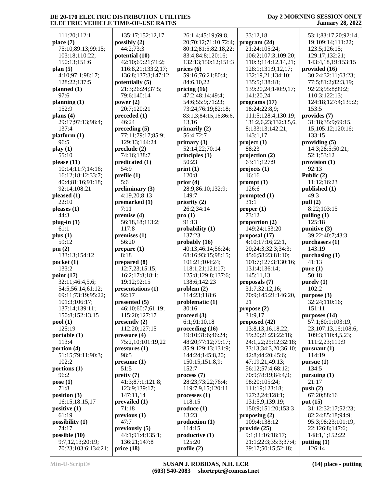#### **Day 2 MORNING SESSION ONLY January 28, 2022**

| 111:20;112:1        | 135:17;152:12,17                     | 26:1,4;45:19;69:8,        | 33:12,18              | 53:1;83:17,20;92:14,   |
|---------------------|--------------------------------------|---------------------------|-----------------------|------------------------|
| place (7)           | possibly $(2)$                       | 20;70:12;71:10;72:4;      | program (24)          | 19;109:14;111:22;      |
| 75:10;89:13;99:15;  | 44:2;73:3                            | 80:12;81:5;82:18,22;      | 21:24;105:24;         | 123:5;126:15;          |
|                     |                                      |                           |                       |                        |
| 103:18;110:22;      | potential (10)                       | 83:4;84:8;120:16;         | 106:2;107:3;109:20;   | 129:17;132:21;         |
| 150:13;151:6        | 42:10;69:21;71:2;                    | 132:13;150:12;151:3       | 110:3;114:12,14,21;   | 143:4, 18, 19; 153: 15 |
| plan $(5)$          | 116:8,21;133:2,17;                   | prices $(6)$              | 128:1;131:9,12,17;    | provided (16)          |
| 4:10;97:1;98:17;    | 136:8;137:3;147:12                   | 59:16;76:21;80:4;         | 132:19,21;134:10;     | 30:24;32:11;63:23;     |
| 128:22;137:5        | potentially (5)                      | 84:6,10,22                | 135:5;138:18;         | 77:5;81:2;82:3,19;     |
| planned (1)         | 21:3;26:24;37:5;                     | pricing $(16)$            | 139:20,24;140:9,17;   | 92:23;95:8;99:2;       |
| 97:6                | 79:6;140:14                          | 47:2;48:14;49:4;          | 141:20,24             | 110:3;122:13;          |
| planning (1)        | power $(2)$                          | 54:6;55:9;71:23;          | programs(17)          | 124:18;127:4;135:2;    |
| 152:9               | 20:7;120:21                          | 73:24;76:19;82:18;        | 18:24;22:8,9;         | 153:5                  |
| plans (4)           | preceded(1)                          | 83:1,3;84:15,16;86:6,     | 111:5;128:4;130:19;   | provides (7)           |
| 29:17;97:13;98:4;   | 46:24                                | 13,16                     | 131:2,6,23;132:3,5,6, | 31:18;35:9;69:15,      |
| 137:4               | preceding (5)                        | primarily $(2)$           | 8;133:13;142:21;      | 15;105:12;120:16;      |
| platform (1)        | 77:11;79:17;85:9;                    | 56:4;72:7                 | 143:1,17              | 133:15                 |
| 96:5                | 129:13;144:24                        | primary $(3)$             | project(1)            | providing (5)          |
| play (1)            | $\boldsymbol{\mathrm{preclude}}$ (2) | 52:14,22;70:14            | 88:23                 | 14:3;28:5;50:21;       |
| 55:10               | 74:16;138:7                          | principles $(1)$          | projection (2)        | 52:1;53:12             |
| please (11)         | predicated (1)                       | 50:23                     | 63:11;127:9           | provision (1)          |
| 10:14;11:7;14:16;   | 54:9                                 | print(1)                  | projects (1)          | 92:13                  |
| 16:12;18:12;33:7;   | prefile(1)                           | 120:8                     | 16:16                 | Public $(2)$           |
| 40:4;81:16;91:18;   | 5:6                                  | prior $(4)$               | prompt(1)             | 11:12;16:23            |
| 92:14;108:21        | preliminary $(3)$                    | 28:9;86:10;132:9;         | 126:6                 | published (1)          |
| pleased (1)         | 4:19,20;8:13                         | 149:7                     | prompted (1)          | 49:3                   |
| 22:10               | premarked (1)                        | priority (2)              | 31:1                  | pull (2)               |
| pleases (1)         | 7:11                                 | 26:2;34:14                | proper <sub>(1)</sub> | 8:22;103:15            |
| 44:3                | premise $(4)$                        | pro(1)                    | 73:12                 | pulling $(1)$          |
| plug-in (1)         | 56:18,18;113:2;                      | 91:13                     | proportion $(2)$      | 125:18                 |
| 61:1                | 117:8                                | probability $(1)$         | 149:24;153:20         | punitive $(3)$         |
| plus (1)            | premises (1)                         | 137:23                    | proposal (17)         | 39:22;40:7;43:3        |
| 59:12               | 56:20                                | probably $(16)$           | 4:10;17:16;22:1,      | purchasers (1)         |
| pm(2)               | prepare (1)                          | 40:13;46:14;56:24;        | 20;24:3;32:3;34:3;    | 143:19                 |
| 133:13;154:12       | 8:18                                 | 68:16;93:15;98:15;        | 45:6;58:23;81:10;     | purchasing (1)         |
| pocket (1)          | prepared (8)                         | 101:21;104:24;            | 101:7;127:3;130:16;   | 41:13                  |
| 133:2               | 12:7,23;15:15;                       | 118:1,21;121:17;          | 131:4;136:14;         | pure(1)                |
| point (17)          | 16:2;17:8;18:1;                      | 125:8;129:8;137:6;        | 145:11,13             | 50:18                  |
| 32:11;46:4,5,6;     | 19:12;92:15                          | 138:6;142:23              | proposals (7)         | purely(1)              |
| 54:5;56:14;61:12;   | presentations (1)                    | problem(2)                | 31:7;32:12,16;        | 102:2                  |
| 69:11;73:19;95:22;  | 92:17                                | 114:23;118:6              | 70:9;145:21;146:20,   | purpose $(3)$          |
| 101:3;106:17;       | presented (5)                        | problematic $(1)$         | 21                    | 32:24;110:16;          |
| 137:14;139:11;      | 46:10;60:7;61:19;                    | 30:16                     | propose $(2)$         | 151:11                 |
| 150:8;152:13,15     | 115:20;127:17                        | proceed $(3)$             | 31:9,17               | purposes (14)          |
| pool(1)             | presently $(2)$                      | 6:1;91:10,18              | proposed (42)         | 57:1;80:1;103:19,      |
| 125:19              | 112:20;127:15                        | proceeding $(16)$         | 13:8, 13, 16, 18, 22; | 23;107:13,16;108:6;    |
| portable (1)        | pressure(4)                          | 19:10;31:6;46:24;         | 19:20;21:23;22:18;    | 109:3;110:4,5,23;      |
| 113:4               | 75:2,10;101:19,22                    | 48:20;77:12;79:17;        | 24:1,22;25:12;32:18;  | 111:2,23;119:9         |
| portion (4)         | pressures(1)                         | 85:9;129:13;131:9;        | 33:13;34:3,20;36:10;  | pursuant (1)           |
| 51:15;79:11;90:3;   | 98:5                                 | 144:24;145:8,20;          | 42:8;44:20;45:6;      | 114:19                 |
| 102:2               | pressure(1)                          | 150:15;151:8,9;           | 47:19,21;49:13;       | pursue(1)              |
| portions (1)        | 51:5                                 | 152:7                     | 56:12;57:4;68:12;     | 134:5                  |
| 96:2                | pretty(7)                            | process(7)                | 70:9;78:19;84:4,9;    | pursuing $(1)$         |
| pose (1)            | 41:3;87:1;121:8;                     | 28:23;73:22;76:4;         | 98:20;105:24;         | 21:17                  |
| 71:8                | 123:9;139:17;                        | 119:7,9,15;120:11         | 111:19;123:18;        | push $(2)$             |
| position (3)        | 147:11,14                            | processes(1)              | 127:2,24;128:1;       | 67:20;88:16            |
| 16:15;18:15,17      | prevailed $(1)$                      | 118:15                    | 131:5,9;139:19;       | put $(15)$             |
| positive (1)        | 71:18                                | produce (1)               | 150:9;151:20;153:3    | 31:12;32:17;52:23;     |
| 61:19               | previous <sub>1</sub>                | 13:23                     | proposing $(2)$       | 82:24;85:18;94:9;      |
| possibility (1)     | 47:7                                 | production <sub>(1)</sub> | 109:4;138:12          | 95:3;98:23;101:19,     |
| 74:17               | previously $(5)$                     | 114:15                    | provide (25)          | 22;126:8;147:6;        |
| possible (10)       | 44:1;91:4;135:1;                     | productive (1)            | 9:1;11:16;18:17;      | 148:1,1;152:22         |
| 9:7,12,13;20:19;    | 136:21;147:8                         | 125:20                    | 21:1;22:3;35:3;37:4;  | putting $(1)$          |
| 70:23;103:6;134:21; | price(18)                            | profile (2)               | 39:17;50:15;52:18;    | 126:14                 |
|                     |                                      |                           |                       |                        |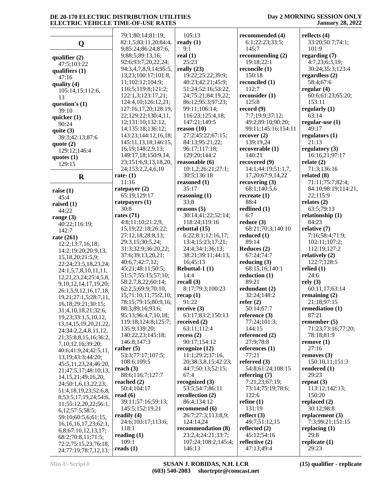|                                                | 79:1;80:14;81:19;                          | 105:13                         | recommended (4)               | reflects $(4)$              |
|------------------------------------------------|--------------------------------------------|--------------------------------|-------------------------------|-----------------------------|
| Q                                              | 82:1,5;83:11,20;84:4,                      | ready $(1)$                    | 6:1;22:23;33:5;               | 33:20;50:7;74:1;            |
|                                                | 9;85:24;86:24;87:6,                        | 9:1                            | 145:7                         | 101:9                       |
| qualifier $(2)$                                | 9;88:5;89:13,16;                           | real $(1)$                     | recommending $(2)$            | regarding $(7)$             |
| 47:5;103:22                                    | 92:6;93:7,20,22,24;                        | 25:23                          | 19:18:22:1                    | 4:7,23;6:3,19;              |
| qualifiers $(1)$                               | 94:3,4,7,8,9,14;95:5,                      | really $(23)$                  | reconcile (1)                 | 30:24;35:3;123:4            |
| 47:16                                          | 13,23;100:17;101:8,                        | 19:22;25:22;39:9;              | 150:18                        | regardless $(2)$            |
| quality $(4)$                                  | 11;102:12;104:9;                           | 40:23;42:21;45:9;              | reconciled (1)                | 58:4;67:6                   |
| 105:14,15;112:6,                               | 116:5;119:8;121:2;                         | 51:24;52:16;53:22,             | 112:7                         | regular $(4)$               |
| 13                                             | 122:1,3;123:17,21;                         | 24;75:21;84:19,22;             | reconsider (1)                | 60:6;61:23;65:20;           |
| question's $(1)$                               | 124:4,10;126:12,21;                        | 86:12;95:3;97:23;              | 125:8                         | 153:11                      |
| 39:10                                          | 127:16,17,20;128:19,                       | 99:11;106:14;                  | record $(9)$                  | regularly $(1)$             |
| quicker $(1)$                                  | 22;129:22;130:4,11,                        | 116:23:125:4,18:               | 7:7;19:9;37:12;               | 63:14                       |
| 90:24                                          | 12;131:10;132:12,                          | 147:21;149:5                   | 49:2;89:10;90:20;             | regular-use $(1)$           |
| quite $(3)$                                    | 14;135:18;136:12;                          | reason $(10)$                  | 99:11;145:16;154:11           | 49:17                       |
| 39:3;42:13;87:6                                | 143:23;144:12,16,18;                       | 27:2;45:22;67:15;              | recover(2)                    | regulators $(1)$            |
| quote $(2)$                                    | 145:11,13,18;146:15,                       | 84:13;95:21,22;                | 139:19,24                     | 21:13                       |
| 129:12;146:4                                   | 16, 19; 148: 2, 9, 13;                     | 96:17;117:18;                  | recoverable (1)               | regulatory $(3)$            |
| quotes $(1)$                                   | 149:17,18;150:9,14,                        | 129:20;144:2<br>reasonable (6) | 140:21<br>recovered (9)       | 16:16,21;97:17              |
| 129:15                                         | 23;151:6,9,13,18,20,<br>24;153:2,2,4,6,10  | 10:1,2;26:21;27:1;             | 14:1;44:19;51:1,7,            | relate $(2)$<br>71:3;136:16 |
|                                                | rate- $(1)$                                | 30:5;136:18                    | 17,20;67:9,14,22              | related $(8)$               |
| $\bf R$                                        | 11:16                                      | reasoned (1)                   | recovering $(3)$              | 71:11;75:7;82:4;            |
|                                                | ratepayer $(2)$                            | 35:17                          | 68:1;140:5,6                  | 84:10;98:19;114:21,         |
| raise $(1)$                                    | 65:19;129:17                               | reasoning $(1)$                | recreate $(1)$                | 22;115:9                    |
| 45:4                                           | rate payers $(1)$                          | 33:8                           | 88:4                          | relates $(2)$               |
| raised $(1)$                                   | 30:8                                       | reasons $(5)$                  | redlined (1)                  | 63:5;79:13                  |
| 44:22                                          | rates $(71)$                               | 30:14;41:22;52:14;             | 6:7                           | relationship (1)            |
| range $(3)$<br>40:22;116:19;                   | 4:8;11:10;21:2,9,                          | 118:24;119:16                  | reduce $(3)$                  | 84:23                       |
| 142:7                                          | 15, 19; 22: 18; 26: 22;                    | rebuttal $(15)$                | 68:21;70:3;140:10             | relative (7)                |
| rate (261)                                     | 27:12,18;28:8,13;                          | 6:22;8:1;12:16,17;             | reduced $(1)$                 | 7:16;58:4;71:9;             |
| 12:2;13:7,16,18;                               | 29:3,15;30:5,24;                           | 13:4;15:23;17:21;              | 89:14                         | 102:11;107:2;               |
| 14:2;19:20;20:9,13,                            | 31:3;32:9;36:20,22;                        | 24:4;34:1;36:13;               | Reduces (2)                   | 112:19;127:2                |
| 15,18,20;21:5,9;                               | 37:6;39:13,20,21;                          | 38:21;39:11;44:13,             | 67:24;74:7                    | relatively $(2)$            |
| 22:24;23:5,18,23,24;                           | 40:6,7;42:7,12;                            | 16;45:13                       | reducing $(3)$                | 122:7;128:5                 |
| 24:1,5,7,8,10,11,11,                           | 45:21;48:11;50:5;                          | Rebuttal-1 (1)                 | 68:15,16;140:1                | relied $(1)$                |
| 12, 21, 23, 24, 25: 4, 5, 8,                   | 51:5,7;55:15;57:10;                        | 14:4                           | reduction (1)                 | 24:6                        |
| 9, 10, 12, 14, 17, 19, 20;                     | 58:2,7,8,22;60:14;                         | recall $(3)$                   | 89:21                         | rely(3)                     |
| 26:1,5,9,12,16,17,18,                          | 62:2,5;69:9;70:10,                         | 8:17;79:3;100:23               | redundant (2)                 | 60:11,17;63:14              |
| 19,21;27:1,5;28:7,11,                          | 15;71:10,11;75:2,10;                       | recap(1)                       | 32:24;148:2                   | remaining $(2)$             |
| 16,18;29:21;30:15;                             | 78:15;79:15;80:9,16;                       | 91:22                          | refer $(2)$                   | 21:18;97:15                 |
| 31:4,10,18,21;32:6,                            | 88:3;89:16;93:6;                           | receive $(3)$                  | 50:14;67:7                    | remediation $(1)$           |
| 19,23;33:1,5,10,12,                            | 95:13;96:4,7,10,18;<br>119:18;124:8;125:7; | 63:17;83:2;150:13              | reference (3)<br>77:24;101:3; | 87:21<br>remember $(5)$     |
| 13, 14, 15, 19, 20, 21, 22,                    | 135:9;139:20;                              | received $(2)$<br>63:11;112:4  | 144:15                        | 71:23;73:16;77:20;          |
| 24;34:2,2,4,8,11,12,                           | 140:22,23;145:18;                          | recess(2)                      | referenced (2)                | 78:18;81:9                  |
| 21;35:8,8,15,16;36:2,                          | 146:8;147:3                                | 90:17:154:12                   | 27:9;78:8                     | remove(1)                   |
| 7, 10, 12, 16; 39: 20;                         | rather $(5)$                               | recognize $(12)$               | references $(1)$              | 27:16                       |
| 40:6;41:9,24;42:5,11,                          | 53:3;77:17;107:5;                          | 11:1;29:2;37:16,               | 77:21                         | removes $(3)$               |
| 13, 19; 43: 3; 44: 20;<br>45:5,11,23,24;46:20, | 108:6;109:5                                | 20;38:3,8,15;42:23;            | referred $(3)$                | 150:10,11;151:3             |
| 21;47:5,17;48:10,13,                           | reach $(3)$                                | 44:7;50:13;52:15;              | 54:8;61:24;108:15             | rendered $(1)$              |
| 14, 15, 21, 49: 16, 20,                        | 88:6;116:7;127:7                           | 67:4                           | referring $(7)$               | 29:23                       |
| 24;50:1,6,13,22,23;                            | reached $(2)$                              | recognized (3)                 | 7:21,23;67:19;                | repeat $(3)$                |
| 51:4,18,19,23;52:6,8,                          | 50:4;104:17                                | 53:5:54:7:86:11                | 73:14;75:19;78:6;             | 113:12;142:13;              |
| 8;53:5,17,19,24;54:6,                          | read $(6)$                                 | recollection $(2)$             | 122:6                         | 150:20                      |
| 11;55:12,20,22;56:1,                           | 39:11;57:16;59:13;                         | 86:4;134:12                    | refine $(1)$                  | replaced $(2)$              |
| 6,12;57:5;58:5;                                | 145:5;152:19,21                            | recommend (6)                  | 131:19                        | 30:12;98:8                  |
| 59:10;60:5,6;61:15,                            | readily $(4)$                              | 26:7;27:3;113:8,9;             | reflect $(3)$                 | replacement (3)             |
| 16, 16, 16, 17, 23; 62: 1,                     | 24:6;103:17;113:6;                         | 124:14,24                      | 49:7;51:12,15                 | 7:3;99:21;151:15            |
| 6,8;67:10,12,13,17;                            | 118:1                                      | recommendation (8)             | reflected $(2)$               | replacing $(1)$             |
| 68:2;70:8,11;71:5;                             | reading $(1)$                              | 23:2,4;24:21;33:7;             | 45:12;54:16                   | 29:8                        |
| 72:2;75:15,23;76:18,                           | 109:1                                      | 107:24;108:2;145:4;            | reflective $(2)$              | replicate $(1)$             |
| 24;77:19;78:7,12,13;                           | reads $(1)$                                | 146:13                         | 47:13;49:4                    | 29:23                       |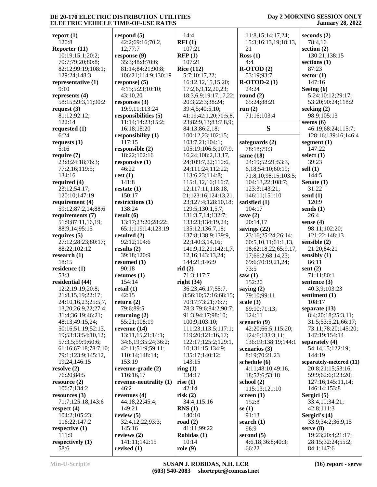| report $(1)$         | respond $(5)$          | 14:4                      | 11:8,15;14:17,24;    | seconds $(2)$           |
|----------------------|------------------------|---------------------------|----------------------|-------------------------|
| 120:8                | 42:2;69:16;70:2,       | RFI(1)                    | 15:3;16:13,19;18:13, | 78:4,16                 |
| Reporter (11)        | 12;77:7                | 107:21                    | 21                   | section $(2)$           |
| 10:19;15:1;20:2;     | response (9)           | RFP(1)                    | Ross(1)              | 130:21;138:15           |
| 70:7;79:20;80:8;     | 35:3;48:8;70:6;        | 107:21                    | 4:4                  | sections $(1)$          |
| 82:12;99:19;108:1;   | 81:14;84:21;90:8;      | <b>Rice (112)</b>         | $R-OTOD(2)$          | 87:23                   |
| 129:24;148:3         | 106:21;114:9;130:19    | 5:7;10:17,22;             | 53:19;93:7           | sector $(1)$            |
| representative (1)   | response] $(5)$        | 16:12,12,15,15,20;        | $R-OTOD-2(1)$        | 147:16                  |
| 9:10                 | 4:15;5:23;10:10;       | 17:2,6,9,12,20,23;        | 24:24                | Seeing (6)              |
| represents (4)       | 43:10,20               | 18:3,6,9;19:17,17,22;     | round $(2)$          | 5:24;10:12;29:17;       |
| 58:15;59:3,11;90:2   | responses (3)          | 20:3;22:3;38:24;          | 65:24;88:21          | 53:20;90:24;118:2       |
| request $(3)$        | 19:9,11;113:24         | 39:4,5;40:5,10;           | run $(2)$            | seeking $(2)$           |
| 81:12;92:12;         | responsibilities (5)   | 41:19;42:1,20;70:5,8,     | 71:16;103:4          | 98:9;105:13             |
| 122:14               | 11:14;14:23;15:2;      | 23;82:9,13;83:7,8,9;      |                      | seems $(6)$             |
| requested $(1)$      | 16:18:18:20            | 84:13;86:2,18;            | S                    | 46:19;68:24;115:7;      |
| 6:24                 | responsibility (1)     | 100:12,23;102:15;         |                      | 128:16;139:16;146:4     |
| requests $(1)$       | 117:15                 | 103:7,21;104:1;           | safeguards (2)       | segment $(1)$           |
| 5:16                 |                        | 105:19;106:5;107:9,       | 78:18;79:3           | 147:22                  |
|                      | responsible (2)        |                           |                      |                         |
| require $(7)$        | 18:22;102:16           | 16, 24; 108: 2, 13, 17,   | same $(18)$          | select $(1)$            |
| 23:8;24:18;76:3;     | responsive $(1)$       | 24;109:7,22;110:6,        | 24:19;52:21;53:3,    | 39:23                   |
| 77:2,16;119:5;       | 46:22                  | 24;111:24;112:22;         | 6,18;54:10;60:19;    | sell $(1)$              |
| 134:16               | rest(1)                | 113:6,23;114:8;           | 71:8,10;98:15;103:5; | 144:5                   |
| required (4)         | 141:8                  | 115:1,12,16;116:7,        | 104:13,22;108:7;     | Senate $(1)$            |
| 23:12;54:17;         | restate $(1)$          | 12;117:11;118:18,         | 123:3;143:21;        | 31:22                   |
| 120:10;147:19        | 150:17                 | 21;123:16;124:13,21,      | 146:11;151:10        | send $(1)$              |
| requirement (4)      | restrictions (1)       | 23;127:4;128:10,18;       | satisfied (1)        | 120:9                   |
| 59:12;87:2,14;88:6   | 138:24                 | 129:5;130:1,5,7;          | 104:17               | sends $(1)$             |
| requirements (7)     | result(6)              | 131:3,7,14;132:7;         | save $(2)$           | 26:4                    |
| 51:9;87:11,16,19;    | 13:17;23:20;28:22;     | 133:23;134:19,24;         | 20:14,17             | sense $(4)$             |
| 88:9,14;95:15        | 65:1;119:14;123:19     | 135:12;136:7,18;          | savings (22)         | 98:11;102:20;           |
| requires $(5)$       | resulted $(2)$         | 137:8;138:9;139:9,        | 23:16;25:24;26:14;   | 121:22;148:13           |
| 27:12;28:23;80:17;   | 92:12;104:6            | 22;140:3,14,16;           | 60:5,10,11;61:1,13,  | sensible (2)            |
| 88:22;102:12         | results $(2)$          | 141:9, 12, 21; 142: 1, 7, | 18;62:18,22;65:9,17, | 21:20;84:21             |
|                      | 39:18;120:9            | 12,16;143:13,24;          |                      | sensibly $(1)$          |
| research $(1)$       |                        |                           | 17;66:2;68:14,23;    |                         |
| 18:15                | resumed $(1)$          | 144:21;146:9              | 69:6;70:19,21,24;    | 86:11                   |
| residence (1)        | 90:18                  | rid(2)                    | 73:5                 | sent $(2)$              |
| 53:3                 | resumes $(1)$          | 71:3;117:7                | saw(1)               | 71:11;80:1              |
| residential (44)     | 154:14                 | right $(34)$              | 152:20               | sentence $(3)$          |
| 12:2;19:19;20:8;     | retail(1)              | 36:23;46:17;55:7,         | saying $(2)$         | 40:3,9;103:23           |
| 21:8,15,19;22:17;    | 42:15                  | 8;56:10;57:16;68:15;      | 79:10;99:11          | sentiment (1)           |
| 24:10,16,23;25:5,7,  | return $(2)$           | 70:17;73:21;76:7;         | scale $(3)$          | 108:17                  |
| 13,20;26:9,22;27:4;  | 79:6;89:5              | 78:3;79:6;84:2;90:7;      | 69:10;71:13;         | separate $(13)$         |
| 31:4;36:19;46:21;    | returning $(2)$        | 91:3;94:17;98:10;         | 124:11               | 8:4;20:18;25:3,11;      |
| 48:13;49:15,24;      | 55:21;108:19           | 100:9;103:10;             | scenario (9)         | 31:5;53:5,21;66:17;     |
| 50:16;51:19;52:13,   | revenue $(14)$         | 111:23;113:5;117:1;       | 42:20;66:5;115:20;   | 73:11;78:20;145:20;     |
| 19;53:13;54:10,12;   | 13:11,15,21;14:1;      | 119:20;121:16,17;         | 124:6;133:3,11;      | 147:19:154:14           |
| 57:3,5;59:9;60:6;    | 34:6,19;35:24;36:2;    | 122:17;125:2;129:1,       | 136:19;138:19;144:1  | separately (4)          |
| 61:16;67:18;78:7,10; | 42:11;51:9;59:11;      | 10;131:15;134:9;          | scenarios $(3)$      | 54:14,15;122:19;        |
| 79:1;123:9;145:12,   | 110:14;148:14;         | 135:17;140:12;            | 8:19;70:21,23        | 144:19                  |
| 19,24;146:15         | 153:19                 | 143:15                    | schedule (6)         | separately-metered (11) |
| resolve (2)          | revenue-grade (2)      | ring(1)                   | 4:11;48:10;49:16,    | 20:8;21:15;53:16;       |
| 76:20;84:5           | 116:16,17              | 134:17                    | 18;52:6;53:18        | 59:9;62:6;123:20;       |
|                      |                        |                           |                      |                         |
| resource $(2)$       | revenue-neutrality (1) | rise $(1)$                | school $(2)$         | 127:16;145:11,14;       |
| 106:7;134:2          | 46:2                   | 42:14                     | 115:13;121:10        | 146:14;153:8            |
| resources $(3)$      | revenues $(4)$         | risk(2)                   | screen $(1)$         | Sergici (5)             |
| 71:7;125:18;143:6    | 44:18,22;45:4;         | 34:4;115:16               | 152:8                | 33:4,11;34:21;          |
| respect $(4)$        | 149:21                 | RNS(1)                    | se $(1)$             | 42:8;111:3              |
| 104:2;105:23;        | review $(5)$           | 140:10                    | 91:13                | Sergici's (4)           |
| 116:22;147:2         | 32:4,12,22;93:3;       | road $(2)$                | search $(1)$         | 33:9;34:2;36:9,15       |
| respective $(1)$     | 145:16                 | 41:11;99:22               | 96:9                 | serve $(8)$             |
| 111:9                | reviews $(2)$          | Robidas (1)               | second $(5)$         | 19:23;20:4;21:17;       |
| respectively (1)     | 141:11;142:15          | 10:14                     | 4:6,18;36:8;40:3;    | 28:15;32:24;55:2;       |
| 58:6                 | revised $(1)$          | role(9)                   | 66:22                | 84:1;147:6              |
|                      |                        |                           |                      |                         |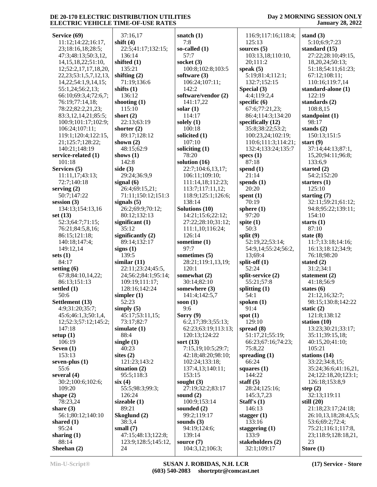### **Day 2 MORNING SESSION ONLY January 28, 2022**

| Service (69)                 | 37:16,17            | snatch $(1)$        | 116:9;117:16;118:4; | stand $(3)$           |
|------------------------------|---------------------|---------------------|---------------------|-----------------------|
| 11:12;14:22;16:17,           | shift $(4)$         | 7:8                 | 125:13              | 5:10;6:9;7:23         |
| 23;18:16,18;28:5;            | 22:5;41:17;132:15;  | so-called $(1)$     | sources $(5)$       | standard (15)         |
| 47:3;48:13;50:3,12,          | 136:14              | 57:7                | 103:13,18;110:10,   | 27:22;28:10;49:15,    |
| 14, 15, 18, 22; 51: 10,      | shifted $(1)$       | socket (3)          | 20;111:2            | 18,20,24;50:13;       |
|                              |                     |                     |                     |                       |
| 12;52:2,17,17,18,20,         | 135:21              | 100:8;102:8;103:5   | speak $(5)$         | 51:18;54:11;61:23;    |
| 22, 23; 53: 1, 5, 7, 12, 13, | shifting $(2)$      | software $(3)$      | 5:19;81:4;112:1;    | 67:12;108:11;         |
| 14, 22; 54: 1, 9, 14, 15;    | 71:19;136:6         | 106:24;107:11;      | 132:7;152:15        | 110:16;119:7,14       |
| 55:1,24;56:2,13;             | shifts $(1)$        | 142:2               | Special (3)         | standard-alone (1)    |
| 66:10;69:3,4;72:6,7;         | 136:12              | software/vendor (2) | 4:4:119:2.4         | 122:19                |
| 76:19;77:14,18;              | shooting (1)        | 141:17,22           | specific $(6)$      | standards (2)         |
| 78:22;82:2,21,23;            | 115:10              | solar $(1)$         | 67:6;77:21,23;      | 108:8,15              |
|                              |                     |                     |                     |                       |
| 83:3,12,14,21;85:5;          | short $(2)$         | 114:17              | 86:4;114:3;134:20   | standpoint (1)        |
| 100:9;101:17;102:9;          | 22:13;63:19         | solely $(1)$        | specifically (12)   | 98:17                 |
| 106:24;107:11;               | shorter $(2)$       | 100:18              | 35:8;38:22;53:2;    | stands $(2)$          |
| 119:1;120:4;122:15,          | 89:17;128:12        | solicited (1)       | 100:23,24;102:19;   | 150:13;151:5          |
| 21;125:7;128:22;             | shown $(2)$         | 107:10              | 110:6;111:3;114:21; | start $(9)$           |
| 140:21;148:19                | 48:15;62:9          | soliciting (1)      | 132:4;133:24;135:7  | 37:14;44:13;87:1,     |
| service-related (1)          | shows $(1)$         | 78:20               | specs $(1)$         | 15,20;94:11;96:8;     |
| 101:18                       | 142:8               | solution (16)       | 87:18               | 133:6,9               |
|                              |                     |                     |                     |                       |
| Services (5)                 | side $(3)$          | 22:7;104:6,13,17;   | spend $(1)$         | started $(2)$         |
| 11:11,17;43:13;              | 29:24;36:9,9        | 106:11;109:10;      | 21:14               | 54:2;152:20           |
| 72:7;140:18                  | signal $(6)$        | 111:14,18;112:23;   | spends $(1)$        | starters $(1)$        |
| serving $(2)$                | 26:4;69:15,21;      | 113:7;117:11,12;    | 20:20               | 125:10                |
| 50:7;147:22                  | 71:11;150:12;151:3  | 118:9;125:1;126:6;  | spent $(1)$         | starting $(7)$        |
| session $(3)$                | signals $(5)$       | 138:14              | 70:19               | 32:11;59:21;61:12;    |
| 134:13;154:13,16             | 26:2;69:9;70:12;    | Solutions (10)      | sphere $(1)$        | 94:8;95:22;139:11;    |
|                              | 80:12;132:13        | 14:21;15:6;22:12;   | 97:20               | 154:10                |
| set $(13)$                   |                     |                     |                     |                       |
| 52:3;64:7;71:15;             | significant $(1)$   | 27:22;28:10;31:12;  | spite $(1)$         | starts $(1)$          |
| 76:21;84:5,8,16;             | 35:12               | 111:1,10;116:24;    | 50:3                | 87:10                 |
| 86:15;121:18;                | significantly $(2)$ | 126:14              | split $(9)$         | state $(8)$           |
| 140:18;147:4;                | 89:14;132:17        | sometime (1)        | 52:19,22;53:14;     | 11:7;13:18;14:16;     |
| 149:12,14                    | signs $(1)$         | 97:7                | 54:9,14;55:24;56:2, | 16:13;18:12;34:9;     |
| sets $(1)$                   | 139:5               | sometimes (5)       | 13;69:4             | 76:18;98:20           |
| 84:17                        | similar $(11)$      | 28:21;119:1,13,19;  | split-off $(1)$     | stated $(2)$          |
| setting $(6)$                | 22:11;23:24;45:5,   | 120:1               | 52:24               | 31:2;34:1             |
|                              |                     |                     |                     |                       |
| 67:8;84:10,14,22;            | 24;56:2;84:1;95:14; | somewhat (2)        | split-service (2)   | statement $(2)$       |
| 86:13:151:13                 | 109:19;111:17;      | 30:14;82:10         | 55:21;57:8          | 41:18;56:9            |
| settled (1)                  | 128:16;142:24       | somewhere (3)       | splitting $(1)$     | states $(6)$          |
| 50:6                         | simpler $(1)$       | 141:4;142:5,7       | 54:1                | 21:12,16;32:7;        |
| Settlement (13)              | 52:23               | soon $(1)$          | spoken $(1)$        | 98:15;130:8;142:22    |
| 4:9;31:20;35:7;              | simply $(5)$        | 9:6                 | 91:4                | static $(2)$          |
| 45:6;46:1,3;50:1,4,          | 45:17;53:11,15;     | Sorry $(9)$         | spot $(1)$          | 121:8;138:12          |
| 12;52:3;57:12;145:2;         | 73:17;82:7          | 6:2,17;39:3;55:13;  | 129:10              | station $(10)$        |
|                              |                     |                     |                     |                       |
| 147:18                       | simulate $(1)$      | 62:23;63:19;113:13; | spread $(8)$        | 13:23;30:21;33:17;    |
| setup $(1)$                  | 88:4                | 120:13;124:22       | 51:17,21;55:19;     | 35:11;39:15,18;       |
| 106:19                       | single $(1)$        | sort $(13)$         | 66:23;67:16;74:23;  | 40:15,20;41:10;       |
| Seven $(1)$                  | 40:23               | 7:15,19;10:5;29:7;  | 75:8,22             | 105:21                |
| 153:13                       | sites $(2)$         | 42:18;48:20;98:10;  | spreading $(1)$     | stations (14)         |
| seven-plus $(1)$             | 121:23;143:2        | 102:24;133:18;      | 66:24               | 33:22;34:8,15;        |
| 55:6                         | situation $(2)$     | 137:4,13;140:11;    | squares (1)         | 35:24;36:6;41:16,21,  |
| several $(4)$                | 95:5;118:3          | 153:15              | 144:22              | 24;122:18,20;123:1;   |
| 30:2;100:6;102:6;            |                     |                     |                     |                       |
|                              | six(4)              | sought $(3)$        | staff $(5)$         | 126:18;153:8,9        |
| 109:20                       | 55:5;98:3;99:3;     | 27:19;32:2;83:17    | 28:24;125:16;       | step $(2)$            |
| shape $(2)$                  | 126:24              | sound $(2)$         | 145:3,7,23          | 32:13;119:11          |
| 78:23,24                     | sizeable $(1)$      | 100:9;153:14        | Staff's $(1)$       | still $(20)$          |
| share $(3)$                  | 89:21               | sounded $(2)$       | 146:13              | 21:18;23:17;24:18;    |
| 56:1;80:12;140:10            | Skoglund (2)        | 99:2;119:17         | stagger $(1)$       | 26:10,13,18;28:4,5,5; |
| shared $(1)$                 | 38:3,4              | sounds $(3)$        | 133:16              | 53:6;69:2;72:4;       |
| 95:24                        | small $(7)$         | 94:19;124:6;        | staggering $(1)$    | 75:21;116:1;117:8,    |
| sharing $(1)$                | 47:15;48:13;122:8;  | 139:14              | 133:9               | 23;118:9;128:18,21,   |
|                              |                     |                     |                     |                       |
| 88:14                        | 123:9;128:5;145:12, | source $(7)$        | stakeholders (2)    | 23                    |

**Sheehan (2)**

24

104:3,12;106:3;

32:1;109:17

**Store (1)**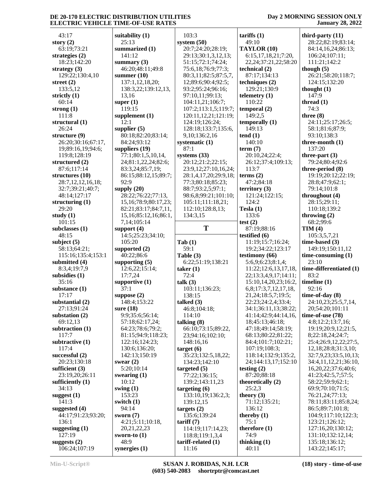#### **Day 2 MORNING SESSION ONLY January 28, 2022**

| 43:17                            | suitability $(1)$                    | 1                            |
|----------------------------------|--------------------------------------|------------------------------|
| story $(2)$                      | 25:13                                | sys                          |
| 63:19;73:21                      | summarized (1)                       | 2                            |
| strategies $(2)$                 | 141:12                               | $\frac{2}{5}$                |
| 18:23;142:20<br>strategy $(3)$   | summary $(3)$<br>46:20;48:11;49:8    | 7                            |
| 129:22;130:4,10                  | summer $(10)$                        | 8                            |
| street $(2)$                     | 137:1,12,18,20;                      | 1                            |
| 133:5,12                         | 138:3,22;139:12,13,                  | ç                            |
| strictly $(1)$                   | 13,16                                | ç                            |
| 60:14                            | super $(1)$                          | 1                            |
| strong $(1)$                     | 119:15                               | $\mathbf{1}$                 |
| 111:8                            | supplement $(1)$                     | $\mathbf{1}$                 |
| structural $(1)$<br>26:24        | 12:1                                 | $\mathbf{1}$<br>$\mathbf{1}$ |
| structure (9)                    | supplier $(5)$<br>80:18;82:20;83:14; | ç                            |
| 26:20;30:16;67:17,               | 84:24;93:12                          | sys                          |
| 19;89:16,19;94:6;                | suppliers $(19)$                     | 8                            |
| 119:8;128:19                     | 77:1;80:1,5,10,14,                   | sys                          |
| structured (2)                   | 24;81:1,22,24;82:6;                  | 2                            |
| 87:6;117:14                      | 83:3,24;85:7,19;                     | $\overline{2}$               |
| structures (10)                  | 86:15;88:12,15;89:7;                 | $\frac{2}{7}$                |
| 28:7,12,12,16,18;                | 92:9                                 | 8                            |
| 32:7;39:21;40:7;<br>48:14;127:17 | supply $(20)$<br>28:22;76:22;77:13,  | 9                            |
| structuring $(1)$                | 15, 16; 78: 9; 80: 17, 23;           | 1                            |
| 29:20                            | 82:21;83:17;84:7,11,                 | 1                            |
| study $(1)$                      | 15,16;85:12,16;86:1,                 | 1                            |
| 101:15                           | 7,14;105:14                          |                              |
| subclasses (1)                   | support $(4)$                        |                              |
| 48:15                            | 14:5;25:23;34:10;                    |                              |
| subject $(5)$                    | 105:20                               | Tal                          |
|                                  |                                      |                              |
| 58:13;64:21;                     | supported (2)                        | 5                            |
| 115:16;135:4;153:1               | 40:22;86:6                           | Tal                          |
| submitted (4)<br>8:3,4;19:7,9    | supporting $(5)$<br>12:6,22;15:14;   | 6<br>tak                     |
| subsidies (1)                    | 17:7,24                              | 7                            |
| 35:16                            | supportive $(1)$                     | tall                         |
| substance (1)                    | 37:1                                 | 1                            |
| 17:17                            | suppose (2)                          | 1                            |
| substantial (2)                  | 148:4;153:22                         | tall                         |
| 27:13;91:24                      | sure $(18)$                          | 4                            |
| substation (2)                   | 9:9;35:6;56:14;                      | 1<br>tall                    |
| 69:12,13<br>subtraction (1)      | 57:18;62:17,24;<br>64:23;78:6;79:2;  | 6                            |
| 117:7                            | 81:15;94:9;118:23;                   | 2                            |
| subtractive $(1)$                | 122:16;124:23;                       | 1                            |
| 117:4                            | 130:6;136:20;                        | tar                          |
| successful $(2)$                 | 142:13;150:19                        | 3                            |
| 20:23;130:18                     | swear $(2)$                          | 1                            |
| sufficient $(3)$                 | 5:20;10:14                           | tar                          |
| 23:19,20;26:11                   | swearing $(1)$<br>10:12              | 7<br>1                       |
| sufficiently $(1)$<br>34:13      | swing $(1)$                          | tar                          |
| suggest $(1)$                    | 153:23                               | 1                            |
| 141:3                            | switch $(1)$                         | 1                            |
| suggested (4)                    | 94:14                                | tar                          |
| 44:17;91:23;93:20;               | sworn $(7)$                          | 1                            |
| 136:1                            | 4:21;5:11;10:18,                     | tari                         |
| suggesting $(1)$                 | 20,21,22,23                          | 1<br>1                       |
| 127:19<br>suggests $(2)$         | sworn-to $(1)$<br>48:9               | tari                         |

|                  | 103:3                           | tarif        |
|------------------|---------------------------------|--------------|
|                  | system $(50)$                   | 49           |
|                  | 20:7;24:20;28:19;               | TAY          |
|                  | 29:13;30:1,3,12,13;             | 6:           |
|                  | 51:15;72:1;74:24;               | 22           |
| $\cdot 8$        | 75:6,18;76:9;77:3;              | tech         |
|                  | 80:3,11;82:5;87:5,7,            | 87           |
|                  | 12;89:6;90:4;92:5;              | tech         |
| 2,13,            | 93:2;95:24;96:16;               | 12           |
|                  | 97:10,11;99:13;                 | telen        |
|                  | 104:11,21;106:7;                |              |
|                  |                                 | 11           |
|                  | 107:2;113:1,5;119:7;            | temp         |
|                  | 120:11,12,21;121:19;            | 14           |
|                  | 124:19;126:24;                  | temp         |
|                  | 128:18;133:7;135:6,             | 14           |
| 3:14;            | 9,10;136:2,16                   | tend         |
|                  | systematic (1)                  | 14           |
|                  | 87:1                            | term         |
| ,14,             | systems $(33)$                  | 20           |
| 82:6;            | 20:12;21:2;22:15;               | 26           |
| 9:               | 23:9,12;27:10,16,24;            | 11           |
| ;89:7;           | 28:1,4,17,20;29:9,18;           | term         |
|                  | 77:3;80:18;85:23;               | 47           |
|                  | 88:7;93:2,5;97:1;               | terri        |
| 1:3,             | 98:6,8;99:21;101:10;            | 12           |
| 17,23;           | 105:11;111:18,21;               | 12           |
| :7,11,           | 112:10;128:8,13;                | <b>Tesl:</b> |
| 5,86.1,          | 134:3,15                        | 13           |
|                  |                                 | test         |
|                  | T                               | 87           |
| 10;              |                                 | testi        |
|                  |                                 | 11           |
|                  |                                 |              |
|                  | Tab(1)                          |              |
|                  | 59:1                            | 19           |
|                  | Table (3)                       | testi        |
|                  | 6:22;51:19;138:21               | 5:           |
|                  | $\text{taken} \left( 1 \right)$ | 11           |
|                  | 72:4                            | 22           |
|                  | talk (3)                        | 15           |
|                  | 103:11;136:23;                  | 6,           |
|                  | 138:15                          | 21           |
|                  | talked (3)                      | 22           |
|                  | 46:8;104:18;                    | 34           |
|                  | 114:10                          | 41           |
| ,<br> ;          | talking (8)                     | 18           |
| $\overline{2}$ : | 66:10;73:15;89:22,              | 47           |
| 3:23;            | 23;94:16;102:10;                | 68           |
| ;                | 148:16,16                       | 84           |
|                  | target(6)                       | 10           |
|                  | 35:23;132:5,18,22;              | 11           |
|                  | 134:23;142:10                   | 24           |
|                  | targeted (5)                    | testi        |
|                  | 77:22;136:15;                   | 87           |
|                  | 139:2;143:11,23                 | theo         |
|                  | targeting (6)                   | 25           |
|                  | 133:10,19;136:2,3;              | theo         |
|                  | 139:12,15                       | 71           |
|                  | targests(2)                     | 13           |
|                  | 135:6;139:24                    | ther         |
|                  | $\text{tariff}(7)$              | 75           |
|                  | 114:19;117:14,23;               | ther         |
|                  | 118:8;119:1,3,4                 | 74           |
| 8.               | tariff-related (1)<br>11:16     | thinl<br>40  |

**tariffs (1)** 49:10 **TAYLOR (10)** 6:15,17,18,21;7:20, 22,24;37:21,22;58:20 **technical (2)** 87:17;134:13 **techniques (2)** 129:21;130:9 **lemetry** (1) 110:22 mporal  $(2)$  149:2,5 **temporally** (1) 149:13 **the final (1)**  140:10 **term (7)** 20:10,24;22:4; 26:12;37:4;109:13; 113:7  $rms (2)$  47:2;84:18 fritory (3) 121:24;122:15; 124:2 **Tesla (1)** 133:6 **st** (2) 87:19;88:16 **testified (6)** 11:19;15:7;16:24; 19:2;34:22;123:17 **stimony** (**66**) 5:6,9;6:23;8:1,4; 11:22;12:6,13,17,18, 22;13:3,4,9,17;14:11; 15:10,14,20,23;16:2, 6,8;17:3,7,12,17,18, 21,24;18:5,7;19:5; 22:23;24:2,4;33:4; 34:1;36:11,13;38:22; 41:14;42:9;44:14,16, 18;45:13;46:18; 47:18;49:14;58:19; 68:13;80:22;81:22; 84:4;101:7;102:21; 107:19;108:3; 118:14;132:9;135:2, 24;144:13,17;152:10 **sting (2)**  87:20;88:18 **theoretically** (2) 25:2,3 **theory** (3) 71:12;135:21; 136:12 **thereby** (1) 75:1 **therefore** (1) 74:9 **thinking (1)** 40:11

**third-party (11)** 28:22;82:19;83:14; 84:14,16,24;86:13; 106:24;107:11; 111:21;142:2 **though (5)** 26:21;58:20;118:7; 124:15;132:20 **thought (1)** 147:9 **thread (1)** 74:3 **three (8)** 24:11;25:17;26:5; 58:1;81:6;87:9; 93:10;138:3 **three-month (1)** 137:20 **three-part (3)** 79:24;80:4;92:6 **three-period (8)** 19:19;20:12;22:19; 28:8;47:9;62:1; 79:14;101:8 **throughout (4)** 28:15;29:11; 110:18;139:2 **throwing (2)** 68:2;99:6 **TIM (4)** 105:3,5,7,21 **time-based (3)** 149:19;150:11,12 **time-consuming (1)** 23:10 **time-differentiated (1)** 83:2 **timeline (1)** 92:16 **time-of-day (8)** 24:10,23;25:5,7,14, 20;54:20;101:11 **time-of-use (78)** 4:8;12:2;13:7,16; 19:19;20:9,12;21:5, 8;22:18,24;24:7; 25:4;26:9,12,22;27:5, 12,18;28:8;31:3,10; 32:7,9,23;33:5,10,13; 34:4,11,12,21;36:10, 16,20,22;37:6;40:6; 41:23;42:5,7;57:5; 58:22;59:9;62:1; 69:9;70:10;71:5; 76:21,24;77:13; 78:11;83:11;85:8,24; 86:5;89:7;101:8; 104:9;117:10;122:3; 123:21;126:12; 127:16,20;130:12; 131:10;132:12,14; 135:18;136:12;

143:22;145:17;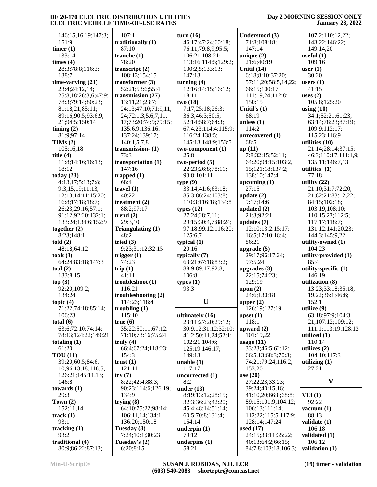#### **Day 2 MORNING SESSION ONLY January 28, 2022**

 146:15,16,19;147:3; 151:9 **timer (1)** 133:14 **times (4)** 28:3;78:8;116:3; 138:7 **time-varying (21)** 23:4;24:12,14; 25:8,18;26:3,6;47:9; 78:3;79:14;80:23; 81:18,21;85:11; 89:16;90:5;93:6,9, 21;94:5;150:14 **timing (2)** 81:9;97:14 **TIMs (2)** 105:16,18 **title (4)** 11:8;14:16;16:13; 18:12 **today (23)** 4:13,17;5:13;7:8; 9:3,15,19;11:13; 12:13;14:11;15:20; 16:8;17:18;18:7; 26:23;29:16;57:1; 91:12;92:20;132:1; 133:24;134:6;152:9 **together (2)** 8:23;148:1 **told (2)** 48:18;64:12 **took (3)** 64:24;83:18;147:3 **tool (2)** 133:8,15 **top (3)** 92:20;109:2; 134:24 **topic (4)** 71:22;74:18;85:14; 106:23 **total (6)** 63:6;72:10;74:14; 78:13;124:22;149:21 **totaling (1)** 61:20 **TOU (11)** 39:20;60:5;84:6, 10;96:13,18;116:5; 126:21;145:11,13; 146:8 **towards (1)** 29:3 **Town (2)** 152:11,14 **track (1)** 93:1 **tracking (1)** 93:2 **traditional (4)** 80:9;86:22;87:13;

 107:1 **traditionally (1)** 87:10 **tranche (1)** 78:20 **transcript (2)** 108:13;154:15 **transformer (3)** 52:21;53:6;55:4 **transmission (27)** 13:11,21;23:7; 24:13;47:10;71:9,11, 24;72:1,3,5,6,7,11, 17;73:20;74:9;79:15; 135:6,9;136:16; 137:24;139:17; 140:1,5,7,8 **transmission- (1)** 73:3 **transportation (1)** 147:16 **trapped (1)** 68:4 **travel (1)** 40:22 **treatment (2)** 88:2;97:17 **trend (2)** 29:3,10 **Triangulating (1)** 48:2 **tried (3)** 9:23;31:12;32:15 **trigger (1)** 74:23 **trip (1)** 41:11 **troubleshoot (1)** 116:21 **troubleshooting (2)** 114:23;118:4 **troubling (1)** 115:10 **true (6)** 35:22;50:11;67:12; 71:10;73:16;75:24 **truly (4)** 66:4;67:24;118:23; 154:3 **trust (1)** 121:11 **try (7)** 8:22;42:4;88:3; 90:23;114:6;126:19; 134:9 **trying (8)** 64:10;75:22;98:14; 106:11,14;134:1; 136:20;150:18 **Tuesday (3)** 7:24;10:1;30:23 **Tuesday's (2)**

6:20;8:15

**turn (16)** 46:17;47:24;60:18; 76:11;79:8,9;95:5; 106:21;108:21; 113:16;114:5;129:2; 130:2,5;133:13; 147:13 **turning (4)** 12:16;14:15;16:12; 18:11 **two (18)** 7:17;25:18;26:3; 36:3;46:3;50:5; 52:14;58:7;64:3; 67:4,23;114:4;115:9; 116:24;138:5; 145:13;148:9;153:5 **two-component (1)** 25:8 **two-period (5)** 22:23;26:8;78:11; 93:8;101:11 **type (9)** 33:14;41:6;63:18; 85:3;86:24;103:8; 110:3;116:18;134:8 **types (12)** 27:24;28:7,11; 29:15;30:4,7;88:24; 97:18;99:12;116:20; 125:6,7 **typical (1)** 20:16 **typically (7)** 63:21;67:18;83:2; 88:9;89:17;92:8; 106:8 **typos (1)** 93:3 **ultimately (16)** 23:11;27:20;29:12; 30:9,12;31:12;32:10; 41:2;50:11,24;52:1; 102:21;104:6; 125:19;146:17; 149:13 **unable (1)** 117:17 **uncorrected (1)** 8:2 **under (13)** 8:19;13:12;28:15; 32:3;36:23;42:20; 45:4;48:14;51:14; 60:5;70:8;131:4; 154:14 **underpin (1)** 79:12 **underpins (1)** 58:21

**U upper (2) Understood (3)** 71:8;108:18; 147:14 **unique (2)** 21:6;40:19 **Unitil (14)** 6:18;8:10;37:20; 57:11,20;58:5,14,22; 66:15;100:17; 111:19,24;112:8; 150:15 **Unitil's (1)** 68:19 **unless (1)** 114:2 **unrecovered (1)** 68:5 **up (11)** 7:8;32:15;52:11; 64:20;98:15;103:2, 15;121:18;137:2; 138:10;147:4 **upcoming (1)** 27:15 **update (2)** 9:17;14:6 **updated (2)** 21:3;92:21 **updates (7)** 12:10;13:2;15:17; 16:5;17:10;18:4; 86:21 **upgrade (5)** 29:17;96:17,24; 97:5,24 **upgrades (3)** 22:15;74:23; 129:19 **upon (2)** 24:6;130:18 126:19;127:19 **upset (1)** 118:1 **upward (2)** 101:19,22 **usage (11)** 33:23;46:5;62:12; 66:5,13;68:3;70:3; 74:21;79:24;116:2; 153:20 **use (20)** 27:22,23;33:23; 39:24;40:15,16; 41:10,20;66:8;68:8; 89:15;101:9;104:12; 106:13;111:14; 112:22;115:5;117:9; 128:14;147:24 **used (17)** 24:15;33:11;35:22; 40:13;64:2;66:15; 84:7,8;103:18;106:3;

 107:2;110:12,22; 143:22;146:22; 149:14,20 **useful (1)** 109:16 **user (1)** 30:20 **users (1)** 41:15 **uses (2)** 105:8;125:20 **using (10)** 34:1;52:21;61:23; 63:14;78:23;87:19; 109:9;112:17; 115:23;116:9 **utilities (10)** 21:14;28:14;37:15; 46:3;110:17;111:1,9; 135:11;146:7,13 **utilities' (1)** 77:18 **utility (22)** 21:10;31:7;72:20, 21;82:21;83:12,22; 84:15;102:18; 103:19;108:10; 110:15,23;112:5; 117:17;118:7; 131:12;141:20,23; 144:3;145:9,22 **utility-owned (1)** 104:23 **utility-provided (1)** 85:4 **utility-specific (1)** 146:19 **utilization (8)** 13:23;33:18;35:18, 19,22;36:1;46:6; 152:1 **utilize (9)** 63:18;97:9;104:3, 21;107:12;109:12; 111:1;113:19;128:13 **utilized (1)** 110:14 **utilizes (2)** 104:10;117:3 **utilizing (1)** 27:21 **V V13 (1)** 92:22 **vacuum (1)** 88:13 **validate (1)** 106:18 **validated (1)**

 106:12 **validation (1)**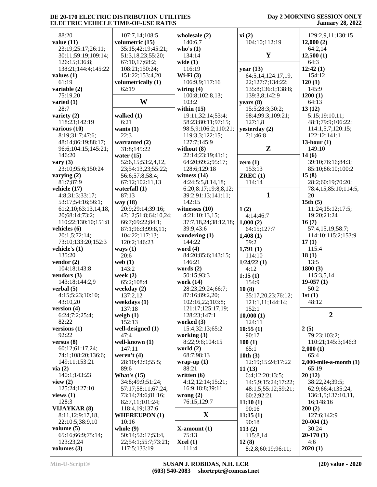| 88:20                                 | 107:7,14;108:5          | wholesale $(2)$                            | xi(2)                        | 129:2,9,11;130:15                         |
|---------------------------------------|-------------------------|--------------------------------------------|------------------------------|-------------------------------------------|
| value $(11)$                          | volumetric (15)         | 140:6,7                                    | 104:10;112:19                | 12,000(2)                                 |
| 23:19;25:17;26:11;                    | 35:15;42:19;45:21;      | who's $(1)$                                |                              | 64:2,14                                   |
| 30:11;59:19;109:14;                   | 51:3,18,23;55:20;       | 134:14                                     | Y                            | 12,500(1)                                 |
| 126:15;136:8;                         | 67:10,17;68:2;          | wide $(1)$                                 |                              | 64:3                                      |
| 138:21;144:4;145:22                   | 108:21;150:24;          | 116:19                                     | year $(13)$                  | 12:42(1)                                  |
| values $(1)$                          | 151:22;153:4,20         | Wi-Fi $(3)$                                | 64:5,14;124:17,19,           | 154:12                                    |
| 61:19                                 | volumetrically (1)      | 106:9,9;117:16                             | 22;127:7;134:22;             | 120(1)                                    |
| variable (2)                          | 62:19                   | wiring $(4)$                               | 135:8;136:1;138:8;           | 145:9                                     |
| 75:19,20                              |                         | 100:8;102:8,13;                            | 139:3,8;142:9                | 1200(1)                                   |
| varied $(1)$                          | W                       | 103:2                                      | years $(8)$                  | 64:13                                     |
| 28:7                                  |                         | within $(15)$                              | 15:5;28:3;30:2;              | 13(12)                                    |
| variety $(2)$                         | walked $(1)$            | 19:11;32:14;53:4;                          | 98:4;99:3;109:21;            | 5:15;19:10,11;                            |
| 118:23;142:19<br>various $(10)$       | 6:21<br>wants $(1)$     | 58:23;80:11;97:15;<br>98:5,9;106:2;110:21; | 127:1,8<br>yesterday (2)     | 48:1;79:9;106:22;<br>114:1, 5, 7; 120:15; |
| 8:19;31:7;47:6;                       | 22:3                    | 119:3,3;122:15;                            | 7:1;46:8                     | 122:12;141:1                              |
| 48:14;86:19;88:17;                    | warranted (2)           | 127:7;145:9                                |                              | $13$ -hour $(1)$                          |
| 96:6;104:15;145:21;                   | 31:8;145:22             | without (8)                                | $\mathbf{Z}$                 | 149:10                                    |
| 146:20                                | water $(15)$            | 22:14;23:19;41:1;                          |                              | 14(6)                                     |
| vary $(3)$                            | 52:6,15;53:2,4,12,      | 64:20;69:2;95:17;                          | zero $(1)$                   | 39:10;76:16;84:3;                         |
| 23:10;95:6;150:24                     | 23;54:13,23;55:22;      | 128:6;129:18                               | 153:13                       | 85:10;86:10;100:2                         |
| varying $(2)$                         | 56:6;57:8;58:4;         | witness $(14)$                             | ZREC(1)                      | 15(8)                                     |
| 81:7;87:9                             | 67:12;102:11,13         | 4:24;5:5,8,14,18;                          | 114:14                       | 28:2;60:19;70:20;                         |
| vehicle (17)                          | waterfall $(1)$         | 6:20;8:17;19:8,8,12;                       |                              | 78:4,15;85:10;114:5,                      |
| 4:8;31:3;33:17;                       | 87:13                   | 39:2;91:13;141:11;                         | $\mathbf{1}$                 | 20                                        |
| 53:17;54:16;56:1;                     | way (18)                | 142:15                                     |                              | 15th $(5)$                                |
| 61:2,10;63:13,14,18,                  | 20:9;29:14;39:16;       | witnesses $(10)$                           | 1(2)                         | 11:24;15:12;17:5;                         |
| 20;68:14;73:2;                        | 47:12;51:8;64:10,24;    | 4:21;10:13,15;                             | 4:14;46:7                    | 19:20;21:24                               |
| 110:22;130:10;151:8                   | 66:7;69:22;84:1;        | 37:7,18,24;38:12,18;                       | 1,000(2)                     | 16(7)                                     |
| vehicles (6)                          | 87:1;96:3;99:8,11;      | 39:9;43:6                                  | 64:15;127:7                  | 57:4,15,19;58:7;                          |
| 20:1,5;72:14;                         | 104:22;117:13;          | wondering $(1)$                            | 1,408(1)                     | 114:10;115:2;153:9                        |
| 73:10;133:20;152:3                    | 120:2;146:23            | 144:22                                     | 59:2                         | 17(1)<br>115:4                            |
| vehicle's $(1)$<br>135:20             | ways $(1)$<br>20:6      | word $(4)$<br>84:20;85:6;143:15;           | 1,791(1)<br>114:10           | 18(1)                                     |
| vendor $(2)$                          | web $(1)$               | 146:21                                     | 1/24/22(1)                   | 13:5                                      |
| 104:18:143:8                          | 143:2                   | words $(2)$                                | 4:12                         | 1800(3)                                   |
| vendors $(3)$                         | week $(2)$              | 50:15:93:3                                 | 1:15(1)                      | 115:3,5,14                                |
| 143:18;144:2,9                        | 65:2;108:4              | work (14)                                  | 154:9                        | $19-057(1)$                               |
| verbal $(5)$                          | weekday (2)             | 28:23;29:24;66:7;                          | 10(8)                        | 50:2                                      |
| 4:15;5:23;10:10;                      | 137:2,12                | 87:16;89:2,20;                             | 35:17,20,23;76:12;           | 1st(1)                                    |
| 43:10,20                              | weekdays (1)            | 102:16,22;103:8;                           | 121:1,11;144:14;             | 48:12                                     |
| version $(4)$                         | 137:18                  | 121:17;125:17,19;                          | 152:1                        |                                           |
| 6:24;7:2;25:4;                        | weigh $(1)$             | 128:23;147:1                               | 10,000(1)                    | $\boldsymbol{2}$                          |
| 82:22                                 | 152:13                  | worked $(3)$                               | 124:11                       |                                           |
| versions $(1)$                        | well-designed (1)       | 15:4;32:13;65:2                            | 10:55(1)                     | 2(5)                                      |
| 92:22                                 | 47:4                    | working $(3)$                              | 90:17                        | 79:23;103:2;                              |
| versus $(8)$                          | well-known (1)          | 8:22;9:6;104:15                            | 100(1)                       | 110:21;145:3;146:3                        |
| 60:12;61:17,24;<br>74:1;108:20;136:6; | 147:11<br>weren't $(4)$ | world $(2)$<br>68:7;98:13                  | 65:1                         | 2,000(1)<br>65:4                          |
| 149:11;153:21                         | 28:10;42:9;55:5;        | wrap-up $(1)$                              | 10th(3)<br>12:19;15:24;17:22 | $2,000$ -mile-a-month $(1)$               |
| via(2)                                | 89:6                    | 88:21                                      | 11(13)                       | 65:19                                     |
| 140:1;143:23                          | What's $(15)$           | written $(6)$                              | 6:4;12:20;13:5;              | 20(12)                                    |
| view $(2)$                            | 34:8;49:9;51:24;        | 4:12;12:14;15:21;                          | 14:5,9;15:24;17:22;          | 38:22,24;39:5;                            |
| 125:24;127:10                         | 57:17;58:11;67:24;      | 16:9;18:8;39:11                            | 48:1,5;55:12;59:21;          | 62:9;66:4;135:24;                         |
| views $(1)$                           | 73:14;74:6;81:16;       | wrong $(2)$                                | 60:2;92:21                   | 136:1,5;137:10,11,                        |
| 128:3                                 | 82:7,11;101:24;         | 76:15;129:7                                | 11:10(1)                     | 16:148:16                                 |
| <b>VIJAYKAR (8)</b>                   | 118:4,19;137:6          |                                            | 90:16                        | 200(2)                                    |
| 8:11,12;9:17,18,                      | <b>WHEREUPON (1)</b>    | $\mathbf X$                                | 11:15(1)                     | 127:6;142:9                               |
| 22;10:5;38:9,10                       | 10:16                   |                                            | 90:18                        | $20-004(1)$                               |
| volume $(5)$                          | whole $(9)$             | $X$ -amount $(1)$                          | 113(2)                       | 30:24                                     |
| 65:16;66:9;75:14;                     | 50:14;52:17;53:4,       | 75:13                                      | 115:8,14                     | $20-170(1)$                               |
| 123:23,24                             | 22;54:1;55:7;73:21;     | Xcel(1)                                    | 12(8)                        | 4:6                                       |
| volumes $(3)$                         | 117:5;133:19            | 111:4                                      | 8:2,8;60:19;96:11;           | 2020(1)                                   |